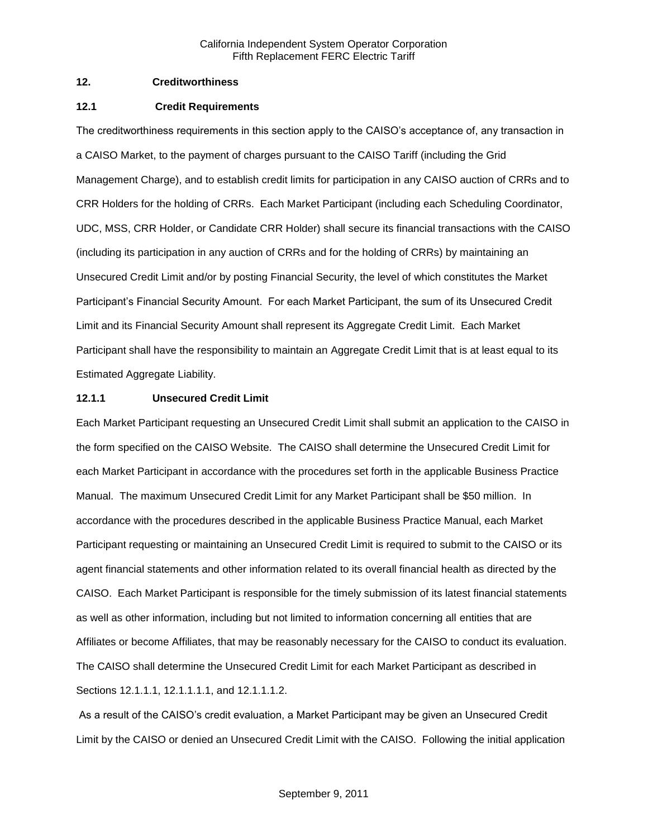## **12. Creditworthiness**

#### **12.1 Credit Requirements**

The creditworthiness requirements in this section apply to the CAISO's acceptance of, any transaction in a CAISO Market, to the payment of charges pursuant to the CAISO Tariff (including the Grid Management Charge), and to establish credit limits for participation in any CAISO auction of CRRs and to CRR Holders for the holding of CRRs. Each Market Participant (including each Scheduling Coordinator, UDC, MSS, CRR Holder, or Candidate CRR Holder) shall secure its financial transactions with the CAISO (including its participation in any auction of CRRs and for the holding of CRRs) by maintaining an Unsecured Credit Limit and/or by posting Financial Security, the level of which constitutes the Market Participant's Financial Security Amount. For each Market Participant, the sum of its Unsecured Credit Limit and its Financial Security Amount shall represent its Aggregate Credit Limit. Each Market Participant shall have the responsibility to maintain an Aggregate Credit Limit that is at least equal to its Estimated Aggregate Liability.

### **12.1.1 Unsecured Credit Limit**

Each Market Participant requesting an Unsecured Credit Limit shall submit an application to the CAISO in the form specified on the CAISO Website. The CAISO shall determine the Unsecured Credit Limit for each Market Participant in accordance with the procedures set forth in the applicable Business Practice Manual. The maximum Unsecured Credit Limit for any Market Participant shall be \$50 million. In accordance with the procedures described in the applicable Business Practice Manual, each Market Participant requesting or maintaining an Unsecured Credit Limit is required to submit to the CAISO or its agent financial statements and other information related to its overall financial health as directed by the CAISO. Each Market Participant is responsible for the timely submission of its latest financial statements as well as other information, including but not limited to information concerning all entities that are Affiliates or become Affiliates, that may be reasonably necessary for the CAISO to conduct its evaluation. The CAISO shall determine the Unsecured Credit Limit for each Market Participant as described in Sections 12.1.1.1, 12.1.1.1.1, and 12.1.1.1.2.

As a result of the CAISO's credit evaluation, a Market Participant may be given an Unsecured Credit Limit by the CAISO or denied an Unsecured Credit Limit with the CAISO. Following the initial application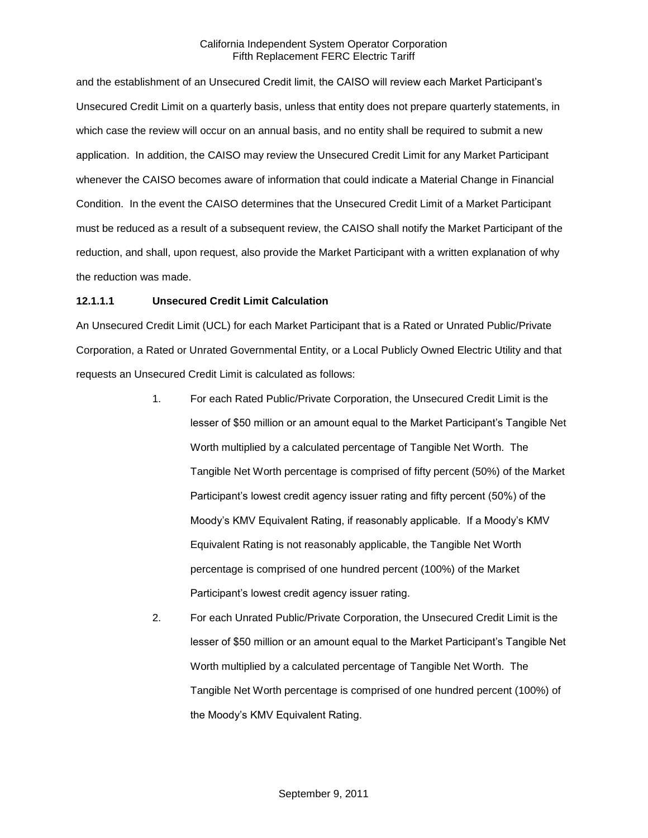and the establishment of an Unsecured Credit limit, the CAISO will review each Market Participant's Unsecured Credit Limit on a quarterly basis, unless that entity does not prepare quarterly statements, in which case the review will occur on an annual basis, and no entity shall be required to submit a new application. In addition, the CAISO may review the Unsecured Credit Limit for any Market Participant whenever the CAISO becomes aware of information that could indicate a Material Change in Financial Condition. In the event the CAISO determines that the Unsecured Credit Limit of a Market Participant must be reduced as a result of a subsequent review, the CAISO shall notify the Market Participant of the reduction, and shall, upon request, also provide the Market Participant with a written explanation of why the reduction was made.

### **12.1.1.1 Unsecured Credit Limit Calculation**

An Unsecured Credit Limit (UCL) for each Market Participant that is a Rated or Unrated Public/Private Corporation, a Rated or Unrated Governmental Entity, or a Local Publicly Owned Electric Utility and that requests an Unsecured Credit Limit is calculated as follows:

- 1. For each Rated Public/Private Corporation, the Unsecured Credit Limit is the lesser of \$50 million or an amount equal to the Market Participant's Tangible Net Worth multiplied by a calculated percentage of Tangible Net Worth. The Tangible Net Worth percentage is comprised of fifty percent (50%) of the Market Participant's lowest credit agency issuer rating and fifty percent (50%) of the Moody's KMV Equivalent Rating, if reasonably applicable. If a Moody's KMV Equivalent Rating is not reasonably applicable, the Tangible Net Worth percentage is comprised of one hundred percent (100%) of the Market Participant's lowest credit agency issuer rating.
- 2. For each Unrated Public/Private Corporation, the Unsecured Credit Limit is the lesser of \$50 million or an amount equal to the Market Participant's Tangible Net Worth multiplied by a calculated percentage of Tangible Net Worth. The Tangible Net Worth percentage is comprised of one hundred percent (100%) of the Moody's KMV Equivalent Rating.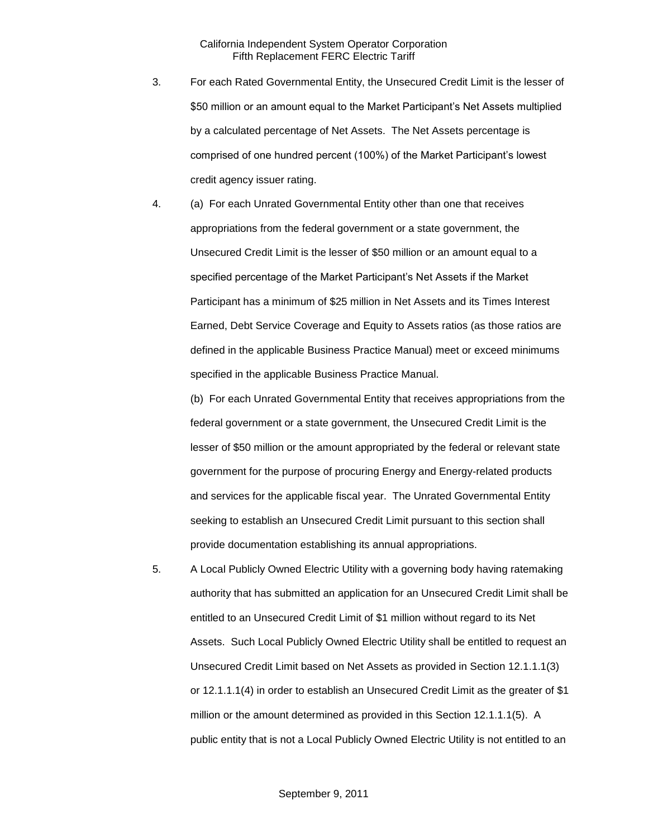- 3. For each Rated Governmental Entity, the Unsecured Credit Limit is the lesser of \$50 million or an amount equal to the Market Participant's Net Assets multiplied by a calculated percentage of Net Assets. The Net Assets percentage is comprised of one hundred percent (100%) of the Market Participant's lowest credit agency issuer rating.
- 4. (a) For each Unrated Governmental Entity other than one that receives appropriations from the federal government or a state government, the Unsecured Credit Limit is the lesser of \$50 million or an amount equal to a specified percentage of the Market Participant's Net Assets if the Market Participant has a minimum of \$25 million in Net Assets and its Times Interest Earned, Debt Service Coverage and Equity to Assets ratios (as those ratios are defined in the applicable Business Practice Manual) meet or exceed minimums specified in the applicable Business Practice Manual.

(b) For each Unrated Governmental Entity that receives appropriations from the federal government or a state government, the Unsecured Credit Limit is the lesser of \$50 million or the amount appropriated by the federal or relevant state government for the purpose of procuring Energy and Energy-related products and services for the applicable fiscal year. The Unrated Governmental Entity seeking to establish an Unsecured Credit Limit pursuant to this section shall provide documentation establishing its annual appropriations.

5. A Local Publicly Owned Electric Utility with a governing body having ratemaking authority that has submitted an application for an Unsecured Credit Limit shall be entitled to an Unsecured Credit Limit of \$1 million without regard to its Net Assets. Such Local Publicly Owned Electric Utility shall be entitled to request an Unsecured Credit Limit based on Net Assets as provided in Section 12.1.1.1(3) or 12.1.1.1(4) in order to establish an Unsecured Credit Limit as the greater of \$1 million or the amount determined as provided in this Section 12.1.1.1(5). A public entity that is not a Local Publicly Owned Electric Utility is not entitled to an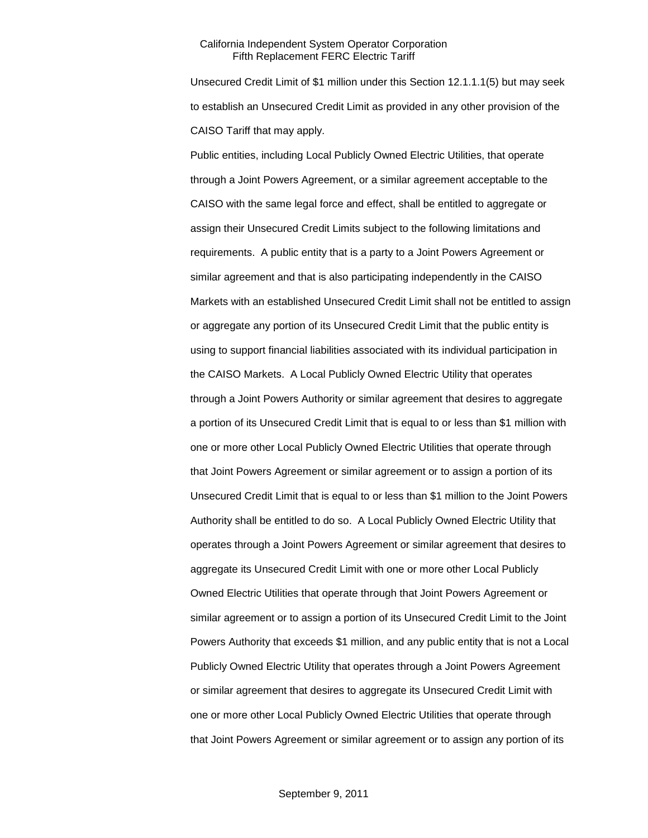Unsecured Credit Limit of \$1 million under this Section 12.1.1.1(5) but may seek to establish an Unsecured Credit Limit as provided in any other provision of the CAISO Tariff that may apply.

Public entities, including Local Publicly Owned Electric Utilities, that operate through a Joint Powers Agreement, or a similar agreement acceptable to the CAISO with the same legal force and effect, shall be entitled to aggregate or assign their Unsecured Credit Limits subject to the following limitations and requirements. A public entity that is a party to a Joint Powers Agreement or similar agreement and that is also participating independently in the CAISO Markets with an established Unsecured Credit Limit shall not be entitled to assign or aggregate any portion of its Unsecured Credit Limit that the public entity is using to support financial liabilities associated with its individual participation in the CAISO Markets. A Local Publicly Owned Electric Utility that operates through a Joint Powers Authority or similar agreement that desires to aggregate a portion of its Unsecured Credit Limit that is equal to or less than \$1 million with one or more other Local Publicly Owned Electric Utilities that operate through that Joint Powers Agreement or similar agreement or to assign a portion of its Unsecured Credit Limit that is equal to or less than \$1 million to the Joint Powers Authority shall be entitled to do so. A Local Publicly Owned Electric Utility that operates through a Joint Powers Agreement or similar agreement that desires to aggregate its Unsecured Credit Limit with one or more other Local Publicly Owned Electric Utilities that operate through that Joint Powers Agreement or similar agreement or to assign a portion of its Unsecured Credit Limit to the Joint Powers Authority that exceeds \$1 million, and any public entity that is not a Local Publicly Owned Electric Utility that operates through a Joint Powers Agreement or similar agreement that desires to aggregate its Unsecured Credit Limit with one or more other Local Publicly Owned Electric Utilities that operate through that Joint Powers Agreement or similar agreement or to assign any portion of its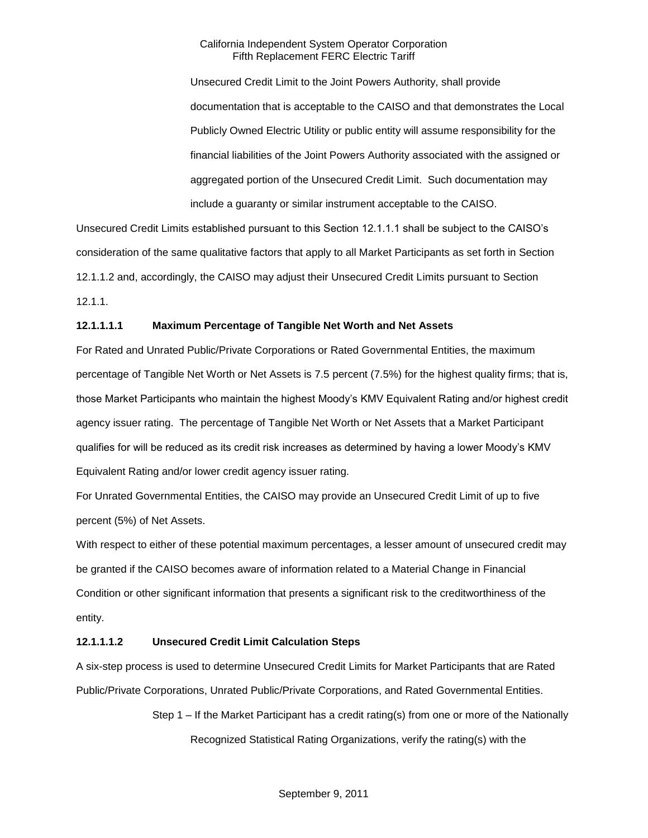Unsecured Credit Limit to the Joint Powers Authority, shall provide documentation that is acceptable to the CAISO and that demonstrates the Local Publicly Owned Electric Utility or public entity will assume responsibility for the financial liabilities of the Joint Powers Authority associated with the assigned or aggregated portion of the Unsecured Credit Limit. Such documentation may include a guaranty or similar instrument acceptable to the CAISO.

Unsecured Credit Limits established pursuant to this Section 12.1.1.1 shall be subject to the CAISO's consideration of the same qualitative factors that apply to all Market Participants as set forth in Section 12.1.1.2 and, accordingly, the CAISO may adjust their Unsecured Credit Limits pursuant to Section 12.1.1.

### **12.1.1.1.1 Maximum Percentage of Tangible Net Worth and Net Assets**

For Rated and Unrated Public/Private Corporations or Rated Governmental Entities, the maximum percentage of Tangible Net Worth or Net Assets is 7.5 percent (7.5%) for the highest quality firms; that is, those Market Participants who maintain the highest Moody's KMV Equivalent Rating and/or highest credit agency issuer rating. The percentage of Tangible Net Worth or Net Assets that a Market Participant qualifies for will be reduced as its credit risk increases as determined by having a lower Moody's KMV Equivalent Rating and/or lower credit agency issuer rating.

For Unrated Governmental Entities, the CAISO may provide an Unsecured Credit Limit of up to five percent (5%) of Net Assets.

With respect to either of these potential maximum percentages, a lesser amount of unsecured credit may be granted if the CAISO becomes aware of information related to a Material Change in Financial Condition or other significant information that presents a significant risk to the creditworthiness of the entity.

### **12.1.1.1.2 Unsecured Credit Limit Calculation Steps**

A six-step process is used to determine Unsecured Credit Limits for Market Participants that are Rated Public/Private Corporations, Unrated Public/Private Corporations, and Rated Governmental Entities.

> Step 1 – If the Market Participant has a credit rating(s) from one or more of the Nationally Recognized Statistical Rating Organizations, verify the rating(s) with the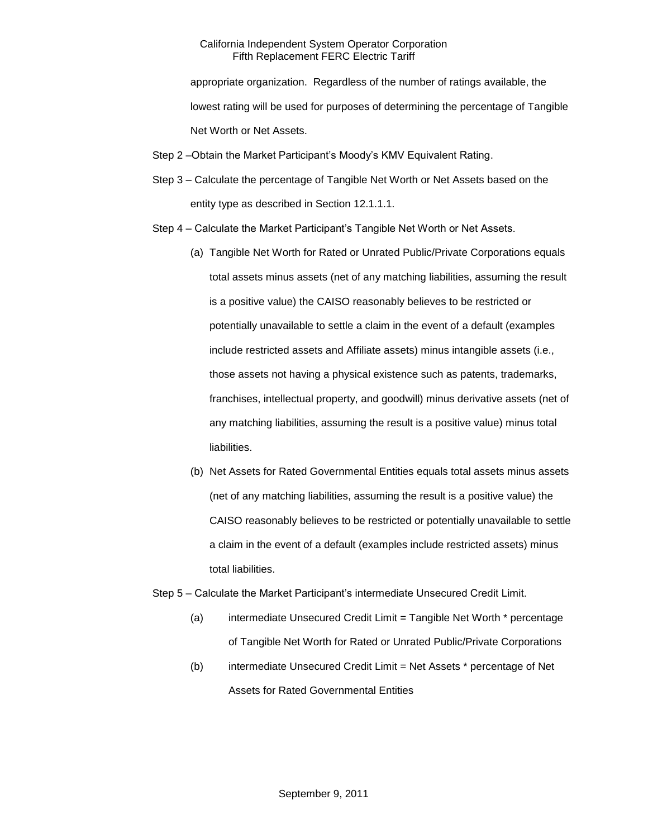appropriate organization. Regardless of the number of ratings available, the lowest rating will be used for purposes of determining the percentage of Tangible Net Worth or Net Assets.

- Step 2 –Obtain the Market Participant's Moody's KMV Equivalent Rating.
- Step 3 Calculate the percentage of Tangible Net Worth or Net Assets based on the entity type as described in Section 12.1.1.1.
- Step 4 Calculate the Market Participant's Tangible Net Worth or Net Assets.
	- (a) Tangible Net Worth for Rated or Unrated Public/Private Corporations equals total assets minus assets (net of any matching liabilities, assuming the result is a positive value) the CAISO reasonably believes to be restricted or potentially unavailable to settle a claim in the event of a default (examples include restricted assets and Affiliate assets) minus intangible assets (i.e., those assets not having a physical existence such as patents, trademarks, franchises, intellectual property, and goodwill) minus derivative assets (net of any matching liabilities, assuming the result is a positive value) minus total liabilities.
	- (b) Net Assets for Rated Governmental Entities equals total assets minus assets (net of any matching liabilities, assuming the result is a positive value) the CAISO reasonably believes to be restricted or potentially unavailable to settle a claim in the event of a default (examples include restricted assets) minus total liabilities.
- Step 5 Calculate the Market Participant's intermediate Unsecured Credit Limit.
	- (a) intermediate Unsecured Credit Limit = Tangible Net Worth \* percentage of Tangible Net Worth for Rated or Unrated Public/Private Corporations
	- (b) intermediate Unsecured Credit Limit = Net Assets \* percentage of Net Assets for Rated Governmental Entities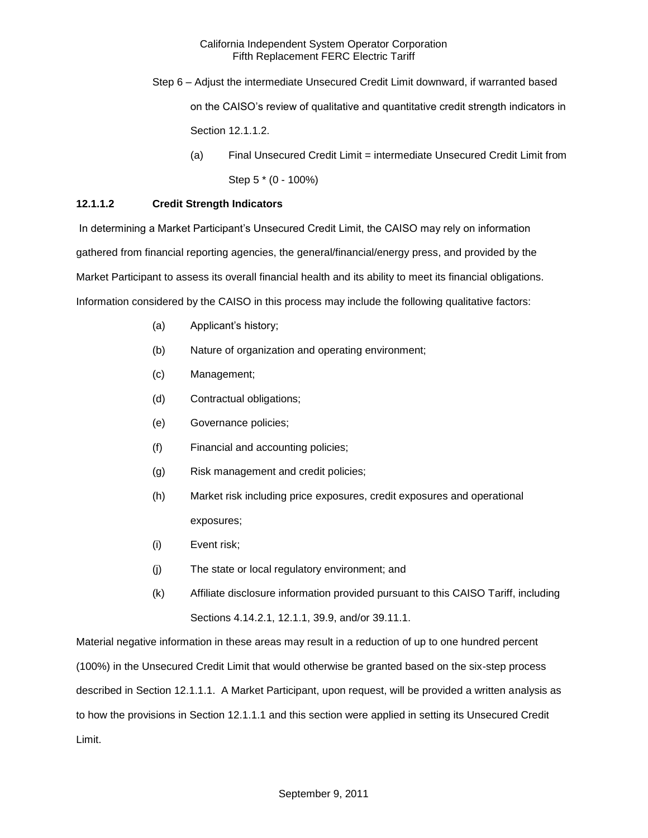- Step 6 Adjust the intermediate Unsecured Credit Limit downward, if warranted based on the CAISO's review of qualitative and quantitative credit strength indicators in Section 12.1.1.2.
	- (a) Final Unsecured Credit Limit = intermediate Unsecured Credit Limit from Step 5 \* (0 - 100%)

# **12.1.1.2 Credit Strength Indicators**

In determining a Market Participant's Unsecured Credit Limit, the CAISO may rely on information gathered from financial reporting agencies, the general/financial/energy press, and provided by the Market Participant to assess its overall financial health and its ability to meet its financial obligations. Information considered by the CAISO in this process may include the following qualitative factors:

- (a) Applicant's history;
- (b) Nature of organization and operating environment;
- (c) Management;
- (d) Contractual obligations;
- (e) Governance policies;
- (f) Financial and accounting policies;
- (g) Risk management and credit policies;
- (h) Market risk including price exposures, credit exposures and operational exposures;
- (i) Event risk;
- (j) The state or local regulatory environment; and
- (k) Affiliate disclosure information provided pursuant to this CAISO Tariff, including Sections 4.14.2.1, 12.1.1, 39.9, and/or 39.11.1.

Material negative information in these areas may result in a reduction of up to one hundred percent (100%) in the Unsecured Credit Limit that would otherwise be granted based on the six-step process described in Section 12.1.1.1. A Market Participant, upon request, will be provided a written analysis as to how the provisions in Section 12.1.1.1 and this section were applied in setting its Unsecured Credit Limit.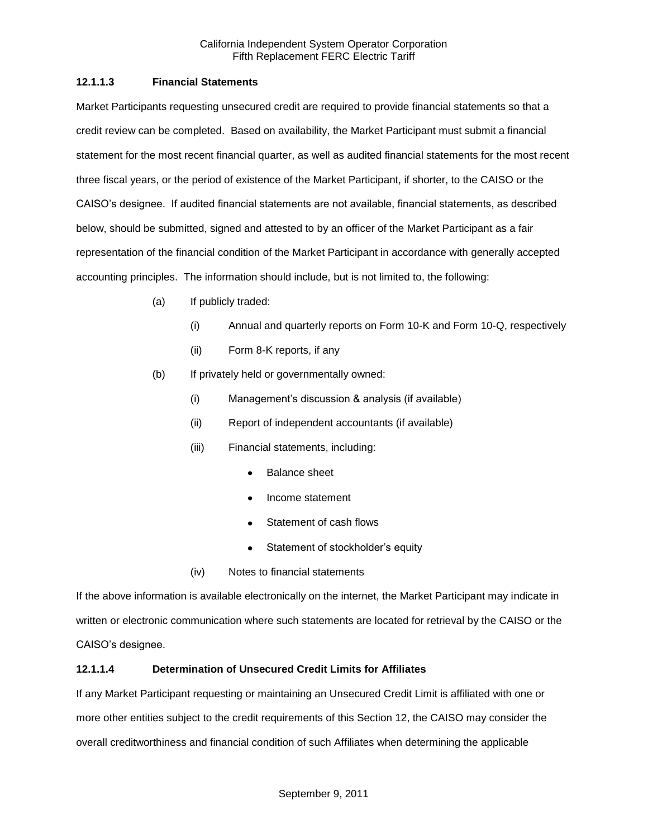# **12.1.1.3 Financial Statements**

Market Participants requesting unsecured credit are required to provide financial statements so that a credit review can be completed. Based on availability, the Market Participant must submit a financial statement for the most recent financial quarter, as well as audited financial statements for the most recent three fiscal years, or the period of existence of the Market Participant, if shorter, to the CAISO or the CAISO's designee. If audited financial statements are not available, financial statements, as described below, should be submitted, signed and attested to by an officer of the Market Participant as a fair representation of the financial condition of the Market Participant in accordance with generally accepted accounting principles. The information should include, but is not limited to, the following:

- (a) If publicly traded:
	- (i) Annual and quarterly reports on Form 10-K and Form 10-Q, respectively
	- (ii) Form 8-K reports, if any
- (b) If privately held or governmentally owned:
	- (i) Management's discussion & analysis (if available)
	- (ii) Report of independent accountants (if available)
	- (iii) Financial statements, including:
		- Balance sheet
		- Income statement
		- Statement of cash flows  $\bullet$
		- Statement of stockholder's equity
	- (iv) Notes to financial statements

If the above information is available electronically on the internet, the Market Participant may indicate in written or electronic communication where such statements are located for retrieval by the CAISO or the CAISO's designee.

# **12.1.1.4 Determination of Unsecured Credit Limits for Affiliates**

If any Market Participant requesting or maintaining an Unsecured Credit Limit is affiliated with one or more other entities subject to the credit requirements of this Section 12, the CAISO may consider the overall creditworthiness and financial condition of such Affiliates when determining the applicable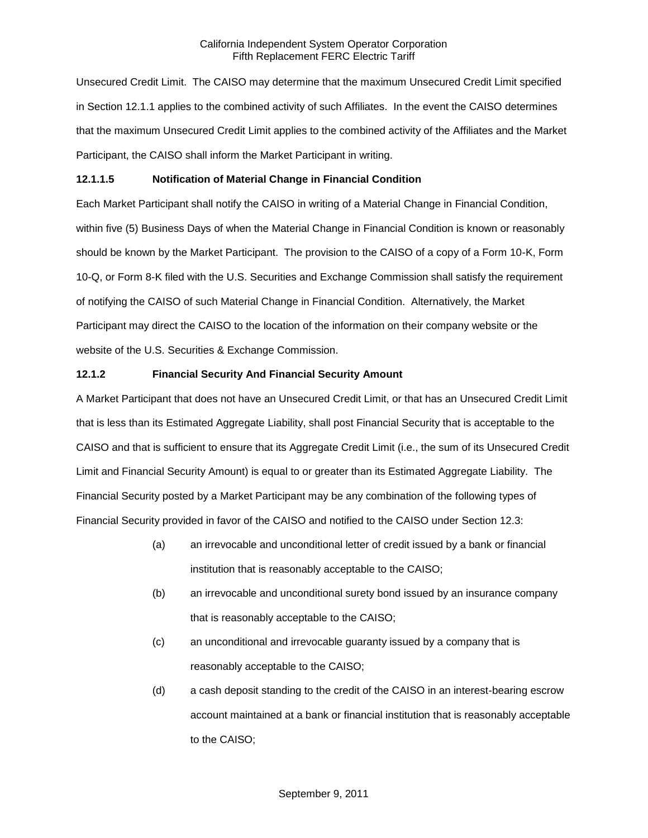Unsecured Credit Limit. The CAISO may determine that the maximum Unsecured Credit Limit specified in Section 12.1.1 applies to the combined activity of such Affiliates. In the event the CAISO determines that the maximum Unsecured Credit Limit applies to the combined activity of the Affiliates and the Market Participant, the CAISO shall inform the Market Participant in writing.

### **12.1.1.5 Notification of Material Change in Financial Condition**

Each Market Participant shall notify the CAISO in writing of a Material Change in Financial Condition, within five (5) Business Days of when the Material Change in Financial Condition is known or reasonably should be known by the Market Participant. The provision to the CAISO of a copy of a Form 10-K, Form 10-Q, or Form 8-K filed with the U.S. Securities and Exchange Commission shall satisfy the requirement of notifying the CAISO of such Material Change in Financial Condition. Alternatively, the Market Participant may direct the CAISO to the location of the information on their company website or the website of the U.S. Securities & Exchange Commission.

### **12.1.2 Financial Security And Financial Security Amount**

A Market Participant that does not have an Unsecured Credit Limit, or that has an Unsecured Credit Limit that is less than its Estimated Aggregate Liability, shall post Financial Security that is acceptable to the CAISO and that is sufficient to ensure that its Aggregate Credit Limit (i.e., the sum of its Unsecured Credit Limit and Financial Security Amount) is equal to or greater than its Estimated Aggregate Liability. The Financial Security posted by a Market Participant may be any combination of the following types of Financial Security provided in favor of the CAISO and notified to the CAISO under Section 12.3:

- (a) an irrevocable and unconditional letter of credit issued by a bank or financial institution that is reasonably acceptable to the CAISO;
- (b) an irrevocable and unconditional surety bond issued by an insurance company that is reasonably acceptable to the CAISO;
- (c) an unconditional and irrevocable guaranty issued by a company that is reasonably acceptable to the CAISO;
- (d) a cash deposit standing to the credit of the CAISO in an interest-bearing escrow account maintained at a bank or financial institution that is reasonably acceptable to the CAISO;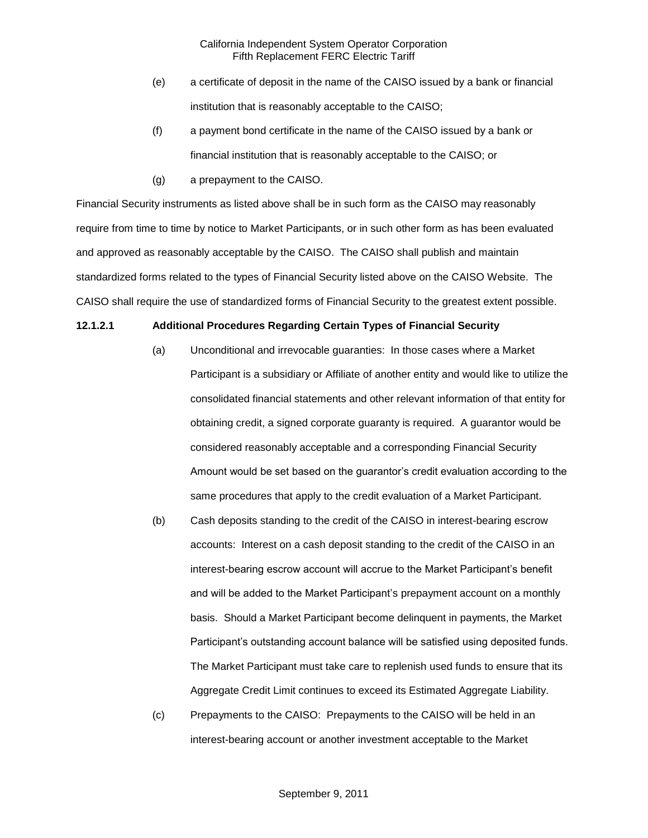- (e) a certificate of deposit in the name of the CAISO issued by a bank or financial institution that is reasonably acceptable to the CAISO;
- (f) a payment bond certificate in the name of the CAISO issued by a bank or financial institution that is reasonably acceptable to the CAISO; or
- (g) a prepayment to the CAISO.

Financial Security instruments as listed above shall be in such form as the CAISO may reasonably require from time to time by notice to Market Participants, or in such other form as has been evaluated and approved as reasonably acceptable by the CAISO. The CAISO shall publish and maintain standardized forms related to the types of Financial Security listed above on the CAISO Website. The CAISO shall require the use of standardized forms of Financial Security to the greatest extent possible.

### **12.1.2.1 Additional Procedures Regarding Certain Types of Financial Security**

- (a) Unconditional and irrevocable guaranties: In those cases where a Market Participant is a subsidiary or Affiliate of another entity and would like to utilize the consolidated financial statements and other relevant information of that entity for obtaining credit, a signed corporate guaranty is required. A guarantor would be considered reasonably acceptable and a corresponding Financial Security Amount would be set based on the guarantor's credit evaluation according to the same procedures that apply to the credit evaluation of a Market Participant.
- (b) Cash deposits standing to the credit of the CAISO in interest-bearing escrow accounts: Interest on a cash deposit standing to the credit of the CAISO in an interest-bearing escrow account will accrue to the Market Participant's benefit and will be added to the Market Participant's prepayment account on a monthly basis. Should a Market Participant become delinquent in payments, the Market Participant's outstanding account balance will be satisfied using deposited funds. The Market Participant must take care to replenish used funds to ensure that its Aggregate Credit Limit continues to exceed its Estimated Aggregate Liability.
- (c) Prepayments to the CAISO: Prepayments to the CAISO will be held in an interest-bearing account or another investment acceptable to the Market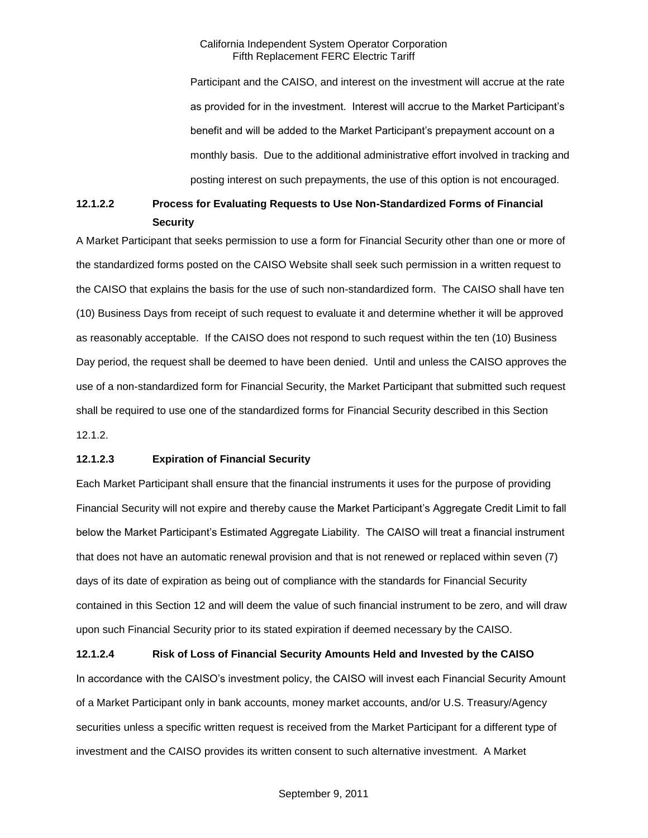Participant and the CAISO, and interest on the investment will accrue at the rate as provided for in the investment. Interest will accrue to the Market Participant's benefit and will be added to the Market Participant's prepayment account on a monthly basis. Due to the additional administrative effort involved in tracking and posting interest on such prepayments, the use of this option is not encouraged.

# **12.1.2.2 Process for Evaluating Requests to Use Non-Standardized Forms of Financial Security**

A Market Participant that seeks permission to use a form for Financial Security other than one or more of the standardized forms posted on the CAISO Website shall seek such permission in a written request to the CAISO that explains the basis for the use of such non-standardized form. The CAISO shall have ten (10) Business Days from receipt of such request to evaluate it and determine whether it will be approved as reasonably acceptable. If the CAISO does not respond to such request within the ten (10) Business Day period, the request shall be deemed to have been denied. Until and unless the CAISO approves the use of a non-standardized form for Financial Security, the Market Participant that submitted such request shall be required to use one of the standardized forms for Financial Security described in this Section 12.1.2.

### **12.1.2.3 Expiration of Financial Security**

Each Market Participant shall ensure that the financial instruments it uses for the purpose of providing Financial Security will not expire and thereby cause the Market Participant's Aggregate Credit Limit to fall below the Market Participant's Estimated Aggregate Liability. The CAISO will treat a financial instrument that does not have an automatic renewal provision and that is not renewed or replaced within seven (7) days of its date of expiration as being out of compliance with the standards for Financial Security contained in this Section 12 and will deem the value of such financial instrument to be zero, and will draw upon such Financial Security prior to its stated expiration if deemed necessary by the CAISO.

**12.1.2.4 Risk of Loss of Financial Security Amounts Held and Invested by the CAISO** In accordance with the CAISO's investment policy, the CAISO will invest each Financial Security Amount of a Market Participant only in bank accounts, money market accounts, and/or U.S. Treasury/Agency securities unless a specific written request is received from the Market Participant for a different type of investment and the CAISO provides its written consent to such alternative investment. A Market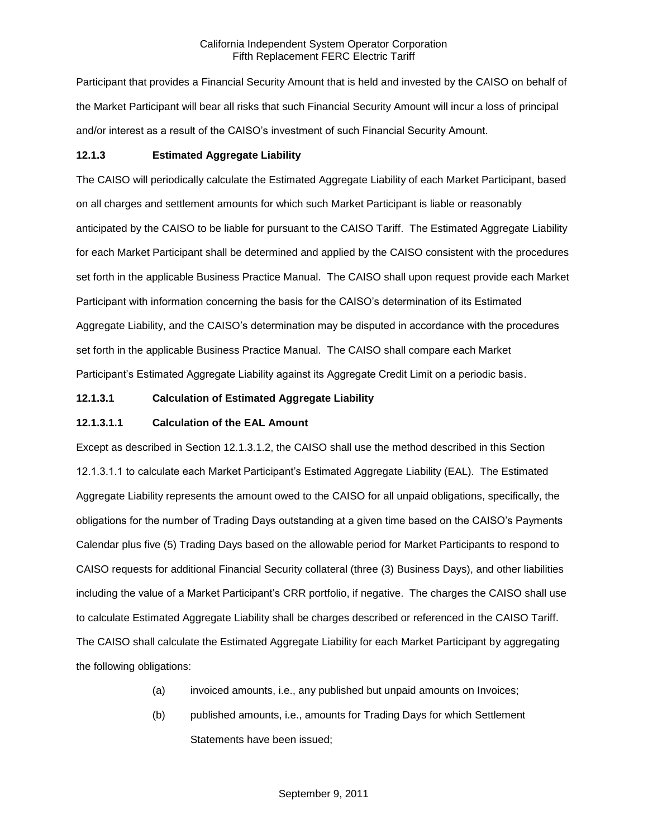Participant that provides a Financial Security Amount that is held and invested by the CAISO on behalf of the Market Participant will bear all risks that such Financial Security Amount will incur a loss of principal and/or interest as a result of the CAISO's investment of such Financial Security Amount.

# **12.1.3 Estimated Aggregate Liability**

The CAISO will periodically calculate the Estimated Aggregate Liability of each Market Participant, based on all charges and settlement amounts for which such Market Participant is liable or reasonably anticipated by the CAISO to be liable for pursuant to the CAISO Tariff. The Estimated Aggregate Liability for each Market Participant shall be determined and applied by the CAISO consistent with the procedures set forth in the applicable Business Practice Manual. The CAISO shall upon request provide each Market Participant with information concerning the basis for the CAISO's determination of its Estimated Aggregate Liability, and the CAISO's determination may be disputed in accordance with the procedures set forth in the applicable Business Practice Manual. The CAISO shall compare each Market Participant's Estimated Aggregate Liability against its Aggregate Credit Limit on a periodic basis.

# **12.1.3.1 Calculation of Estimated Aggregate Liability**

# **12.1.3.1.1 Calculation of the EAL Amount**

Except as described in Section 12.1.3.1.2, the CAISO shall use the method described in this Section 12.1.3.1.1 to calculate each Market Participant's Estimated Aggregate Liability (EAL). The Estimated Aggregate Liability represents the amount owed to the CAISO for all unpaid obligations, specifically, the obligations for the number of Trading Days outstanding at a given time based on the CAISO's Payments Calendar plus five (5) Trading Days based on the allowable period for Market Participants to respond to CAISO requests for additional Financial Security collateral (three (3) Business Days), and other liabilities including the value of a Market Participant's CRR portfolio, if negative. The charges the CAISO shall use to calculate Estimated Aggregate Liability shall be charges described or referenced in the CAISO Tariff. The CAISO shall calculate the Estimated Aggregate Liability for each Market Participant by aggregating the following obligations:

- (a) invoiced amounts, i.e., any published but unpaid amounts on Invoices;
- (b) published amounts, i.e., amounts for Trading Days for which Settlement Statements have been issued;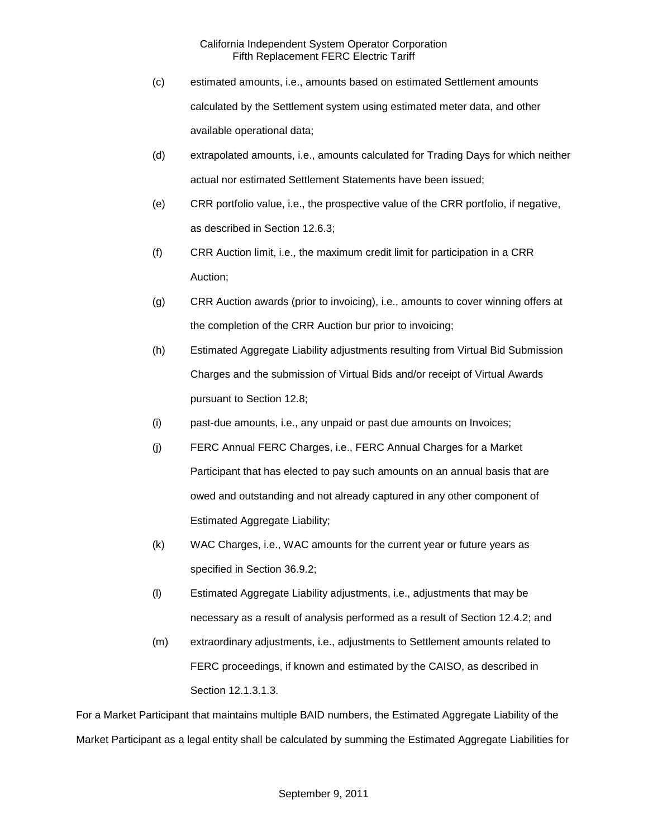- (c) estimated amounts, i.e., amounts based on estimated Settlement amounts calculated by the Settlement system using estimated meter data, and other available operational data;
- (d) extrapolated amounts, i.e., amounts calculated for Trading Days for which neither actual nor estimated Settlement Statements have been issued;
- (e) CRR portfolio value, i.e., the prospective value of the CRR portfolio, if negative, as described in Section 12.6.3;
- (f) CRR Auction limit, i.e., the maximum credit limit for participation in a CRR Auction;
- (g) CRR Auction awards (prior to invoicing), i.e., amounts to cover winning offers at the completion of the CRR Auction bur prior to invoicing;
- (h) Estimated Aggregate Liability adjustments resulting from Virtual Bid Submission Charges and the submission of Virtual Bids and/or receipt of Virtual Awards pursuant to Section 12.8;
- (i) past-due amounts, i.e., any unpaid or past due amounts on Invoices;
- (j) FERC Annual FERC Charges, i.e., FERC Annual Charges for a Market Participant that has elected to pay such amounts on an annual basis that are owed and outstanding and not already captured in any other component of Estimated Aggregate Liability;
- (k) WAC Charges, i.e., WAC amounts for the current year or future years as specified in Section 36.9.2;
- (l) Estimated Aggregate Liability adjustments, i.e., adjustments that may be necessary as a result of analysis performed as a result of Section 12.4.2; and
- (m) extraordinary adjustments, i.e., adjustments to Settlement amounts related to FERC proceedings, if known and estimated by the CAISO, as described in Section 12.1.3.1.3.

For a Market Participant that maintains multiple BAID numbers, the Estimated Aggregate Liability of the Market Participant as a legal entity shall be calculated by summing the Estimated Aggregate Liabilities for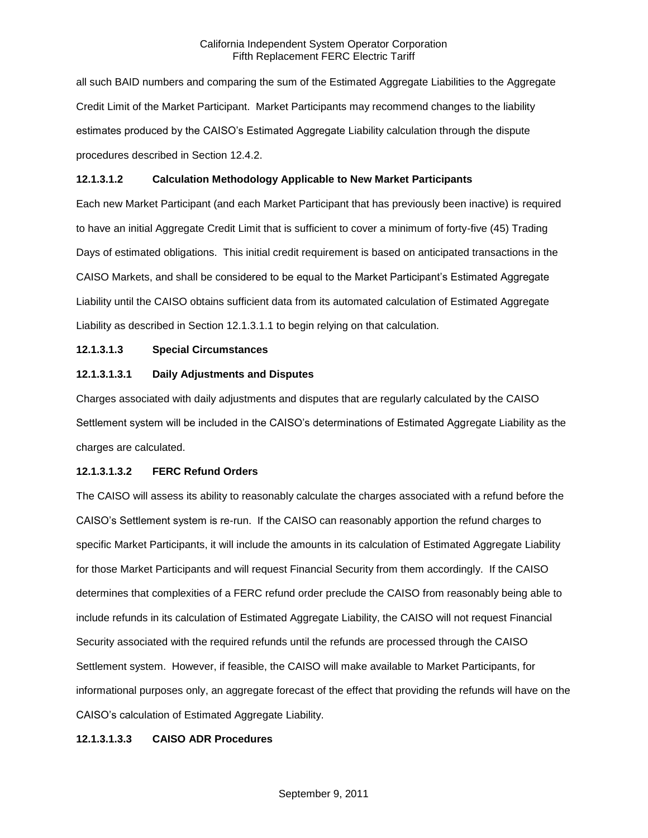all such BAID numbers and comparing the sum of the Estimated Aggregate Liabilities to the Aggregate Credit Limit of the Market Participant. Market Participants may recommend changes to the liability estimates produced by the CAISO's Estimated Aggregate Liability calculation through the dispute procedures described in Section 12.4.2.

### **12.1.3.1.2 Calculation Methodology Applicable to New Market Participants**

Each new Market Participant (and each Market Participant that has previously been inactive) is required to have an initial Aggregate Credit Limit that is sufficient to cover a minimum of forty-five (45) Trading Days of estimated obligations. This initial credit requirement is based on anticipated transactions in the CAISO Markets, and shall be considered to be equal to the Market Participant's Estimated Aggregate Liability until the CAISO obtains sufficient data from its automated calculation of Estimated Aggregate Liability as described in Section 12.1.3.1.1 to begin relying on that calculation.

# **12.1.3.1.3 Special Circumstances**

### **12.1.3.1.3.1 Daily Adjustments and Disputes**

Charges associated with daily adjustments and disputes that are regularly calculated by the CAISO Settlement system will be included in the CAISO's determinations of Estimated Aggregate Liability as the charges are calculated.

### **12.1.3.1.3.2 FERC Refund Orders**

The CAISO will assess its ability to reasonably calculate the charges associated with a refund before the CAISO's Settlement system is re-run. If the CAISO can reasonably apportion the refund charges to specific Market Participants, it will include the amounts in its calculation of Estimated Aggregate Liability for those Market Participants and will request Financial Security from them accordingly. If the CAISO determines that complexities of a FERC refund order preclude the CAISO from reasonably being able to include refunds in its calculation of Estimated Aggregate Liability, the CAISO will not request Financial Security associated with the required refunds until the refunds are processed through the CAISO Settlement system. However, if feasible, the CAISO will make available to Market Participants, for informational purposes only, an aggregate forecast of the effect that providing the refunds will have on the CAISO's calculation of Estimated Aggregate Liability.

### **12.1.3.1.3.3 CAISO ADR Procedures**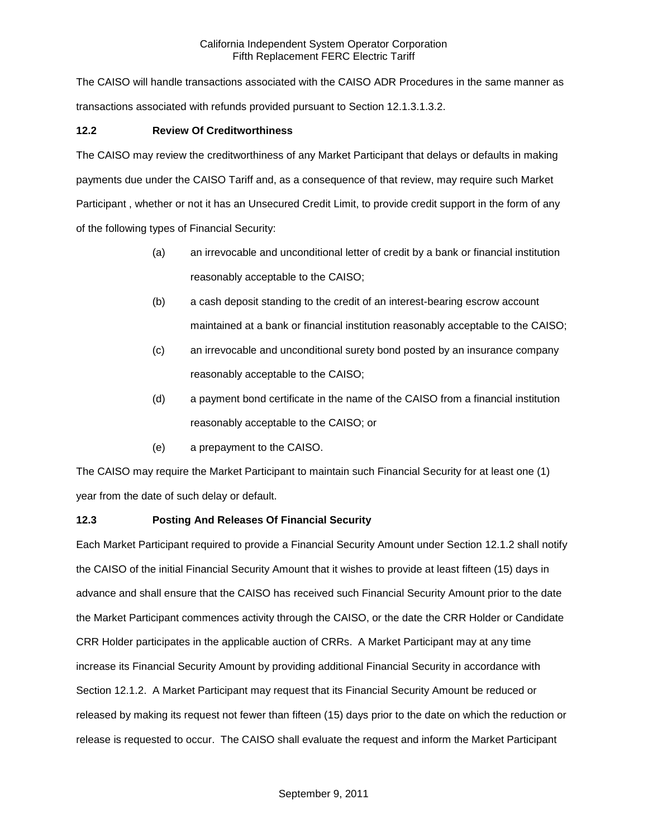The CAISO will handle transactions associated with the CAISO ADR Procedures in the same manner as transactions associated with refunds provided pursuant to Section 12.1.3.1.3.2.

# **12.2 Review Of Creditworthiness**

The CAISO may review the creditworthiness of any Market Participant that delays or defaults in making payments due under the CAISO Tariff and, as a consequence of that review, may require such Market Participant , whether or not it has an Unsecured Credit Limit, to provide credit support in the form of any of the following types of Financial Security:

- (a) an irrevocable and unconditional letter of credit by a bank or financial institution reasonably acceptable to the CAISO;
- (b) a cash deposit standing to the credit of an interest-bearing escrow account maintained at a bank or financial institution reasonably acceptable to the CAISO;
- (c) an irrevocable and unconditional surety bond posted by an insurance company reasonably acceptable to the CAISO;
- (d) a payment bond certificate in the name of the CAISO from a financial institution reasonably acceptable to the CAISO; or
- (e) a prepayment to the CAISO.

The CAISO may require the Market Participant to maintain such Financial Security for at least one (1) year from the date of such delay or default.

# **12.3 Posting And Releases Of Financial Security**

Each Market Participant required to provide a Financial Security Amount under Section 12.1.2 shall notify the CAISO of the initial Financial Security Amount that it wishes to provide at least fifteen (15) days in advance and shall ensure that the CAISO has received such Financial Security Amount prior to the date the Market Participant commences activity through the CAISO, or the date the CRR Holder or Candidate CRR Holder participates in the applicable auction of CRRs. A Market Participant may at any time increase its Financial Security Amount by providing additional Financial Security in accordance with Section 12.1.2. A Market Participant may request that its Financial Security Amount be reduced or released by making its request not fewer than fifteen (15) days prior to the date on which the reduction or release is requested to occur. The CAISO shall evaluate the request and inform the Market Participant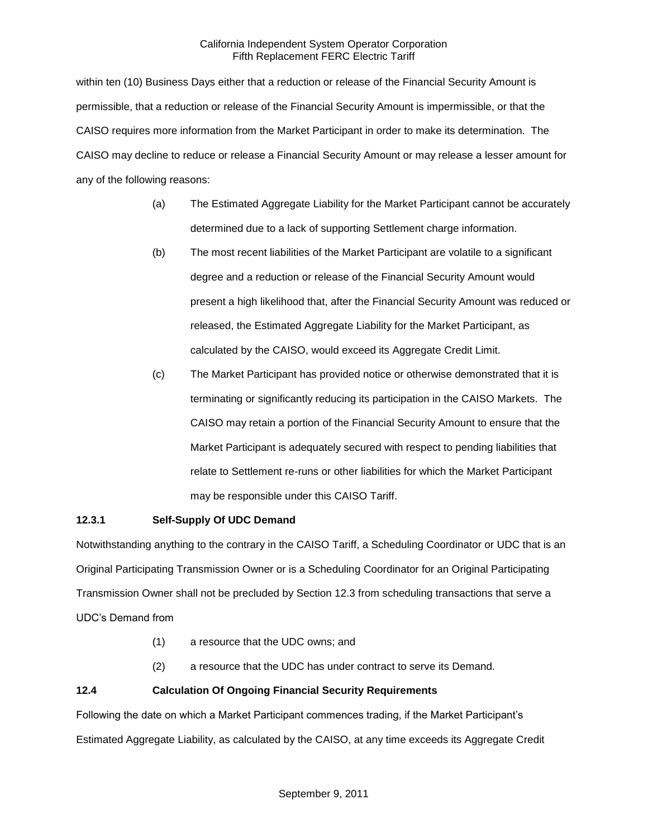within ten (10) Business Days either that a reduction or release of the Financial Security Amount is permissible, that a reduction or release of the Financial Security Amount is impermissible, or that the CAISO requires more information from the Market Participant in order to make its determination. The CAISO may decline to reduce or release a Financial Security Amount or may release a lesser amount for any of the following reasons:

- (a) The Estimated Aggregate Liability for the Market Participant cannot be accurately determined due to a lack of supporting Settlement charge information.
- (b) The most recent liabilities of the Market Participant are volatile to a significant degree and a reduction or release of the Financial Security Amount would present a high likelihood that, after the Financial Security Amount was reduced or released, the Estimated Aggregate Liability for the Market Participant, as calculated by the CAISO, would exceed its Aggregate Credit Limit.
- (c) The Market Participant has provided notice or otherwise demonstrated that it is terminating or significantly reducing its participation in the CAISO Markets. The CAISO may retain a portion of the Financial Security Amount to ensure that the Market Participant is adequately secured with respect to pending liabilities that relate to Settlement re-runs or other liabilities for which the Market Participant may be responsible under this CAISO Tariff.

# **12.3.1 Self-Supply Of UDC Demand**

Notwithstanding anything to the contrary in the CAISO Tariff, a Scheduling Coordinator or UDC that is an Original Participating Transmission Owner or is a Scheduling Coordinator for an Original Participating Transmission Owner shall not be precluded by Section 12.3 from scheduling transactions that serve a UDC's Demand from

- (1) a resource that the UDC owns; and
- (2) a resource that the UDC has under contract to serve its Demand.

# **12.4 Calculation Of Ongoing Financial Security Requirements**

Following the date on which a Market Participant commences trading, if the Market Participant's Estimated Aggregate Liability, as calculated by the CAISO, at any time exceeds its Aggregate Credit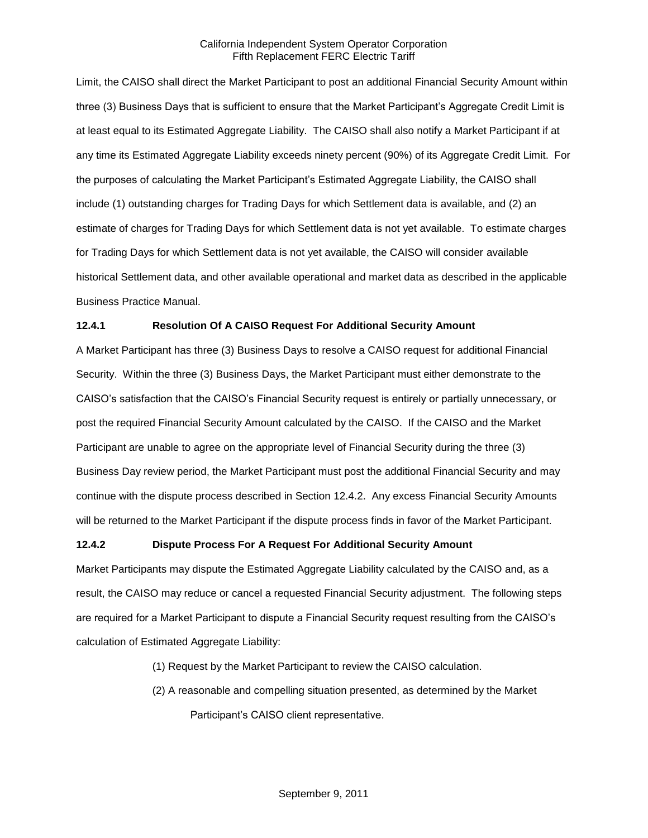Limit, the CAISO shall direct the Market Participant to post an additional Financial Security Amount within three (3) Business Days that is sufficient to ensure that the Market Participant's Aggregate Credit Limit is at least equal to its Estimated Aggregate Liability. The CAISO shall also notify a Market Participant if at any time its Estimated Aggregate Liability exceeds ninety percent (90%) of its Aggregate Credit Limit. For the purposes of calculating the Market Participant's Estimated Aggregate Liability, the CAISO shall include (1) outstanding charges for Trading Days for which Settlement data is available, and (2) an estimate of charges for Trading Days for which Settlement data is not yet available. To estimate charges for Trading Days for which Settlement data is not yet available, the CAISO will consider available historical Settlement data, and other available operational and market data as described in the applicable Business Practice Manual.

### **12.4.1 Resolution Of A CAISO Request For Additional Security Amount**

A Market Participant has three (3) Business Days to resolve a CAISO request for additional Financial Security. Within the three (3) Business Days, the Market Participant must either demonstrate to the CAISO's satisfaction that the CAISO's Financial Security request is entirely or partially unnecessary, or post the required Financial Security Amount calculated by the CAISO. If the CAISO and the Market Participant are unable to agree on the appropriate level of Financial Security during the three (3) Business Day review period, the Market Participant must post the additional Financial Security and may continue with the dispute process described in Section 12.4.2. Any excess Financial Security Amounts will be returned to the Market Participant if the dispute process finds in favor of the Market Participant.

### **12.4.2 Dispute Process For A Request For Additional Security Amount**

Market Participants may dispute the Estimated Aggregate Liability calculated by the CAISO and, as a result, the CAISO may reduce or cancel a requested Financial Security adjustment. The following steps are required for a Market Participant to dispute a Financial Security request resulting from the CAISO's calculation of Estimated Aggregate Liability:

- (1) Request by the Market Participant to review the CAISO calculation.
- (2) A reasonable and compelling situation presented, as determined by the Market Participant's CAISO client representative.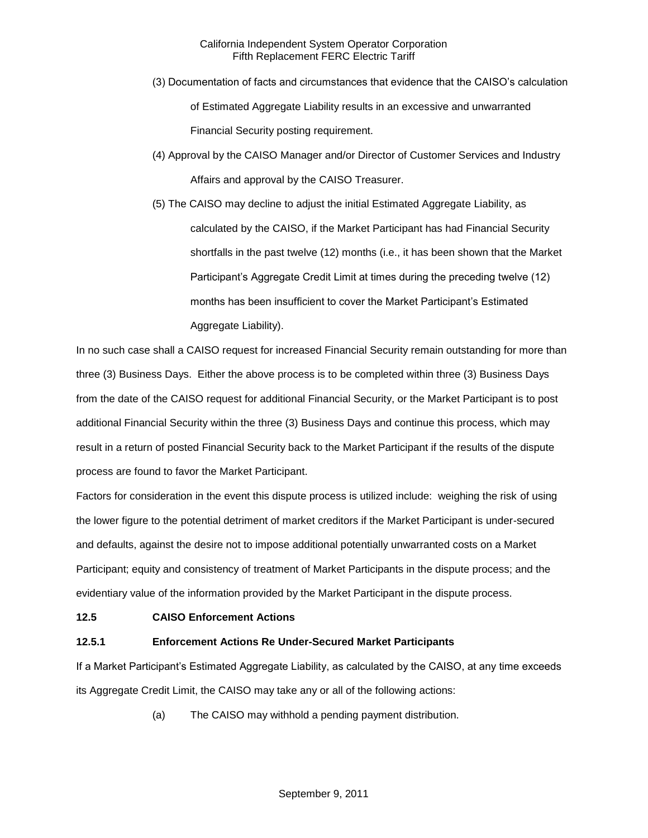- (3) Documentation of facts and circumstances that evidence that the CAISO's calculation of Estimated Aggregate Liability results in an excessive and unwarranted Financial Security posting requirement.
- (4) Approval by the CAISO Manager and/or Director of Customer Services and Industry Affairs and approval by the CAISO Treasurer.
- (5) The CAISO may decline to adjust the initial Estimated Aggregate Liability, as calculated by the CAISO, if the Market Participant has had Financial Security shortfalls in the past twelve (12) months (i.e., it has been shown that the Market Participant's Aggregate Credit Limit at times during the preceding twelve (12) months has been insufficient to cover the Market Participant's Estimated Aggregate Liability).

In no such case shall a CAISO request for increased Financial Security remain outstanding for more than three (3) Business Days. Either the above process is to be completed within three (3) Business Days from the date of the CAISO request for additional Financial Security, or the Market Participant is to post additional Financial Security within the three (3) Business Days and continue this process, which may result in a return of posted Financial Security back to the Market Participant if the results of the dispute process are found to favor the Market Participant.

Factors for consideration in the event this dispute process is utilized include: weighing the risk of using the lower figure to the potential detriment of market creditors if the Market Participant is under-secured and defaults, against the desire not to impose additional potentially unwarranted costs on a Market Participant; equity and consistency of treatment of Market Participants in the dispute process; and the evidentiary value of the information provided by the Market Participant in the dispute process.

# **12.5 CAISO Enforcement Actions**

# **12.5.1 Enforcement Actions Re Under-Secured Market Participants**

If a Market Participant's Estimated Aggregate Liability, as calculated by the CAISO, at any time exceeds its Aggregate Credit Limit, the CAISO may take any or all of the following actions:

(a) The CAISO may withhold a pending payment distribution.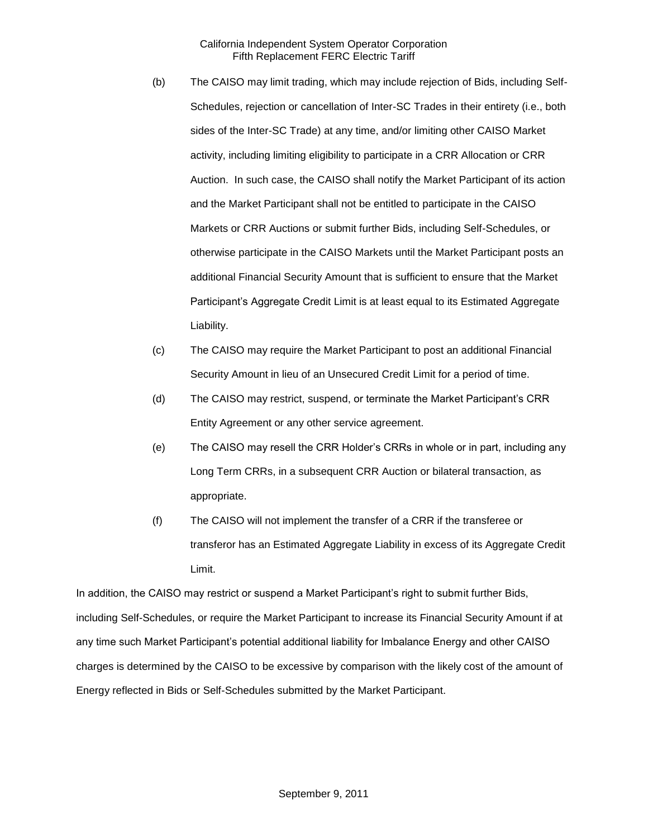- (b) The CAISO may limit trading, which may include rejection of Bids, including Self-Schedules, rejection or cancellation of Inter-SC Trades in their entirety (i.e., both sides of the Inter-SC Trade) at any time, and/or limiting other CAISO Market activity, including limiting eligibility to participate in a CRR Allocation or CRR Auction. In such case, the CAISO shall notify the Market Participant of its action and the Market Participant shall not be entitled to participate in the CAISO Markets or CRR Auctions or submit further Bids, including Self-Schedules, or otherwise participate in the CAISO Markets until the Market Participant posts an additional Financial Security Amount that is sufficient to ensure that the Market Participant's Aggregate Credit Limit is at least equal to its Estimated Aggregate Liability.
- (c) The CAISO may require the Market Participant to post an additional Financial Security Amount in lieu of an Unsecured Credit Limit for a period of time.
- (d) The CAISO may restrict, suspend, or terminate the Market Participant's CRR Entity Agreement or any other service agreement.
- (e) The CAISO may resell the CRR Holder's CRRs in whole or in part, including any Long Term CRRs, in a subsequent CRR Auction or bilateral transaction, as appropriate.
- (f) The CAISO will not implement the transfer of a CRR if the transferee or transferor has an Estimated Aggregate Liability in excess of its Aggregate Credit Limit.

In addition, the CAISO may restrict or suspend a Market Participant's right to submit further Bids, including Self-Schedules, or require the Market Participant to increase its Financial Security Amount if at any time such Market Participant's potential additional liability for Imbalance Energy and other CAISO charges is determined by the CAISO to be excessive by comparison with the likely cost of the amount of Energy reflected in Bids or Self-Schedules submitted by the Market Participant.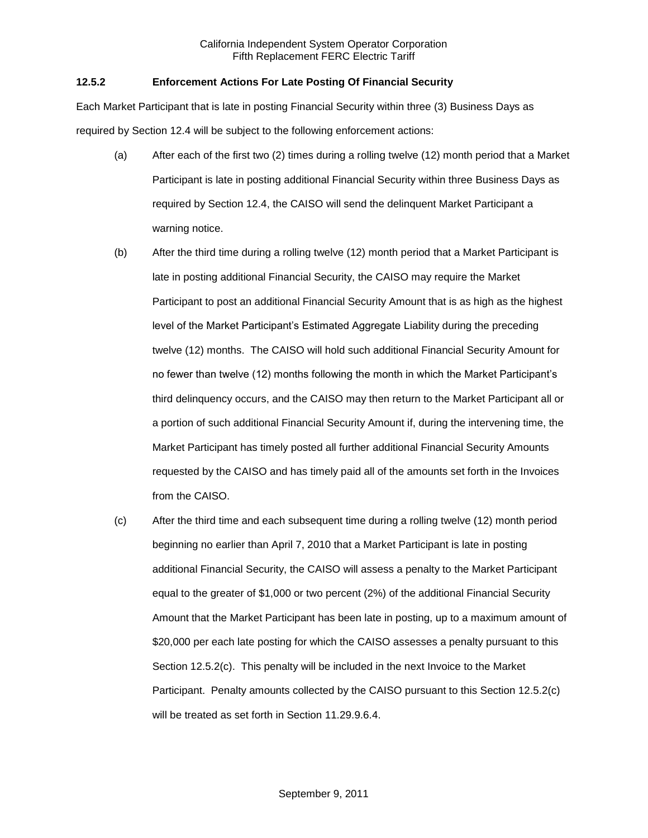## **12.5.2 Enforcement Actions For Late Posting Of Financial Security**

Each Market Participant that is late in posting Financial Security within three (3) Business Days as required by Section 12.4 will be subject to the following enforcement actions:

- (a) After each of the first two (2) times during a rolling twelve (12) month period that a Market Participant is late in posting additional Financial Security within three Business Days as required by Section 12.4, the CAISO will send the delinquent Market Participant a warning notice.
- (b) After the third time during a rolling twelve (12) month period that a Market Participant is late in posting additional Financial Security, the CAISO may require the Market Participant to post an additional Financial Security Amount that is as high as the highest level of the Market Participant's Estimated Aggregate Liability during the preceding twelve (12) months. The CAISO will hold such additional Financial Security Amount for no fewer than twelve (12) months following the month in which the Market Participant's third delinquency occurs, and the CAISO may then return to the Market Participant all or a portion of such additional Financial Security Amount if, during the intervening time, the Market Participant has timely posted all further additional Financial Security Amounts requested by the CAISO and has timely paid all of the amounts set forth in the Invoices from the CAISO.
- (c) After the third time and each subsequent time during a rolling twelve (12) month period beginning no earlier than April 7, 2010 that a Market Participant is late in posting additional Financial Security, the CAISO will assess a penalty to the Market Participant equal to the greater of \$1,000 or two percent (2%) of the additional Financial Security Amount that the Market Participant has been late in posting, up to a maximum amount of \$20,000 per each late posting for which the CAISO assesses a penalty pursuant to this Section 12.5.2(c). This penalty will be included in the next Invoice to the Market Participant. Penalty amounts collected by the CAISO pursuant to this Section 12.5.2(c) will be treated as set forth in Section 11.29.9.6.4.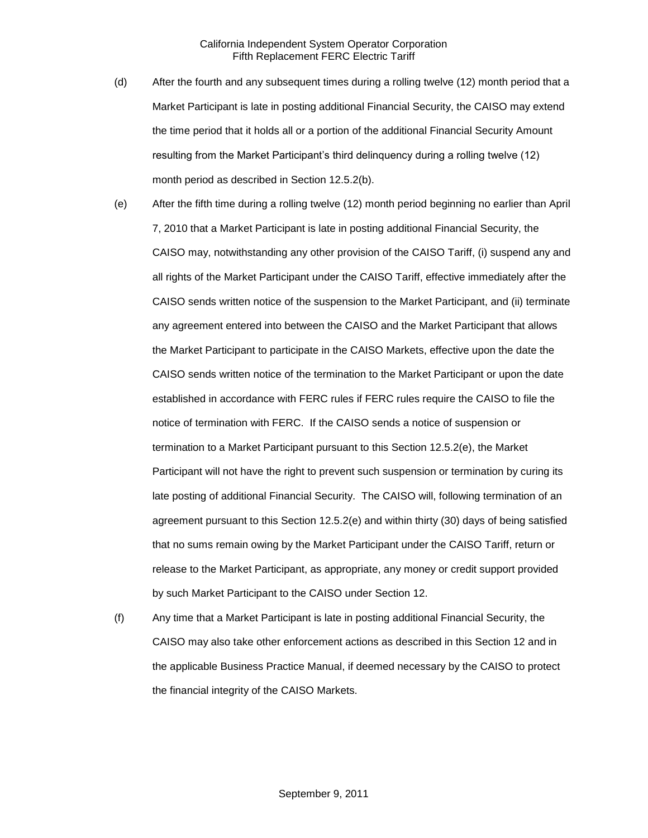- (d) After the fourth and any subsequent times during a rolling twelve (12) month period that a Market Participant is late in posting additional Financial Security, the CAISO may extend the time period that it holds all or a portion of the additional Financial Security Amount resulting from the Market Participant's third delinquency during a rolling twelve (12) month period as described in Section 12.5.2(b).
- (e) After the fifth time during a rolling twelve (12) month period beginning no earlier than April 7, 2010 that a Market Participant is late in posting additional Financial Security, the CAISO may, notwithstanding any other provision of the CAISO Tariff, (i) suspend any and all rights of the Market Participant under the CAISO Tariff, effective immediately after the CAISO sends written notice of the suspension to the Market Participant, and (ii) terminate any agreement entered into between the CAISO and the Market Participant that allows the Market Participant to participate in the CAISO Markets, effective upon the date the CAISO sends written notice of the termination to the Market Participant or upon the date established in accordance with FERC rules if FERC rules require the CAISO to file the notice of termination with FERC. If the CAISO sends a notice of suspension or termination to a Market Participant pursuant to this Section 12.5.2(e), the Market Participant will not have the right to prevent such suspension or termination by curing its late posting of additional Financial Security. The CAISO will, following termination of an agreement pursuant to this Section 12.5.2(e) and within thirty (30) days of being satisfied that no sums remain owing by the Market Participant under the CAISO Tariff, return or release to the Market Participant, as appropriate, any money or credit support provided by such Market Participant to the CAISO under Section 12.
- (f) Any time that a Market Participant is late in posting additional Financial Security, the CAISO may also take other enforcement actions as described in this Section 12 and in the applicable Business Practice Manual, if deemed necessary by the CAISO to protect the financial integrity of the CAISO Markets.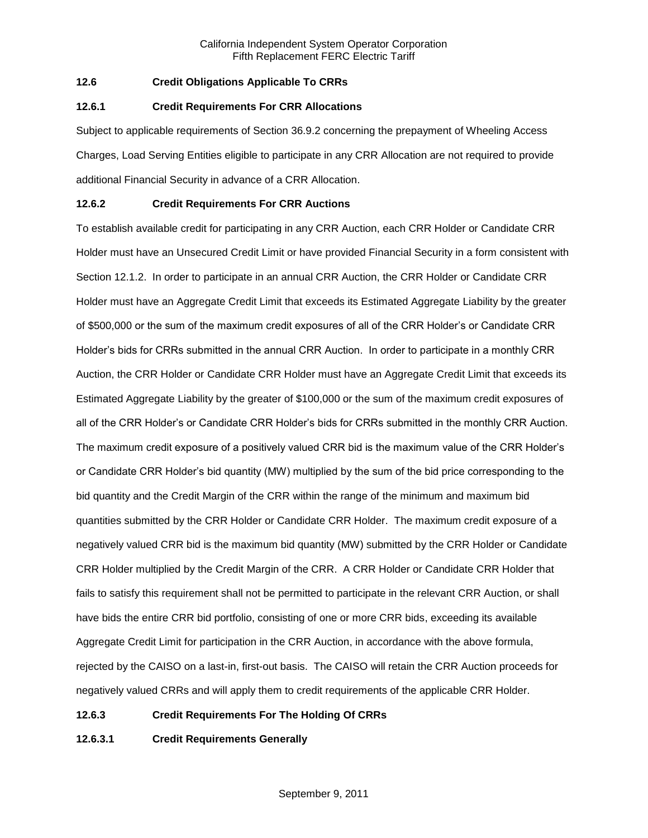# **12.6 Credit Obligations Applicable To CRRs**

### **12.6.1 Credit Requirements For CRR Allocations**

Subject to applicable requirements of Section 36.9.2 concerning the prepayment of Wheeling Access Charges, Load Serving Entities eligible to participate in any CRR Allocation are not required to provide additional Financial Security in advance of a CRR Allocation.

### **12.6.2 Credit Requirements For CRR Auctions**

To establish available credit for participating in any CRR Auction, each CRR Holder or Candidate CRR Holder must have an Unsecured Credit Limit or have provided Financial Security in a form consistent with Section 12.1.2. In order to participate in an annual CRR Auction, the CRR Holder or Candidate CRR Holder must have an Aggregate Credit Limit that exceeds its Estimated Aggregate Liability by the greater of \$500,000 or the sum of the maximum credit exposures of all of the CRR Holder's or Candidate CRR Holder's bids for CRRs submitted in the annual CRR Auction. In order to participate in a monthly CRR Auction, the CRR Holder or Candidate CRR Holder must have an Aggregate Credit Limit that exceeds its Estimated Aggregate Liability by the greater of \$100,000 or the sum of the maximum credit exposures of all of the CRR Holder's or Candidate CRR Holder's bids for CRRs submitted in the monthly CRR Auction. The maximum credit exposure of a positively valued CRR bid is the maximum value of the CRR Holder's or Candidate CRR Holder's bid quantity (MW) multiplied by the sum of the bid price corresponding to the bid quantity and the Credit Margin of the CRR within the range of the minimum and maximum bid quantities submitted by the CRR Holder or Candidate CRR Holder. The maximum credit exposure of a negatively valued CRR bid is the maximum bid quantity (MW) submitted by the CRR Holder or Candidate CRR Holder multiplied by the Credit Margin of the CRR. A CRR Holder or Candidate CRR Holder that fails to satisfy this requirement shall not be permitted to participate in the relevant CRR Auction, or shall have bids the entire CRR bid portfolio, consisting of one or more CRR bids, exceeding its available Aggregate Credit Limit for participation in the CRR Auction, in accordance with the above formula, rejected by the CAISO on a last-in, first-out basis. The CAISO will retain the CRR Auction proceeds for negatively valued CRRs and will apply them to credit requirements of the applicable CRR Holder.

### **12.6.3 Credit Requirements For The Holding Of CRRs**

**12.6.3.1 Credit Requirements Generally**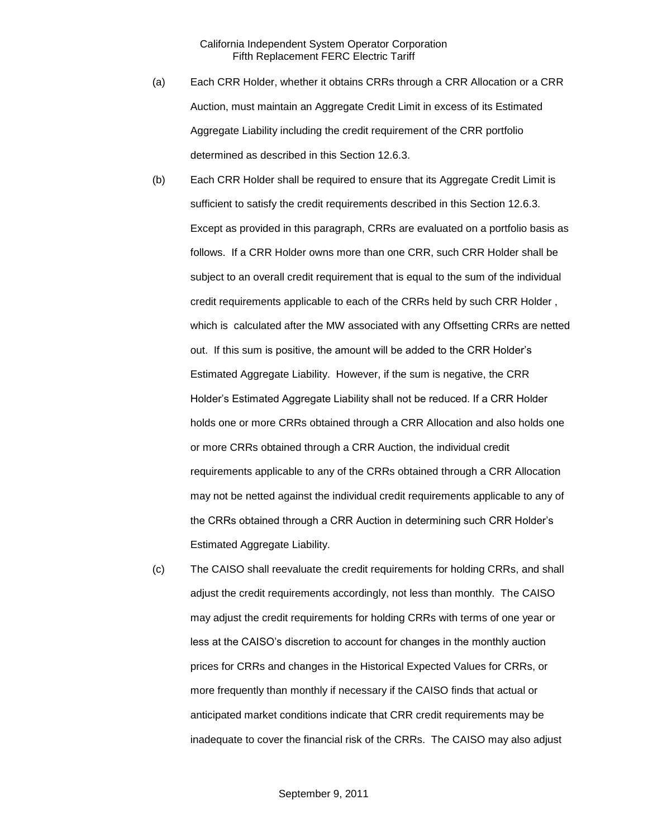- (a) Each CRR Holder, whether it obtains CRRs through a CRR Allocation or a CRR Auction, must maintain an Aggregate Credit Limit in excess of its Estimated Aggregate Liability including the credit requirement of the CRR portfolio determined as described in this Section 12.6.3.
- (b) Each CRR Holder shall be required to ensure that its Aggregate Credit Limit is sufficient to satisfy the credit requirements described in this Section 12.6.3. Except as provided in this paragraph, CRRs are evaluated on a portfolio basis as follows. If a CRR Holder owns more than one CRR, such CRR Holder shall be subject to an overall credit requirement that is equal to the sum of the individual credit requirements applicable to each of the CRRs held by such CRR Holder , which is calculated after the MW associated with any Offsetting CRRs are netted out. If this sum is positive, the amount will be added to the CRR Holder's Estimated Aggregate Liability. However, if the sum is negative, the CRR Holder's Estimated Aggregate Liability shall not be reduced. If a CRR Holder holds one or more CRRs obtained through a CRR Allocation and also holds one or more CRRs obtained through a CRR Auction, the individual credit requirements applicable to any of the CRRs obtained through a CRR Allocation may not be netted against the individual credit requirements applicable to any of the CRRs obtained through a CRR Auction in determining such CRR Holder's Estimated Aggregate Liability.
- (c) The CAISO shall reevaluate the credit requirements for holding CRRs, and shall adjust the credit requirements accordingly, not less than monthly. The CAISO may adjust the credit requirements for holding CRRs with terms of one year or less at the CAISO's discretion to account for changes in the monthly auction prices for CRRs and changes in the Historical Expected Values for CRRs, or more frequently than monthly if necessary if the CAISO finds that actual or anticipated market conditions indicate that CRR credit requirements may be inadequate to cover the financial risk of the CRRs. The CAISO may also adjust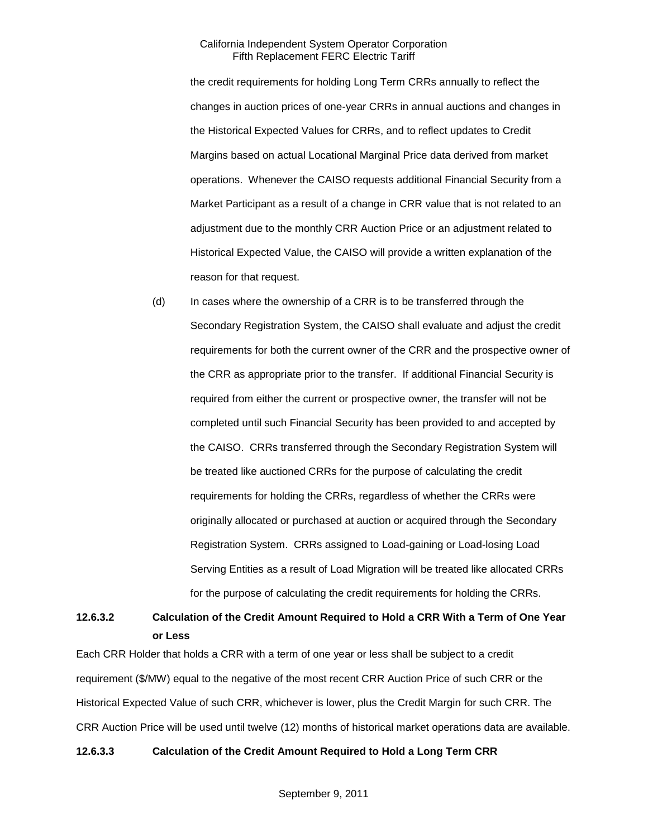the credit requirements for holding Long Term CRRs annually to reflect the changes in auction prices of one-year CRRs in annual auctions and changes in the Historical Expected Values for CRRs, and to reflect updates to Credit Margins based on actual Locational Marginal Price data derived from market operations. Whenever the CAISO requests additional Financial Security from a Market Participant as a result of a change in CRR value that is not related to an adjustment due to the monthly CRR Auction Price or an adjustment related to Historical Expected Value, the CAISO will provide a written explanation of the reason for that request.

(d) In cases where the ownership of a CRR is to be transferred through the Secondary Registration System, the CAISO shall evaluate and adjust the credit requirements for both the current owner of the CRR and the prospective owner of the CRR as appropriate prior to the transfer. If additional Financial Security is required from either the current or prospective owner, the transfer will not be completed until such Financial Security has been provided to and accepted by the CAISO. CRRs transferred through the Secondary Registration System will be treated like auctioned CRRs for the purpose of calculating the credit requirements for holding the CRRs, regardless of whether the CRRs were originally allocated or purchased at auction or acquired through the Secondary Registration System. CRRs assigned to Load-gaining or Load-losing Load Serving Entities as a result of Load Migration will be treated like allocated CRRs for the purpose of calculating the credit requirements for holding the CRRs.

# **12.6.3.2 Calculation of the Credit Amount Required to Hold a CRR With a Term of One Year or Less**

Each CRR Holder that holds a CRR with a term of one year or less shall be subject to a credit requirement (\$/MW) equal to the negative of the most recent CRR Auction Price of such CRR or the Historical Expected Value of such CRR, whichever is lower, plus the Credit Margin for such CRR. The CRR Auction Price will be used until twelve (12) months of historical market operations data are available.

# **12.6.3.3 Calculation of the Credit Amount Required to Hold a Long Term CRR**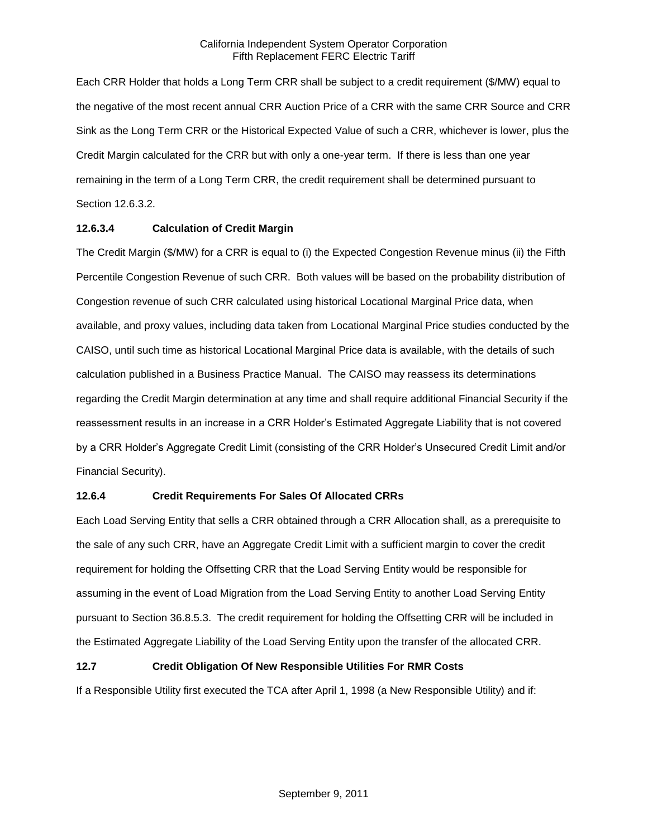Each CRR Holder that holds a Long Term CRR shall be subject to a credit requirement (\$/MW) equal to the negative of the most recent annual CRR Auction Price of a CRR with the same CRR Source and CRR Sink as the Long Term CRR or the Historical Expected Value of such a CRR, whichever is lower, plus the Credit Margin calculated for the CRR but with only a one-year term. If there is less than one year remaining in the term of a Long Term CRR, the credit requirement shall be determined pursuant to Section 12.6.3.2.

### **12.6.3.4 Calculation of Credit Margin**

The Credit Margin (\$/MW) for a CRR is equal to (i) the Expected Congestion Revenue minus (ii) the Fifth Percentile Congestion Revenue of such CRR. Both values will be based on the probability distribution of Congestion revenue of such CRR calculated using historical Locational Marginal Price data, when available, and proxy values, including data taken from Locational Marginal Price studies conducted by the CAISO, until such time as historical Locational Marginal Price data is available, with the details of such calculation published in a Business Practice Manual. The CAISO may reassess its determinations regarding the Credit Margin determination at any time and shall require additional Financial Security if the reassessment results in an increase in a CRR Holder's Estimated Aggregate Liability that is not covered by a CRR Holder's Aggregate Credit Limit (consisting of the CRR Holder's Unsecured Credit Limit and/or Financial Security).

# **12.6.4 Credit Requirements For Sales Of Allocated CRRs**

Each Load Serving Entity that sells a CRR obtained through a CRR Allocation shall, as a prerequisite to the sale of any such CRR, have an Aggregate Credit Limit with a sufficient margin to cover the credit requirement for holding the Offsetting CRR that the Load Serving Entity would be responsible for assuming in the event of Load Migration from the Load Serving Entity to another Load Serving Entity pursuant to Section 36.8.5.3. The credit requirement for holding the Offsetting CRR will be included in the Estimated Aggregate Liability of the Load Serving Entity upon the transfer of the allocated CRR.

# **12.7 Credit Obligation Of New Responsible Utilities For RMR Costs**

If a Responsible Utility first executed the TCA after April 1, 1998 (a New Responsible Utility) and if: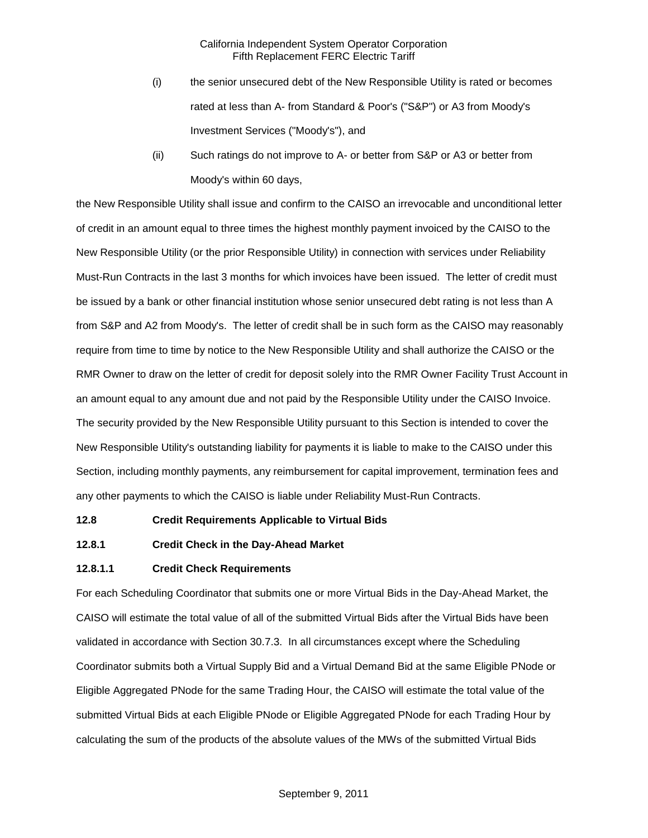- (i) the senior unsecured debt of the New Responsible Utility is rated or becomes rated at less than A- from Standard & Poor's ("S&P") or A3 from Moody's Investment Services ("Moody's"), and
- (ii) Such ratings do not improve to A- or better from S&P or A3 or better from Moody's within 60 days,

the New Responsible Utility shall issue and confirm to the CAISO an irrevocable and unconditional letter of credit in an amount equal to three times the highest monthly payment invoiced by the CAISO to the New Responsible Utility (or the prior Responsible Utility) in connection with services under Reliability Must-Run Contracts in the last 3 months for which invoices have been issued. The letter of credit must be issued by a bank or other financial institution whose senior unsecured debt rating is not less than A from S&P and A2 from Moody's. The letter of credit shall be in such form as the CAISO may reasonably require from time to time by notice to the New Responsible Utility and shall authorize the CAISO or the RMR Owner to draw on the letter of credit for deposit solely into the RMR Owner Facility Trust Account in an amount equal to any amount due and not paid by the Responsible Utility under the CAISO Invoice. The security provided by the New Responsible Utility pursuant to this Section is intended to cover the New Responsible Utility's outstanding liability for payments it is liable to make to the CAISO under this Section, including monthly payments, any reimbursement for capital improvement, termination fees and any other payments to which the CAISO is liable under Reliability Must-Run Contracts.

#### **12.8 Credit Requirements Applicable to Virtual Bids**

#### **12.8.1 Credit Check in the Day-Ahead Market**

#### **12.8.1.1 Credit Check Requirements**

For each Scheduling Coordinator that submits one or more Virtual Bids in the Day-Ahead Market, the CAISO will estimate the total value of all of the submitted Virtual Bids after the Virtual Bids have been validated in accordance with Section 30.7.3. In all circumstances except where the Scheduling Coordinator submits both a Virtual Supply Bid and a Virtual Demand Bid at the same Eligible PNode or Eligible Aggregated PNode for the same Trading Hour, the CAISO will estimate the total value of the submitted Virtual Bids at each Eligible PNode or Eligible Aggregated PNode for each Trading Hour by calculating the sum of the products of the absolute values of the MWs of the submitted Virtual Bids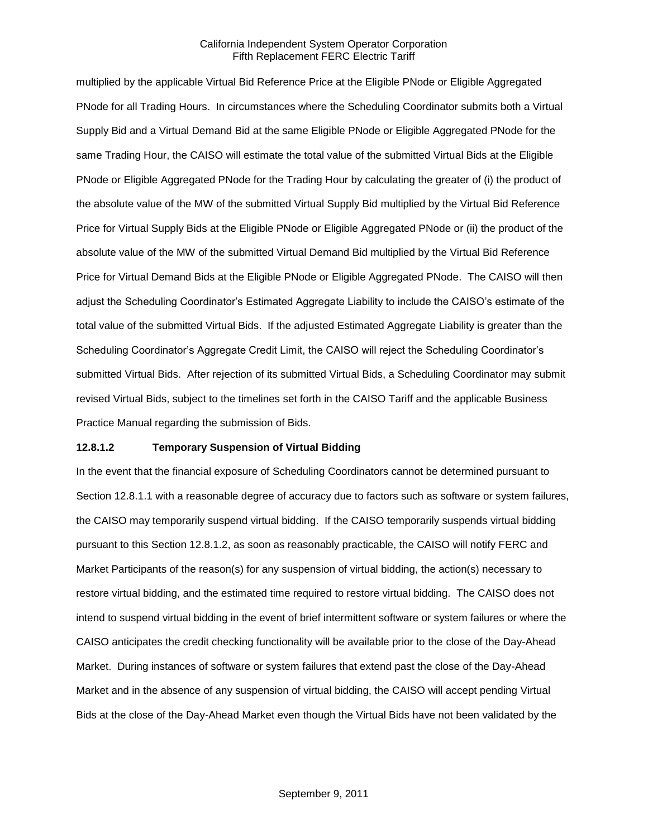multiplied by the applicable Virtual Bid Reference Price at the Eligible PNode or Eligible Aggregated PNode for all Trading Hours. In circumstances where the Scheduling Coordinator submits both a Virtual Supply Bid and a Virtual Demand Bid at the same Eligible PNode or Eligible Aggregated PNode for the same Trading Hour, the CAISO will estimate the total value of the submitted Virtual Bids at the Eligible PNode or Eligible Aggregated PNode for the Trading Hour by calculating the greater of (i) the product of the absolute value of the MW of the submitted Virtual Supply Bid multiplied by the Virtual Bid Reference Price for Virtual Supply Bids at the Eligible PNode or Eligible Aggregated PNode or (ii) the product of the absolute value of the MW of the submitted Virtual Demand Bid multiplied by the Virtual Bid Reference Price for Virtual Demand Bids at the Eligible PNode or Eligible Aggregated PNode. The CAISO will then adjust the Scheduling Coordinator's Estimated Aggregate Liability to include the CAISO's estimate of the total value of the submitted Virtual Bids. If the adjusted Estimated Aggregate Liability is greater than the Scheduling Coordinator's Aggregate Credit Limit, the CAISO will reject the Scheduling Coordinator's submitted Virtual Bids. After rejection of its submitted Virtual Bids, a Scheduling Coordinator may submit revised Virtual Bids, subject to the timelines set forth in the CAISO Tariff and the applicable Business Practice Manual regarding the submission of Bids.

#### **12.8.1.2 Temporary Suspension of Virtual Bidding**

In the event that the financial exposure of Scheduling Coordinators cannot be determined pursuant to Section 12.8.1.1 with a reasonable degree of accuracy due to factors such as software or system failures, the CAISO may temporarily suspend virtual bidding. If the CAISO temporarily suspends virtual bidding pursuant to this Section 12.8.1.2, as soon as reasonably practicable, the CAISO will notify FERC and Market Participants of the reason(s) for any suspension of virtual bidding, the action(s) necessary to restore virtual bidding, and the estimated time required to restore virtual bidding. The CAISO does not intend to suspend virtual bidding in the event of brief intermittent software or system failures or where the CAISO anticipates the credit checking functionality will be available prior to the close of the Day-Ahead Market. During instances of software or system failures that extend past the close of the Day-Ahead Market and in the absence of any suspension of virtual bidding, the CAISO will accept pending Virtual Bids at the close of the Day-Ahead Market even though the Virtual Bids have not been validated by the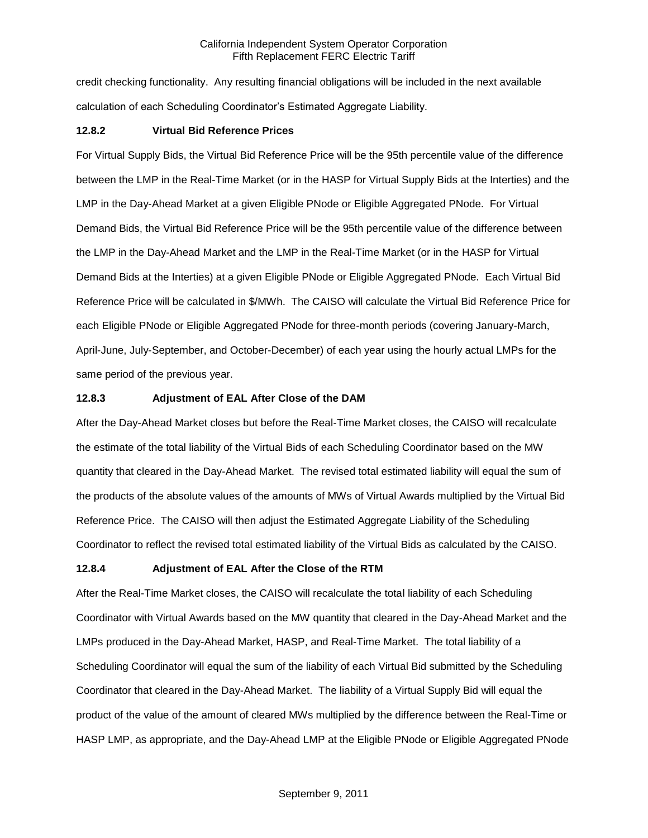credit checking functionality. Any resulting financial obligations will be included in the next available calculation of each Scheduling Coordinator's Estimated Aggregate Liability.

### **12.8.2 Virtual Bid Reference Prices**

For Virtual Supply Bids, the Virtual Bid Reference Price will be the 95th percentile value of the difference between the LMP in the Real-Time Market (or in the HASP for Virtual Supply Bids at the Interties) and the LMP in the Day-Ahead Market at a given Eligible PNode or Eligible Aggregated PNode. For Virtual Demand Bids, the Virtual Bid Reference Price will be the 95th percentile value of the difference between the LMP in the Day-Ahead Market and the LMP in the Real-Time Market (or in the HASP for Virtual Demand Bids at the Interties) at a given Eligible PNode or Eligible Aggregated PNode. Each Virtual Bid Reference Price will be calculated in \$/MWh. The CAISO will calculate the Virtual Bid Reference Price for each Eligible PNode or Eligible Aggregated PNode for three-month periods (covering January-March, April-June, July-September, and October-December) of each year using the hourly actual LMPs for the same period of the previous year.

### **12.8.3 Adjustment of EAL After Close of the DAM**

After the Day-Ahead Market closes but before the Real-Time Market closes, the CAISO will recalculate the estimate of the total liability of the Virtual Bids of each Scheduling Coordinator based on the MW quantity that cleared in the Day-Ahead Market. The revised total estimated liability will equal the sum of the products of the absolute values of the amounts of MWs of Virtual Awards multiplied by the Virtual Bid Reference Price. The CAISO will then adjust the Estimated Aggregate Liability of the Scheduling Coordinator to reflect the revised total estimated liability of the Virtual Bids as calculated by the CAISO.

### **12.8.4 Adjustment of EAL After the Close of the RTM**

After the Real-Time Market closes, the CAISO will recalculate the total liability of each Scheduling Coordinator with Virtual Awards based on the MW quantity that cleared in the Day-Ahead Market and the LMPs produced in the Day-Ahead Market, HASP, and Real-Time Market. The total liability of a Scheduling Coordinator will equal the sum of the liability of each Virtual Bid submitted by the Scheduling Coordinator that cleared in the Day-Ahead Market. The liability of a Virtual Supply Bid will equal the product of the value of the amount of cleared MWs multiplied by the difference between the Real-Time or HASP LMP, as appropriate, and the Day-Ahead LMP at the Eligible PNode or Eligible Aggregated PNode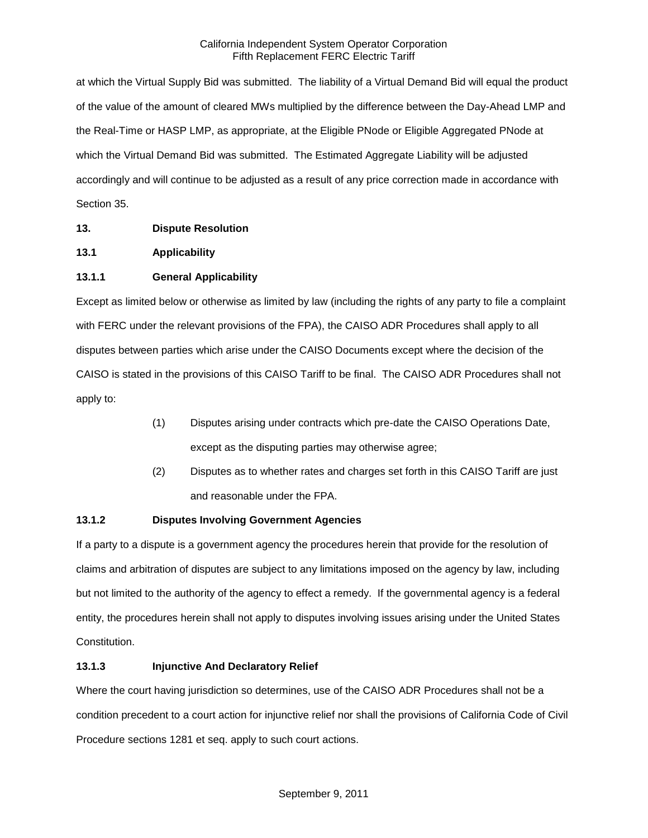at which the Virtual Supply Bid was submitted. The liability of a Virtual Demand Bid will equal the product of the value of the amount of cleared MWs multiplied by the difference between the Day-Ahead LMP and the Real-Time or HASP LMP, as appropriate, at the Eligible PNode or Eligible Aggregated PNode at which the Virtual Demand Bid was submitted. The Estimated Aggregate Liability will be adjusted accordingly and will continue to be adjusted as a result of any price correction made in accordance with Section 35.

# **13. Dispute Resolution**

# **13.1 Applicability**

# **13.1.1 General Applicability**

Except as limited below or otherwise as limited by law (including the rights of any party to file a complaint with FERC under the relevant provisions of the FPA), the CAISO ADR Procedures shall apply to all disputes between parties which arise under the CAISO Documents except where the decision of the CAISO is stated in the provisions of this CAISO Tariff to be final. The CAISO ADR Procedures shall not apply to:

- (1) Disputes arising under contracts which pre-date the CAISO Operations Date, except as the disputing parties may otherwise agree;
- (2) Disputes as to whether rates and charges set forth in this CAISO Tariff are just and reasonable under the FPA.

# **13.1.2 Disputes Involving Government Agencies**

If a party to a dispute is a government agency the procedures herein that provide for the resolution of claims and arbitration of disputes are subject to any limitations imposed on the agency by law, including but not limited to the authority of the agency to effect a remedy. If the governmental agency is a federal entity, the procedures herein shall not apply to disputes involving issues arising under the United States Constitution.

# **13.1.3 Injunctive And Declaratory Relief**

Where the court having jurisdiction so determines, use of the CAISO ADR Procedures shall not be a condition precedent to a court action for injunctive relief nor shall the provisions of California Code of Civil Procedure sections 1281 et seq. apply to such court actions.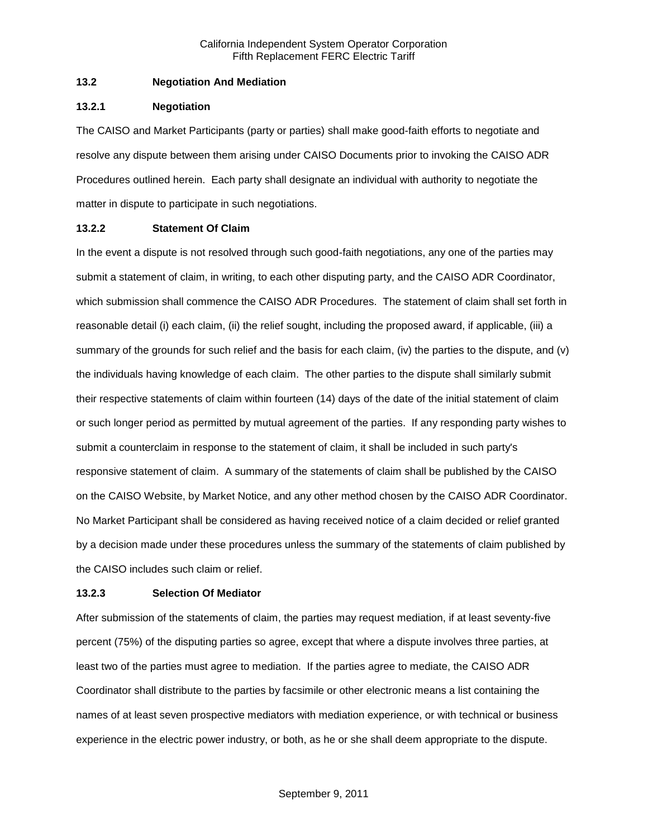### **13.2 Negotiation And Mediation**

#### **13.2.1 Negotiation**

The CAISO and Market Participants (party or parties) shall make good-faith efforts to negotiate and resolve any dispute between them arising under CAISO Documents prior to invoking the CAISO ADR Procedures outlined herein. Each party shall designate an individual with authority to negotiate the matter in dispute to participate in such negotiations.

### **13.2.2 Statement Of Claim**

In the event a dispute is not resolved through such good-faith negotiations, any one of the parties may submit a statement of claim, in writing, to each other disputing party, and the CAISO ADR Coordinator, which submission shall commence the CAISO ADR Procedures. The statement of claim shall set forth in reasonable detail (i) each claim, (ii) the relief sought, including the proposed award, if applicable, (iii) a summary of the grounds for such relief and the basis for each claim, (iv) the parties to the dispute, and (v) the individuals having knowledge of each claim. The other parties to the dispute shall similarly submit their respective statements of claim within fourteen (14) days of the date of the initial statement of claim or such longer period as permitted by mutual agreement of the parties. If any responding party wishes to submit a counterclaim in response to the statement of claim, it shall be included in such party's responsive statement of claim. A summary of the statements of claim shall be published by the CAISO on the CAISO Website, by Market Notice, and any other method chosen by the CAISO ADR Coordinator. No Market Participant shall be considered as having received notice of a claim decided or relief granted by a decision made under these procedures unless the summary of the statements of claim published by the CAISO includes such claim or relief.

### **13.2.3 Selection Of Mediator**

After submission of the statements of claim, the parties may request mediation, if at least seventy-five percent (75%) of the disputing parties so agree, except that where a dispute involves three parties, at least two of the parties must agree to mediation. If the parties agree to mediate, the CAISO ADR Coordinator shall distribute to the parties by facsimile or other electronic means a list containing the names of at least seven prospective mediators with mediation experience, or with technical or business experience in the electric power industry, or both, as he or she shall deem appropriate to the dispute.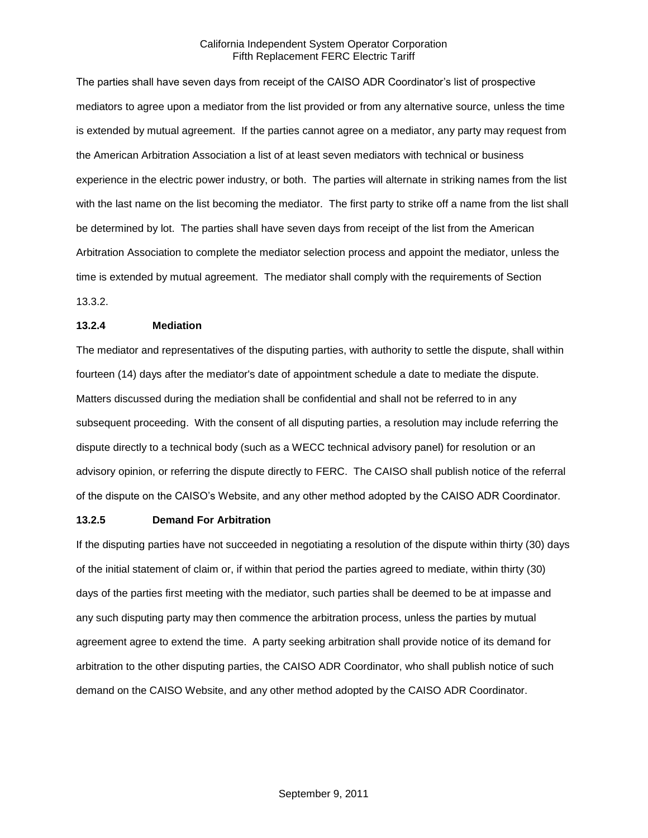The parties shall have seven days from receipt of the CAISO ADR Coordinator's list of prospective mediators to agree upon a mediator from the list provided or from any alternative source, unless the time is extended by mutual agreement. If the parties cannot agree on a mediator, any party may request from the American Arbitration Association a list of at least seven mediators with technical or business experience in the electric power industry, or both. The parties will alternate in striking names from the list with the last name on the list becoming the mediator. The first party to strike off a name from the list shall be determined by lot. The parties shall have seven days from receipt of the list from the American Arbitration Association to complete the mediator selection process and appoint the mediator, unless the time is extended by mutual agreement. The mediator shall comply with the requirements of Section 13.3.2.

### **13.2.4 Mediation**

The mediator and representatives of the disputing parties, with authority to settle the dispute, shall within fourteen (14) days after the mediator's date of appointment schedule a date to mediate the dispute. Matters discussed during the mediation shall be confidential and shall not be referred to in any subsequent proceeding. With the consent of all disputing parties, a resolution may include referring the dispute directly to a technical body (such as a WECC technical advisory panel) for resolution or an advisory opinion, or referring the dispute directly to FERC. The CAISO shall publish notice of the referral of the dispute on the CAISO's Website, and any other method adopted by the CAISO ADR Coordinator.

#### **13.2.5 Demand For Arbitration**

If the disputing parties have not succeeded in negotiating a resolution of the dispute within thirty (30) days of the initial statement of claim or, if within that period the parties agreed to mediate, within thirty (30) days of the parties first meeting with the mediator, such parties shall be deemed to be at impasse and any such disputing party may then commence the arbitration process, unless the parties by mutual agreement agree to extend the time. A party seeking arbitration shall provide notice of its demand for arbitration to the other disputing parties, the CAISO ADR Coordinator, who shall publish notice of such demand on the CAISO Website, and any other method adopted by the CAISO ADR Coordinator.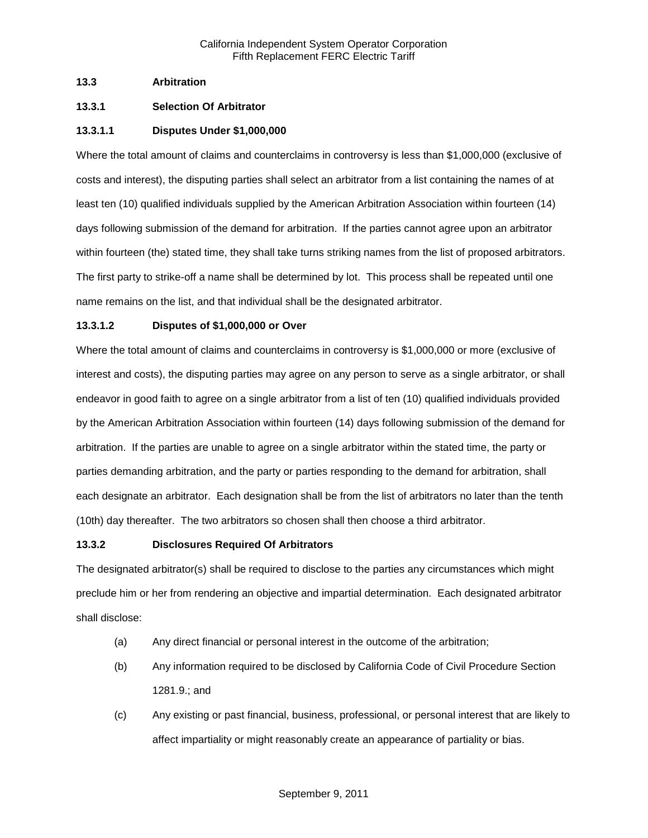### **13.3 Arbitration**

# **13.3.1 Selection Of Arbitrator**

# **13.3.1.1 Disputes Under \$1,000,000**

Where the total amount of claims and counterclaims in controversy is less than \$1,000,000 (exclusive of costs and interest), the disputing parties shall select an arbitrator from a list containing the names of at least ten (10) qualified individuals supplied by the American Arbitration Association within fourteen (14) days following submission of the demand for arbitration. If the parties cannot agree upon an arbitrator within fourteen (the) stated time, they shall take turns striking names from the list of proposed arbitrators. The first party to strike-off a name shall be determined by lot. This process shall be repeated until one name remains on the list, and that individual shall be the designated arbitrator.

### **13.3.1.2 Disputes of \$1,000,000 or Over**

Where the total amount of claims and counterclaims in controversy is \$1,000,000 or more (exclusive of interest and costs), the disputing parties may agree on any person to serve as a single arbitrator, or shall endeavor in good faith to agree on a single arbitrator from a list of ten (10) qualified individuals provided by the American Arbitration Association within fourteen (14) days following submission of the demand for arbitration. If the parties are unable to agree on a single arbitrator within the stated time, the party or parties demanding arbitration, and the party or parties responding to the demand for arbitration, shall each designate an arbitrator. Each designation shall be from the list of arbitrators no later than the tenth (10th) day thereafter. The two arbitrators so chosen shall then choose a third arbitrator.

### **13.3.2 Disclosures Required Of Arbitrators**

The designated arbitrator(s) shall be required to disclose to the parties any circumstances which might preclude him or her from rendering an objective and impartial determination. Each designated arbitrator shall disclose:

- (a) Any direct financial or personal interest in the outcome of the arbitration;
- (b) Any information required to be disclosed by California Code of Civil Procedure Section 1281.9.; and
- (c) Any existing or past financial, business, professional, or personal interest that are likely to affect impartiality or might reasonably create an appearance of partiality or bias.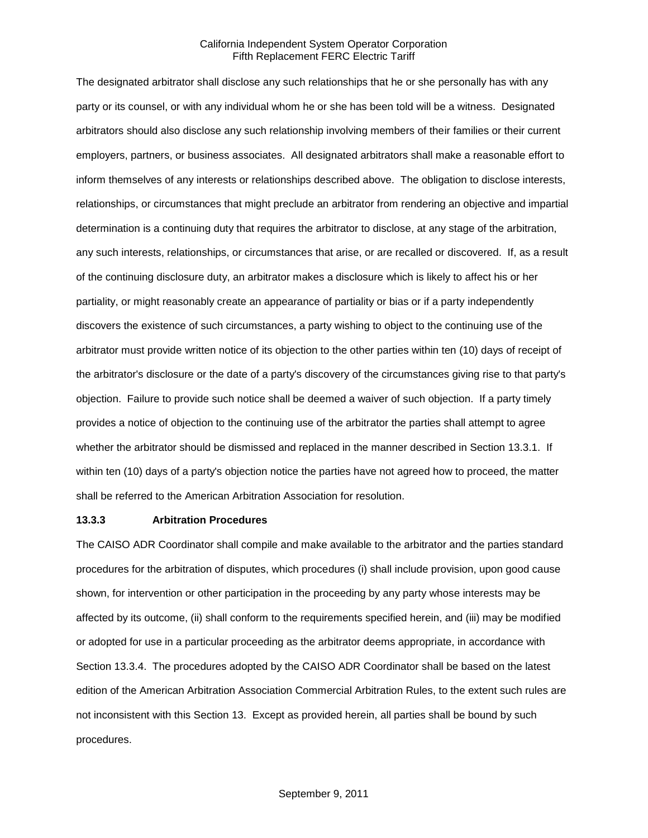The designated arbitrator shall disclose any such relationships that he or she personally has with any party or its counsel, or with any individual whom he or she has been told will be a witness. Designated arbitrators should also disclose any such relationship involving members of their families or their current employers, partners, or business associates. All designated arbitrators shall make a reasonable effort to inform themselves of any interests or relationships described above. The obligation to disclose interests, relationships, or circumstances that might preclude an arbitrator from rendering an objective and impartial determination is a continuing duty that requires the arbitrator to disclose, at any stage of the arbitration, any such interests, relationships, or circumstances that arise, or are recalled or discovered. If, as a result of the continuing disclosure duty, an arbitrator makes a disclosure which is likely to affect his or her partiality, or might reasonably create an appearance of partiality or bias or if a party independently discovers the existence of such circumstances, a party wishing to object to the continuing use of the arbitrator must provide written notice of its objection to the other parties within ten (10) days of receipt of the arbitrator's disclosure or the date of a party's discovery of the circumstances giving rise to that party's objection. Failure to provide such notice shall be deemed a waiver of such objection. If a party timely provides a notice of objection to the continuing use of the arbitrator the parties shall attempt to agree whether the arbitrator should be dismissed and replaced in the manner described in Section 13.3.1. If within ten (10) days of a party's objection notice the parties have not agreed how to proceed, the matter shall be referred to the American Arbitration Association for resolution.

#### **13.3.3 Arbitration Procedures**

The CAISO ADR Coordinator shall compile and make available to the arbitrator and the parties standard procedures for the arbitration of disputes, which procedures (i) shall include provision, upon good cause shown, for intervention or other participation in the proceeding by any party whose interests may be affected by its outcome, (ii) shall conform to the requirements specified herein, and (iii) may be modified or adopted for use in a particular proceeding as the arbitrator deems appropriate, in accordance with Section 13.3.4. The procedures adopted by the CAISO ADR Coordinator shall be based on the latest edition of the American Arbitration Association Commercial Arbitration Rules, to the extent such rules are not inconsistent with this Section 13. Except as provided herein, all parties shall be bound by such procedures.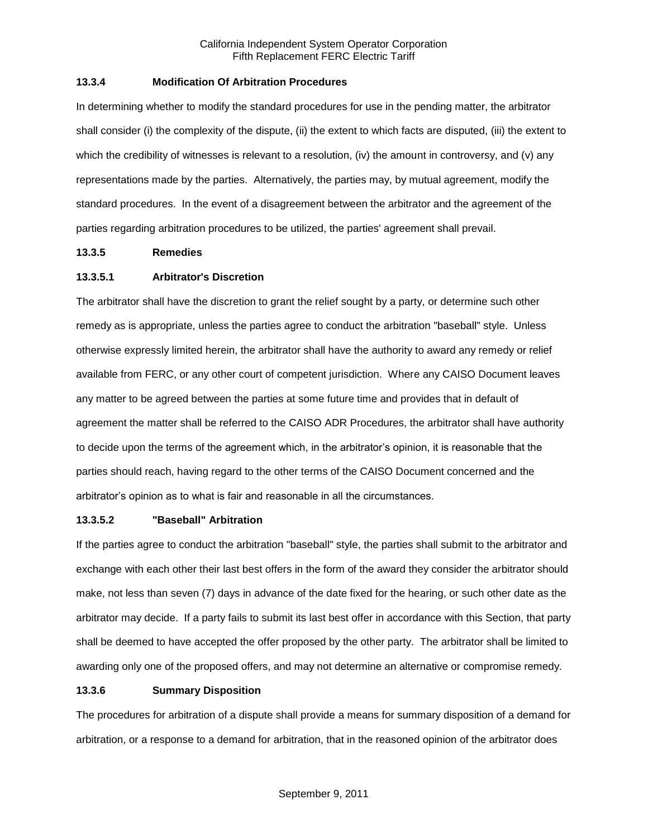### **13.3.4 Modification Of Arbitration Procedures**

In determining whether to modify the standard procedures for use in the pending matter, the arbitrator shall consider (i) the complexity of the dispute, (ii) the extent to which facts are disputed, (iii) the extent to which the credibility of witnesses is relevant to a resolution, (iv) the amount in controversy, and (v) any representations made by the parties. Alternatively, the parties may, by mutual agreement, modify the standard procedures. In the event of a disagreement between the arbitrator and the agreement of the parties regarding arbitration procedures to be utilized, the parties' agreement shall prevail.

### **13.3.5 Remedies**

# **13.3.5.1 Arbitrator's Discretion**

The arbitrator shall have the discretion to grant the relief sought by a party, or determine such other remedy as is appropriate, unless the parties agree to conduct the arbitration "baseball" style. Unless otherwise expressly limited herein, the arbitrator shall have the authority to award any remedy or relief available from FERC, or any other court of competent jurisdiction. Where any CAISO Document leaves any matter to be agreed between the parties at some future time and provides that in default of agreement the matter shall be referred to the CAISO ADR Procedures, the arbitrator shall have authority to decide upon the terms of the agreement which, in the arbitrator's opinion, it is reasonable that the parties should reach, having regard to the other terms of the CAISO Document concerned and the arbitrator's opinion as to what is fair and reasonable in all the circumstances.

### **13.3.5.2 "Baseball" Arbitration**

If the parties agree to conduct the arbitration "baseball" style, the parties shall submit to the arbitrator and exchange with each other their last best offers in the form of the award they consider the arbitrator should make, not less than seven (7) days in advance of the date fixed for the hearing, or such other date as the arbitrator may decide. If a party fails to submit its last best offer in accordance with this Section, that party shall be deemed to have accepted the offer proposed by the other party. The arbitrator shall be limited to awarding only one of the proposed offers, and may not determine an alternative or compromise remedy.

### **13.3.6 Summary Disposition**

The procedures for arbitration of a dispute shall provide a means for summary disposition of a demand for arbitration, or a response to a demand for arbitration, that in the reasoned opinion of the arbitrator does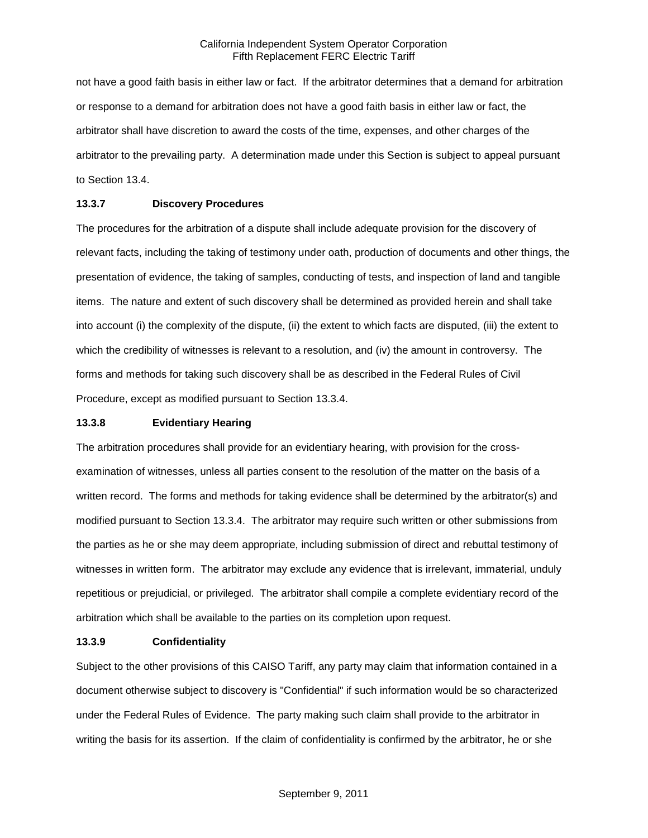not have a good faith basis in either law or fact. If the arbitrator determines that a demand for arbitration or response to a demand for arbitration does not have a good faith basis in either law or fact, the arbitrator shall have discretion to award the costs of the time, expenses, and other charges of the arbitrator to the prevailing party. A determination made under this Section is subject to appeal pursuant to Section 13.4.

## **13.3.7 Discovery Procedures**

The procedures for the arbitration of a dispute shall include adequate provision for the discovery of relevant facts, including the taking of testimony under oath, production of documents and other things, the presentation of evidence, the taking of samples, conducting of tests, and inspection of land and tangible items. The nature and extent of such discovery shall be determined as provided herein and shall take into account (i) the complexity of the dispute, (ii) the extent to which facts are disputed, (iii) the extent to which the credibility of witnesses is relevant to a resolution, and (iv) the amount in controversy. The forms and methods for taking such discovery shall be as described in the Federal Rules of Civil Procedure, except as modified pursuant to Section 13.3.4.

#### **13.3.8 Evidentiary Hearing**

The arbitration procedures shall provide for an evidentiary hearing, with provision for the crossexamination of witnesses, unless all parties consent to the resolution of the matter on the basis of a written record. The forms and methods for taking evidence shall be determined by the arbitrator(s) and modified pursuant to Section 13.3.4. The arbitrator may require such written or other submissions from the parties as he or she may deem appropriate, including submission of direct and rebuttal testimony of witnesses in written form. The arbitrator may exclude any evidence that is irrelevant, immaterial, unduly repetitious or prejudicial, or privileged. The arbitrator shall compile a complete evidentiary record of the arbitration which shall be available to the parties on its completion upon request.

### **13.3.9 Confidentiality**

Subject to the other provisions of this CAISO Tariff, any party may claim that information contained in a document otherwise subject to discovery is "Confidential" if such information would be so characterized under the Federal Rules of Evidence. The party making such claim shall provide to the arbitrator in writing the basis for its assertion. If the claim of confidentiality is confirmed by the arbitrator, he or she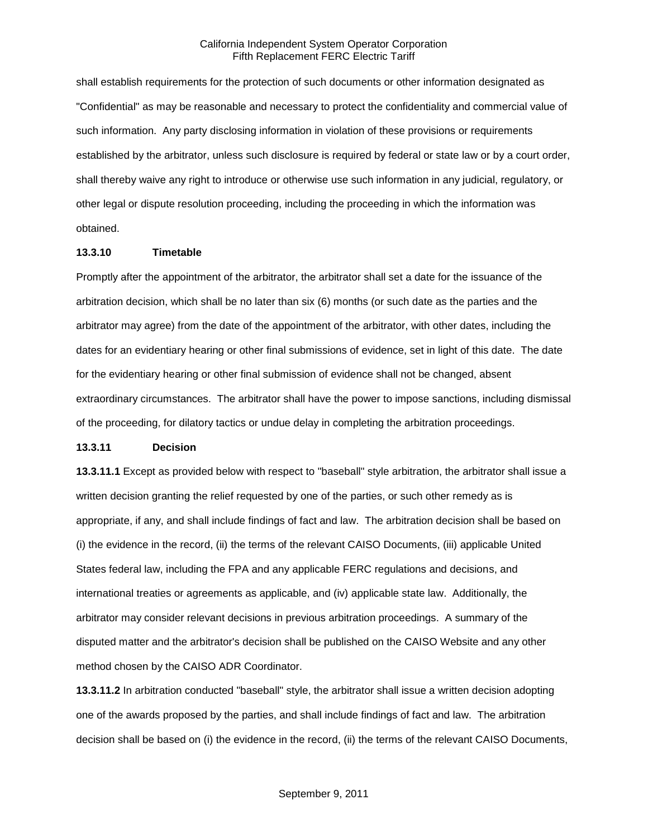shall establish requirements for the protection of such documents or other information designated as "Confidential" as may be reasonable and necessary to protect the confidentiality and commercial value of such information. Any party disclosing information in violation of these provisions or requirements established by the arbitrator, unless such disclosure is required by federal or state law or by a court order, shall thereby waive any right to introduce or otherwise use such information in any judicial, regulatory, or other legal or dispute resolution proceeding, including the proceeding in which the information was obtained.

### **13.3.10 Timetable**

Promptly after the appointment of the arbitrator, the arbitrator shall set a date for the issuance of the arbitration decision, which shall be no later than six (6) months (or such date as the parties and the arbitrator may agree) from the date of the appointment of the arbitrator, with other dates, including the dates for an evidentiary hearing or other final submissions of evidence, set in light of this date. The date for the evidentiary hearing or other final submission of evidence shall not be changed, absent extraordinary circumstances. The arbitrator shall have the power to impose sanctions, including dismissal of the proceeding, for dilatory tactics or undue delay in completing the arbitration proceedings.

#### **13.3.11 Decision**

**13.3.11.1** Except as provided below with respect to "baseball" style arbitration, the arbitrator shall issue a written decision granting the relief requested by one of the parties, or such other remedy as is appropriate, if any, and shall include findings of fact and law. The arbitration decision shall be based on (i) the evidence in the record, (ii) the terms of the relevant CAISO Documents, (iii) applicable United States federal law, including the FPA and any applicable FERC regulations and decisions, and international treaties or agreements as applicable, and (iv) applicable state law. Additionally, the arbitrator may consider relevant decisions in previous arbitration proceedings. A summary of the disputed matter and the arbitrator's decision shall be published on the CAISO Website and any other method chosen by the CAISO ADR Coordinator.

**13.3.11.2** In arbitration conducted "baseball" style, the arbitrator shall issue a written decision adopting one of the awards proposed by the parties, and shall include findings of fact and law. The arbitration decision shall be based on (i) the evidence in the record, (ii) the terms of the relevant CAISO Documents,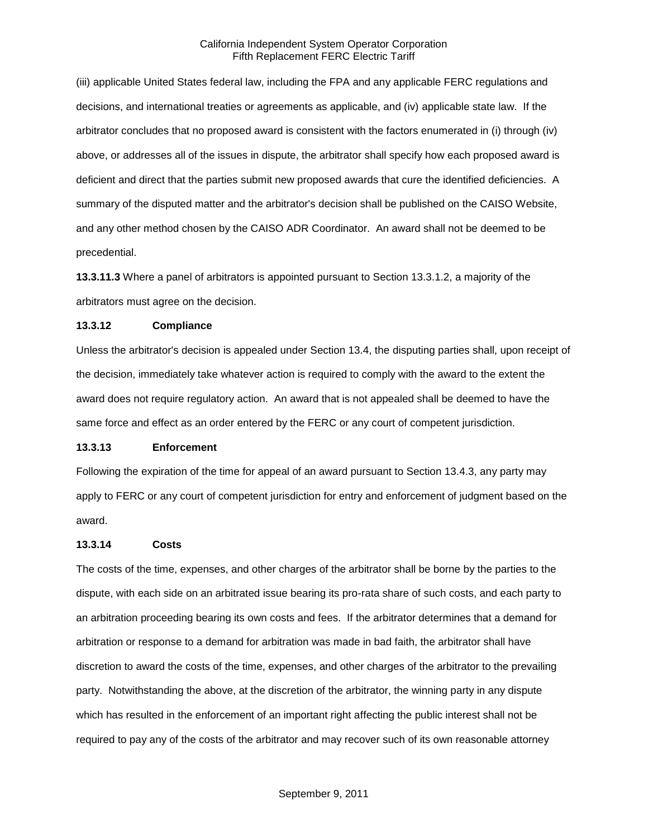(iii) applicable United States federal law, including the FPA and any applicable FERC regulations and decisions, and international treaties or agreements as applicable, and (iv) applicable state law. If the arbitrator concludes that no proposed award is consistent with the factors enumerated in (i) through (iv) above, or addresses all of the issues in dispute, the arbitrator shall specify how each proposed award is deficient and direct that the parties submit new proposed awards that cure the identified deficiencies. A summary of the disputed matter and the arbitrator's decision shall be published on the CAISO Website, and any other method chosen by the CAISO ADR Coordinator. An award shall not be deemed to be precedential.

**13.3.11.3** Where a panel of arbitrators is appointed pursuant to Section 13.3.1.2, a majority of the arbitrators must agree on the decision.

#### **13.3.12 Compliance**

Unless the arbitrator's decision is appealed under Section 13.4, the disputing parties shall, upon receipt of the decision, immediately take whatever action is required to comply with the award to the extent the award does not require regulatory action. An award that is not appealed shall be deemed to have the same force and effect as an order entered by the FERC or any court of competent jurisdiction.

#### **13.3.13 Enforcement**

Following the expiration of the time for appeal of an award pursuant to Section 13.4.3, any party may apply to FERC or any court of competent jurisdiction for entry and enforcement of judgment based on the award.

#### **13.3.14 Costs**

The costs of the time, expenses, and other charges of the arbitrator shall be borne by the parties to the dispute, with each side on an arbitrated issue bearing its pro-rata share of such costs, and each party to an arbitration proceeding bearing its own costs and fees. If the arbitrator determines that a demand for arbitration or response to a demand for arbitration was made in bad faith, the arbitrator shall have discretion to award the costs of the time, expenses, and other charges of the arbitrator to the prevailing party. Notwithstanding the above, at the discretion of the arbitrator, the winning party in any dispute which has resulted in the enforcement of an important right affecting the public interest shall not be required to pay any of the costs of the arbitrator and may recover such of its own reasonable attorney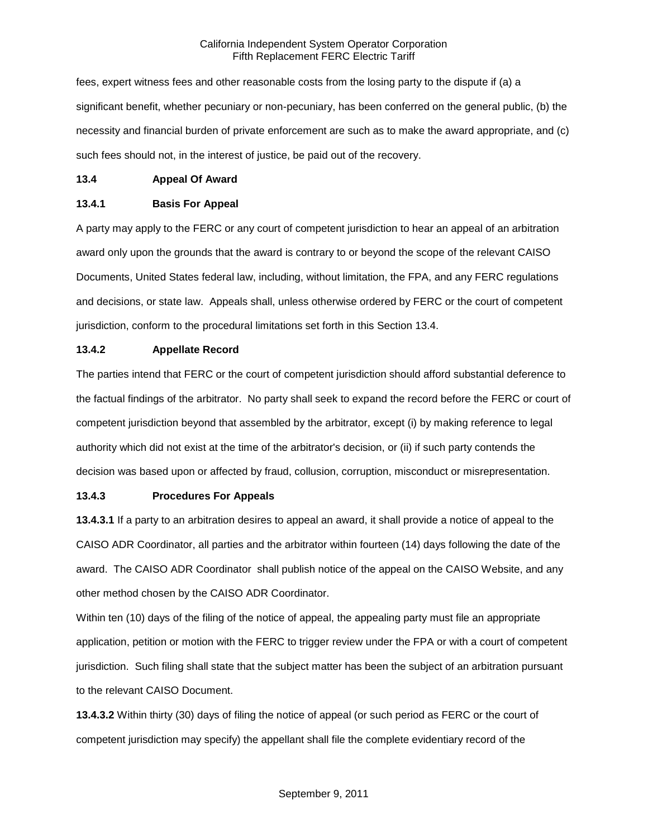fees, expert witness fees and other reasonable costs from the losing party to the dispute if (a) a significant benefit, whether pecuniary or non-pecuniary, has been conferred on the general public, (b) the necessity and financial burden of private enforcement are such as to make the award appropriate, and (c) such fees should not, in the interest of justice, be paid out of the recovery.

#### **13.4 Appeal Of Award**

### **13.4.1 Basis For Appeal**

A party may apply to the FERC or any court of competent jurisdiction to hear an appeal of an arbitration award only upon the grounds that the award is contrary to or beyond the scope of the relevant CAISO Documents, United States federal law, including, without limitation, the FPA, and any FERC regulations and decisions, or state law. Appeals shall, unless otherwise ordered by FERC or the court of competent jurisdiction, conform to the procedural limitations set forth in this Section 13.4.

#### **13.4.2 Appellate Record**

The parties intend that FERC or the court of competent jurisdiction should afford substantial deference to the factual findings of the arbitrator. No party shall seek to expand the record before the FERC or court of competent jurisdiction beyond that assembled by the arbitrator, except (i) by making reference to legal authority which did not exist at the time of the arbitrator's decision, or (ii) if such party contends the decision was based upon or affected by fraud, collusion, corruption, misconduct or misrepresentation.

#### **13.4.3 Procedures For Appeals**

**13.4.3.1** If a party to an arbitration desires to appeal an award, it shall provide a notice of appeal to the CAISO ADR Coordinator, all parties and the arbitrator within fourteen (14) days following the date of the award. The CAISO ADR Coordinator shall publish notice of the appeal on the CAISO Website, and any other method chosen by the CAISO ADR Coordinator.

Within ten (10) days of the filing of the notice of appeal, the appealing party must file an appropriate application, petition or motion with the FERC to trigger review under the FPA or with a court of competent jurisdiction. Such filing shall state that the subject matter has been the subject of an arbitration pursuant to the relevant CAISO Document.

**13.4.3.2** Within thirty (30) days of filing the notice of appeal (or such period as FERC or the court of competent jurisdiction may specify) the appellant shall file the complete evidentiary record of the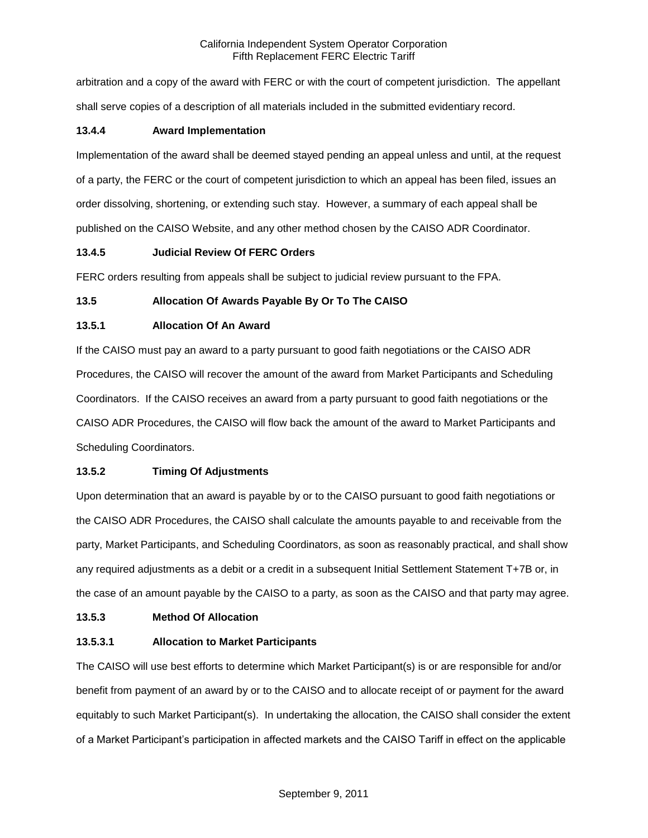arbitration and a copy of the award with FERC or with the court of competent jurisdiction. The appellant shall serve copies of a description of all materials included in the submitted evidentiary record.

## **13.4.4 Award Implementation**

Implementation of the award shall be deemed stayed pending an appeal unless and until, at the request of a party, the FERC or the court of competent jurisdiction to which an appeal has been filed, issues an order dissolving, shortening, or extending such stay. However, a summary of each appeal shall be published on the CAISO Website, and any other method chosen by the CAISO ADR Coordinator.

### **13.4.5 Judicial Review Of FERC Orders**

FERC orders resulting from appeals shall be subject to judicial review pursuant to the FPA.

### **13.5 Allocation Of Awards Payable By Or To The CAISO**

## **13.5.1 Allocation Of An Award**

If the CAISO must pay an award to a party pursuant to good faith negotiations or the CAISO ADR Procedures, the CAISO will recover the amount of the award from Market Participants and Scheduling Coordinators. If the CAISO receives an award from a party pursuant to good faith negotiations or the CAISO ADR Procedures, the CAISO will flow back the amount of the award to Market Participants and Scheduling Coordinators.

## **13.5.2 Timing Of Adjustments**

Upon determination that an award is payable by or to the CAISO pursuant to good faith negotiations or the CAISO ADR Procedures, the CAISO shall calculate the amounts payable to and receivable from the party, Market Participants, and Scheduling Coordinators, as soon as reasonably practical, and shall show any required adjustments as a debit or a credit in a subsequent Initial Settlement Statement T+7B or, in the case of an amount payable by the CAISO to a party, as soon as the CAISO and that party may agree.

#### **13.5.3 Method Of Allocation**

## **13.5.3.1 Allocation to Market Participants**

The CAISO will use best efforts to determine which Market Participant(s) is or are responsible for and/or benefit from payment of an award by or to the CAISO and to allocate receipt of or payment for the award equitably to such Market Participant(s). In undertaking the allocation, the CAISO shall consider the extent of a Market Participant's participation in affected markets and the CAISO Tariff in effect on the applicable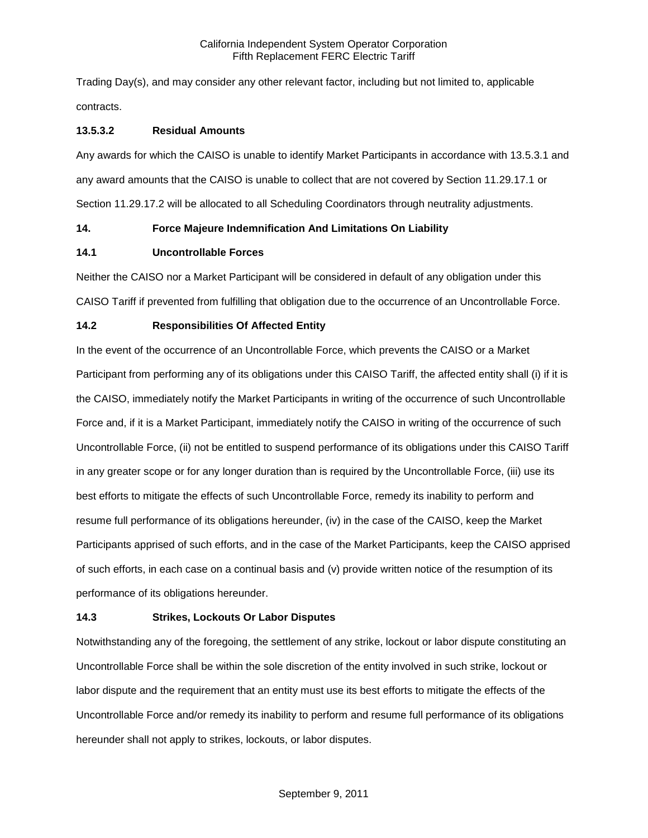Trading Day(s), and may consider any other relevant factor, including but not limited to, applicable contracts.

## **13.5.3.2 Residual Amounts**

Any awards for which the CAISO is unable to identify Market Participants in accordance with 13.5.3.1 and any award amounts that the CAISO is unable to collect that are not covered by Section 11.29.17.1 or Section 11.29.17.2 will be allocated to all Scheduling Coordinators through neutrality adjustments.

## **14. Force Majeure Indemnification And Limitations On Liability**

### **14.1 Uncontrollable Forces**

Neither the CAISO nor a Market Participant will be considered in default of any obligation under this CAISO Tariff if prevented from fulfilling that obligation due to the occurrence of an Uncontrollable Force.

### **14.2 Responsibilities Of Affected Entity**

In the event of the occurrence of an Uncontrollable Force, which prevents the CAISO or a Market Participant from performing any of its obligations under this CAISO Tariff, the affected entity shall (i) if it is the CAISO, immediately notify the Market Participants in writing of the occurrence of such Uncontrollable Force and, if it is a Market Participant, immediately notify the CAISO in writing of the occurrence of such Uncontrollable Force, (ii) not be entitled to suspend performance of its obligations under this CAISO Tariff in any greater scope or for any longer duration than is required by the Uncontrollable Force, (iii) use its best efforts to mitigate the effects of such Uncontrollable Force, remedy its inability to perform and resume full performance of its obligations hereunder, (iv) in the case of the CAISO, keep the Market Participants apprised of such efforts, and in the case of the Market Participants, keep the CAISO apprised of such efforts, in each case on a continual basis and (v) provide written notice of the resumption of its performance of its obligations hereunder.

## **14.3 Strikes, Lockouts Or Labor Disputes**

Notwithstanding any of the foregoing, the settlement of any strike, lockout or labor dispute constituting an Uncontrollable Force shall be within the sole discretion of the entity involved in such strike, lockout or labor dispute and the requirement that an entity must use its best efforts to mitigate the effects of the Uncontrollable Force and/or remedy its inability to perform and resume full performance of its obligations hereunder shall not apply to strikes, lockouts, or labor disputes.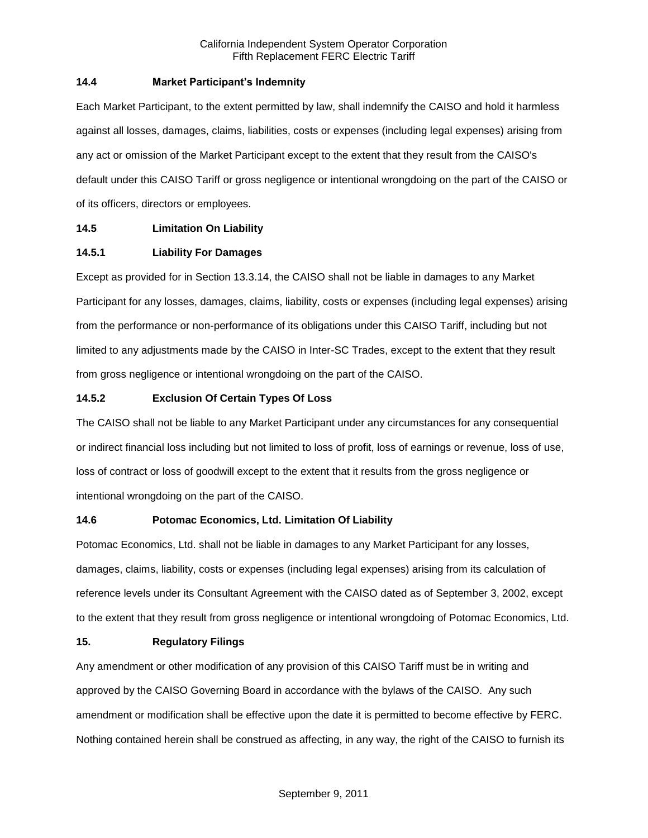### **14.4 Market Participant's Indemnity**

Each Market Participant, to the extent permitted by law, shall indemnify the CAISO and hold it harmless against all losses, damages, claims, liabilities, costs or expenses (including legal expenses) arising from any act or omission of the Market Participant except to the extent that they result from the CAISO's default under this CAISO Tariff or gross negligence or intentional wrongdoing on the part of the CAISO or of its officers, directors or employees.

## **14.5 Limitation On Liability**

### **14.5.1 Liability For Damages**

Except as provided for in Section 13.3.14, the CAISO shall not be liable in damages to any Market Participant for any losses, damages, claims, liability, costs or expenses (including legal expenses) arising from the performance or non-performance of its obligations under this CAISO Tariff, including but not limited to any adjustments made by the CAISO in Inter-SC Trades, except to the extent that they result from gross negligence or intentional wrongdoing on the part of the CAISO.

### **14.5.2 Exclusion Of Certain Types Of Loss**

The CAISO shall not be liable to any Market Participant under any circumstances for any consequential or indirect financial loss including but not limited to loss of profit, loss of earnings or revenue, loss of use, loss of contract or loss of goodwill except to the extent that it results from the gross negligence or intentional wrongdoing on the part of the CAISO.

## **14.6 Potomac Economics, Ltd. Limitation Of Liability**

Potomac Economics, Ltd. shall not be liable in damages to any Market Participant for any losses, damages, claims, liability, costs or expenses (including legal expenses) arising from its calculation of reference levels under its Consultant Agreement with the CAISO dated as of September 3, 2002, except to the extent that they result from gross negligence or intentional wrongdoing of Potomac Economics, Ltd.

#### **15. Regulatory Filings**

Any amendment or other modification of any provision of this CAISO Tariff must be in writing and approved by the CAISO Governing Board in accordance with the bylaws of the CAISO. Any such amendment or modification shall be effective upon the date it is permitted to become effective by FERC. Nothing contained herein shall be construed as affecting, in any way, the right of the CAISO to furnish its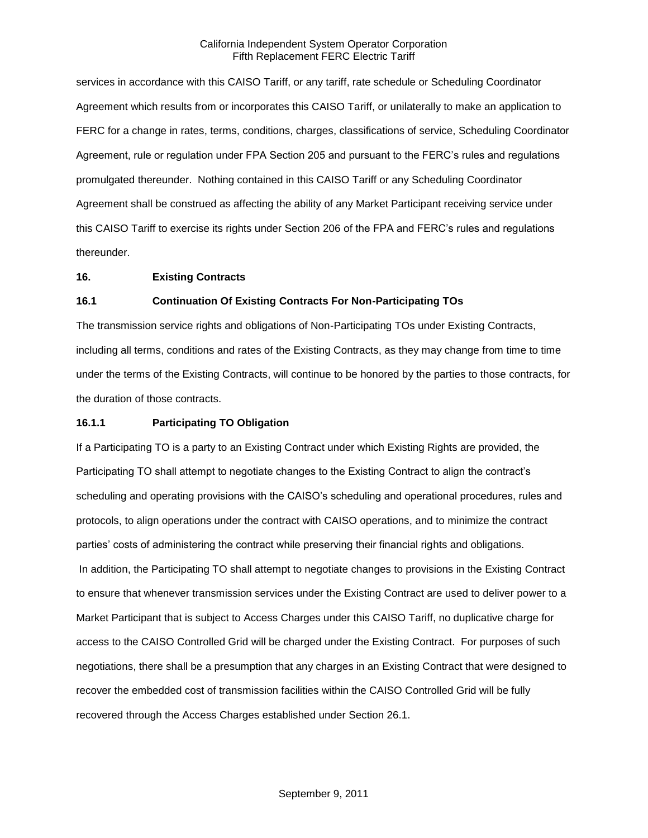services in accordance with this CAISO Tariff, or any tariff, rate schedule or Scheduling Coordinator Agreement which results from or incorporates this CAISO Tariff, or unilaterally to make an application to FERC for a change in rates, terms, conditions, charges, classifications of service, Scheduling Coordinator Agreement, rule or regulation under FPA Section 205 and pursuant to the FERC's rules and regulations promulgated thereunder. Nothing contained in this CAISO Tariff or any Scheduling Coordinator Agreement shall be construed as affecting the ability of any Market Participant receiving service under this CAISO Tariff to exercise its rights under Section 206 of the FPA and FERC's rules and regulations thereunder.

#### **16. Existing Contracts**

#### **16.1 Continuation Of Existing Contracts For Non-Participating TOs**

The transmission service rights and obligations of Non-Participating TOs under Existing Contracts, including all terms, conditions and rates of the Existing Contracts, as they may change from time to time under the terms of the Existing Contracts, will continue to be honored by the parties to those contracts, for the duration of those contracts.

#### **16.1.1 Participating TO Obligation**

If a Participating TO is a party to an Existing Contract under which Existing Rights are provided, the Participating TO shall attempt to negotiate changes to the Existing Contract to align the contract's scheduling and operating provisions with the CAISO's scheduling and operational procedures, rules and protocols, to align operations under the contract with CAISO operations, and to minimize the contract parties' costs of administering the contract while preserving their financial rights and obligations. In addition, the Participating TO shall attempt to negotiate changes to provisions in the Existing Contract to ensure that whenever transmission services under the Existing Contract are used to deliver power to a Market Participant that is subject to Access Charges under this CAISO Tariff, no duplicative charge for access to the CAISO Controlled Grid will be charged under the Existing Contract. For purposes of such negotiations, there shall be a presumption that any charges in an Existing Contract that were designed to recover the embedded cost of transmission facilities within the CAISO Controlled Grid will be fully recovered through the Access Charges established under Section 26.1.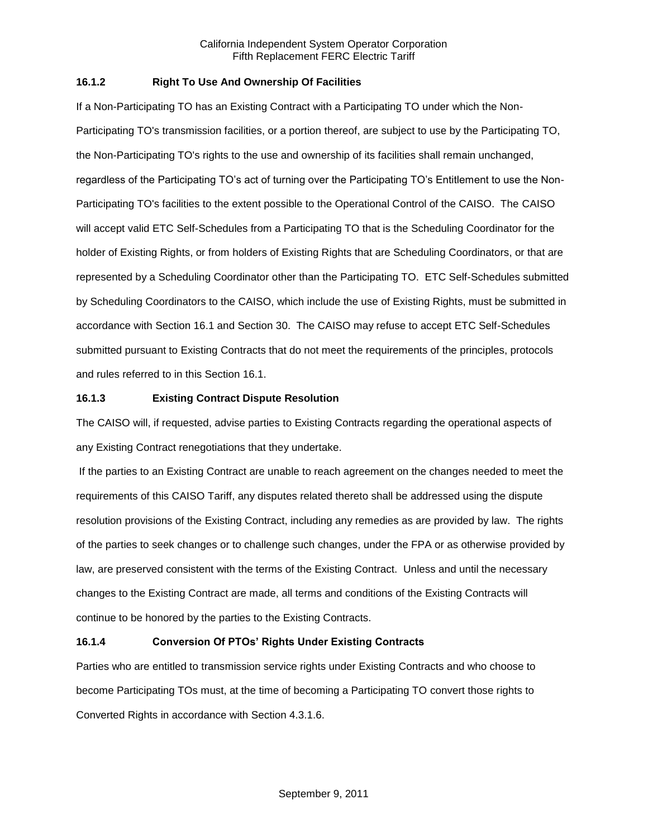### **16.1.2 Right To Use And Ownership Of Facilities**

If a Non-Participating TO has an Existing Contract with a Participating TO under which the Non-Participating TO's transmission facilities, or a portion thereof, are subject to use by the Participating TO, the Non-Participating TO's rights to the use and ownership of its facilities shall remain unchanged, regardless of the Participating TO's act of turning over the Participating TO's Entitlement to use the Non-Participating TO's facilities to the extent possible to the Operational Control of the CAISO. The CAISO will accept valid ETC Self-Schedules from a Participating TO that is the Scheduling Coordinator for the holder of Existing Rights, or from holders of Existing Rights that are Scheduling Coordinators, or that are represented by a Scheduling Coordinator other than the Participating TO. ETC Self-Schedules submitted by Scheduling Coordinators to the CAISO, which include the use of Existing Rights, must be submitted in accordance with Section 16.1 and Section 30. The CAISO may refuse to accept ETC Self-Schedules submitted pursuant to Existing Contracts that do not meet the requirements of the principles, protocols and rules referred to in this Section 16.1.

### **16.1.3 Existing Contract Dispute Resolution**

The CAISO will, if requested, advise parties to Existing Contracts regarding the operational aspects of any Existing Contract renegotiations that they undertake.

If the parties to an Existing Contract are unable to reach agreement on the changes needed to meet the requirements of this CAISO Tariff, any disputes related thereto shall be addressed using the dispute resolution provisions of the Existing Contract, including any remedies as are provided by law. The rights of the parties to seek changes or to challenge such changes, under the FPA or as otherwise provided by law, are preserved consistent with the terms of the Existing Contract. Unless and until the necessary changes to the Existing Contract are made, all terms and conditions of the Existing Contracts will continue to be honored by the parties to the Existing Contracts.

## **16.1.4 Conversion Of PTOs' Rights Under Existing Contracts**

Parties who are entitled to transmission service rights under Existing Contracts and who choose to become Participating TOs must, at the time of becoming a Participating TO convert those rights to Converted Rights in accordance with Section 4.3.1.6.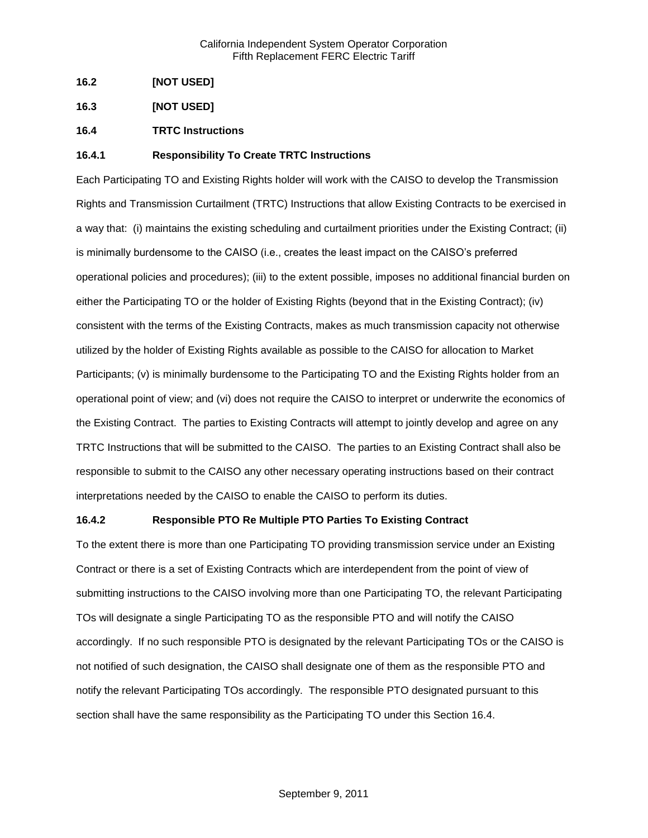- **16.2 [NOT USED]**
- **16.3 [NOT USED]**
- **16.4 TRTC Instructions**

### **16.4.1 Responsibility To Create TRTC Instructions**

Each Participating TO and Existing Rights holder will work with the CAISO to develop the Transmission Rights and Transmission Curtailment (TRTC) Instructions that allow Existing Contracts to be exercised in a way that: (i) maintains the existing scheduling and curtailment priorities under the Existing Contract; (ii) is minimally burdensome to the CAISO (i.e., creates the least impact on the CAISO's preferred operational policies and procedures); (iii) to the extent possible, imposes no additional financial burden on either the Participating TO or the holder of Existing Rights (beyond that in the Existing Contract); (iv) consistent with the terms of the Existing Contracts, makes as much transmission capacity not otherwise utilized by the holder of Existing Rights available as possible to the CAISO for allocation to Market Participants; (v) is minimally burdensome to the Participating TO and the Existing Rights holder from an operational point of view; and (vi) does not require the CAISO to interpret or underwrite the economics of the Existing Contract. The parties to Existing Contracts will attempt to jointly develop and agree on any TRTC Instructions that will be submitted to the CAISO. The parties to an Existing Contract shall also be responsible to submit to the CAISO any other necessary operating instructions based on their contract interpretations needed by the CAISO to enable the CAISO to perform its duties.

### **16.4.2 Responsible PTO Re Multiple PTO Parties To Existing Contract**

To the extent there is more than one Participating TO providing transmission service under an Existing Contract or there is a set of Existing Contracts which are interdependent from the point of view of submitting instructions to the CAISO involving more than one Participating TO, the relevant Participating TOs will designate a single Participating TO as the responsible PTO and will notify the CAISO accordingly. If no such responsible PTO is designated by the relevant Participating TOs or the CAISO is not notified of such designation, the CAISO shall designate one of them as the responsible PTO and notify the relevant Participating TOs accordingly. The responsible PTO designated pursuant to this section shall have the same responsibility as the Participating TO under this Section 16.4.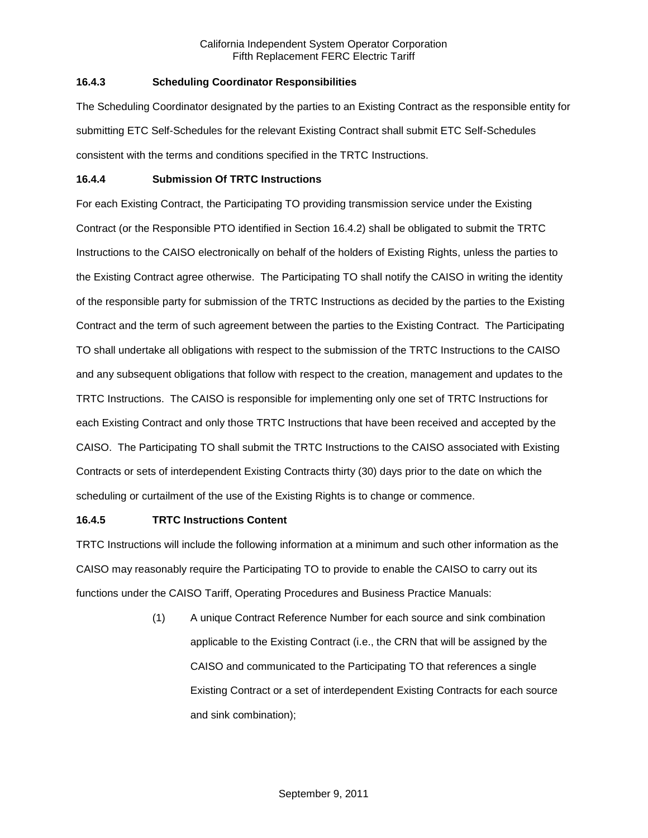## **16.4.3 Scheduling Coordinator Responsibilities**

The Scheduling Coordinator designated by the parties to an Existing Contract as the responsible entity for submitting ETC Self-Schedules for the relevant Existing Contract shall submit ETC Self-Schedules consistent with the terms and conditions specified in the TRTC Instructions.

### **16.4.4 Submission Of TRTC Instructions**

For each Existing Contract, the Participating TO providing transmission service under the Existing Contract (or the Responsible PTO identified in Section 16.4.2) shall be obligated to submit the TRTC Instructions to the CAISO electronically on behalf of the holders of Existing Rights, unless the parties to the Existing Contract agree otherwise. The Participating TO shall notify the CAISO in writing the identity of the responsible party for submission of the TRTC Instructions as decided by the parties to the Existing Contract and the term of such agreement between the parties to the Existing Contract. The Participating TO shall undertake all obligations with respect to the submission of the TRTC Instructions to the CAISO and any subsequent obligations that follow with respect to the creation, management and updates to the TRTC Instructions. The CAISO is responsible for implementing only one set of TRTC Instructions for each Existing Contract and only those TRTC Instructions that have been received and accepted by the CAISO. The Participating TO shall submit the TRTC Instructions to the CAISO associated with Existing Contracts or sets of interdependent Existing Contracts thirty (30) days prior to the date on which the scheduling or curtailment of the use of the Existing Rights is to change or commence.

## **16.4.5 TRTC Instructions Content**

TRTC Instructions will include the following information at a minimum and such other information as the CAISO may reasonably require the Participating TO to provide to enable the CAISO to carry out its functions under the CAISO Tariff, Operating Procedures and Business Practice Manuals:

> (1) A unique Contract Reference Number for each source and sink combination applicable to the Existing Contract (i.e., the CRN that will be assigned by the CAISO and communicated to the Participating TO that references a single Existing Contract or a set of interdependent Existing Contracts for each source and sink combination);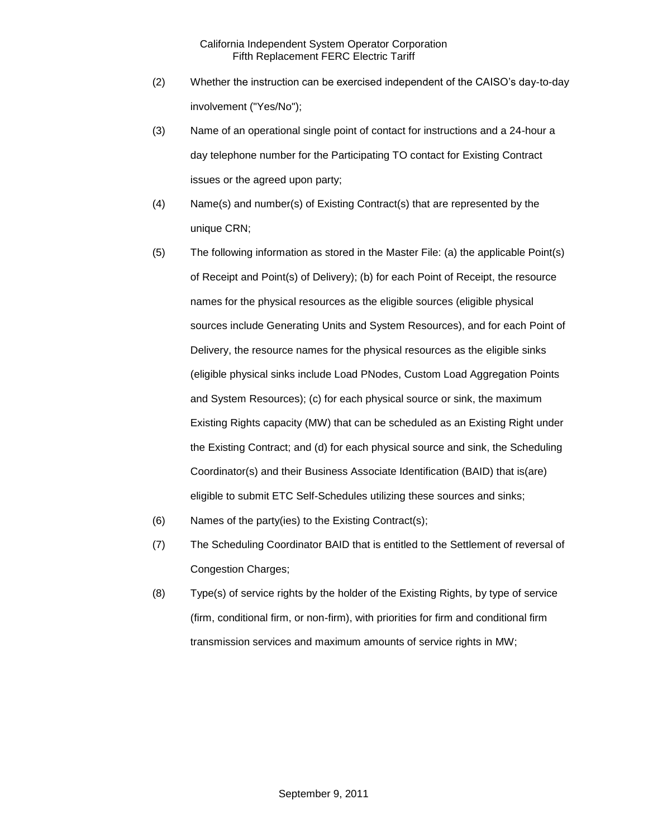- (2) Whether the instruction can be exercised independent of the CAISO's day-to-day involvement ("Yes/No");
- (3) Name of an operational single point of contact for instructions and a 24-hour a day telephone number for the Participating TO contact for Existing Contract issues or the agreed upon party;
- (4) Name(s) and number(s) of Existing Contract(s) that are represented by the unique CRN;
- (5) The following information as stored in the Master File: (a) the applicable Point(s) of Receipt and Point(s) of Delivery); (b) for each Point of Receipt, the resource names for the physical resources as the eligible sources (eligible physical sources include Generating Units and System Resources), and for each Point of Delivery, the resource names for the physical resources as the eligible sinks (eligible physical sinks include Load PNodes, Custom Load Aggregation Points and System Resources); (c) for each physical source or sink, the maximum Existing Rights capacity (MW) that can be scheduled as an Existing Right under the Existing Contract; and (d) for each physical source and sink, the Scheduling Coordinator(s) and their Business Associate Identification (BAID) that is(are) eligible to submit ETC Self-Schedules utilizing these sources and sinks;
- (6) Names of the party(ies) to the Existing Contract(s);
- (7) The Scheduling Coordinator BAID that is entitled to the Settlement of reversal of Congestion Charges;
- (8) Type(s) of service rights by the holder of the Existing Rights, by type of service (firm, conditional firm, or non-firm), with priorities for firm and conditional firm transmission services and maximum amounts of service rights in MW;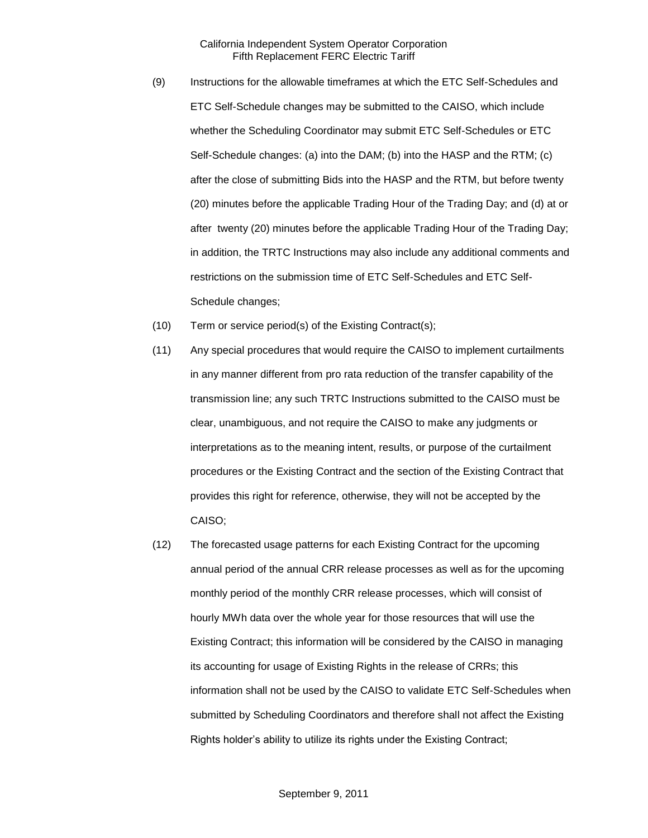- (9) Instructions for the allowable timeframes at which the ETC Self-Schedules and ETC Self-Schedule changes may be submitted to the CAISO, which include whether the Scheduling Coordinator may submit ETC Self-Schedules or ETC Self-Schedule changes: (a) into the DAM; (b) into the HASP and the RTM; (c) after the close of submitting Bids into the HASP and the RTM, but before twenty (20) minutes before the applicable Trading Hour of the Trading Day; and (d) at or after twenty (20) minutes before the applicable Trading Hour of the Trading Day; in addition, the TRTC Instructions may also include any additional comments and restrictions on the submission time of ETC Self-Schedules and ETC Self-Schedule changes;
- (10) Term or service period(s) of the Existing Contract(s);
- (11) Any special procedures that would require the CAISO to implement curtailments in any manner different from pro rata reduction of the transfer capability of the transmission line; any such TRTC Instructions submitted to the CAISO must be clear, unambiguous, and not require the CAISO to make any judgments or interpretations as to the meaning intent, results, or purpose of the curtailment procedures or the Existing Contract and the section of the Existing Contract that provides this right for reference, otherwise, they will not be accepted by the CAISO;
- (12) The forecasted usage patterns for each Existing Contract for the upcoming annual period of the annual CRR release processes as well as for the upcoming monthly period of the monthly CRR release processes, which will consist of hourly MWh data over the whole year for those resources that will use the Existing Contract; this information will be considered by the CAISO in managing its accounting for usage of Existing Rights in the release of CRRs; this information shall not be used by the CAISO to validate ETC Self-Schedules when submitted by Scheduling Coordinators and therefore shall not affect the Existing Rights holder's ability to utilize its rights under the Existing Contract;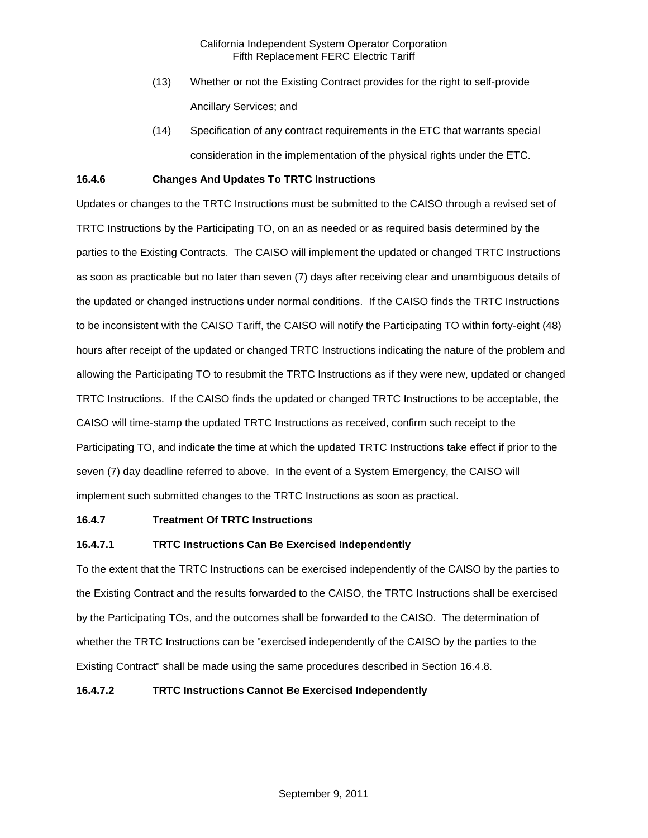- (13) Whether or not the Existing Contract provides for the right to self-provide Ancillary Services; and
- (14) Specification of any contract requirements in the ETC that warrants special consideration in the implementation of the physical rights under the ETC.

### **16.4.6 Changes And Updates To TRTC Instructions**

Updates or changes to the TRTC Instructions must be submitted to the CAISO through a revised set of TRTC Instructions by the Participating TO, on an as needed or as required basis determined by the parties to the Existing Contracts. The CAISO will implement the updated or changed TRTC Instructions as soon as practicable but no later than seven (7) days after receiving clear and unambiguous details of the updated or changed instructions under normal conditions. If the CAISO finds the TRTC Instructions to be inconsistent with the CAISO Tariff, the CAISO will notify the Participating TO within forty-eight (48) hours after receipt of the updated or changed TRTC Instructions indicating the nature of the problem and allowing the Participating TO to resubmit the TRTC Instructions as if they were new, updated or changed TRTC Instructions. If the CAISO finds the updated or changed TRTC Instructions to be acceptable, the CAISO will time-stamp the updated TRTC Instructions as received, confirm such receipt to the Participating TO, and indicate the time at which the updated TRTC Instructions take effect if prior to the seven (7) day deadline referred to above. In the event of a System Emergency, the CAISO will implement such submitted changes to the TRTC Instructions as soon as practical.

#### **16.4.7 Treatment Of TRTC Instructions**

## **16.4.7.1 TRTC Instructions Can Be Exercised Independently**

To the extent that the TRTC Instructions can be exercised independently of the CAISO by the parties to the Existing Contract and the results forwarded to the CAISO, the TRTC Instructions shall be exercised by the Participating TOs, and the outcomes shall be forwarded to the CAISO. The determination of whether the TRTC Instructions can be "exercised independently of the CAISO by the parties to the Existing Contract" shall be made using the same procedures described in Section 16.4.8.

### **16.4.7.2 TRTC Instructions Cannot Be Exercised Independently**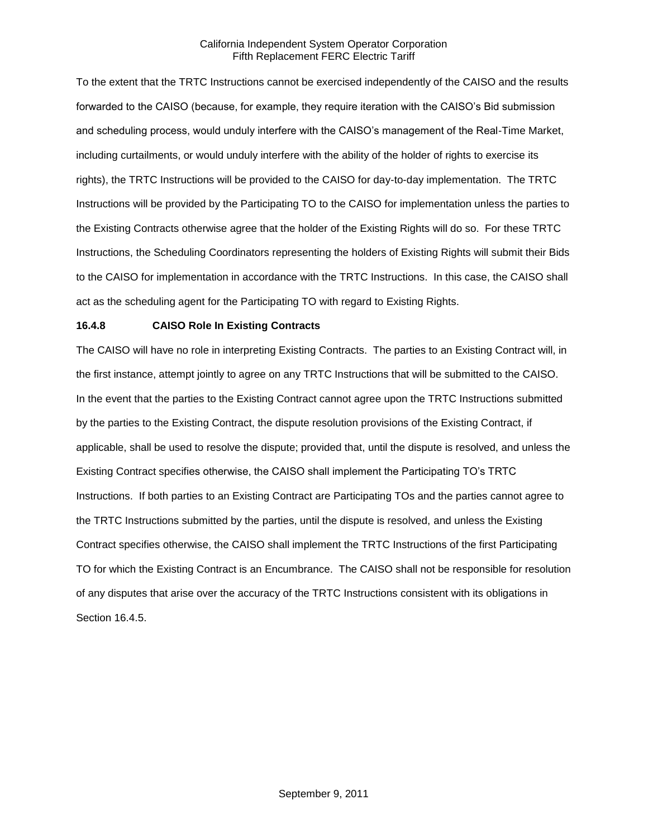To the extent that the TRTC Instructions cannot be exercised independently of the CAISO and the results forwarded to the CAISO (because, for example, they require iteration with the CAISO's Bid submission and scheduling process, would unduly interfere with the CAISO's management of the Real-Time Market, including curtailments, or would unduly interfere with the ability of the holder of rights to exercise its rights), the TRTC Instructions will be provided to the CAISO for day-to-day implementation. The TRTC Instructions will be provided by the Participating TO to the CAISO for implementation unless the parties to the Existing Contracts otherwise agree that the holder of the Existing Rights will do so. For these TRTC Instructions, the Scheduling Coordinators representing the holders of Existing Rights will submit their Bids to the CAISO for implementation in accordance with the TRTC Instructions. In this case, the CAISO shall act as the scheduling agent for the Participating TO with regard to Existing Rights.

### **16.4.8 CAISO Role In Existing Contracts**

The CAISO will have no role in interpreting Existing Contracts. The parties to an Existing Contract will, in the first instance, attempt jointly to agree on any TRTC Instructions that will be submitted to the CAISO. In the event that the parties to the Existing Contract cannot agree upon the TRTC Instructions submitted by the parties to the Existing Contract, the dispute resolution provisions of the Existing Contract, if applicable, shall be used to resolve the dispute; provided that, until the dispute is resolved, and unless the Existing Contract specifies otherwise, the CAISO shall implement the Participating TO's TRTC Instructions. If both parties to an Existing Contract are Participating TOs and the parties cannot agree to the TRTC Instructions submitted by the parties, until the dispute is resolved, and unless the Existing Contract specifies otherwise, the CAISO shall implement the TRTC Instructions of the first Participating TO for which the Existing Contract is an Encumbrance. The CAISO shall not be responsible for resolution of any disputes that arise over the accuracy of the TRTC Instructions consistent with its obligations in Section 16.4.5.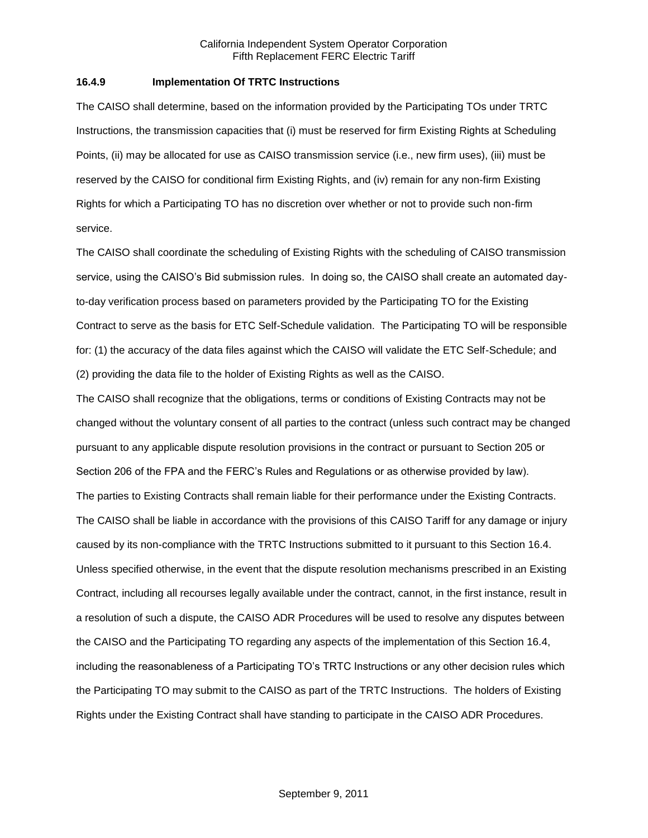#### **16.4.9 Implementation Of TRTC Instructions**

The CAISO shall determine, based on the information provided by the Participating TOs under TRTC Instructions, the transmission capacities that (i) must be reserved for firm Existing Rights at Scheduling Points, (ii) may be allocated for use as CAISO transmission service (i.e., new firm uses), (iii) must be reserved by the CAISO for conditional firm Existing Rights, and (iv) remain for any non-firm Existing Rights for which a Participating TO has no discretion over whether or not to provide such non-firm service.

The CAISO shall coordinate the scheduling of Existing Rights with the scheduling of CAISO transmission service, using the CAISO's Bid submission rules. In doing so, the CAISO shall create an automated dayto-day verification process based on parameters provided by the Participating TO for the Existing Contract to serve as the basis for ETC Self-Schedule validation. The Participating TO will be responsible for: (1) the accuracy of the data files against which the CAISO will validate the ETC Self-Schedule; and (2) providing the data file to the holder of Existing Rights as well as the CAISO.

The CAISO shall recognize that the obligations, terms or conditions of Existing Contracts may not be changed without the voluntary consent of all parties to the contract (unless such contract may be changed pursuant to any applicable dispute resolution provisions in the contract or pursuant to Section 205 or Section 206 of the FPA and the FERC's Rules and Regulations or as otherwise provided by law). The parties to Existing Contracts shall remain liable for their performance under the Existing Contracts. The CAISO shall be liable in accordance with the provisions of this CAISO Tariff for any damage or injury caused by its non-compliance with the TRTC Instructions submitted to it pursuant to this Section 16.4. Unless specified otherwise, in the event that the dispute resolution mechanisms prescribed in an Existing Contract, including all recourses legally available under the contract, cannot, in the first instance, result in a resolution of such a dispute, the CAISO ADR Procedures will be used to resolve any disputes between the CAISO and the Participating TO regarding any aspects of the implementation of this Section 16.4, including the reasonableness of a Participating TO's TRTC Instructions or any other decision rules which the Participating TO may submit to the CAISO as part of the TRTC Instructions. The holders of Existing Rights under the Existing Contract shall have standing to participate in the CAISO ADR Procedures.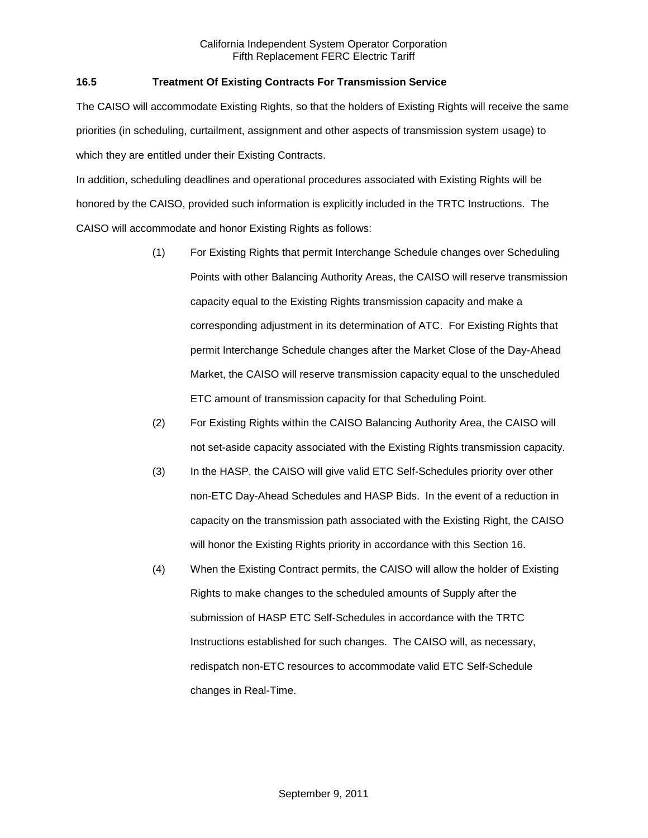## **16.5 Treatment Of Existing Contracts For Transmission Service**

The CAISO will accommodate Existing Rights, so that the holders of Existing Rights will receive the same priorities (in scheduling, curtailment, assignment and other aspects of transmission system usage) to which they are entitled under their Existing Contracts.

In addition, scheduling deadlines and operational procedures associated with Existing Rights will be honored by the CAISO, provided such information is explicitly included in the TRTC Instructions. The CAISO will accommodate and honor Existing Rights as follows:

- (1) For Existing Rights that permit Interchange Schedule changes over Scheduling Points with other Balancing Authority Areas, the CAISO will reserve transmission capacity equal to the Existing Rights transmission capacity and make a corresponding adjustment in its determination of ATC. For Existing Rights that permit Interchange Schedule changes after the Market Close of the Day-Ahead Market, the CAISO will reserve transmission capacity equal to the unscheduled ETC amount of transmission capacity for that Scheduling Point.
- (2) For Existing Rights within the CAISO Balancing Authority Area, the CAISO will not set-aside capacity associated with the Existing Rights transmission capacity.
- (3) In the HASP, the CAISO will give valid ETC Self-Schedules priority over other non-ETC Day-Ahead Schedules and HASP Bids. In the event of a reduction in capacity on the transmission path associated with the Existing Right, the CAISO will honor the Existing Rights priority in accordance with this Section 16.
- (4) When the Existing Contract permits, the CAISO will allow the holder of Existing Rights to make changes to the scheduled amounts of Supply after the submission of HASP ETC Self-Schedules in accordance with the TRTC Instructions established for such changes. The CAISO will, as necessary, redispatch non-ETC resources to accommodate valid ETC Self-Schedule changes in Real-Time.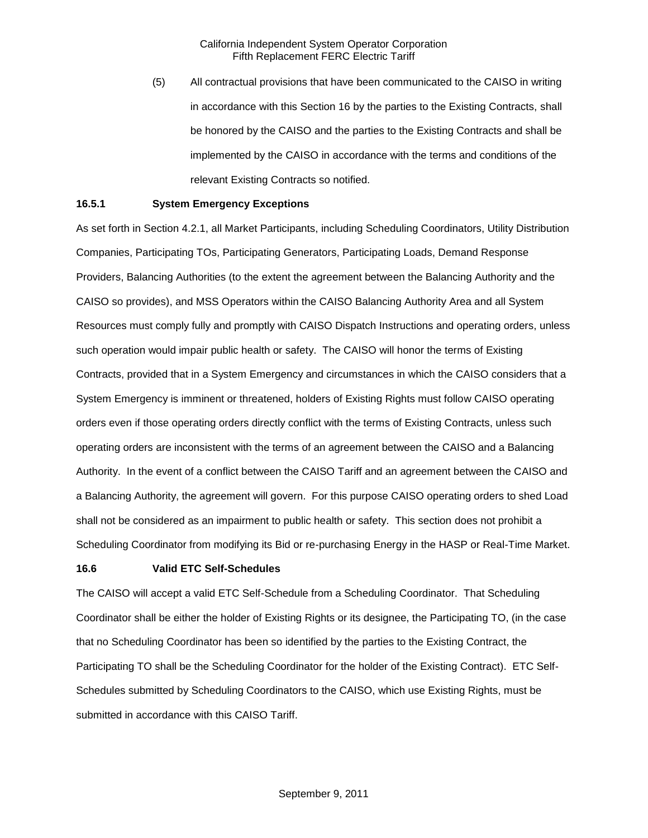(5) All contractual provisions that have been communicated to the CAISO in writing in accordance with this Section 16 by the parties to the Existing Contracts, shall be honored by the CAISO and the parties to the Existing Contracts and shall be implemented by the CAISO in accordance with the terms and conditions of the relevant Existing Contracts so notified.

#### **16.5.1 System Emergency Exceptions**

As set forth in Section 4.2.1, all Market Participants, including Scheduling Coordinators, Utility Distribution Companies, Participating TOs, Participating Generators, Participating Loads, Demand Response Providers, Balancing Authorities (to the extent the agreement between the Balancing Authority and the CAISO so provides), and MSS Operators within the CAISO Balancing Authority Area and all System Resources must comply fully and promptly with CAISO Dispatch Instructions and operating orders, unless such operation would impair public health or safety. The CAISO will honor the terms of Existing Contracts, provided that in a System Emergency and circumstances in which the CAISO considers that a System Emergency is imminent or threatened, holders of Existing Rights must follow CAISO operating orders even if those operating orders directly conflict with the terms of Existing Contracts, unless such operating orders are inconsistent with the terms of an agreement between the CAISO and a Balancing Authority. In the event of a conflict between the CAISO Tariff and an agreement between the CAISO and a Balancing Authority, the agreement will govern. For this purpose CAISO operating orders to shed Load shall not be considered as an impairment to public health or safety. This section does not prohibit a Scheduling Coordinator from modifying its Bid or re-purchasing Energy in the HASP or Real-Time Market.

#### **16.6 Valid ETC Self-Schedules**

The CAISO will accept a valid ETC Self-Schedule from a Scheduling Coordinator. That Scheduling Coordinator shall be either the holder of Existing Rights or its designee, the Participating TO, (in the case that no Scheduling Coordinator has been so identified by the parties to the Existing Contract, the Participating TO shall be the Scheduling Coordinator for the holder of the Existing Contract). ETC Self-Schedules submitted by Scheduling Coordinators to the CAISO, which use Existing Rights, must be submitted in accordance with this CAISO Tariff.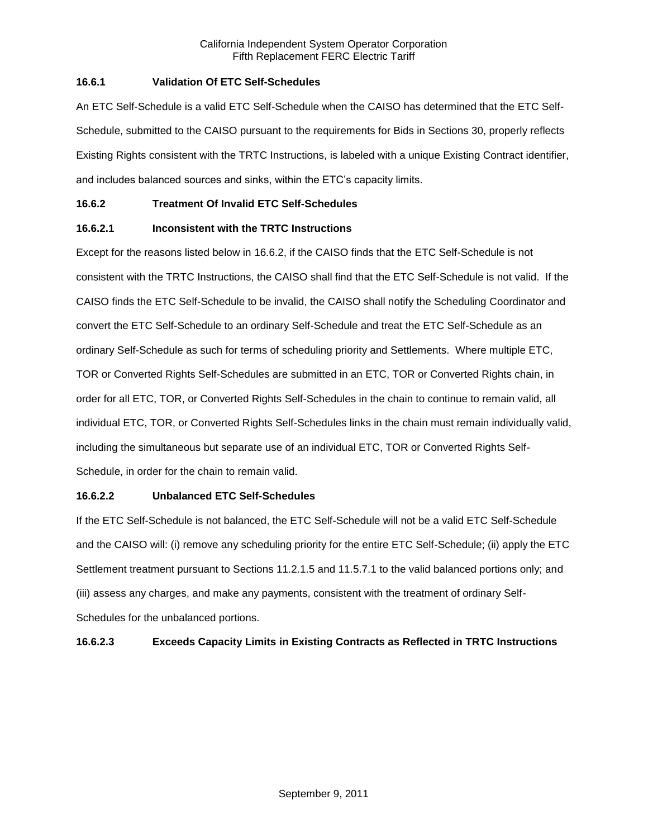## **16.6.1 Validation Of ETC Self-Schedules**

An ETC Self-Schedule is a valid ETC Self-Schedule when the CAISO has determined that the ETC Self-Schedule, submitted to the CAISO pursuant to the requirements for Bids in Sections 30, properly reflects Existing Rights consistent with the TRTC Instructions, is labeled with a unique Existing Contract identifier, and includes balanced sources and sinks, within the ETC's capacity limits.

## **16.6.2 Treatment Of Invalid ETC Self-Schedules**

## **16.6.2.1 Inconsistent with the TRTC Instructions**

Except for the reasons listed below in 16.6.2, if the CAISO finds that the ETC Self-Schedule is not consistent with the TRTC Instructions, the CAISO shall find that the ETC Self-Schedule is not valid. If the CAISO finds the ETC Self-Schedule to be invalid, the CAISO shall notify the Scheduling Coordinator and convert the ETC Self-Schedule to an ordinary Self-Schedule and treat the ETC Self-Schedule as an ordinary Self-Schedule as such for terms of scheduling priority and Settlements. Where multiple ETC, TOR or Converted Rights Self-Schedules are submitted in an ETC, TOR or Converted Rights chain, in order for all ETC, TOR, or Converted Rights Self-Schedules in the chain to continue to remain valid, all individual ETC, TOR, or Converted Rights Self-Schedules links in the chain must remain individually valid, including the simultaneous but separate use of an individual ETC, TOR or Converted Rights Self-Schedule, in order for the chain to remain valid.

## **16.6.2.2 Unbalanced ETC Self-Schedules**

If the ETC Self-Schedule is not balanced, the ETC Self-Schedule will not be a valid ETC Self-Schedule and the CAISO will: (i) remove any scheduling priority for the entire ETC Self-Schedule; (ii) apply the ETC Settlement treatment pursuant to Sections 11.2.1.5 and 11.5.7.1 to the valid balanced portions only; and (iii) assess any charges, and make any payments, consistent with the treatment of ordinary Self-Schedules for the unbalanced portions.

## **16.6.2.3 Exceeds Capacity Limits in Existing Contracts as Reflected in TRTC Instructions**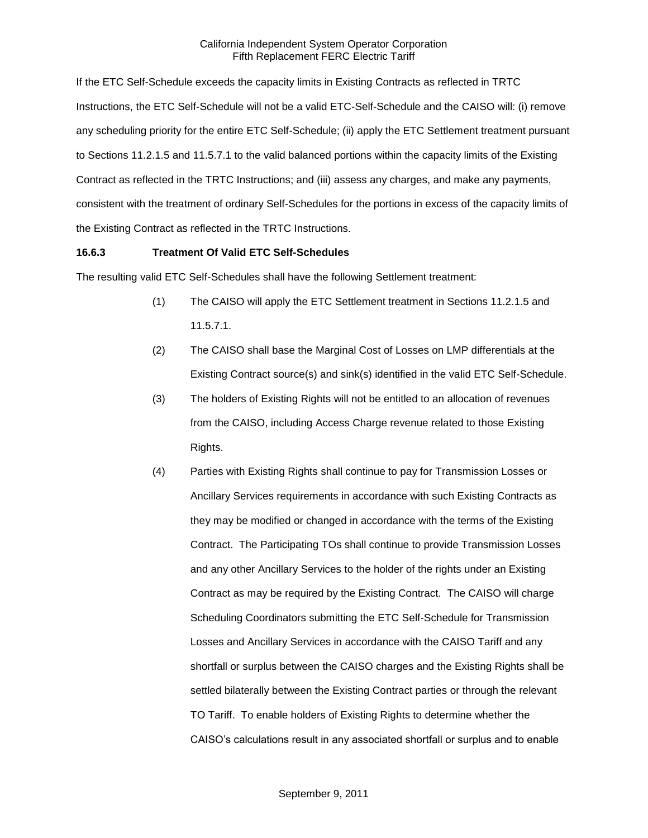If the ETC Self-Schedule exceeds the capacity limits in Existing Contracts as reflected in TRTC Instructions, the ETC Self-Schedule will not be a valid ETC-Self-Schedule and the CAISO will: (i) remove any scheduling priority for the entire ETC Self-Schedule; (ii) apply the ETC Settlement treatment pursuant to Sections 11.2.1.5 and 11.5.7.1 to the valid balanced portions within the capacity limits of the Existing Contract as reflected in the TRTC Instructions; and (iii) assess any charges, and make any payments, consistent with the treatment of ordinary Self-Schedules for the portions in excess of the capacity limits of the Existing Contract as reflected in the TRTC Instructions.

#### **16.6.3 Treatment Of Valid ETC Self-Schedules**

The resulting valid ETC Self-Schedules shall have the following Settlement treatment:

- (1) The CAISO will apply the ETC Settlement treatment in Sections 11.2.1.5 and 11.5.7.1.
- (2) The CAISO shall base the Marginal Cost of Losses on LMP differentials at the Existing Contract source(s) and sink(s) identified in the valid ETC Self-Schedule.
- (3) The holders of Existing Rights will not be entitled to an allocation of revenues from the CAISO, including Access Charge revenue related to those Existing Rights.
- (4) Parties with Existing Rights shall continue to pay for Transmission Losses or Ancillary Services requirements in accordance with such Existing Contracts as they may be modified or changed in accordance with the terms of the Existing Contract. The Participating TOs shall continue to provide Transmission Losses and any other Ancillary Services to the holder of the rights under an Existing Contract as may be required by the Existing Contract. The CAISO will charge Scheduling Coordinators submitting the ETC Self-Schedule for Transmission Losses and Ancillary Services in accordance with the CAISO Tariff and any shortfall or surplus between the CAISO charges and the Existing Rights shall be settled bilaterally between the Existing Contract parties or through the relevant TO Tariff. To enable holders of Existing Rights to determine whether the CAISO's calculations result in any associated shortfall or surplus and to enable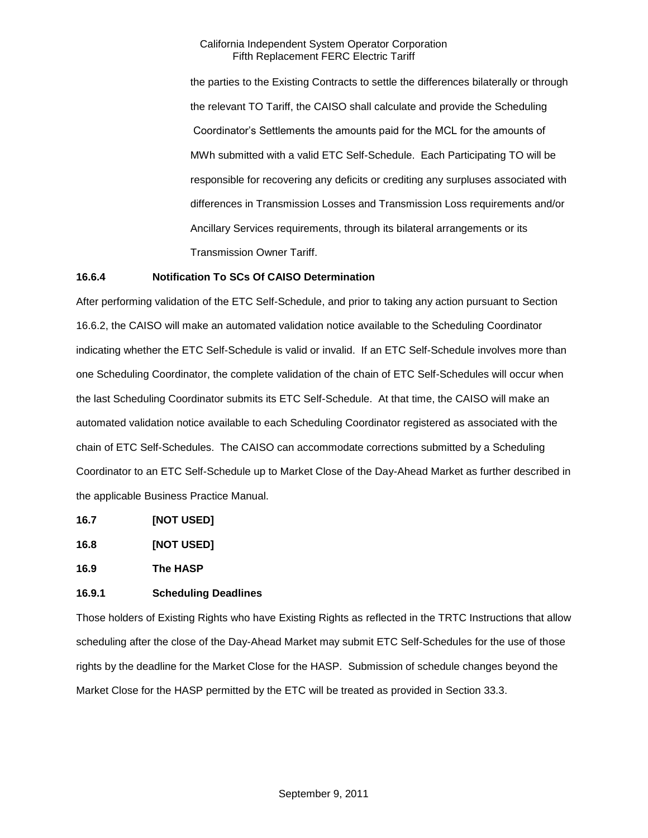the parties to the Existing Contracts to settle the differences bilaterally or through the relevant TO Tariff, the CAISO shall calculate and provide the Scheduling Coordinator's Settlements the amounts paid for the MCL for the amounts of MWh submitted with a valid ETC Self-Schedule. Each Participating TO will be responsible for recovering any deficits or crediting any surpluses associated with differences in Transmission Losses and Transmission Loss requirements and/or Ancillary Services requirements, through its bilateral arrangements or its Transmission Owner Tariff.

#### **16.6.4 Notification To SCs Of CAISO Determination**

After performing validation of the ETC Self-Schedule, and prior to taking any action pursuant to Section 16.6.2, the CAISO will make an automated validation notice available to the Scheduling Coordinator indicating whether the ETC Self-Schedule is valid or invalid. If an ETC Self-Schedule involves more than one Scheduling Coordinator, the complete validation of the chain of ETC Self-Schedules will occur when the last Scheduling Coordinator submits its ETC Self-Schedule. At that time, the CAISO will make an automated validation notice available to each Scheduling Coordinator registered as associated with the chain of ETC Self-Schedules. The CAISO can accommodate corrections submitted by a Scheduling Coordinator to an ETC Self-Schedule up to Market Close of the Day-Ahead Market as further described in the applicable Business Practice Manual.

- **16.7 [NOT USED]**
- **16.8 [NOT USED]**

**16.9 The HASP**

## **16.9.1 Scheduling Deadlines**

Those holders of Existing Rights who have Existing Rights as reflected in the TRTC Instructions that allow scheduling after the close of the Day-Ahead Market may submit ETC Self-Schedules for the use of those rights by the deadline for the Market Close for the HASP. Submission of schedule changes beyond the Market Close for the HASP permitted by the ETC will be treated as provided in Section 33.3.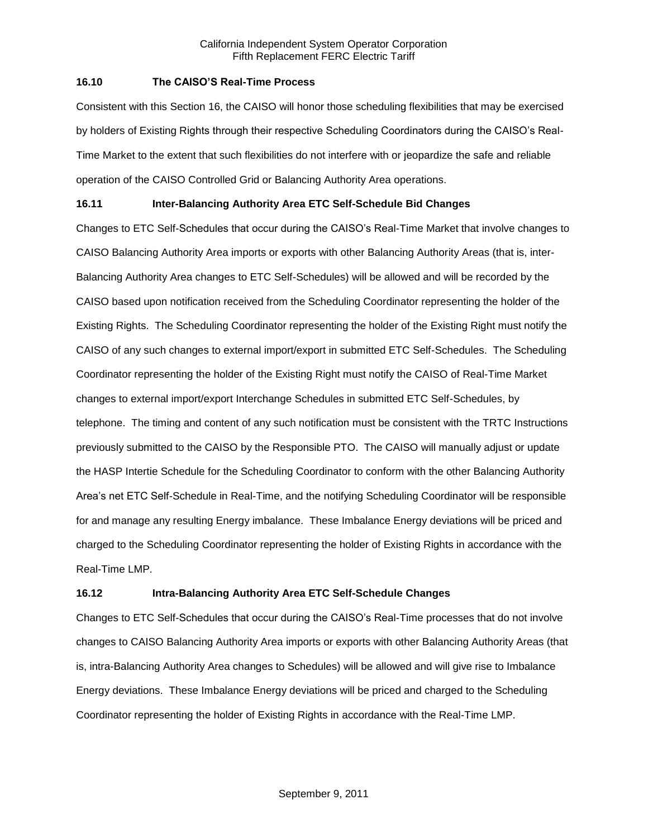### **16.10 The CAISO'S Real-Time Process**

Consistent with this Section 16, the CAISO will honor those scheduling flexibilities that may be exercised by holders of Existing Rights through their respective Scheduling Coordinators during the CAISO's Real-Time Market to the extent that such flexibilities do not interfere with or jeopardize the safe and reliable operation of the CAISO Controlled Grid or Balancing Authority Area operations.

## **16.11 Inter-Balancing Authority Area ETC Self-Schedule Bid Changes**

Changes to ETC Self-Schedules that occur during the CAISO's Real-Time Market that involve changes to CAISO Balancing Authority Area imports or exports with other Balancing Authority Areas (that is, inter-Balancing Authority Area changes to ETC Self-Schedules) will be allowed and will be recorded by the CAISO based upon notification received from the Scheduling Coordinator representing the holder of the Existing Rights. The Scheduling Coordinator representing the holder of the Existing Right must notify the CAISO of any such changes to external import/export in submitted ETC Self-Schedules. The Scheduling Coordinator representing the holder of the Existing Right must notify the CAISO of Real-Time Market changes to external import/export Interchange Schedules in submitted ETC Self-Schedules, by telephone. The timing and content of any such notification must be consistent with the TRTC Instructions previously submitted to the CAISO by the Responsible PTO. The CAISO will manually adjust or update the HASP Intertie Schedule for the Scheduling Coordinator to conform with the other Balancing Authority Area's net ETC Self-Schedule in Real-Time, and the notifying Scheduling Coordinator will be responsible for and manage any resulting Energy imbalance. These Imbalance Energy deviations will be priced and charged to the Scheduling Coordinator representing the holder of Existing Rights in accordance with the Real-Time LMP.

## **16.12 Intra-Balancing Authority Area ETC Self-Schedule Changes**

Changes to ETC Self-Schedules that occur during the CAISO's Real-Time processes that do not involve changes to CAISO Balancing Authority Area imports or exports with other Balancing Authority Areas (that is, intra-Balancing Authority Area changes to Schedules) will be allowed and will give rise to Imbalance Energy deviations. These Imbalance Energy deviations will be priced and charged to the Scheduling Coordinator representing the holder of Existing Rights in accordance with the Real-Time LMP.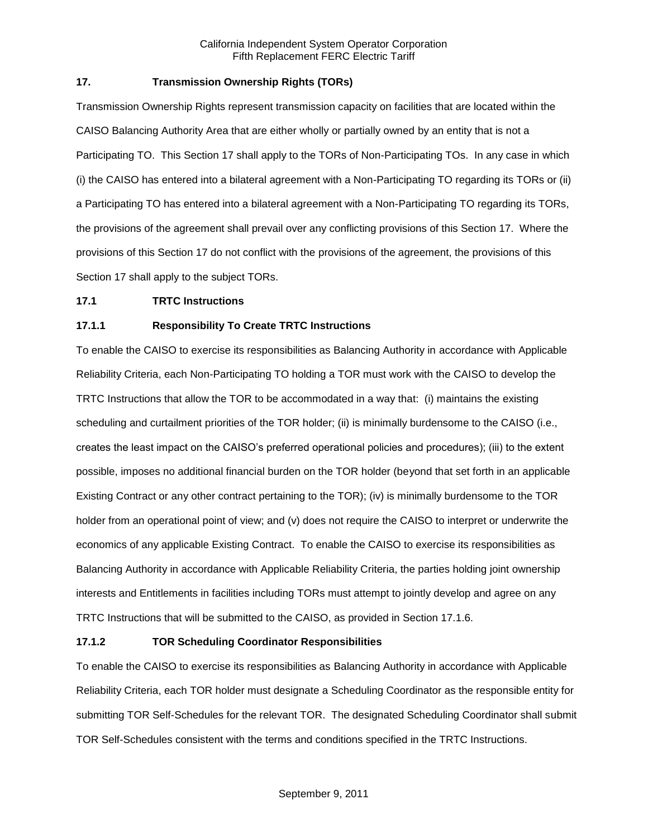## **17. Transmission Ownership Rights (TORs)**

Transmission Ownership Rights represent transmission capacity on facilities that are located within the CAISO Balancing Authority Area that are either wholly or partially owned by an entity that is not a Participating TO. This Section 17 shall apply to the TORs of Non-Participating TOs. In any case in which (i) the CAISO has entered into a bilateral agreement with a Non-Participating TO regarding its TORs or (ii) a Participating TO has entered into a bilateral agreement with a Non-Participating TO regarding its TORs, the provisions of the agreement shall prevail over any conflicting provisions of this Section 17. Where the provisions of this Section 17 do not conflict with the provisions of the agreement, the provisions of this Section 17 shall apply to the subject TORs.

#### **17.1 TRTC Instructions**

## **17.1.1 Responsibility To Create TRTC Instructions**

To enable the CAISO to exercise its responsibilities as Balancing Authority in accordance with Applicable Reliability Criteria, each Non-Participating TO holding a TOR must work with the CAISO to develop the TRTC Instructions that allow the TOR to be accommodated in a way that: (i) maintains the existing scheduling and curtailment priorities of the TOR holder; (ii) is minimally burdensome to the CAISO (i.e., creates the least impact on the CAISO's preferred operational policies and procedures); (iii) to the extent possible, imposes no additional financial burden on the TOR holder (beyond that set forth in an applicable Existing Contract or any other contract pertaining to the TOR); (iv) is minimally burdensome to the TOR holder from an operational point of view; and (v) does not require the CAISO to interpret or underwrite the economics of any applicable Existing Contract. To enable the CAISO to exercise its responsibilities as Balancing Authority in accordance with Applicable Reliability Criteria, the parties holding joint ownership interests and Entitlements in facilities including TORs must attempt to jointly develop and agree on any TRTC Instructions that will be submitted to the CAISO, as provided in Section 17.1.6.

#### **17.1.2 TOR Scheduling Coordinator Responsibilities**

To enable the CAISO to exercise its responsibilities as Balancing Authority in accordance with Applicable Reliability Criteria, each TOR holder must designate a Scheduling Coordinator as the responsible entity for submitting TOR Self-Schedules for the relevant TOR. The designated Scheduling Coordinator shall submit TOR Self-Schedules consistent with the terms and conditions specified in the TRTC Instructions.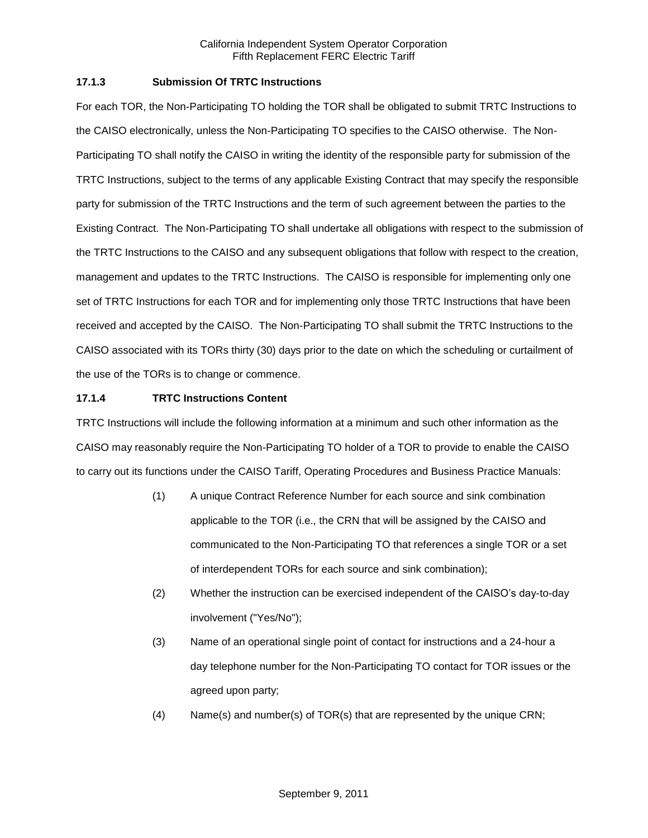## **17.1.3 Submission Of TRTC Instructions**

For each TOR, the Non-Participating TO holding the TOR shall be obligated to submit TRTC Instructions to the CAISO electronically, unless the Non-Participating TO specifies to the CAISO otherwise. The Non-Participating TO shall notify the CAISO in writing the identity of the responsible party for submission of the TRTC Instructions, subject to the terms of any applicable Existing Contract that may specify the responsible party for submission of the TRTC Instructions and the term of such agreement between the parties to the Existing Contract. The Non-Participating TO shall undertake all obligations with respect to the submission of the TRTC Instructions to the CAISO and any subsequent obligations that follow with respect to the creation, management and updates to the TRTC Instructions. The CAISO is responsible for implementing only one set of TRTC Instructions for each TOR and for implementing only those TRTC Instructions that have been received and accepted by the CAISO. The Non-Participating TO shall submit the TRTC Instructions to the CAISO associated with its TORs thirty (30) days prior to the date on which the scheduling or curtailment of the use of the TORs is to change or commence.

### **17.1.4 TRTC Instructions Content**

TRTC Instructions will include the following information at a minimum and such other information as the CAISO may reasonably require the Non-Participating TO holder of a TOR to provide to enable the CAISO to carry out its functions under the CAISO Tariff, Operating Procedures and Business Practice Manuals:

- (1) A unique Contract Reference Number for each source and sink combination applicable to the TOR (i.e., the CRN that will be assigned by the CAISO and communicated to the Non-Participating TO that references a single TOR or a set of interdependent TORs for each source and sink combination);
- (2) Whether the instruction can be exercised independent of the CAISO's day-to-day involvement ("Yes/No");
- (3) Name of an operational single point of contact for instructions and a 24-hour a day telephone number for the Non-Participating TO contact for TOR issues or the agreed upon party;
- (4) Name(s) and number(s) of TOR(s) that are represented by the unique CRN;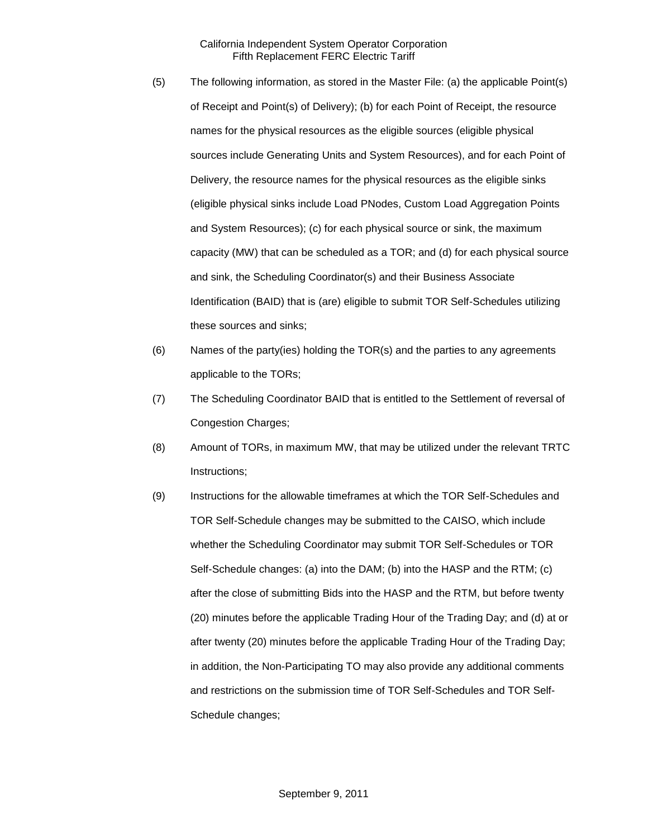- (5) The following information, as stored in the Master File: (a) the applicable Point(s) of Receipt and Point(s) of Delivery); (b) for each Point of Receipt, the resource names for the physical resources as the eligible sources (eligible physical sources include Generating Units and System Resources), and for each Point of Delivery, the resource names for the physical resources as the eligible sinks (eligible physical sinks include Load PNodes, Custom Load Aggregation Points and System Resources); (c) for each physical source or sink, the maximum capacity (MW) that can be scheduled as a TOR; and (d) for each physical source and sink, the Scheduling Coordinator(s) and their Business Associate Identification (BAID) that is (are) eligible to submit TOR Self-Schedules utilizing these sources and sinks;
- (6) Names of the party(ies) holding the TOR(s) and the parties to any agreements applicable to the TORs;
- (7) The Scheduling Coordinator BAID that is entitled to the Settlement of reversal of Congestion Charges;
- (8) Amount of TORs, in maximum MW, that may be utilized under the relevant TRTC Instructions;
- (9) Instructions for the allowable timeframes at which the TOR Self-Schedules and TOR Self-Schedule changes may be submitted to the CAISO, which include whether the Scheduling Coordinator may submit TOR Self-Schedules or TOR Self-Schedule changes: (a) into the DAM; (b) into the HASP and the RTM; (c) after the close of submitting Bids into the HASP and the RTM, but before twenty (20) minutes before the applicable Trading Hour of the Trading Day; and (d) at or after twenty (20) minutes before the applicable Trading Hour of the Trading Day; in addition, the Non-Participating TO may also provide any additional comments and restrictions on the submission time of TOR Self-Schedules and TOR Self-Schedule changes;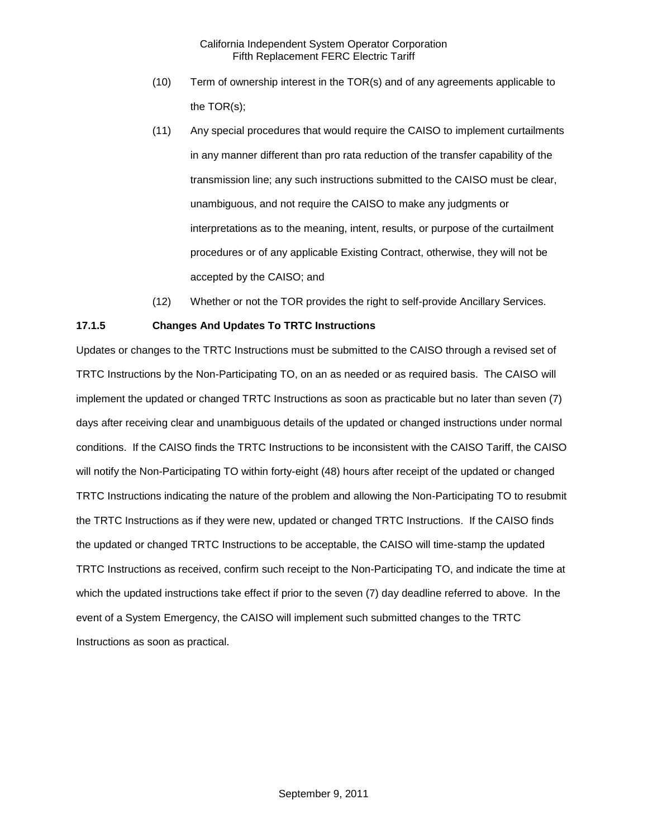- (10) Term of ownership interest in the TOR(s) and of any agreements applicable to the TOR(s);
- (11) Any special procedures that would require the CAISO to implement curtailments in any manner different than pro rata reduction of the transfer capability of the transmission line; any such instructions submitted to the CAISO must be clear, unambiguous, and not require the CAISO to make any judgments or interpretations as to the meaning, intent, results, or purpose of the curtailment procedures or of any applicable Existing Contract, otherwise, they will not be accepted by the CAISO; and
- (12) Whether or not the TOR provides the right to self-provide Ancillary Services.

## **17.1.5 Changes And Updates To TRTC Instructions**

Updates or changes to the TRTC Instructions must be submitted to the CAISO through a revised set of TRTC Instructions by the Non-Participating TO, on an as needed or as required basis. The CAISO will implement the updated or changed TRTC Instructions as soon as practicable but no later than seven (7) days after receiving clear and unambiguous details of the updated or changed instructions under normal conditions. If the CAISO finds the TRTC Instructions to be inconsistent with the CAISO Tariff, the CAISO will notify the Non-Participating TO within forty-eight (48) hours after receipt of the updated or changed TRTC Instructions indicating the nature of the problem and allowing the Non-Participating TO to resubmit the TRTC Instructions as if they were new, updated or changed TRTC Instructions. If the CAISO finds the updated or changed TRTC Instructions to be acceptable, the CAISO will time-stamp the updated TRTC Instructions as received, confirm such receipt to the Non-Participating TO, and indicate the time at which the updated instructions take effect if prior to the seven (7) day deadline referred to above. In the event of a System Emergency, the CAISO will implement such submitted changes to the TRTC Instructions as soon as practical.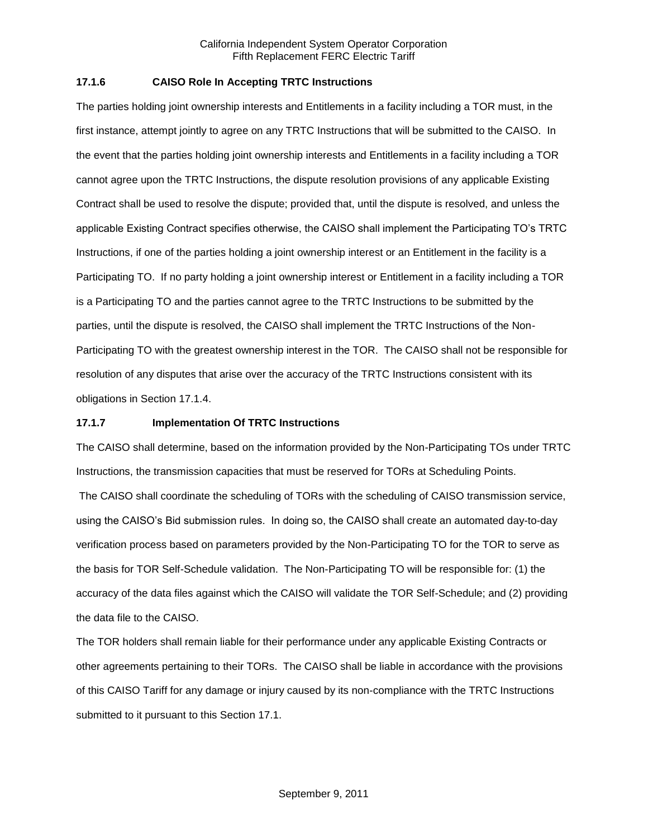### **17.1.6 CAISO Role In Accepting TRTC Instructions**

The parties holding joint ownership interests and Entitlements in a facility including a TOR must, in the first instance, attempt jointly to agree on any TRTC Instructions that will be submitted to the CAISO. In the event that the parties holding joint ownership interests and Entitlements in a facility including a TOR cannot agree upon the TRTC Instructions, the dispute resolution provisions of any applicable Existing Contract shall be used to resolve the dispute; provided that, until the dispute is resolved, and unless the applicable Existing Contract specifies otherwise, the CAISO shall implement the Participating TO's TRTC Instructions, if one of the parties holding a joint ownership interest or an Entitlement in the facility is a Participating TO. If no party holding a joint ownership interest or Entitlement in a facility including a TOR is a Participating TO and the parties cannot agree to the TRTC Instructions to be submitted by the parties, until the dispute is resolved, the CAISO shall implement the TRTC Instructions of the Non-Participating TO with the greatest ownership interest in the TOR. The CAISO shall not be responsible for resolution of any disputes that arise over the accuracy of the TRTC Instructions consistent with its obligations in Section 17.1.4.

#### **17.1.7 Implementation Of TRTC Instructions**

The CAISO shall determine, based on the information provided by the Non-Participating TOs under TRTC Instructions, the transmission capacities that must be reserved for TORs at Scheduling Points.

The CAISO shall coordinate the scheduling of TORs with the scheduling of CAISO transmission service, using the CAISO's Bid submission rules. In doing so, the CAISO shall create an automated day-to-day verification process based on parameters provided by the Non-Participating TO for the TOR to serve as the basis for TOR Self-Schedule validation. The Non-Participating TO will be responsible for: (1) the accuracy of the data files against which the CAISO will validate the TOR Self-Schedule; and (2) providing the data file to the CAISO.

The TOR holders shall remain liable for their performance under any applicable Existing Contracts or other agreements pertaining to their TORs. The CAISO shall be liable in accordance with the provisions of this CAISO Tariff for any damage or injury caused by its non-compliance with the TRTC Instructions submitted to it pursuant to this Section 17.1.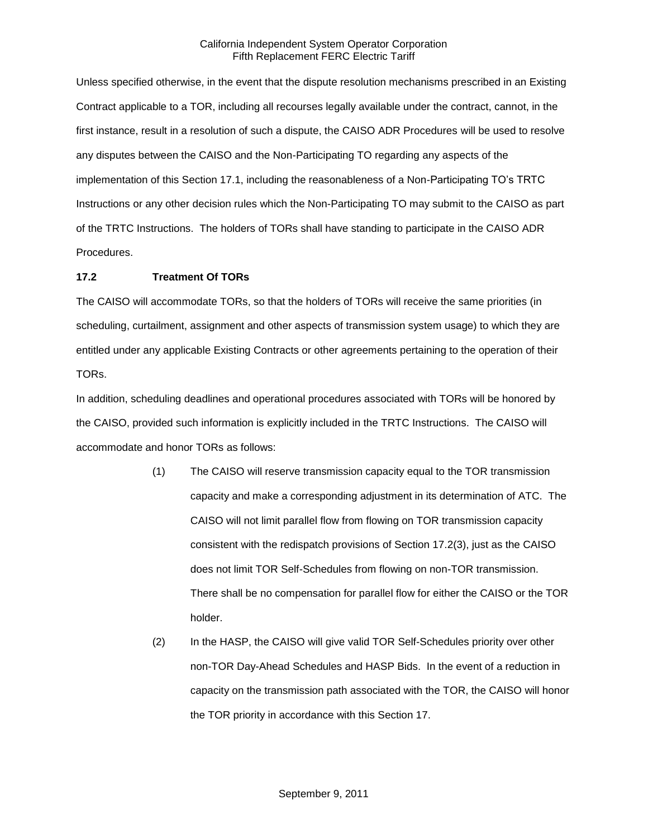Unless specified otherwise, in the event that the dispute resolution mechanisms prescribed in an Existing Contract applicable to a TOR, including all recourses legally available under the contract, cannot, in the first instance, result in a resolution of such a dispute, the CAISO ADR Procedures will be used to resolve any disputes between the CAISO and the Non-Participating TO regarding any aspects of the implementation of this Section 17.1, including the reasonableness of a Non-Participating TO's TRTC Instructions or any other decision rules which the Non-Participating TO may submit to the CAISO as part of the TRTC Instructions. The holders of TORs shall have standing to participate in the CAISO ADR Procedures.

### **17.2 Treatment Of TORs**

The CAISO will accommodate TORs, so that the holders of TORs will receive the same priorities (in scheduling, curtailment, assignment and other aspects of transmission system usage) to which they are entitled under any applicable Existing Contracts or other agreements pertaining to the operation of their TORs.

In addition, scheduling deadlines and operational procedures associated with TORs will be honored by the CAISO, provided such information is explicitly included in the TRTC Instructions. The CAISO will accommodate and honor TORs as follows:

- (1) The CAISO will reserve transmission capacity equal to the TOR transmission capacity and make a corresponding adjustment in its determination of ATC. The CAISO will not limit parallel flow from flowing on TOR transmission capacity consistent with the redispatch provisions of Section 17.2(3), just as the CAISO does not limit TOR Self-Schedules from flowing on non-TOR transmission. There shall be no compensation for parallel flow for either the CAISO or the TOR holder.
- (2) In the HASP, the CAISO will give valid TOR Self-Schedules priority over other non-TOR Day-Ahead Schedules and HASP Bids. In the event of a reduction in capacity on the transmission path associated with the TOR, the CAISO will honor the TOR priority in accordance with this Section 17.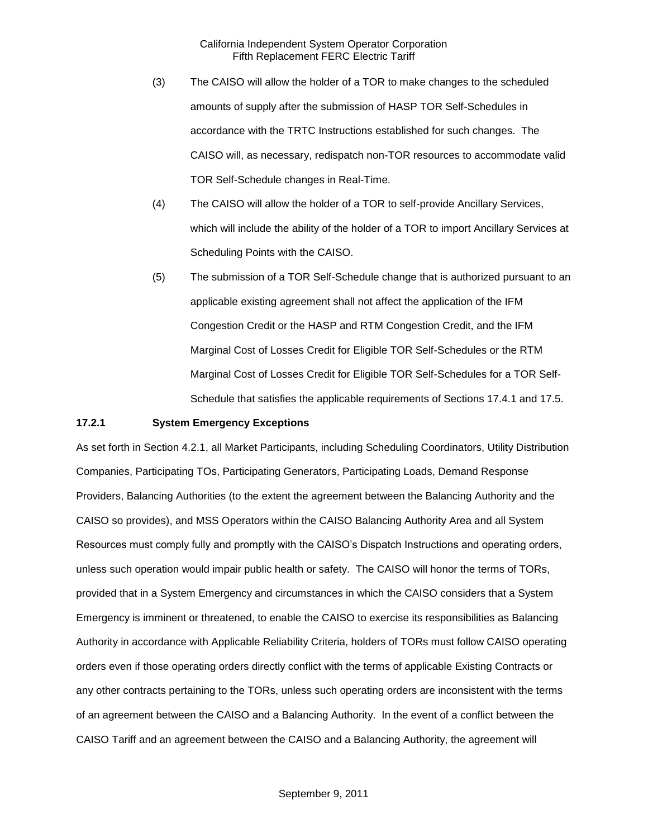- (3) The CAISO will allow the holder of a TOR to make changes to the scheduled amounts of supply after the submission of HASP TOR Self-Schedules in accordance with the TRTC Instructions established for such changes. The CAISO will, as necessary, redispatch non-TOR resources to accommodate valid TOR Self-Schedule changes in Real-Time.
- (4) The CAISO will allow the holder of a TOR to self-provide Ancillary Services, which will include the ability of the holder of a TOR to import Ancillary Services at Scheduling Points with the CAISO.
- (5) The submission of a TOR Self-Schedule change that is authorized pursuant to an applicable existing agreement shall not affect the application of the IFM Congestion Credit or the HASP and RTM Congestion Credit, and the IFM Marginal Cost of Losses Credit for Eligible TOR Self-Schedules or the RTM Marginal Cost of Losses Credit for Eligible TOR Self-Schedules for a TOR Self-Schedule that satisfies the applicable requirements of Sections 17.4.1 and 17.5.

#### **17.2.1 System Emergency Exceptions**

As set forth in Section 4.2.1, all Market Participants, including Scheduling Coordinators, Utility Distribution Companies, Participating TOs, Participating Generators, Participating Loads, Demand Response Providers, Balancing Authorities (to the extent the agreement between the Balancing Authority and the CAISO so provides), and MSS Operators within the CAISO Balancing Authority Area and all System Resources must comply fully and promptly with the CAISO's Dispatch Instructions and operating orders, unless such operation would impair public health or safety. The CAISO will honor the terms of TORs, provided that in a System Emergency and circumstances in which the CAISO considers that a System Emergency is imminent or threatened, to enable the CAISO to exercise its responsibilities as Balancing Authority in accordance with Applicable Reliability Criteria, holders of TORs must follow CAISO operating orders even if those operating orders directly conflict with the terms of applicable Existing Contracts or any other contracts pertaining to the TORs, unless such operating orders are inconsistent with the terms of an agreement between the CAISO and a Balancing Authority. In the event of a conflict between the CAISO Tariff and an agreement between the CAISO and a Balancing Authority, the agreement will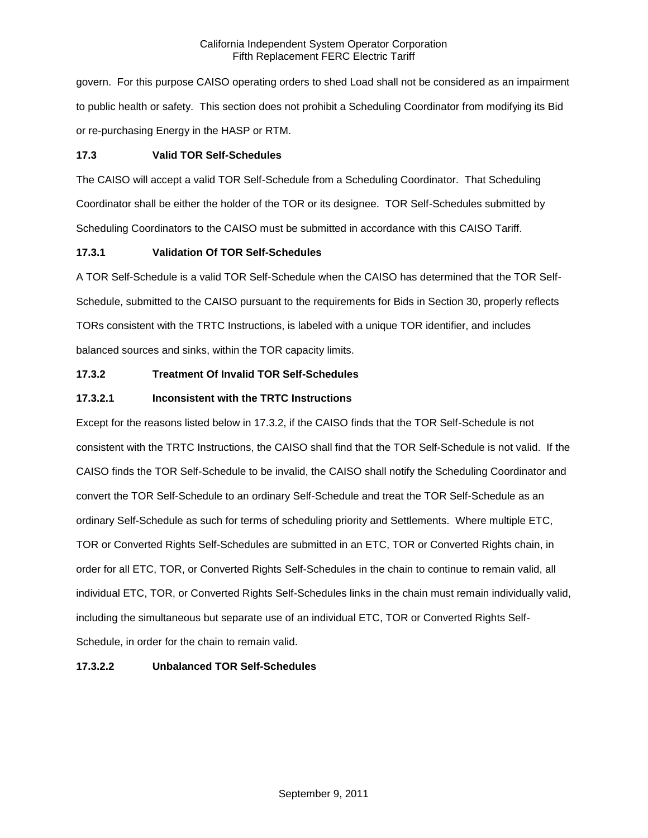govern. For this purpose CAISO operating orders to shed Load shall not be considered as an impairment to public health or safety. This section does not prohibit a Scheduling Coordinator from modifying its Bid or re-purchasing Energy in the HASP or RTM.

## **17.3 Valid TOR Self-Schedules**

The CAISO will accept a valid TOR Self-Schedule from a Scheduling Coordinator. That Scheduling Coordinator shall be either the holder of the TOR or its designee. TOR Self-Schedules submitted by Scheduling Coordinators to the CAISO must be submitted in accordance with this CAISO Tariff.

## **17.3.1 Validation Of TOR Self-Schedules**

A TOR Self-Schedule is a valid TOR Self-Schedule when the CAISO has determined that the TOR Self-Schedule, submitted to the CAISO pursuant to the requirements for Bids in Section 30, properly reflects TORs consistent with the TRTC Instructions, is labeled with a unique TOR identifier, and includes balanced sources and sinks, within the TOR capacity limits.

## **17.3.2 Treatment Of Invalid TOR Self-Schedules**

## **17.3.2.1 Inconsistent with the TRTC Instructions**

Except for the reasons listed below in 17.3.2, if the CAISO finds that the TOR Self-Schedule is not consistent with the TRTC Instructions, the CAISO shall find that the TOR Self-Schedule is not valid. If the CAISO finds the TOR Self-Schedule to be invalid, the CAISO shall notify the Scheduling Coordinator and convert the TOR Self-Schedule to an ordinary Self-Schedule and treat the TOR Self-Schedule as an ordinary Self-Schedule as such for terms of scheduling priority and Settlements. Where multiple ETC, TOR or Converted Rights Self-Schedules are submitted in an ETC, TOR or Converted Rights chain, in order for all ETC, TOR, or Converted Rights Self-Schedules in the chain to continue to remain valid, all individual ETC, TOR, or Converted Rights Self-Schedules links in the chain must remain individually valid, including the simultaneous but separate use of an individual ETC, TOR or Converted Rights Self-Schedule, in order for the chain to remain valid.

## **17.3.2.2 Unbalanced TOR Self-Schedules**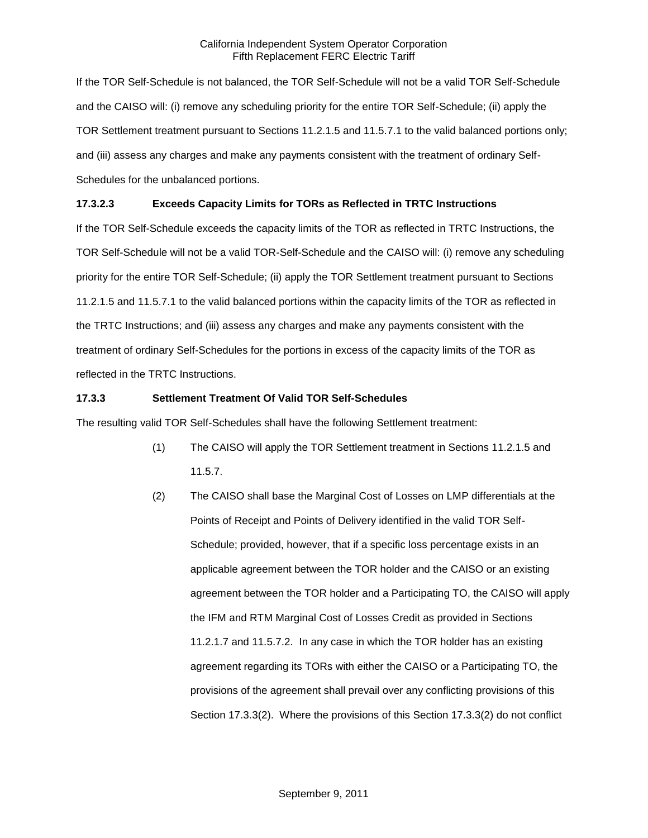If the TOR Self-Schedule is not balanced, the TOR Self-Schedule will not be a valid TOR Self-Schedule and the CAISO will: (i) remove any scheduling priority for the entire TOR Self-Schedule; (ii) apply the TOR Settlement treatment pursuant to Sections 11.2.1.5 and 11.5.7.1 to the valid balanced portions only; and (iii) assess any charges and make any payments consistent with the treatment of ordinary Self-Schedules for the unbalanced portions.

## **17.3.2.3 Exceeds Capacity Limits for TORs as Reflected in TRTC Instructions**

If the TOR Self-Schedule exceeds the capacity limits of the TOR as reflected in TRTC Instructions, the TOR Self-Schedule will not be a valid TOR-Self-Schedule and the CAISO will: (i) remove any scheduling priority for the entire TOR Self-Schedule; (ii) apply the TOR Settlement treatment pursuant to Sections 11.2.1.5 and 11.5.7.1 to the valid balanced portions within the capacity limits of the TOR as reflected in the TRTC Instructions; and (iii) assess any charges and make any payments consistent with the treatment of ordinary Self-Schedules for the portions in excess of the capacity limits of the TOR as reflected in the TRTC Instructions.

## **17.3.3 Settlement Treatment Of Valid TOR Self-Schedules**

The resulting valid TOR Self-Schedules shall have the following Settlement treatment:

- (1) The CAISO will apply the TOR Settlement treatment in Sections 11.2.1.5 and 11.5.7.
- (2) The CAISO shall base the Marginal Cost of Losses on LMP differentials at the Points of Receipt and Points of Delivery identified in the valid TOR Self-Schedule; provided, however, that if a specific loss percentage exists in an applicable agreement between the TOR holder and the CAISO or an existing agreement between the TOR holder and a Participating TO, the CAISO will apply the IFM and RTM Marginal Cost of Losses Credit as provided in Sections 11.2.1.7 and 11.5.7.2. In any case in which the TOR holder has an existing agreement regarding its TORs with either the CAISO or a Participating TO, the provisions of the agreement shall prevail over any conflicting provisions of this Section 17.3.3(2). Where the provisions of this Section 17.3.3(2) do not conflict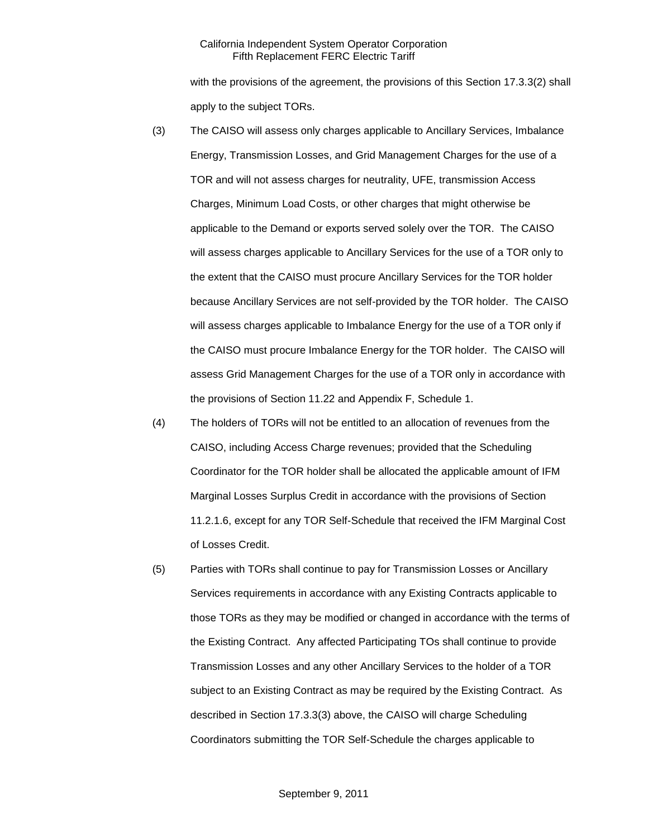with the provisions of the agreement, the provisions of this Section 17.3.3(2) shall apply to the subject TORs.

- (3) The CAISO will assess only charges applicable to Ancillary Services, Imbalance Energy, Transmission Losses, and Grid Management Charges for the use of a TOR and will not assess charges for neutrality, UFE, transmission Access Charges, Minimum Load Costs, or other charges that might otherwise be applicable to the Demand or exports served solely over the TOR. The CAISO will assess charges applicable to Ancillary Services for the use of a TOR only to the extent that the CAISO must procure Ancillary Services for the TOR holder because Ancillary Services are not self-provided by the TOR holder. The CAISO will assess charges applicable to Imbalance Energy for the use of a TOR only if the CAISO must procure Imbalance Energy for the TOR holder. The CAISO will assess Grid Management Charges for the use of a TOR only in accordance with the provisions of Section 11.22 and Appendix F, Schedule 1.
- (4) The holders of TORs will not be entitled to an allocation of revenues from the CAISO, including Access Charge revenues; provided that the Scheduling Coordinator for the TOR holder shall be allocated the applicable amount of IFM Marginal Losses Surplus Credit in accordance with the provisions of Section 11.2.1.6, except for any TOR Self-Schedule that received the IFM Marginal Cost of Losses Credit.
- (5) Parties with TORs shall continue to pay for Transmission Losses or Ancillary Services requirements in accordance with any Existing Contracts applicable to those TORs as they may be modified or changed in accordance with the terms of the Existing Contract. Any affected Participating TOs shall continue to provide Transmission Losses and any other Ancillary Services to the holder of a TOR subject to an Existing Contract as may be required by the Existing Contract. As described in Section 17.3.3(3) above, the CAISO will charge Scheduling Coordinators submitting the TOR Self-Schedule the charges applicable to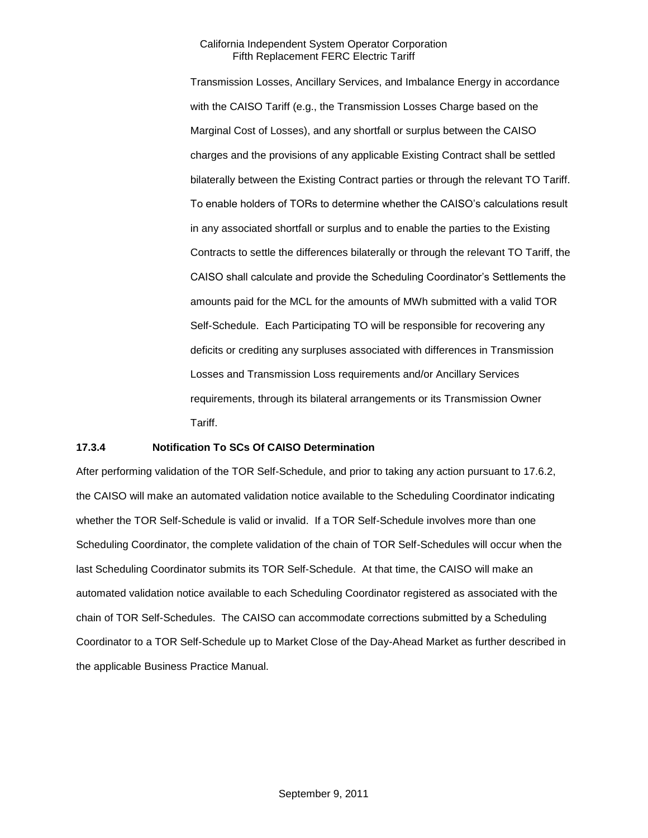Transmission Losses, Ancillary Services, and Imbalance Energy in accordance with the CAISO Tariff (e.g., the Transmission Losses Charge based on the Marginal Cost of Losses), and any shortfall or surplus between the CAISO charges and the provisions of any applicable Existing Contract shall be settled bilaterally between the Existing Contract parties or through the relevant TO Tariff. To enable holders of TORs to determine whether the CAISO's calculations result in any associated shortfall or surplus and to enable the parties to the Existing Contracts to settle the differences bilaterally or through the relevant TO Tariff, the CAISO shall calculate and provide the Scheduling Coordinator's Settlements the amounts paid for the MCL for the amounts of MWh submitted with a valid TOR Self-Schedule. Each Participating TO will be responsible for recovering any deficits or crediting any surpluses associated with differences in Transmission Losses and Transmission Loss requirements and/or Ancillary Services requirements, through its bilateral arrangements or its Transmission Owner Tariff.

#### **17.3.4 Notification To SCs Of CAISO Determination**

After performing validation of the TOR Self-Schedule, and prior to taking any action pursuant to 17.6.2, the CAISO will make an automated validation notice available to the Scheduling Coordinator indicating whether the TOR Self-Schedule is valid or invalid. If a TOR Self-Schedule involves more than one Scheduling Coordinator, the complete validation of the chain of TOR Self-Schedules will occur when the last Scheduling Coordinator submits its TOR Self-Schedule. At that time, the CAISO will make an automated validation notice available to each Scheduling Coordinator registered as associated with the chain of TOR Self-Schedules. The CAISO can accommodate corrections submitted by a Scheduling Coordinator to a TOR Self-Schedule up to Market Close of the Day-Ahead Market as further described in the applicable Business Practice Manual.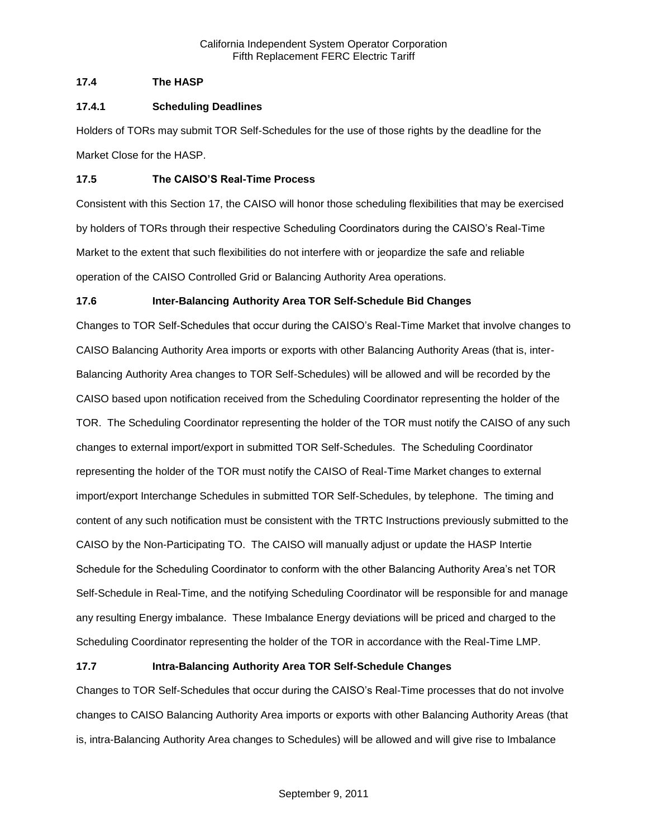## **17.4 The HASP**

### **17.4.1 Scheduling Deadlines**

Holders of TORs may submit TOR Self-Schedules for the use of those rights by the deadline for the Market Close for the HASP.

## **17.5 The CAISO'S Real-Time Process**

Consistent with this Section 17, the CAISO will honor those scheduling flexibilities that may be exercised by holders of TORs through their respective Scheduling Coordinators during the CAISO's Real-Time Market to the extent that such flexibilities do not interfere with or jeopardize the safe and reliable operation of the CAISO Controlled Grid or Balancing Authority Area operations.

## **17.6 Inter-Balancing Authority Area TOR Self-Schedule Bid Changes**

Changes to TOR Self-Schedules that occur during the CAISO's Real-Time Market that involve changes to CAISO Balancing Authority Area imports or exports with other Balancing Authority Areas (that is, inter-Balancing Authority Area changes to TOR Self-Schedules) will be allowed and will be recorded by the CAISO based upon notification received from the Scheduling Coordinator representing the holder of the TOR. The Scheduling Coordinator representing the holder of the TOR must notify the CAISO of any such changes to external import/export in submitted TOR Self-Schedules. The Scheduling Coordinator representing the holder of the TOR must notify the CAISO of Real-Time Market changes to external import/export Interchange Schedules in submitted TOR Self-Schedules, by telephone. The timing and content of any such notification must be consistent with the TRTC Instructions previously submitted to the CAISO by the Non-Participating TO. The CAISO will manually adjust or update the HASP Intertie Schedule for the Scheduling Coordinator to conform with the other Balancing Authority Area's net TOR Self-Schedule in Real-Time, and the notifying Scheduling Coordinator will be responsible for and manage any resulting Energy imbalance. These Imbalance Energy deviations will be priced and charged to the Scheduling Coordinator representing the holder of the TOR in accordance with the Real-Time LMP.

## **17.7 Intra-Balancing Authority Area TOR Self-Schedule Changes**

Changes to TOR Self-Schedules that occur during the CAISO's Real-Time processes that do not involve changes to CAISO Balancing Authority Area imports or exports with other Balancing Authority Areas (that is, intra-Balancing Authority Area changes to Schedules) will be allowed and will give rise to Imbalance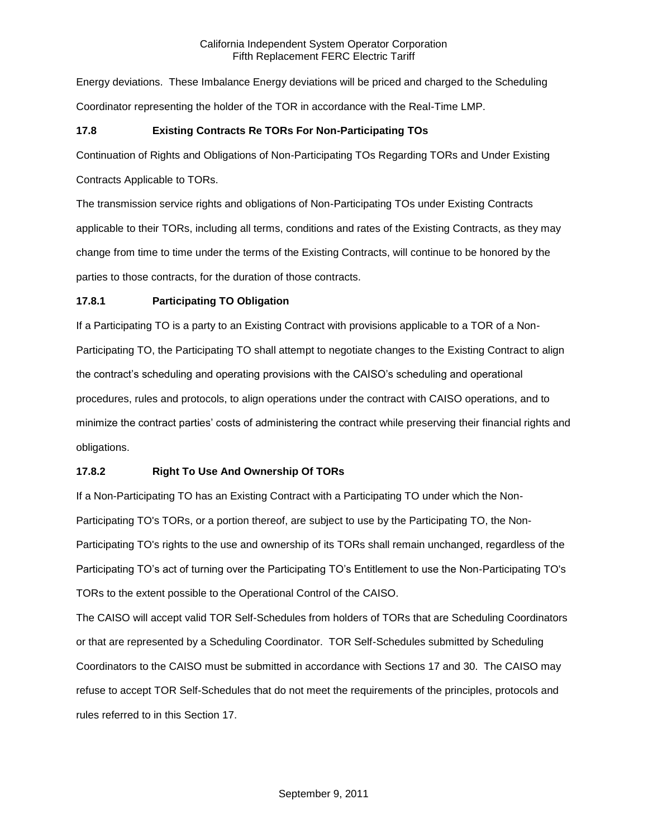Energy deviations. These Imbalance Energy deviations will be priced and charged to the Scheduling Coordinator representing the holder of the TOR in accordance with the Real-Time LMP.

## **17.8 Existing Contracts Re TORs For Non-Participating TOs**

Continuation of Rights and Obligations of Non-Participating TOs Regarding TORs and Under Existing

Contracts Applicable to TORs.

The transmission service rights and obligations of Non-Participating TOs under Existing Contracts applicable to their TORs, including all terms, conditions and rates of the Existing Contracts, as they may change from time to time under the terms of the Existing Contracts, will continue to be honored by the parties to those contracts, for the duration of those contracts.

## **17.8.1 Participating TO Obligation**

If a Participating TO is a party to an Existing Contract with provisions applicable to a TOR of a Non-Participating TO, the Participating TO shall attempt to negotiate changes to the Existing Contract to align the contract's scheduling and operating provisions with the CAISO's scheduling and operational procedures, rules and protocols, to align operations under the contract with CAISO operations, and to minimize the contract parties' costs of administering the contract while preserving their financial rights and obligations.

# **17.8.2 Right To Use And Ownership Of TORs**

If a Non-Participating TO has an Existing Contract with a Participating TO under which the Non-Participating TO's TORs, or a portion thereof, are subject to use by the Participating TO, the Non-Participating TO's rights to the use and ownership of its TORs shall remain unchanged, regardless of the Participating TO's act of turning over the Participating TO's Entitlement to use the Non-Participating TO's TORs to the extent possible to the Operational Control of the CAISO.

The CAISO will accept valid TOR Self-Schedules from holders of TORs that are Scheduling Coordinators or that are represented by a Scheduling Coordinator. TOR Self-Schedules submitted by Scheduling Coordinators to the CAISO must be submitted in accordance with Sections 17 and 30. The CAISO may refuse to accept TOR Self-Schedules that do not meet the requirements of the principles, protocols and rules referred to in this Section 17.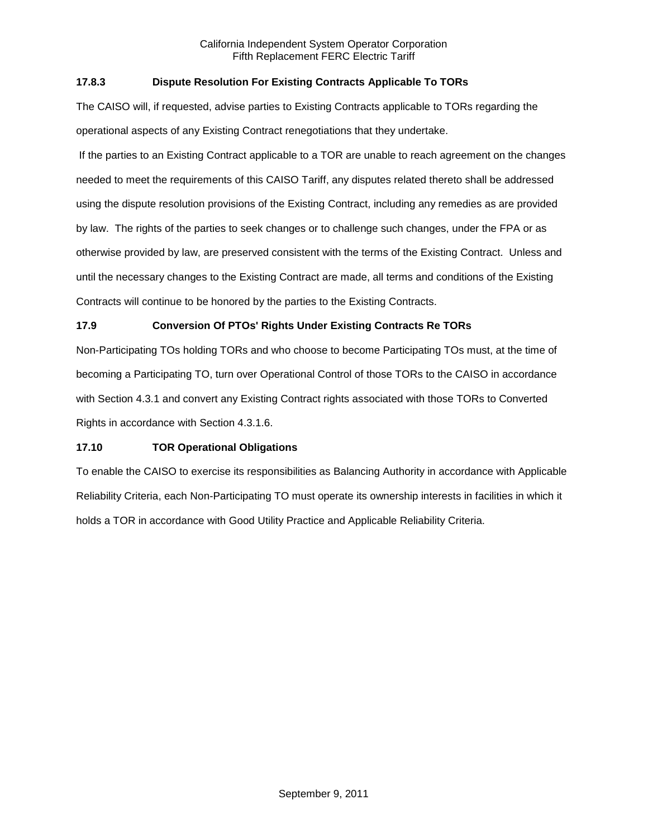## **17.8.3 Dispute Resolution For Existing Contracts Applicable To TORs**

The CAISO will, if requested, advise parties to Existing Contracts applicable to TORs regarding the operational aspects of any Existing Contract renegotiations that they undertake.

If the parties to an Existing Contract applicable to a TOR are unable to reach agreement on the changes needed to meet the requirements of this CAISO Tariff, any disputes related thereto shall be addressed using the dispute resolution provisions of the Existing Contract, including any remedies as are provided by law. The rights of the parties to seek changes or to challenge such changes, under the FPA or as otherwise provided by law, are preserved consistent with the terms of the Existing Contract. Unless and until the necessary changes to the Existing Contract are made, all terms and conditions of the Existing Contracts will continue to be honored by the parties to the Existing Contracts.

### **17.9 Conversion Of PTOs' Rights Under Existing Contracts Re TORs**

Non-Participating TOs holding TORs and who choose to become Participating TOs must, at the time of becoming a Participating TO, turn over Operational Control of those TORs to the CAISO in accordance with Section 4.3.1 and convert any Existing Contract rights associated with those TORs to Converted Rights in accordance with Section 4.3.1.6.

#### **17.10 TOR Operational Obligations**

To enable the CAISO to exercise its responsibilities as Balancing Authority in accordance with Applicable Reliability Criteria, each Non-Participating TO must operate its ownership interests in facilities in which it holds a TOR in accordance with Good Utility Practice and Applicable Reliability Criteria.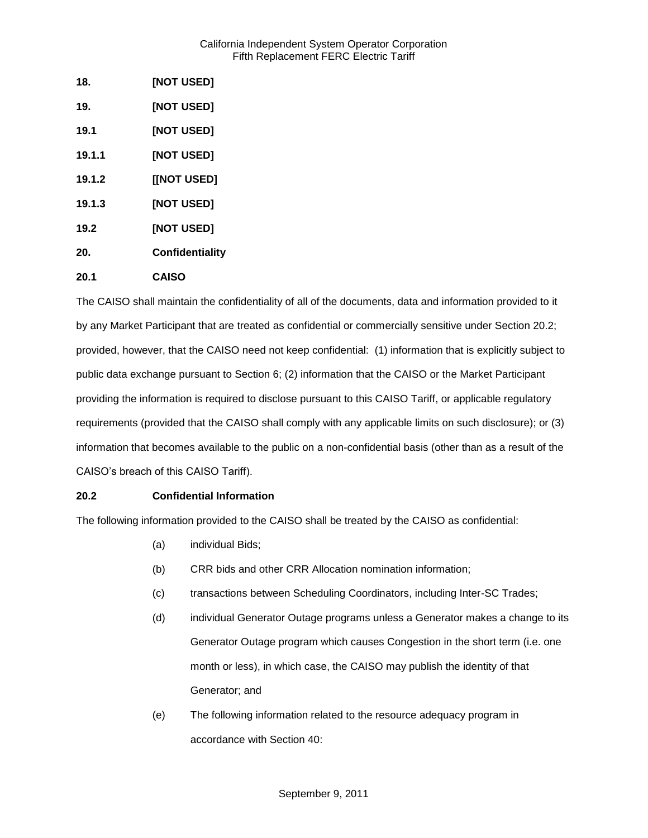| 18.    | [NOT USED]      |
|--------|-----------------|
| 19.    | [NOT USED]      |
| 19.1   | [NOT USED]      |
| 19.1.1 | [NOT USED]      |
| 19.1.2 | [[NOT USED]     |
| 19.1.3 | [NOT USED]      |
| 19.2   | [NOT USED]      |
| 20.    | Confidentiality |
| 20.1   | <b>CAISO</b>    |

The CAISO shall maintain the confidentiality of all of the documents, data and information provided to it by any Market Participant that are treated as confidential or commercially sensitive under Section 20.2; provided, however, that the CAISO need not keep confidential: (1) information that is explicitly subject to public data exchange pursuant to Section 6; (2) information that the CAISO or the Market Participant providing the information is required to disclose pursuant to this CAISO Tariff, or applicable regulatory requirements (provided that the CAISO shall comply with any applicable limits on such disclosure); or (3) information that becomes available to the public on a non-confidential basis (other than as a result of the CAISO's breach of this CAISO Tariff).

## **20.2 Confidential Information**

The following information provided to the CAISO shall be treated by the CAISO as confidential:

- (a) individual Bids;
- (b) CRR bids and other CRR Allocation nomination information;
- (c) transactions between Scheduling Coordinators, including Inter-SC Trades;
- (d) individual Generator Outage programs unless a Generator makes a change to its Generator Outage program which causes Congestion in the short term (i.e. one month or less), in which case, the CAISO may publish the identity of that Generator; and
- (e) The following information related to the resource adequacy program in accordance with Section 40: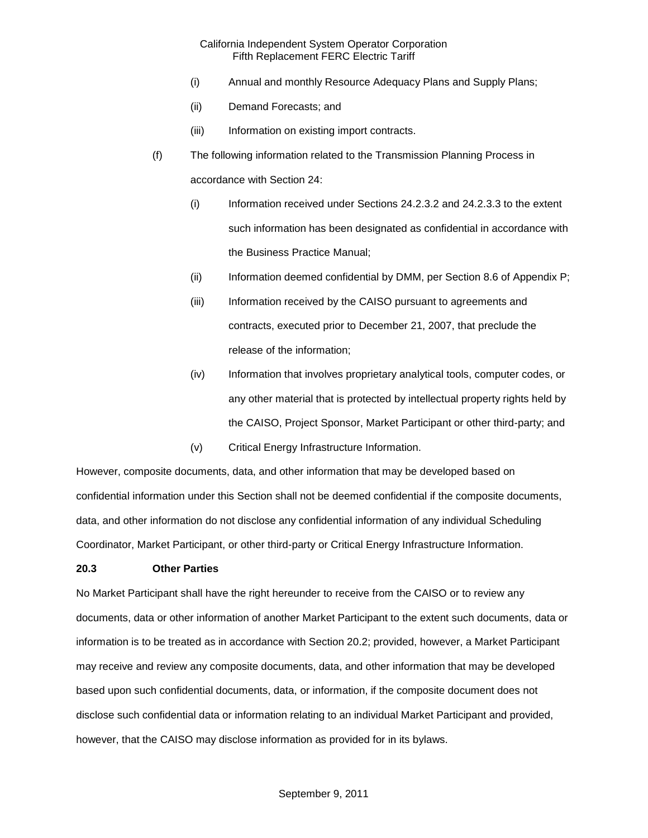- (i) Annual and monthly Resource Adequacy Plans and Supply Plans;
- (ii) Demand Forecasts; and
- (iii) Information on existing import contracts.
- (f) The following information related to the Transmission Planning Process in accordance with Section 24:
	- (i) Information received under Sections 24.2.3.2 and 24.2.3.3 to the extent such information has been designated as confidential in accordance with the Business Practice Manual;
	- (ii) Information deemed confidential by DMM, per Section 8.6 of Appendix P;
	- (iii) Information received by the CAISO pursuant to agreements and contracts, executed prior to December 21, 2007, that preclude the release of the information;
	- (iv) Information that involves proprietary analytical tools, computer codes, or any other material that is protected by intellectual property rights held by the CAISO, Project Sponsor, Market Participant or other third-party; and
	- (v) Critical Energy Infrastructure Information.

However, composite documents, data, and other information that may be developed based on confidential information under this Section shall not be deemed confidential if the composite documents, data, and other information do not disclose any confidential information of any individual Scheduling Coordinator, Market Participant, or other third-party or Critical Energy Infrastructure Information.

#### **20.3 Other Parties**

No Market Participant shall have the right hereunder to receive from the CAISO or to review any documents, data or other information of another Market Participant to the extent such documents, data or information is to be treated as in accordance with Section 20.2; provided, however, a Market Participant may receive and review any composite documents, data, and other information that may be developed based upon such confidential documents, data, or information, if the composite document does not disclose such confidential data or information relating to an individual Market Participant and provided, however, that the CAISO may disclose information as provided for in its bylaws.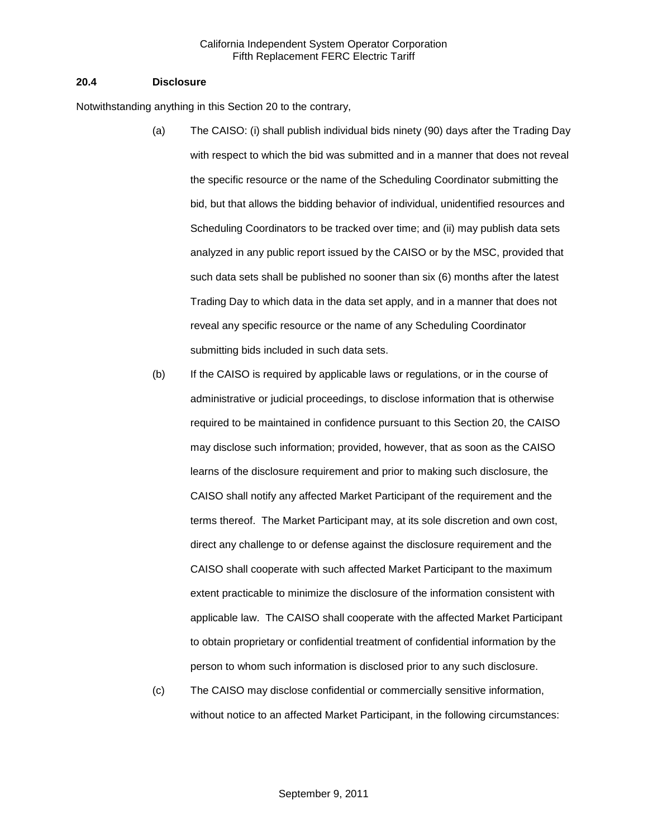#### **20.4 Disclosure**

Notwithstanding anything in this Section 20 to the contrary,

- (a) The CAISO: (i) shall publish individual bids ninety (90) days after the Trading Day with respect to which the bid was submitted and in a manner that does not reveal the specific resource or the name of the Scheduling Coordinator submitting the bid, but that allows the bidding behavior of individual, unidentified resources and Scheduling Coordinators to be tracked over time; and (ii) may publish data sets analyzed in any public report issued by the CAISO or by the MSC, provided that such data sets shall be published no sooner than six (6) months after the latest Trading Day to which data in the data set apply, and in a manner that does not reveal any specific resource or the name of any Scheduling Coordinator submitting bids included in such data sets.
- (b) If the CAISO is required by applicable laws or regulations, or in the course of administrative or judicial proceedings, to disclose information that is otherwise required to be maintained in confidence pursuant to this Section 20, the CAISO may disclose such information; provided, however, that as soon as the CAISO learns of the disclosure requirement and prior to making such disclosure, the CAISO shall notify any affected Market Participant of the requirement and the terms thereof. The Market Participant may, at its sole discretion and own cost, direct any challenge to or defense against the disclosure requirement and the CAISO shall cooperate with such affected Market Participant to the maximum extent practicable to minimize the disclosure of the information consistent with applicable law. The CAISO shall cooperate with the affected Market Participant to obtain proprietary or confidential treatment of confidential information by the person to whom such information is disclosed prior to any such disclosure.
- (c) The CAISO may disclose confidential or commercially sensitive information, without notice to an affected Market Participant, in the following circumstances: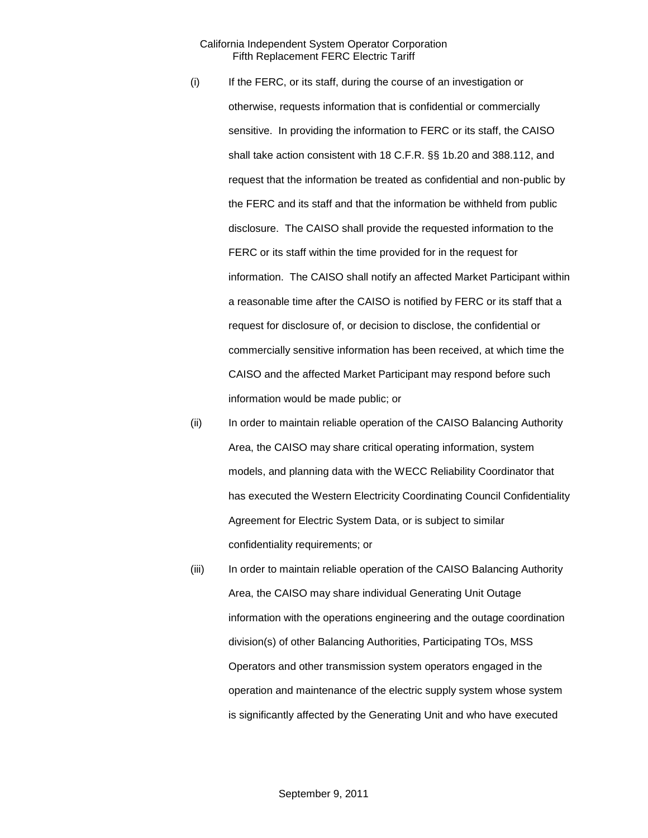- (i) If the FERC, or its staff, during the course of an investigation or otherwise, requests information that is confidential or commercially sensitive. In providing the information to FERC or its staff, the CAISO shall take action consistent with 18 C.F.R. §§ 1b.20 and 388.112, and request that the information be treated as confidential and non-public by the FERC and its staff and that the information be withheld from public disclosure. The CAISO shall provide the requested information to the FERC or its staff within the time provided for in the request for information. The CAISO shall notify an affected Market Participant within a reasonable time after the CAISO is notified by FERC or its staff that a request for disclosure of, or decision to disclose, the confidential or commercially sensitive information has been received, at which time the CAISO and the affected Market Participant may respond before such information would be made public; or
- (ii) In order to maintain reliable operation of the CAISO Balancing Authority Area, the CAISO may share critical operating information, system models, and planning data with the WECC Reliability Coordinator that has executed the Western Electricity Coordinating Council Confidentiality Agreement for Electric System Data, or is subject to similar confidentiality requirements; or
- (iii) In order to maintain reliable operation of the CAISO Balancing Authority Area, the CAISO may share individual Generating Unit Outage information with the operations engineering and the outage coordination division(s) of other Balancing Authorities, Participating TOs, MSS Operators and other transmission system operators engaged in the operation and maintenance of the electric supply system whose system is significantly affected by the Generating Unit and who have executed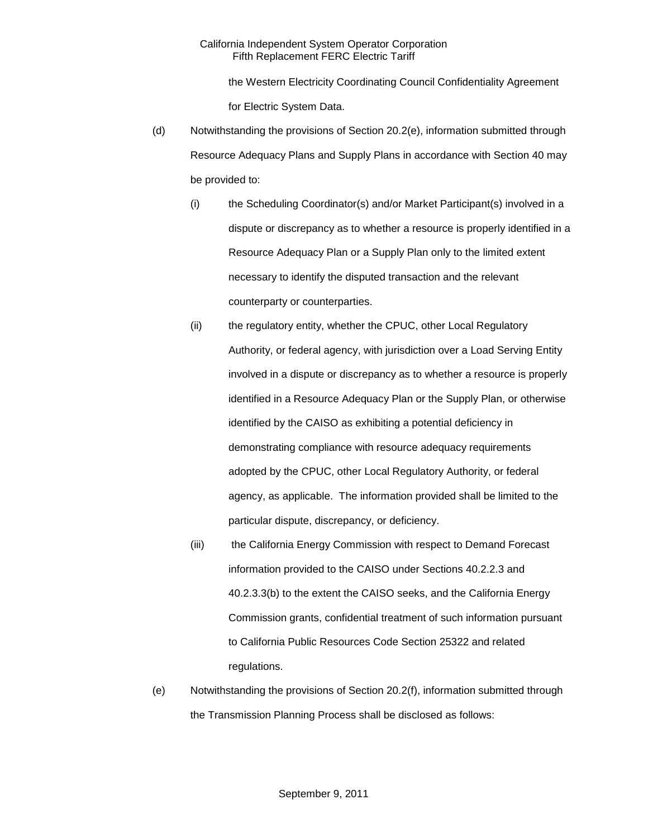the Western Electricity Coordinating Council Confidentiality Agreement for Electric System Data.

- (d) Notwithstanding the provisions of Section 20.2(e), information submitted through Resource Adequacy Plans and Supply Plans in accordance with Section 40 may be provided to:
	- (i) the Scheduling Coordinator(s) and/or Market Participant(s) involved in a dispute or discrepancy as to whether a resource is properly identified in a Resource Adequacy Plan or a Supply Plan only to the limited extent necessary to identify the disputed transaction and the relevant counterparty or counterparties.
	- (ii) the regulatory entity, whether the CPUC, other Local Regulatory Authority, or federal agency, with jurisdiction over a Load Serving Entity involved in a dispute or discrepancy as to whether a resource is properly identified in a Resource Adequacy Plan or the Supply Plan, or otherwise identified by the CAISO as exhibiting a potential deficiency in demonstrating compliance with resource adequacy requirements adopted by the CPUC, other Local Regulatory Authority, or federal agency, as applicable. The information provided shall be limited to the particular dispute, discrepancy, or deficiency.
	- (iii) the California Energy Commission with respect to Demand Forecast information provided to the CAISO under Sections 40.2.2.3 and 40.2.3.3(b) to the extent the CAISO seeks, and the California Energy Commission grants, confidential treatment of such information pursuant to California Public Resources Code Section 25322 and related regulations.
- (e) Notwithstanding the provisions of Section 20.2(f), information submitted through the Transmission Planning Process shall be disclosed as follows: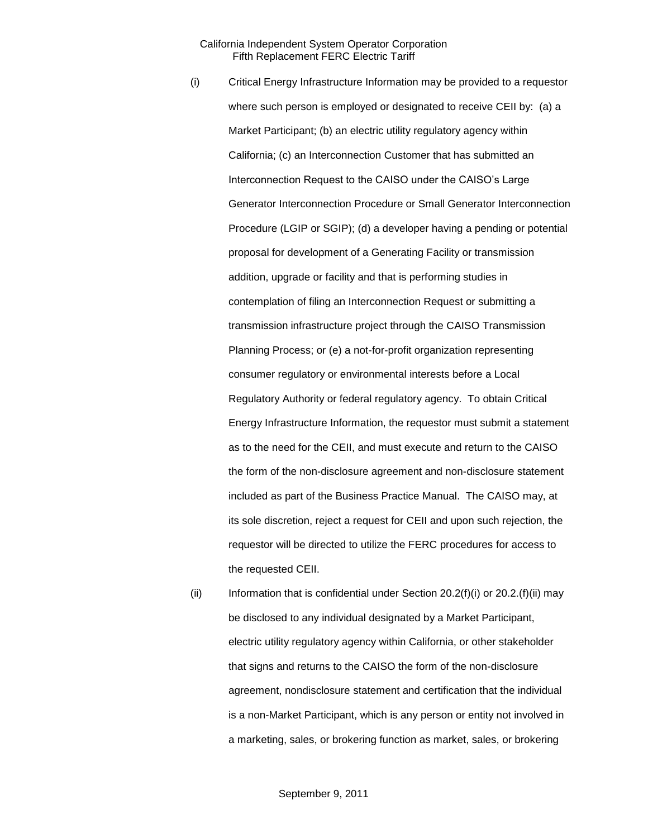- (i) Critical Energy Infrastructure Information may be provided to a requestor where such person is employed or designated to receive CEII by: (a) a Market Participant; (b) an electric utility regulatory agency within California; (c) an Interconnection Customer that has submitted an Interconnection Request to the CAISO under the CAISO's Large Generator Interconnection Procedure or Small Generator Interconnection Procedure (LGIP or SGIP); (d) a developer having a pending or potential proposal for development of a Generating Facility or transmission addition, upgrade or facility and that is performing studies in contemplation of filing an Interconnection Request or submitting a transmission infrastructure project through the CAISO Transmission Planning Process; or (e) a not-for-profit organization representing consumer regulatory or environmental interests before a Local Regulatory Authority or federal regulatory agency. To obtain Critical Energy Infrastructure Information, the requestor must submit a statement as to the need for the CEII, and must execute and return to the CAISO the form of the non-disclosure agreement and non-disclosure statement included as part of the Business Practice Manual. The CAISO may, at its sole discretion, reject a request for CEII and upon such rejection, the requestor will be directed to utilize the FERC procedures for access to the requested CEII.
- (ii) Information that is confidential under Section  $20.2(f)(i)$  or  $20.2(f)(ii)$  may be disclosed to any individual designated by a Market Participant, electric utility regulatory agency within California, or other stakeholder that signs and returns to the CAISO the form of the non-disclosure agreement, nondisclosure statement and certification that the individual is a non-Market Participant, which is any person or entity not involved in a marketing, sales, or brokering function as market, sales, or brokering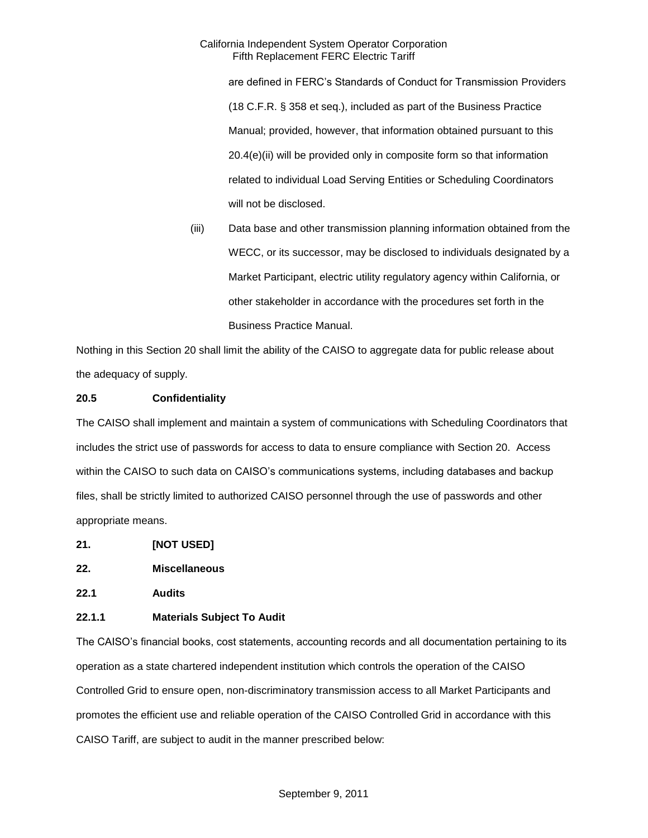are defined in FERC's Standards of Conduct for Transmission Providers (18 C.F.R. § 358 et seq.), included as part of the Business Practice Manual; provided, however, that information obtained pursuant to this 20.4(e)(ii) will be provided only in composite form so that information related to individual Load Serving Entities or Scheduling Coordinators will not be disclosed.

(iii) Data base and other transmission planning information obtained from the WECC, or its successor, may be disclosed to individuals designated by a Market Participant, electric utility regulatory agency within California, or other stakeholder in accordance with the procedures set forth in the Business Practice Manual.

Nothing in this Section 20 shall limit the ability of the CAISO to aggregate data for public release about the adequacy of supply.

## **20.5 Confidentiality**

The CAISO shall implement and maintain a system of communications with Scheduling Coordinators that includes the strict use of passwords for access to data to ensure compliance with Section 20. Access within the CAISO to such data on CAISO's communications systems, including databases and backup files, shall be strictly limited to authorized CAISO personnel through the use of passwords and other appropriate means.

- **21. [NOT USED]**
- **22. Miscellaneous**
- **22.1 Audits**

### **22.1.1 Materials Subject To Audit**

The CAISO's financial books, cost statements, accounting records and all documentation pertaining to its operation as a state chartered independent institution which controls the operation of the CAISO Controlled Grid to ensure open, non-discriminatory transmission access to all Market Participants and promotes the efficient use and reliable operation of the CAISO Controlled Grid in accordance with this CAISO Tariff, are subject to audit in the manner prescribed below: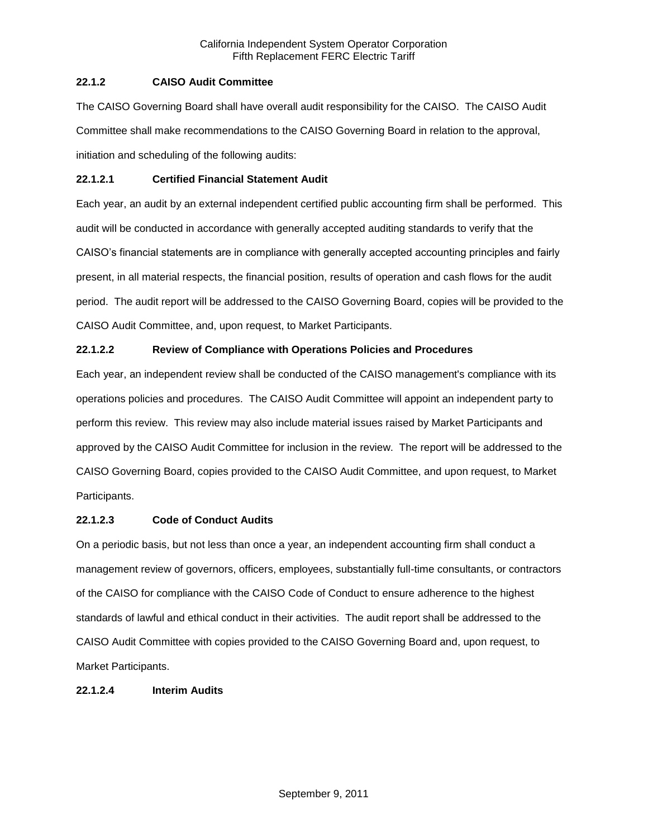# **22.1.2 CAISO Audit Committee**

The CAISO Governing Board shall have overall audit responsibility for the CAISO. The CAISO Audit Committee shall make recommendations to the CAISO Governing Board in relation to the approval, initiation and scheduling of the following audits:

# **22.1.2.1 Certified Financial Statement Audit**

Each year, an audit by an external independent certified public accounting firm shall be performed. This audit will be conducted in accordance with generally accepted auditing standards to verify that the CAISO's financial statements are in compliance with generally accepted accounting principles and fairly present, in all material respects, the financial position, results of operation and cash flows for the audit period. The audit report will be addressed to the CAISO Governing Board, copies will be provided to the CAISO Audit Committee, and, upon request, to Market Participants.

# **22.1.2.2 Review of Compliance with Operations Policies and Procedures**

Each year, an independent review shall be conducted of the CAISO management's compliance with its operations policies and procedures. The CAISO Audit Committee will appoint an independent party to perform this review. This review may also include material issues raised by Market Participants and approved by the CAISO Audit Committee for inclusion in the review. The report will be addressed to the CAISO Governing Board, copies provided to the CAISO Audit Committee, and upon request, to Market Participants.

# **22.1.2.3 Code of Conduct Audits**

On a periodic basis, but not less than once a year, an independent accounting firm shall conduct a management review of governors, officers, employees, substantially full-time consultants, or contractors of the CAISO for compliance with the CAISO Code of Conduct to ensure adherence to the highest standards of lawful and ethical conduct in their activities. The audit report shall be addressed to the CAISO Audit Committee with copies provided to the CAISO Governing Board and, upon request, to Market Participants.

# **22.1.2.4 Interim Audits**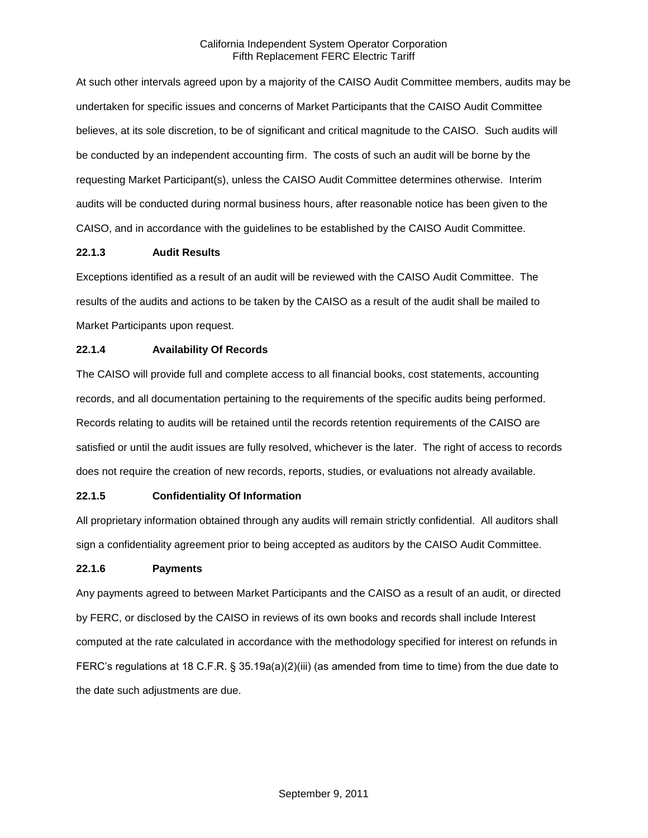At such other intervals agreed upon by a majority of the CAISO Audit Committee members, audits may be undertaken for specific issues and concerns of Market Participants that the CAISO Audit Committee believes, at its sole discretion, to be of significant and critical magnitude to the CAISO. Such audits will be conducted by an independent accounting firm. The costs of such an audit will be borne by the requesting Market Participant(s), unless the CAISO Audit Committee determines otherwise. Interim audits will be conducted during normal business hours, after reasonable notice has been given to the CAISO, and in accordance with the guidelines to be established by the CAISO Audit Committee.

# **22.1.3 Audit Results**

Exceptions identified as a result of an audit will be reviewed with the CAISO Audit Committee. The results of the audits and actions to be taken by the CAISO as a result of the audit shall be mailed to Market Participants upon request.

# **22.1.4 Availability Of Records**

The CAISO will provide full and complete access to all financial books, cost statements, accounting records, and all documentation pertaining to the requirements of the specific audits being performed. Records relating to audits will be retained until the records retention requirements of the CAISO are satisfied or until the audit issues are fully resolved, whichever is the later. The right of access to records does not require the creation of new records, reports, studies, or evaluations not already available.

# **22.1.5 Confidentiality Of Information**

All proprietary information obtained through any audits will remain strictly confidential. All auditors shall sign a confidentiality agreement prior to being accepted as auditors by the CAISO Audit Committee.

# **22.1.6 Payments**

Any payments agreed to between Market Participants and the CAISO as a result of an audit, or directed by FERC, or disclosed by the CAISO in reviews of its own books and records shall include Interest computed at the rate calculated in accordance with the methodology specified for interest on refunds in FERC's regulations at 18 C.F.R. § 35.19a(a)(2)(iii) (as amended from time to time) from the due date to the date such adjustments are due.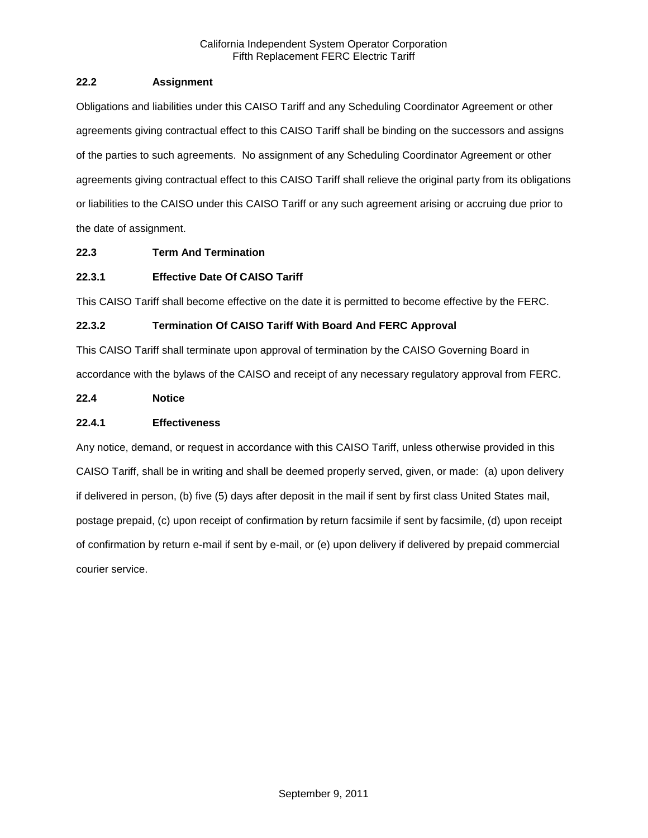# **22.2 Assignment**

Obligations and liabilities under this CAISO Tariff and any Scheduling Coordinator Agreement or other agreements giving contractual effect to this CAISO Tariff shall be binding on the successors and assigns of the parties to such agreements. No assignment of any Scheduling Coordinator Agreement or other agreements giving contractual effect to this CAISO Tariff shall relieve the original party from its obligations or liabilities to the CAISO under this CAISO Tariff or any such agreement arising or accruing due prior to the date of assignment.

# **22.3 Term And Termination**

# **22.3.1 Effective Date Of CAISO Tariff**

This CAISO Tariff shall become effective on the date it is permitted to become effective by the FERC.

# **22.3.2 Termination Of CAISO Tariff With Board And FERC Approval**

This CAISO Tariff shall terminate upon approval of termination by the CAISO Governing Board in accordance with the bylaws of the CAISO and receipt of any necessary regulatory approval from FERC.

# **22.4 Notice**

# **22.4.1 Effectiveness**

Any notice, demand, or request in accordance with this CAISO Tariff, unless otherwise provided in this CAISO Tariff, shall be in writing and shall be deemed properly served, given, or made: (a) upon delivery if delivered in person, (b) five (5) days after deposit in the mail if sent by first class United States mail, postage prepaid, (c) upon receipt of confirmation by return facsimile if sent by facsimile, (d) upon receipt of confirmation by return e-mail if sent by e-mail, or (e) upon delivery if delivered by prepaid commercial courier service.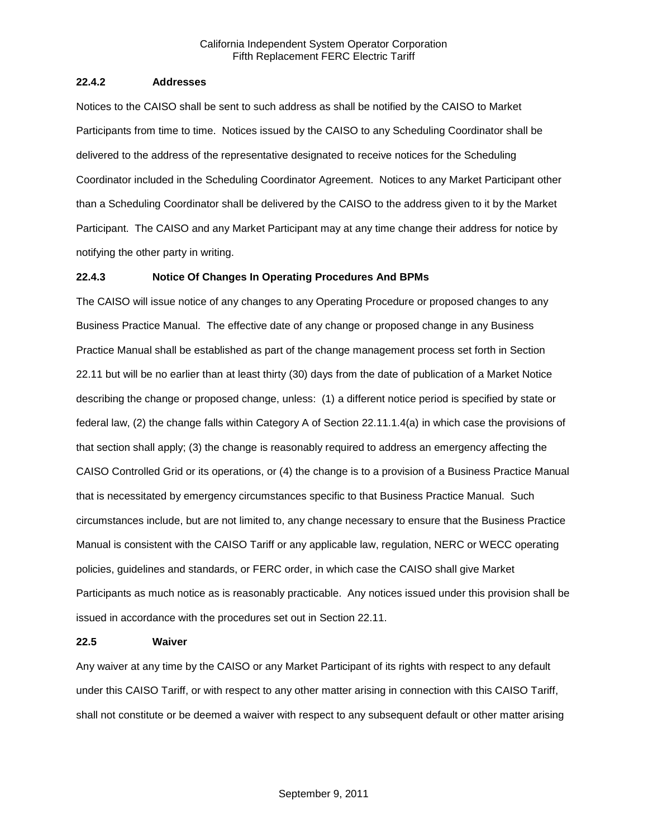### **22.4.2 Addresses**

Notices to the CAISO shall be sent to such address as shall be notified by the CAISO to Market Participants from time to time. Notices issued by the CAISO to any Scheduling Coordinator shall be delivered to the address of the representative designated to receive notices for the Scheduling Coordinator included in the Scheduling Coordinator Agreement. Notices to any Market Participant other than a Scheduling Coordinator shall be delivered by the CAISO to the address given to it by the Market Participant. The CAISO and any Market Participant may at any time change their address for notice by notifying the other party in writing.

### **22.4.3 Notice Of Changes In Operating Procedures And BPMs**

The CAISO will issue notice of any changes to any Operating Procedure or proposed changes to any Business Practice Manual. The effective date of any change or proposed change in any Business Practice Manual shall be established as part of the change management process set forth in Section 22.11 but will be no earlier than at least thirty (30) days from the date of publication of a Market Notice describing the change or proposed change, unless: (1) a different notice period is specified by state or federal law, (2) the change falls within Category A of Section 22.11.1.4(a) in which case the provisions of that section shall apply; (3) the change is reasonably required to address an emergency affecting the CAISO Controlled Grid or its operations, or (4) the change is to a provision of a Business Practice Manual that is necessitated by emergency circumstances specific to that Business Practice Manual. Such circumstances include, but are not limited to, any change necessary to ensure that the Business Practice Manual is consistent with the CAISO Tariff or any applicable law, regulation, NERC or WECC operating policies, guidelines and standards, or FERC order, in which case the CAISO shall give Market Participants as much notice as is reasonably practicable. Any notices issued under this provision shall be issued in accordance with the procedures set out in Section 22.11.

#### **22.5 Waiver**

Any waiver at any time by the CAISO or any Market Participant of its rights with respect to any default under this CAISO Tariff, or with respect to any other matter arising in connection with this CAISO Tariff, shall not constitute or be deemed a waiver with respect to any subsequent default or other matter arising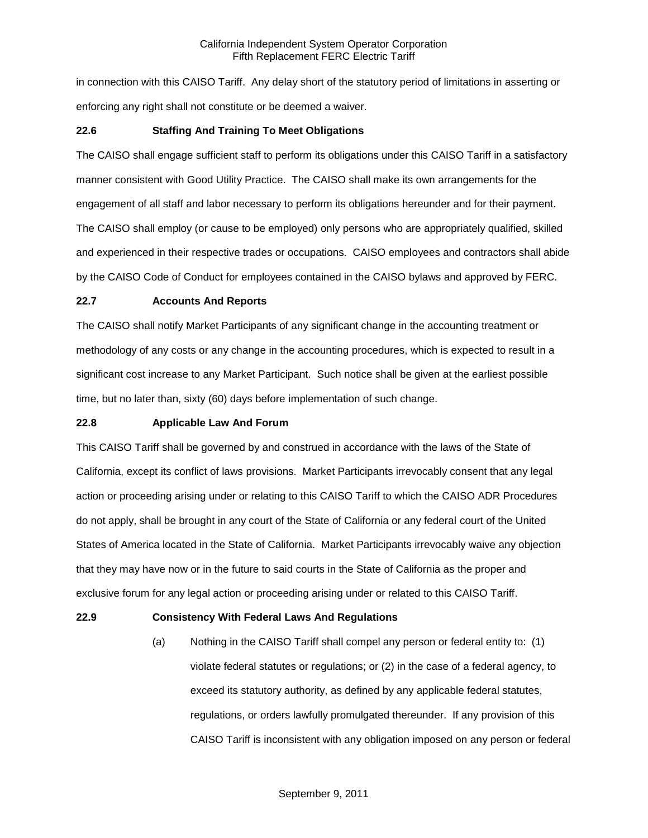in connection with this CAISO Tariff. Any delay short of the statutory period of limitations in asserting or enforcing any right shall not constitute or be deemed a waiver.

## **22.6 Staffing And Training To Meet Obligations**

The CAISO shall engage sufficient staff to perform its obligations under this CAISO Tariff in a satisfactory manner consistent with Good Utility Practice. The CAISO shall make its own arrangements for the engagement of all staff and labor necessary to perform its obligations hereunder and for their payment. The CAISO shall employ (or cause to be employed) only persons who are appropriately qualified, skilled and experienced in their respective trades or occupations. CAISO employees and contractors shall abide by the CAISO Code of Conduct for employees contained in the CAISO bylaws and approved by FERC.

### **22.7 Accounts And Reports**

The CAISO shall notify Market Participants of any significant change in the accounting treatment or methodology of any costs or any change in the accounting procedures, which is expected to result in a significant cost increase to any Market Participant. Such notice shall be given at the earliest possible time, but no later than, sixty (60) days before implementation of such change.

## **22.8 Applicable Law And Forum**

This CAISO Tariff shall be governed by and construed in accordance with the laws of the State of California, except its conflict of laws provisions. Market Participants irrevocably consent that any legal action or proceeding arising under or relating to this CAISO Tariff to which the CAISO ADR Procedures do not apply, shall be brought in any court of the State of California or any federal court of the United States of America located in the State of California. Market Participants irrevocably waive any objection that they may have now or in the future to said courts in the State of California as the proper and exclusive forum for any legal action or proceeding arising under or related to this CAISO Tariff.

### **22.9 Consistency With Federal Laws And Regulations**

(a) Nothing in the CAISO Tariff shall compel any person or federal entity to: (1) violate federal statutes or regulations; or (2) in the case of a federal agency, to exceed its statutory authority, as defined by any applicable federal statutes, regulations, or orders lawfully promulgated thereunder. If any provision of this CAISO Tariff is inconsistent with any obligation imposed on any person or federal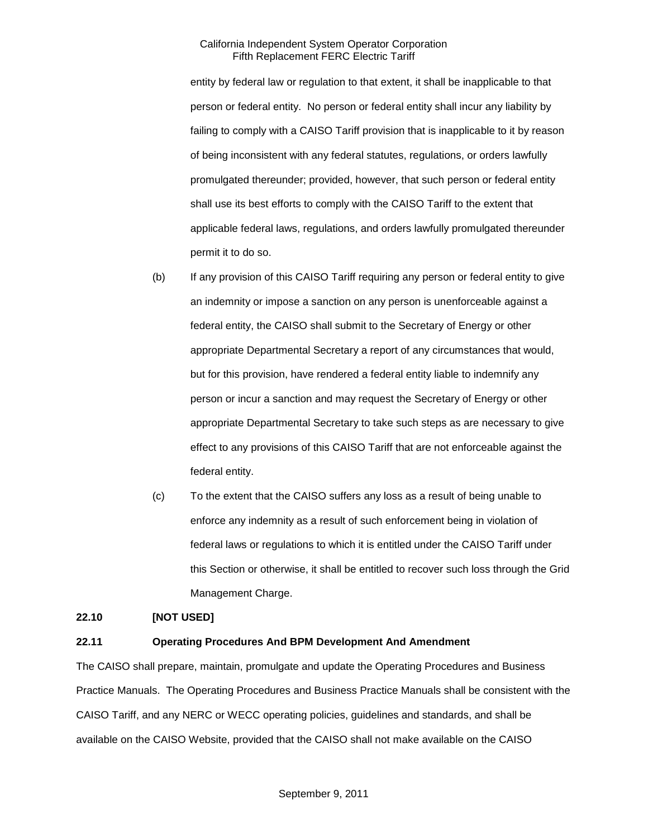entity by federal law or regulation to that extent, it shall be inapplicable to that person or federal entity. No person or federal entity shall incur any liability by failing to comply with a CAISO Tariff provision that is inapplicable to it by reason of being inconsistent with any federal statutes, regulations, or orders lawfully promulgated thereunder; provided, however, that such person or federal entity shall use its best efforts to comply with the CAISO Tariff to the extent that applicable federal laws, regulations, and orders lawfully promulgated thereunder permit it to do so.

- (b) If any provision of this CAISO Tariff requiring any person or federal entity to give an indemnity or impose a sanction on any person is unenforceable against a federal entity, the CAISO shall submit to the Secretary of Energy or other appropriate Departmental Secretary a report of any circumstances that would, but for this provision, have rendered a federal entity liable to indemnify any person or incur a sanction and may request the Secretary of Energy or other appropriate Departmental Secretary to take such steps as are necessary to give effect to any provisions of this CAISO Tariff that are not enforceable against the federal entity.
- (c) To the extent that the CAISO suffers any loss as a result of being unable to enforce any indemnity as a result of such enforcement being in violation of federal laws or regulations to which it is entitled under the CAISO Tariff under this Section or otherwise, it shall be entitled to recover such loss through the Grid Management Charge.

### **22.10 [NOT USED]**

# **22.11 Operating Procedures And BPM Development And Amendment**

The CAISO shall prepare, maintain, promulgate and update the Operating Procedures and Business Practice Manuals. The Operating Procedures and Business Practice Manuals shall be consistent with the CAISO Tariff, and any NERC or WECC operating policies, guidelines and standards, and shall be available on the CAISO Website, provided that the CAISO shall not make available on the CAISO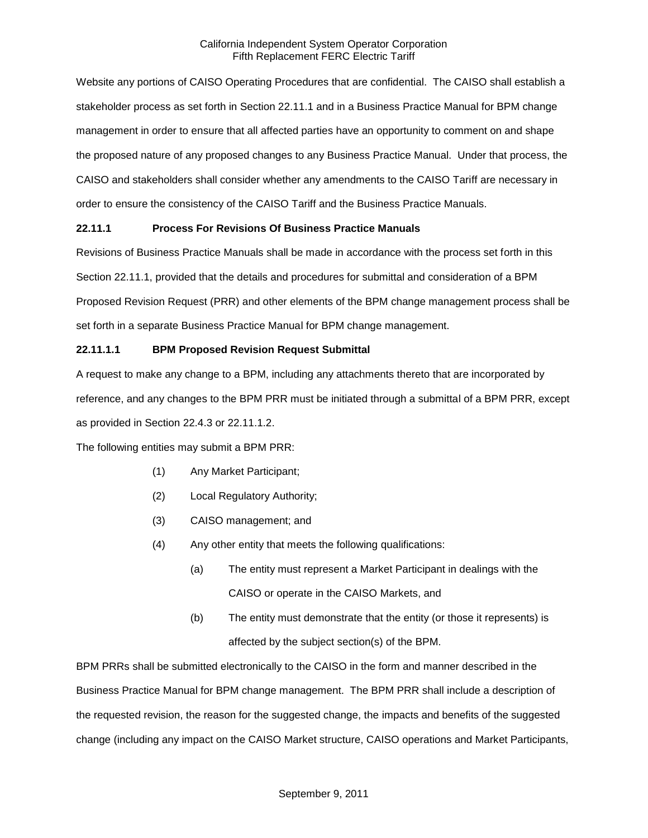Website any portions of CAISO Operating Procedures that are confidential. The CAISO shall establish a stakeholder process as set forth in Section 22.11.1 and in a Business Practice Manual for BPM change management in order to ensure that all affected parties have an opportunity to comment on and shape the proposed nature of any proposed changes to any Business Practice Manual. Under that process, the CAISO and stakeholders shall consider whether any amendments to the CAISO Tariff are necessary in order to ensure the consistency of the CAISO Tariff and the Business Practice Manuals.

# **22.11.1 Process For Revisions Of Business Practice Manuals**

Revisions of Business Practice Manuals shall be made in accordance with the process set forth in this Section 22.11.1, provided that the details and procedures for submittal and consideration of a BPM Proposed Revision Request (PRR) and other elements of the BPM change management process shall be set forth in a separate Business Practice Manual for BPM change management.

## **22.11.1.1 BPM Proposed Revision Request Submittal**

A request to make any change to a BPM, including any attachments thereto that are incorporated by reference, and any changes to the BPM PRR must be initiated through a submittal of a BPM PRR, except as provided in Section 22.4.3 or 22.11.1.2.

The following entities may submit a BPM PRR:

- (1) Any Market Participant;
- (2) Local Regulatory Authority;
- (3) CAISO management; and
- (4) Any other entity that meets the following qualifications:
	- (a) The entity must represent a Market Participant in dealings with the CAISO or operate in the CAISO Markets, and
	- (b) The entity must demonstrate that the entity (or those it represents) is affected by the subject section(s) of the BPM.

BPM PRRs shall be submitted electronically to the CAISO in the form and manner described in the Business Practice Manual for BPM change management. The BPM PRR shall include a description of the requested revision, the reason for the suggested change, the impacts and benefits of the suggested change (including any impact on the CAISO Market structure, CAISO operations and Market Participants,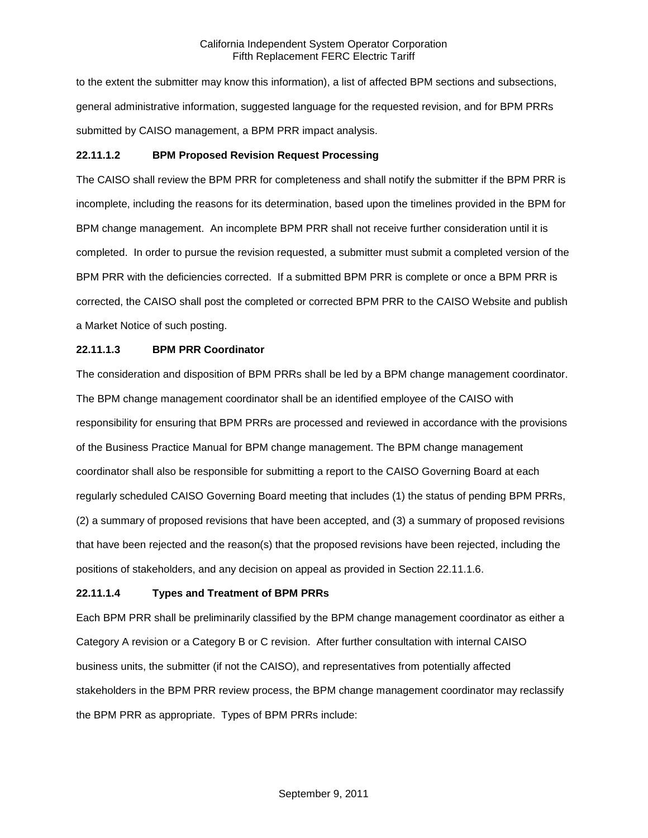to the extent the submitter may know this information), a list of affected BPM sections and subsections, general administrative information, suggested language for the requested revision, and for BPM PRRs submitted by CAISO management, a BPM PRR impact analysis.

## **22.11.1.2 BPM Proposed Revision Request Processing**

The CAISO shall review the BPM PRR for completeness and shall notify the submitter if the BPM PRR is incomplete, including the reasons for its determination, based upon the timelines provided in the BPM for BPM change management. An incomplete BPM PRR shall not receive further consideration until it is completed. In order to pursue the revision requested, a submitter must submit a completed version of the BPM PRR with the deficiencies corrected. If a submitted BPM PRR is complete or once a BPM PRR is corrected, the CAISO shall post the completed or corrected BPM PRR to the CAISO Website and publish a Market Notice of such posting.

## **22.11.1.3 BPM PRR Coordinator**

The consideration and disposition of BPM PRRs shall be led by a BPM change management coordinator. The BPM change management coordinator shall be an identified employee of the CAISO with responsibility for ensuring that BPM PRRs are processed and reviewed in accordance with the provisions of the Business Practice Manual for BPM change management. The BPM change management coordinator shall also be responsible for submitting a report to the CAISO Governing Board at each regularly scheduled CAISO Governing Board meeting that includes (1) the status of pending BPM PRRs, (2) a summary of proposed revisions that have been accepted, and (3) a summary of proposed revisions that have been rejected and the reason(s) that the proposed revisions have been rejected, including the positions of stakeholders, and any decision on appeal as provided in Section 22.11.1.6.

# **22.11.1.4 Types and Treatment of BPM PRRs**

Each BPM PRR shall be preliminarily classified by the BPM change management coordinator as either a Category A revision or a Category B or C revision. After further consultation with internal CAISO business units, the submitter (if not the CAISO), and representatives from potentially affected stakeholders in the BPM PRR review process, the BPM change management coordinator may reclassify the BPM PRR as appropriate. Types of BPM PRRs include: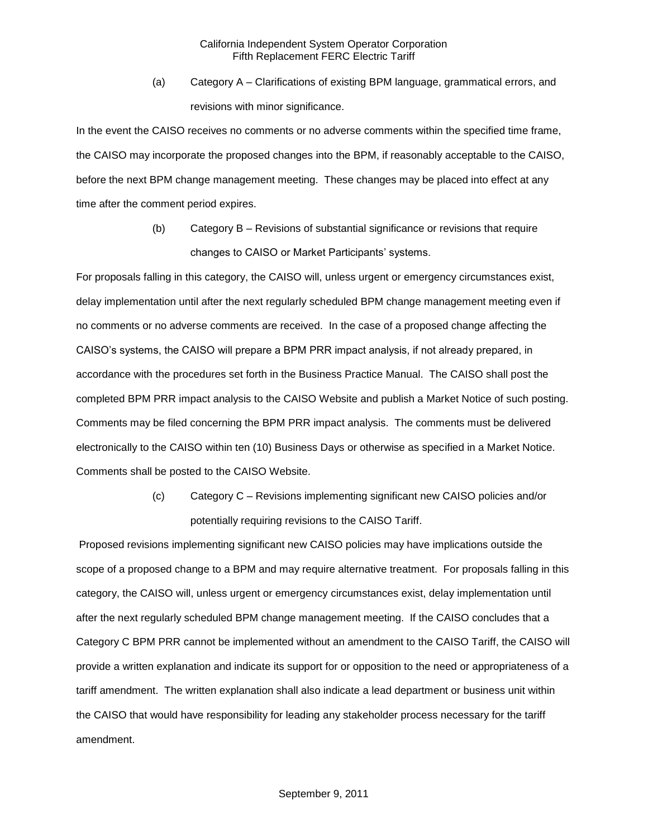(a) Category A – Clarifications of existing BPM language, grammatical errors, and revisions with minor significance.

In the event the CAISO receives no comments or no adverse comments within the specified time frame, the CAISO may incorporate the proposed changes into the BPM, if reasonably acceptable to the CAISO, before the next BPM change management meeting. These changes may be placed into effect at any time after the comment period expires.

> (b) Category B – Revisions of substantial significance or revisions that require changes to CAISO or Market Participants' systems.

For proposals falling in this category, the CAISO will, unless urgent or emergency circumstances exist, delay implementation until after the next regularly scheduled BPM change management meeting even if no comments or no adverse comments are received. In the case of a proposed change affecting the CAISO's systems, the CAISO will prepare a BPM PRR impact analysis, if not already prepared, in accordance with the procedures set forth in the Business Practice Manual. The CAISO shall post the completed BPM PRR impact analysis to the CAISO Website and publish a Market Notice of such posting. Comments may be filed concerning the BPM PRR impact analysis. The comments must be delivered electronically to the CAISO within ten (10) Business Days or otherwise as specified in a Market Notice. Comments shall be posted to the CAISO Website.

> (c) Category C – Revisions implementing significant new CAISO policies and/or potentially requiring revisions to the CAISO Tariff.

Proposed revisions implementing significant new CAISO policies may have implications outside the scope of a proposed change to a BPM and may require alternative treatment. For proposals falling in this category, the CAISO will, unless urgent or emergency circumstances exist, delay implementation until after the next regularly scheduled BPM change management meeting. If the CAISO concludes that a Category C BPM PRR cannot be implemented without an amendment to the CAISO Tariff, the CAISO will provide a written explanation and indicate its support for or opposition to the need or appropriateness of a tariff amendment. The written explanation shall also indicate a lead department or business unit within the CAISO that would have responsibility for leading any stakeholder process necessary for the tariff amendment.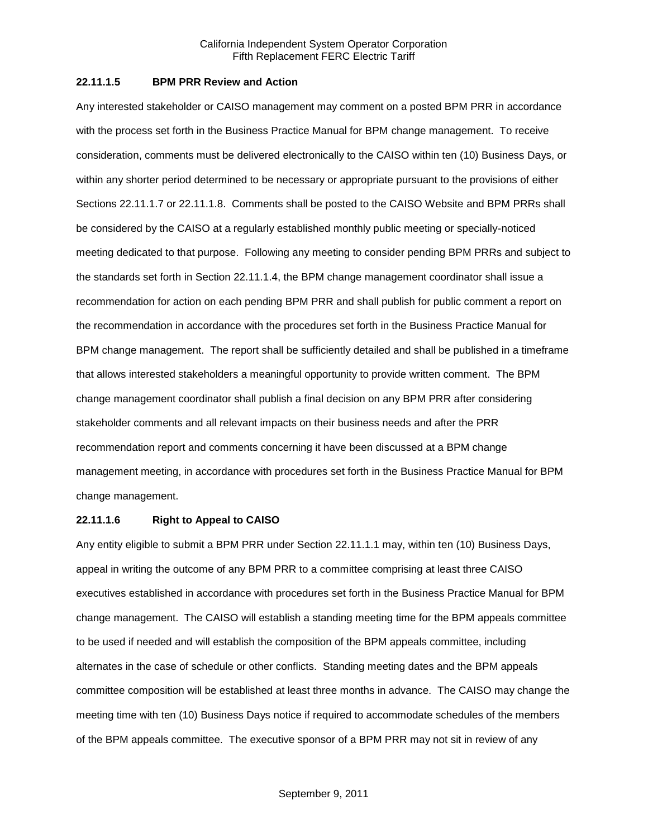## **22.11.1.5 BPM PRR Review and Action**

Any interested stakeholder or CAISO management may comment on a posted BPM PRR in accordance with the process set forth in the Business Practice Manual for BPM change management. To receive consideration, comments must be delivered electronically to the CAISO within ten (10) Business Days, or within any shorter period determined to be necessary or appropriate pursuant to the provisions of either Sections 22.11.1.7 or 22.11.1.8. Comments shall be posted to the CAISO Website and BPM PRRs shall be considered by the CAISO at a regularly established monthly public meeting or specially-noticed meeting dedicated to that purpose. Following any meeting to consider pending BPM PRRs and subject to the standards set forth in Section 22.11.1.4, the BPM change management coordinator shall issue a recommendation for action on each pending BPM PRR and shall publish for public comment a report on the recommendation in accordance with the procedures set forth in the Business Practice Manual for BPM change management. The report shall be sufficiently detailed and shall be published in a timeframe that allows interested stakeholders a meaningful opportunity to provide written comment. The BPM change management coordinator shall publish a final decision on any BPM PRR after considering stakeholder comments and all relevant impacts on their business needs and after the PRR recommendation report and comments concerning it have been discussed at a BPM change management meeting, in accordance with procedures set forth in the Business Practice Manual for BPM change management.

#### **22.11.1.6 Right to Appeal to CAISO**

Any entity eligible to submit a BPM PRR under Section 22.11.1.1 may, within ten (10) Business Days, appeal in writing the outcome of any BPM PRR to a committee comprising at least three CAISO executives established in accordance with procedures set forth in the Business Practice Manual for BPM change management. The CAISO will establish a standing meeting time for the BPM appeals committee to be used if needed and will establish the composition of the BPM appeals committee, including alternates in the case of schedule or other conflicts. Standing meeting dates and the BPM appeals committee composition will be established at least three months in advance. The CAISO may change the meeting time with ten (10) Business Days notice if required to accommodate schedules of the members of the BPM appeals committee. The executive sponsor of a BPM PRR may not sit in review of any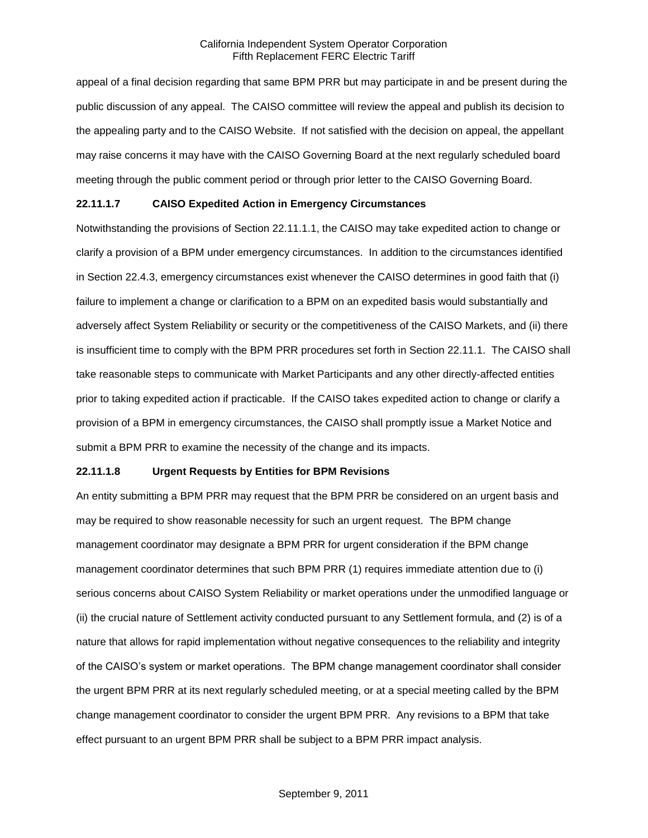appeal of a final decision regarding that same BPM PRR but may participate in and be present during the public discussion of any appeal. The CAISO committee will review the appeal and publish its decision to the appealing party and to the CAISO Website. If not satisfied with the decision on appeal, the appellant may raise concerns it may have with the CAISO Governing Board at the next regularly scheduled board meeting through the public comment period or through prior letter to the CAISO Governing Board.

### **22.11.1.7 CAISO Expedited Action in Emergency Circumstances**

Notwithstanding the provisions of Section 22.11.1.1, the CAISO may take expedited action to change or clarify a provision of a BPM under emergency circumstances. In addition to the circumstances identified in Section 22.4.3, emergency circumstances exist whenever the CAISO determines in good faith that (i) failure to implement a change or clarification to a BPM on an expedited basis would substantially and adversely affect System Reliability or security or the competitiveness of the CAISO Markets, and (ii) there is insufficient time to comply with the BPM PRR procedures set forth in Section 22.11.1. The CAISO shall take reasonable steps to communicate with Market Participants and any other directly-affected entities prior to taking expedited action if practicable. If the CAISO takes expedited action to change or clarify a provision of a BPM in emergency circumstances, the CAISO shall promptly issue a Market Notice and submit a BPM PRR to examine the necessity of the change and its impacts.

### **22.11.1.8 Urgent Requests by Entities for BPM Revisions**

An entity submitting a BPM PRR may request that the BPM PRR be considered on an urgent basis and may be required to show reasonable necessity for such an urgent request. The BPM change management coordinator may designate a BPM PRR for urgent consideration if the BPM change management coordinator determines that such BPM PRR (1) requires immediate attention due to (i) serious concerns about CAISO System Reliability or market operations under the unmodified language or (ii) the crucial nature of Settlement activity conducted pursuant to any Settlement formula, and (2) is of a nature that allows for rapid implementation without negative consequences to the reliability and integrity of the CAISO's system or market operations. The BPM change management coordinator shall consider the urgent BPM PRR at its next regularly scheduled meeting, or at a special meeting called by the BPM change management coordinator to consider the urgent BPM PRR. Any revisions to a BPM that take effect pursuant to an urgent BPM PRR shall be subject to a BPM PRR impact analysis.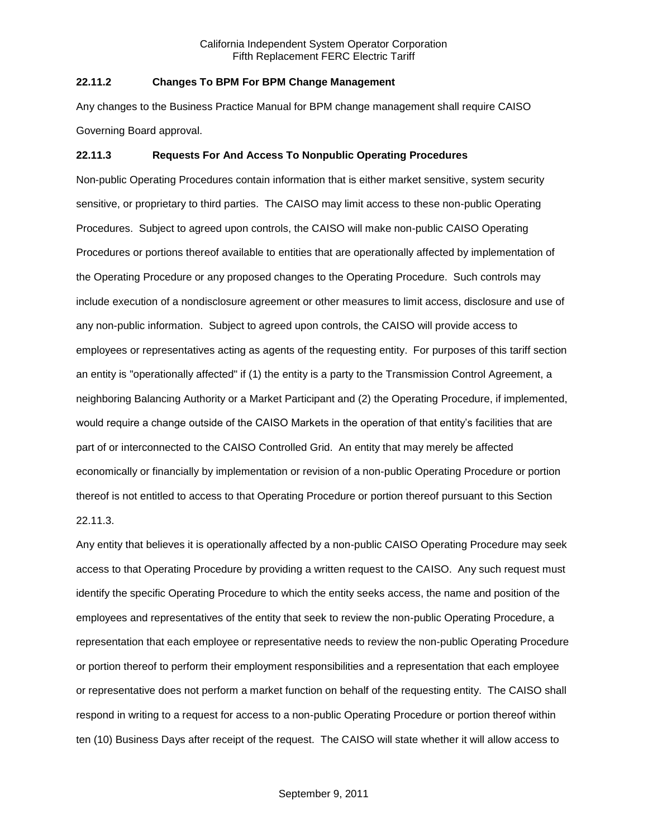## **22.11.2 Changes To BPM For BPM Change Management**

Any changes to the Business Practice Manual for BPM change management shall require CAISO Governing Board approval.

#### **22.11.3 Requests For And Access To Nonpublic Operating Procedures**

Non-public Operating Procedures contain information that is either market sensitive, system security sensitive, or proprietary to third parties. The CAISO may limit access to these non-public Operating Procedures. Subject to agreed upon controls, the CAISO will make non-public CAISO Operating Procedures or portions thereof available to entities that are operationally affected by implementation of the Operating Procedure or any proposed changes to the Operating Procedure. Such controls may include execution of a nondisclosure agreement or other measures to limit access, disclosure and use of any non-public information. Subject to agreed upon controls, the CAISO will provide access to employees or representatives acting as agents of the requesting entity. For purposes of this tariff section an entity is "operationally affected" if (1) the entity is a party to the Transmission Control Agreement, a neighboring Balancing Authority or a Market Participant and (2) the Operating Procedure, if implemented, would require a change outside of the CAISO Markets in the operation of that entity's facilities that are part of or interconnected to the CAISO Controlled Grid. An entity that may merely be affected economically or financially by implementation or revision of a non-public Operating Procedure or portion thereof is not entitled to access to that Operating Procedure or portion thereof pursuant to this Section 22.11.3.

Any entity that believes it is operationally affected by a non-public CAISO Operating Procedure may seek access to that Operating Procedure by providing a written request to the CAISO. Any such request must identify the specific Operating Procedure to which the entity seeks access, the name and position of the employees and representatives of the entity that seek to review the non-public Operating Procedure, a representation that each employee or representative needs to review the non-public Operating Procedure or portion thereof to perform their employment responsibilities and a representation that each employee or representative does not perform a market function on behalf of the requesting entity. The CAISO shall respond in writing to a request for access to a non-public Operating Procedure or portion thereof within ten (10) Business Days after receipt of the request. The CAISO will state whether it will allow access to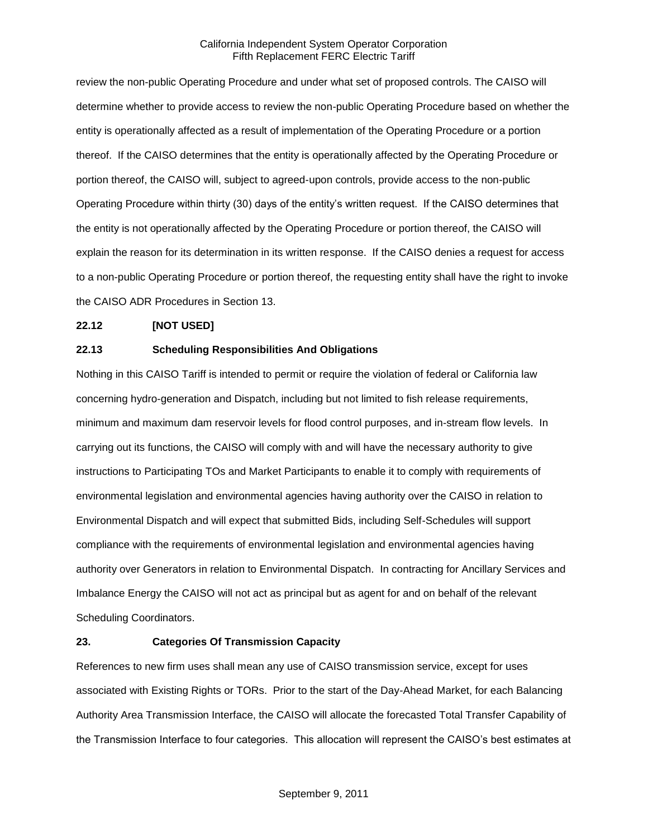review the non-public Operating Procedure and under what set of proposed controls. The CAISO will determine whether to provide access to review the non-public Operating Procedure based on whether the entity is operationally affected as a result of implementation of the Operating Procedure or a portion thereof. If the CAISO determines that the entity is operationally affected by the Operating Procedure or portion thereof, the CAISO will, subject to agreed-upon controls, provide access to the non-public Operating Procedure within thirty (30) days of the entity's written request. If the CAISO determines that the entity is not operationally affected by the Operating Procedure or portion thereof, the CAISO will explain the reason for its determination in its written response. If the CAISO denies a request for access to a non-public Operating Procedure or portion thereof, the requesting entity shall have the right to invoke the CAISO ADR Procedures in Section 13.

# **22.12 [NOT USED]**

## **22.13 Scheduling Responsibilities And Obligations**

Nothing in this CAISO Tariff is intended to permit or require the violation of federal or California law concerning hydro-generation and Dispatch, including but not limited to fish release requirements, minimum and maximum dam reservoir levels for flood control purposes, and in-stream flow levels. In carrying out its functions, the CAISO will comply with and will have the necessary authority to give instructions to Participating TOs and Market Participants to enable it to comply with requirements of environmental legislation and environmental agencies having authority over the CAISO in relation to Environmental Dispatch and will expect that submitted Bids, including Self-Schedules will support compliance with the requirements of environmental legislation and environmental agencies having authority over Generators in relation to Environmental Dispatch. In contracting for Ancillary Services and Imbalance Energy the CAISO will not act as principal but as agent for and on behalf of the relevant Scheduling Coordinators.

# **23. Categories Of Transmission Capacity**

References to new firm uses shall mean any use of CAISO transmission service, except for uses associated with Existing Rights or TORs. Prior to the start of the Day-Ahead Market, for each Balancing Authority Area Transmission Interface, the CAISO will allocate the forecasted Total Transfer Capability of the Transmission Interface to four categories. This allocation will represent the CAISO's best estimates at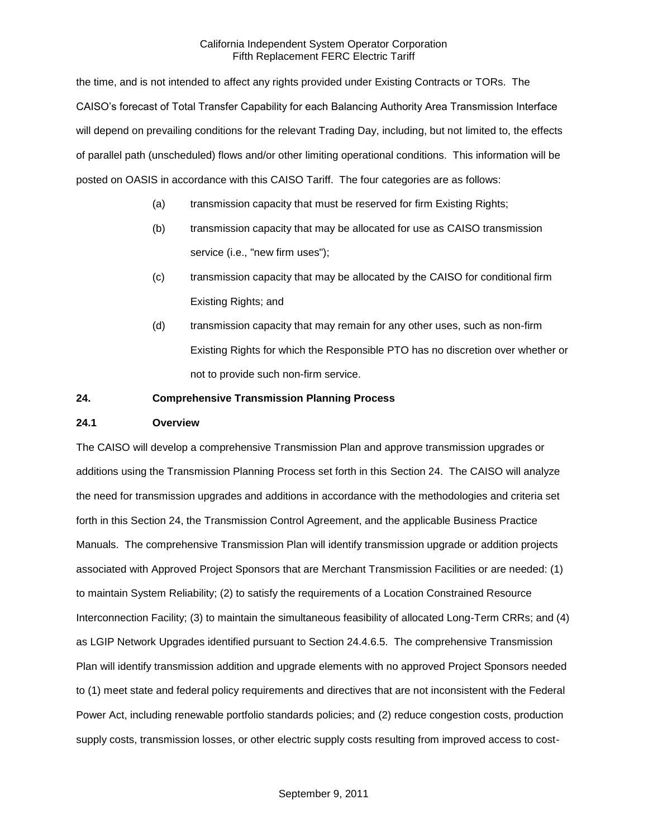the time, and is not intended to affect any rights provided under Existing Contracts or TORs. The CAISO's forecast of Total Transfer Capability for each Balancing Authority Area Transmission Interface will depend on prevailing conditions for the relevant Trading Day, including, but not limited to, the effects of parallel path (unscheduled) flows and/or other limiting operational conditions. This information will be posted on OASIS in accordance with this CAISO Tariff. The four categories are as follows:

- (a) transmission capacity that must be reserved for firm Existing Rights;
- (b) transmission capacity that may be allocated for use as CAISO transmission service (i.e., "new firm uses");
- (c) transmission capacity that may be allocated by the CAISO for conditional firm Existing Rights; and
- (d) transmission capacity that may remain for any other uses, such as non-firm Existing Rights for which the Responsible PTO has no discretion over whether or not to provide such non-firm service.

### **24. Comprehensive Transmission Planning Process**

## **24.1 Overview**

The CAISO will develop a comprehensive Transmission Plan and approve transmission upgrades or additions using the Transmission Planning Process set forth in this Section 24. The CAISO will analyze the need for transmission upgrades and additions in accordance with the methodologies and criteria set forth in this Section 24, the Transmission Control Agreement, and the applicable Business Practice Manuals. The comprehensive Transmission Plan will identify transmission upgrade or addition projects associated with Approved Project Sponsors that are Merchant Transmission Facilities or are needed: (1) to maintain System Reliability; (2) to satisfy the requirements of a Location Constrained Resource Interconnection Facility; (3) to maintain the simultaneous feasibility of allocated Long-Term CRRs; and (4) as LGIP Network Upgrades identified pursuant to Section 24.4.6.5. The comprehensive Transmission Plan will identify transmission addition and upgrade elements with no approved Project Sponsors needed to (1) meet state and federal policy requirements and directives that are not inconsistent with the Federal Power Act, including renewable portfolio standards policies; and (2) reduce congestion costs, production supply costs, transmission losses, or other electric supply costs resulting from improved access to cost-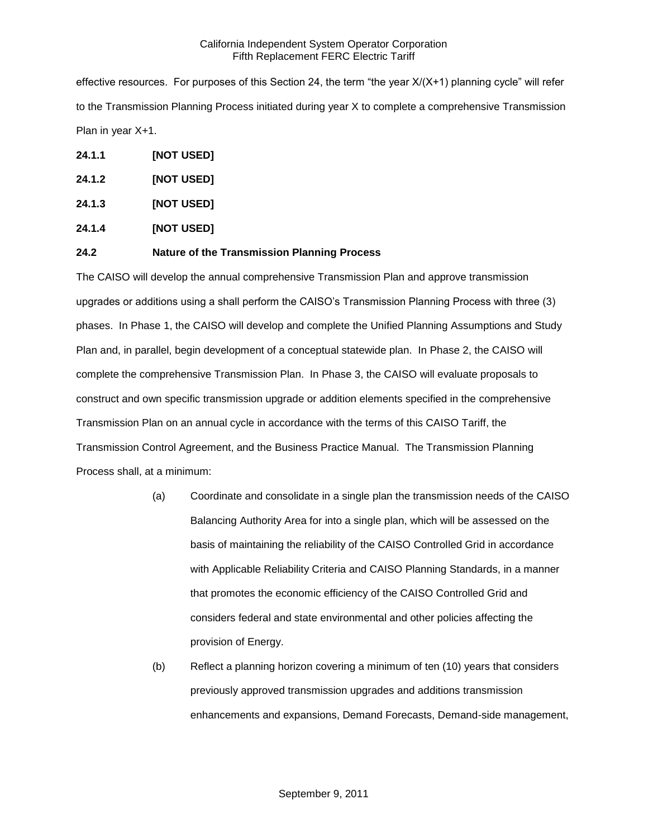effective resources. For purposes of this Section 24, the term "the year X/(X+1) planning cycle" will refer to the Transmission Planning Process initiated during year X to complete a comprehensive Transmission Plan in year X+1.

- **24.1.1 [NOT USED]**
- **24.1.2 [NOT USED]**
- **24.1.3 [NOT USED]**
- **24.1.4 [NOT USED]**

## **24.2 Nature of the Transmission Planning Process**

The CAISO will develop the annual comprehensive Transmission Plan and approve transmission upgrades or additions using a shall perform the CAISO's Transmission Planning Process with three (3) phases. In Phase 1, the CAISO will develop and complete the Unified Planning Assumptions and Study Plan and, in parallel, begin development of a conceptual statewide plan. In Phase 2, the CAISO will complete the comprehensive Transmission Plan. In Phase 3, the CAISO will evaluate proposals to construct and own specific transmission upgrade or addition elements specified in the comprehensive Transmission Plan on an annual cycle in accordance with the terms of this CAISO Tariff, the Transmission Control Agreement, and the Business Practice Manual. The Transmission Planning Process shall, at a minimum:

- (a) Coordinate and consolidate in a single plan the transmission needs of the CAISO Balancing Authority Area for into a single plan, which will be assessed on the basis of maintaining the reliability of the CAISO Controlled Grid in accordance with Applicable Reliability Criteria and CAISO Planning Standards, in a manner that promotes the economic efficiency of the CAISO Controlled Grid and considers federal and state environmental and other policies affecting the provision of Energy.
- (b) Reflect a planning horizon covering a minimum of ten (10) years that considers previously approved transmission upgrades and additions transmission enhancements and expansions, Demand Forecasts, Demand-side management,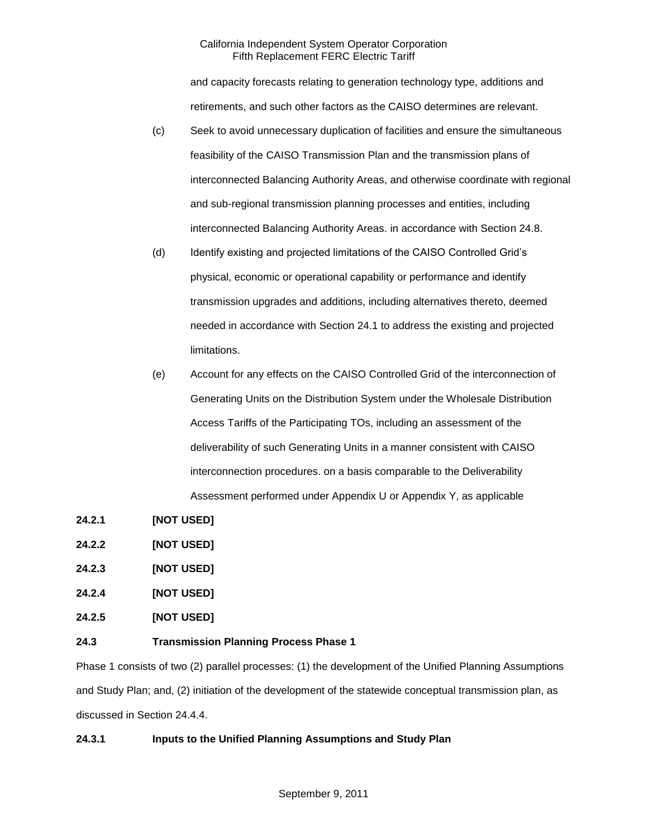and capacity forecasts relating to generation technology type, additions and retirements, and such other factors as the CAISO determines are relevant.

- (c) Seek to avoid unnecessary duplication of facilities and ensure the simultaneous feasibility of the CAISO Transmission Plan and the transmission plans of interconnected Balancing Authority Areas, and otherwise coordinate with regional and sub-regional transmission planning processes and entities, including interconnected Balancing Authority Areas. in accordance with Section 24.8.
- (d) Identify existing and projected limitations of the CAISO Controlled Grid's physical, economic or operational capability or performance and identify transmission upgrades and additions, including alternatives thereto, deemed needed in accordance with Section 24.1 to address the existing and projected limitations.
- (e) Account for any effects on the CAISO Controlled Grid of the interconnection of Generating Units on the Distribution System under the Wholesale Distribution Access Tariffs of the Participating TOs, including an assessment of the deliverability of such Generating Units in a manner consistent with CAISO interconnection procedures. on a basis comparable to the Deliverability Assessment performed under Appendix U or Appendix Y, as applicable
- **24.2.1 [NOT USED]**
- **24.2.2 [NOT USED]**
- **24.2.3 [NOT USED]**
- **24.2.4 [NOT USED]**
- **24.2.5 [NOT USED]**

### **24.3 Transmission Planning Process Phase 1**

Phase 1 consists of two (2) parallel processes: (1) the development of the Unified Planning Assumptions and Study Plan; and, (2) initiation of the development of the statewide conceptual transmission plan, as discussed in Section 24.4.4.

# **24.3.1 Inputs to the Unified Planning Assumptions and Study Plan**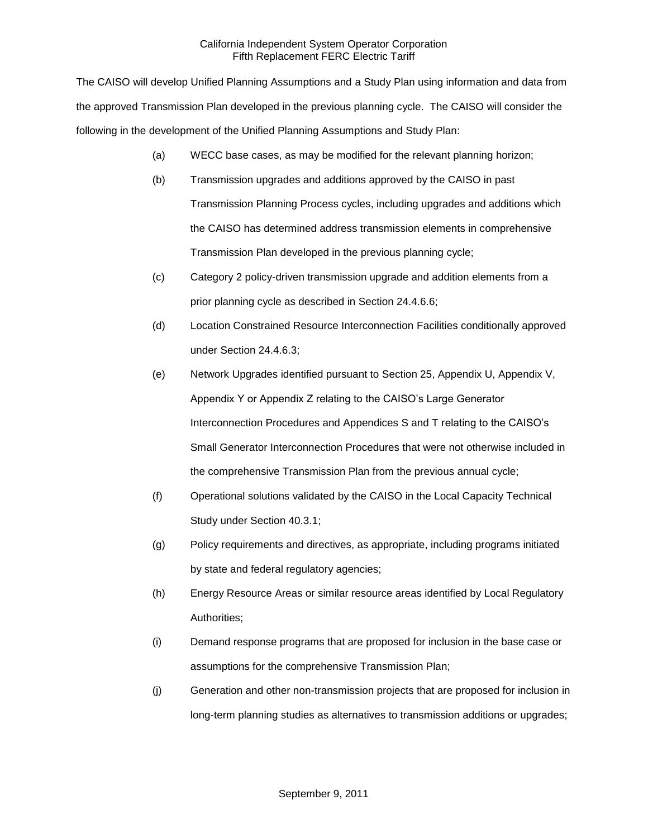The CAISO will develop Unified Planning Assumptions and a Study Plan using information and data from the approved Transmission Plan developed in the previous planning cycle. The CAISO will consider the following in the development of the Unified Planning Assumptions and Study Plan:

- (a) WECC base cases, as may be modified for the relevant planning horizon;
- (b) Transmission upgrades and additions approved by the CAISO in past Transmission Planning Process cycles, including upgrades and additions which the CAISO has determined address transmission elements in comprehensive Transmission Plan developed in the previous planning cycle;
- (c) Category 2 policy-driven transmission upgrade and addition elements from a prior planning cycle as described in Section 24.4.6.6;
- (d) Location Constrained Resource Interconnection Facilities conditionally approved under Section 24.4.6.3;
- (e) Network Upgrades identified pursuant to Section 25, Appendix U, Appendix V, Appendix Y or Appendix Z relating to the CAISO's Large Generator Interconnection Procedures and Appendices S and T relating to the CAISO's Small Generator Interconnection Procedures that were not otherwise included in the comprehensive Transmission Plan from the previous annual cycle;
- (f) Operational solutions validated by the CAISO in the Local Capacity Technical Study under Section 40.3.1;
- (g) Policy requirements and directives, as appropriate, including programs initiated by state and federal regulatory agencies;
- (h) Energy Resource Areas or similar resource areas identified by Local Regulatory Authorities;
- (i) Demand response programs that are proposed for inclusion in the base case or assumptions for the comprehensive Transmission Plan;
- (j) Generation and other non-transmission projects that are proposed for inclusion in long-term planning studies as alternatives to transmission additions or upgrades;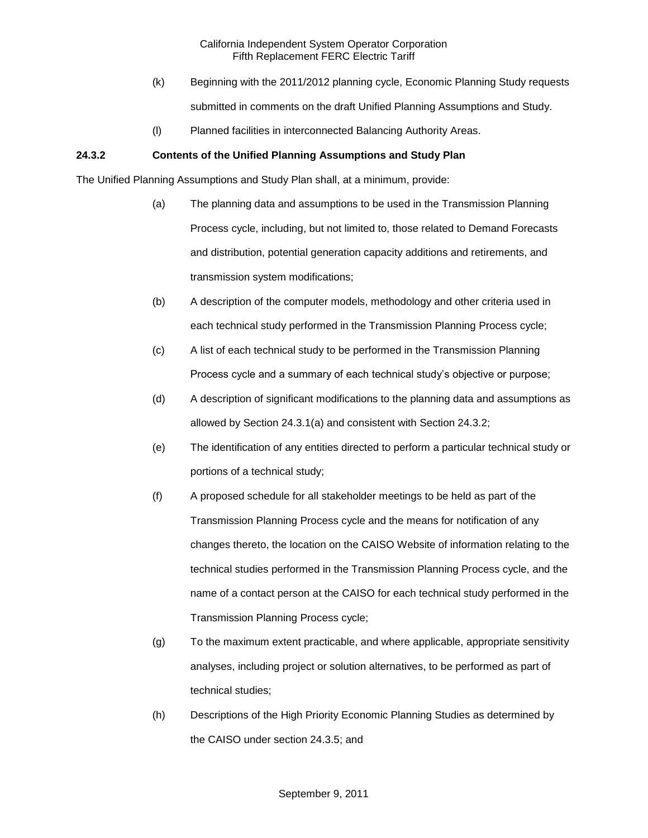- (k) Beginning with the 2011/2012 planning cycle, Economic Planning Study requests submitted in comments on the draft Unified Planning Assumptions and Study.
- (l) Planned facilities in interconnected Balancing Authority Areas.

# **24.3.2 Contents of the Unified Planning Assumptions and Study Plan**

The Unified Planning Assumptions and Study Plan shall, at a minimum, provide:

- (a) The planning data and assumptions to be used in the Transmission Planning Process cycle, including, but not limited to, those related to Demand Forecasts and distribution, potential generation capacity additions and retirements, and transmission system modifications;
- (b) A description of the computer models, methodology and other criteria used in each technical study performed in the Transmission Planning Process cycle;
- (c) A list of each technical study to be performed in the Transmission Planning Process cycle and a summary of each technical study's objective or purpose;
- (d) A description of significant modifications to the planning data and assumptions as allowed by Section 24.3.1(a) and consistent with Section 24.3.2;
- (e) The identification of any entities directed to perform a particular technical study or portions of a technical study;
- (f) A proposed schedule for all stakeholder meetings to be held as part of the Transmission Planning Process cycle and the means for notification of any changes thereto, the location on the CAISO Website of information relating to the technical studies performed in the Transmission Planning Process cycle, and the name of a contact person at the CAISO for each technical study performed in the Transmission Planning Process cycle;
- (g) To the maximum extent practicable, and where applicable, appropriate sensitivity analyses, including project or solution alternatives, to be performed as part of technical studies;
- (h) Descriptions of the High Priority Economic Planning Studies as determined by the CAISO under section 24.3.5; and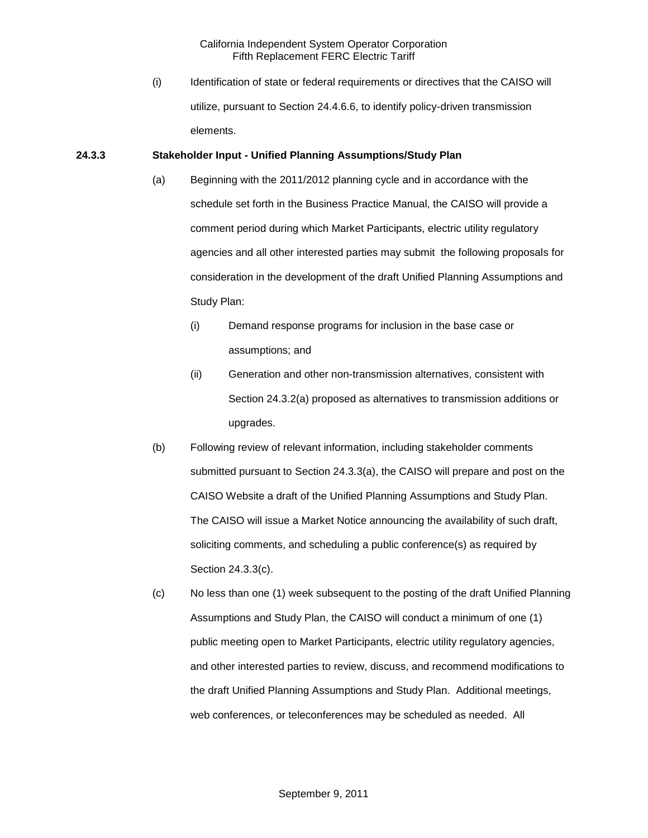(i) Identification of state or federal requirements or directives that the CAISO will utilize, pursuant to Section 24.4.6.6, to identify policy-driven transmission elements.

#### **24.3.3 Stakeholder Input - Unified Planning Assumptions/Study Plan**

- (a) Beginning with the 2011/2012 planning cycle and in accordance with the schedule set forth in the Business Practice Manual, the CAISO will provide a comment period during which Market Participants, electric utility regulatory agencies and all other interested parties may submit the following proposals for consideration in the development of the draft Unified Planning Assumptions and Study Plan:
	- (i) Demand response programs for inclusion in the base case or assumptions; and
	- (ii) Generation and other non-transmission alternatives, consistent with Section 24.3.2(a) proposed as alternatives to transmission additions or upgrades.
- (b) Following review of relevant information, including stakeholder comments submitted pursuant to Section 24.3.3(a), the CAISO will prepare and post on the CAISO Website a draft of the Unified Planning Assumptions and Study Plan. The CAISO will issue a Market Notice announcing the availability of such draft, soliciting comments, and scheduling a public conference(s) as required by Section 24.3.3(c).
- (c) No less than one (1) week subsequent to the posting of the draft Unified Planning Assumptions and Study Plan, the CAISO will conduct a minimum of one (1) public meeting open to Market Participants, electric utility regulatory agencies, and other interested parties to review, discuss, and recommend modifications to the draft Unified Planning Assumptions and Study Plan. Additional meetings, web conferences, or teleconferences may be scheduled as needed. All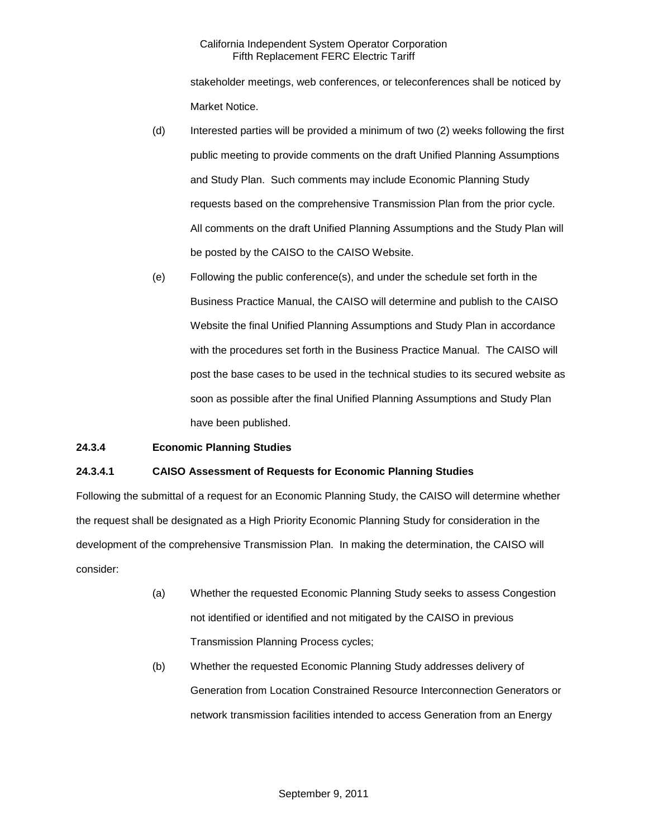stakeholder meetings, web conferences, or teleconferences shall be noticed by Market Notice.

- (d) Interested parties will be provided a minimum of two (2) weeks following the first public meeting to provide comments on the draft Unified Planning Assumptions and Study Plan. Such comments may include Economic Planning Study requests based on the comprehensive Transmission Plan from the prior cycle. All comments on the draft Unified Planning Assumptions and the Study Plan will be posted by the CAISO to the CAISO Website.
- (e) Following the public conference(s), and under the schedule set forth in the Business Practice Manual, the CAISO will determine and publish to the CAISO Website the final Unified Planning Assumptions and Study Plan in accordance with the procedures set forth in the Business Practice Manual. The CAISO will post the base cases to be used in the technical studies to its secured website as soon as possible after the final Unified Planning Assumptions and Study Plan have been published.

# **24.3.4 Economic Planning Studies**

### **24.3.4.1 CAISO Assessment of Requests for Economic Planning Studies**

Following the submittal of a request for an Economic Planning Study, the CAISO will determine whether the request shall be designated as a High Priority Economic Planning Study for consideration in the development of the comprehensive Transmission Plan. In making the determination, the CAISO will consider:

- (a) Whether the requested Economic Planning Study seeks to assess Congestion not identified or identified and not mitigated by the CAISO in previous Transmission Planning Process cycles;
- (b) Whether the requested Economic Planning Study addresses delivery of Generation from Location Constrained Resource Interconnection Generators or network transmission facilities intended to access Generation from an Energy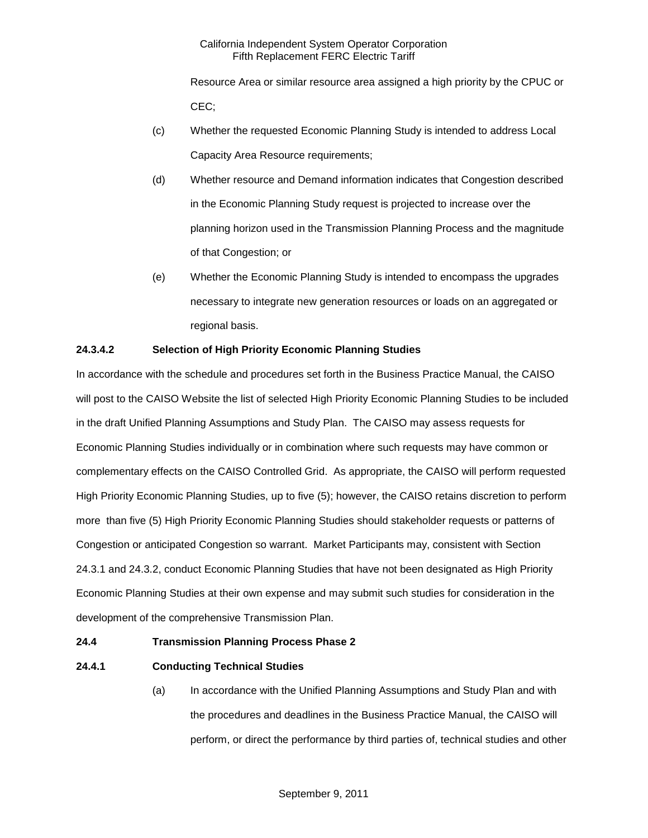Resource Area or similar resource area assigned a high priority by the CPUC or CEC;

- (c) Whether the requested Economic Planning Study is intended to address Local Capacity Area Resource requirements;
- (d) Whether resource and Demand information indicates that Congestion described in the Economic Planning Study request is projected to increase over the planning horizon used in the Transmission Planning Process and the magnitude of that Congestion; or
- (e) Whether the Economic Planning Study is intended to encompass the upgrades necessary to integrate new generation resources or loads on an aggregated or regional basis.

# **24.3.4.2 Selection of High Priority Economic Planning Studies**

In accordance with the schedule and procedures set forth in the Business Practice Manual, the CAISO will post to the CAISO Website the list of selected High Priority Economic Planning Studies to be included in the draft Unified Planning Assumptions and Study Plan. The CAISO may assess requests for Economic Planning Studies individually or in combination where such requests may have common or complementary effects on the CAISO Controlled Grid. As appropriate, the CAISO will perform requested High Priority Economic Planning Studies, up to five (5); however, the CAISO retains discretion to perform more than five (5) High Priority Economic Planning Studies should stakeholder requests or patterns of Congestion or anticipated Congestion so warrant. Market Participants may, consistent with Section 24.3.1 and 24.3.2, conduct Economic Planning Studies that have not been designated as High Priority Economic Planning Studies at their own expense and may submit such studies for consideration in the development of the comprehensive Transmission Plan.

### **24.4 Transmission Planning Process Phase 2**

# **24.4.1 Conducting Technical Studies**

(a) In accordance with the Unified Planning Assumptions and Study Plan and with the procedures and deadlines in the Business Practice Manual, the CAISO will perform, or direct the performance by third parties of, technical studies and other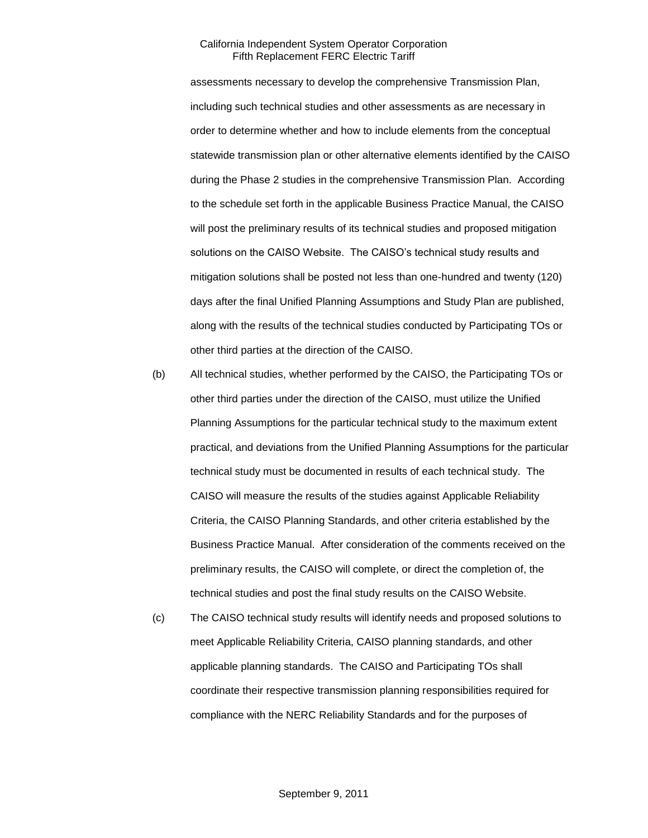assessments necessary to develop the comprehensive Transmission Plan, including such technical studies and other assessments as are necessary in order to determine whether and how to include elements from the conceptual statewide transmission plan or other alternative elements identified by the CAISO during the Phase 2 studies in the comprehensive Transmission Plan. According to the schedule set forth in the applicable Business Practice Manual, the CAISO will post the preliminary results of its technical studies and proposed mitigation solutions on the CAISO Website. The CAISO's technical study results and mitigation solutions shall be posted not less than one-hundred and twenty (120) days after the final Unified Planning Assumptions and Study Plan are published, along with the results of the technical studies conducted by Participating TOs or other third parties at the direction of the CAISO.

- (b) All technical studies, whether performed by the CAISO, the Participating TOs or other third parties under the direction of the CAISO, must utilize the Unified Planning Assumptions for the particular technical study to the maximum extent practical, and deviations from the Unified Planning Assumptions for the particular technical study must be documented in results of each technical study. The CAISO will measure the results of the studies against Applicable Reliability Criteria, the CAISO Planning Standards, and other criteria established by the Business Practice Manual. After consideration of the comments received on the preliminary results, the CAISO will complete, or direct the completion of, the technical studies and post the final study results on the CAISO Website.
- (c) The CAISO technical study results will identify needs and proposed solutions to meet Applicable Reliability Criteria, CAISO planning standards, and other applicable planning standards. The CAISO and Participating TOs shall coordinate their respective transmission planning responsibilities required for compliance with the NERC Reliability Standards and for the purposes of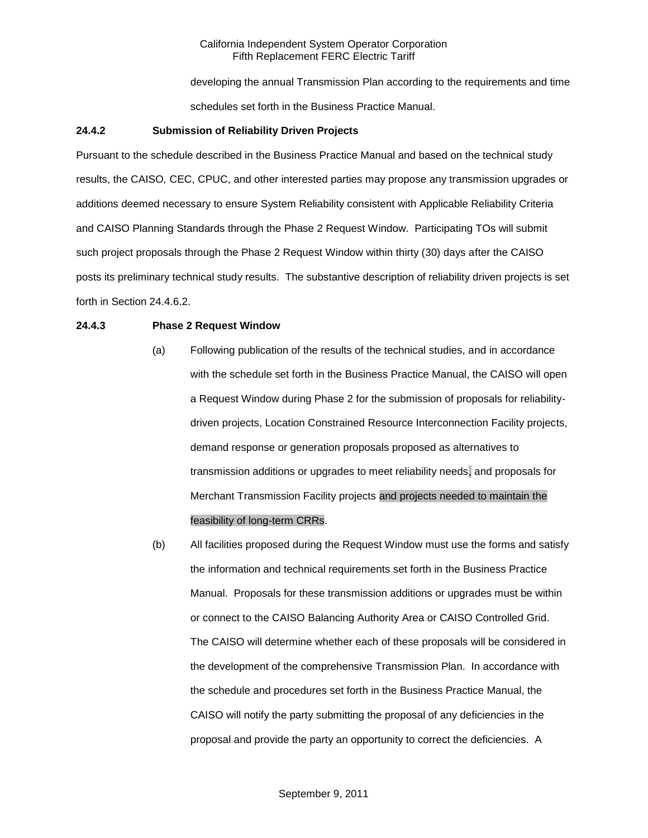developing the annual Transmission Plan according to the requirements and time schedules set forth in the Business Practice Manual.

### **24.4.2 Submission of Reliability Driven Projects**

Pursuant to the schedule described in the Business Practice Manual and based on the technical study results, the CAISO*,* CEC, CPUC, and other interested parties may propose any transmission upgrades or additions deemed necessary to ensure System Reliability consistent with Applicable Reliability Criteria and CAISO Planning Standards through the Phase 2 Request Window. Participating TOs will submit such project proposals through the Phase 2 Request Window within thirty (30) days after the CAISO posts its preliminary technical study results. The substantive description of reliability driven projects is set forth in Section 24.4.6.2.

### **24.4.3 Phase 2 Request Window**

- (a) Following publication of the results of the technical studies, and in accordance with the schedule set forth in the Business Practice Manual, the CAISO will open a Request Window during Phase 2 for the submission of proposals for reliabilitydriven projects, Location Constrained Resource Interconnection Facility projects, demand response or generation proposals proposed as alternatives to transmission additions or upgrades to meet reliability needs, and proposals for Merchant Transmission Facility projects and projects needed to maintain the feasibility of long-term CRRs.
- (b) All facilities proposed during the Request Window must use the forms and satisfy the information and technical requirements set forth in the Business Practice Manual. Proposals for these transmission additions or upgrades must be within or connect to the CAISO Balancing Authority Area or CAISO Controlled Grid. The CAISO will determine whether each of these proposals will be considered in the development of the comprehensive Transmission Plan. In accordance with the schedule and procedures set forth in the Business Practice Manual, the CAISO will notify the party submitting the proposal of any deficiencies in the proposal and provide the party an opportunity to correct the deficiencies. A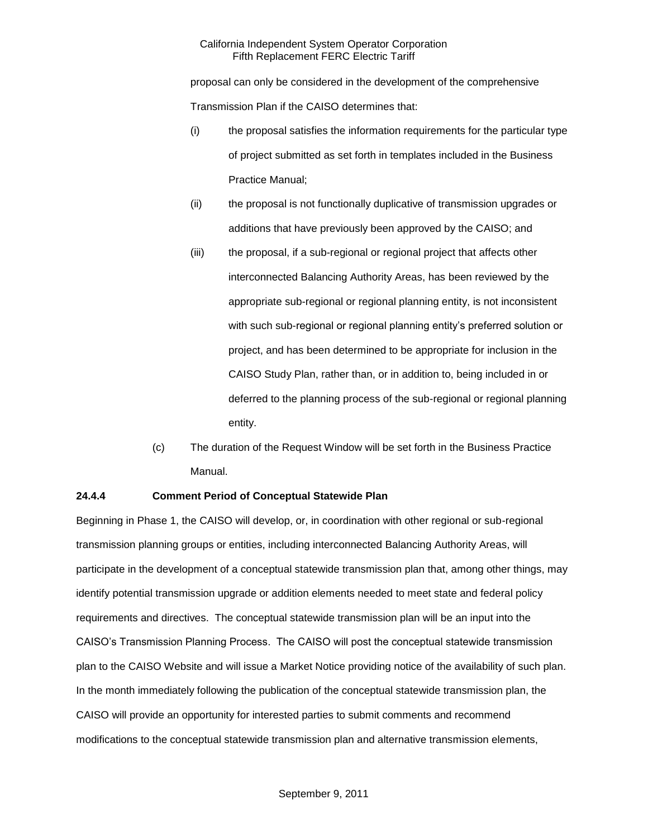proposal can only be considered in the development of the comprehensive Transmission Plan if the CAISO determines that:

- (i) the proposal satisfies the information requirements for the particular type of project submitted as set forth in templates included in the Business Practice Manual;
- (ii) the proposal is not functionally duplicative of transmission upgrades or additions that have previously been approved by the CAISO; and
- (iii) the proposal, if a sub-regional or regional project that affects other interconnected Balancing Authority Areas, has been reviewed by the appropriate sub-regional or regional planning entity, is not inconsistent with such sub-regional or regional planning entity's preferred solution or project, and has been determined to be appropriate for inclusion in the CAISO Study Plan, rather than, or in addition to, being included in or deferred to the planning process of the sub-regional or regional planning entity.
- (c) The duration of the Request Window will be set forth in the Business Practice Manual.

# **24.4.4 Comment Period of Conceptual Statewide Plan**

Beginning in Phase 1, the CAISO will develop, or, in coordination with other regional or sub-regional transmission planning groups or entities, including interconnected Balancing Authority Areas, will participate in the development of a conceptual statewide transmission plan that, among other things, may identify potential transmission upgrade or addition elements needed to meet state and federal policy requirements and directives. The conceptual statewide transmission plan will be an input into the CAISO's Transmission Planning Process. The CAISO will post the conceptual statewide transmission plan to the CAISO Website and will issue a Market Notice providing notice of the availability of such plan. In the month immediately following the publication of the conceptual statewide transmission plan, the CAISO will provide an opportunity for interested parties to submit comments and recommend modifications to the conceptual statewide transmission plan and alternative transmission elements,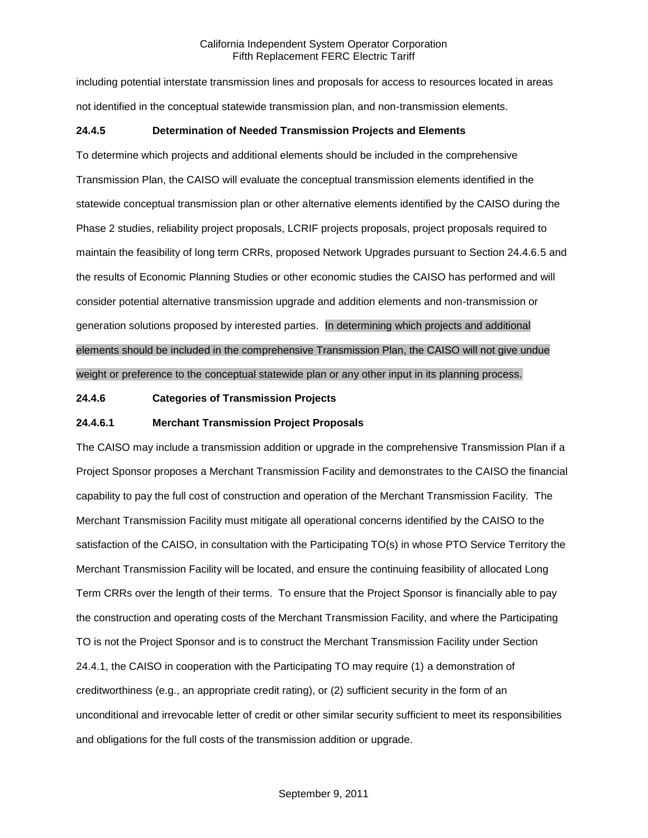including potential interstate transmission lines and proposals for access to resources located in areas not identified in the conceptual statewide transmission plan, and non-transmission elements.

## **24.4.5 Determination of Needed Transmission Projects and Elements**

To determine which projects and additional elements should be included in the comprehensive Transmission Plan, the CAISO will evaluate the conceptual transmission elements identified in the statewide conceptual transmission plan or other alternative elements identified by the CAISO during the Phase 2 studies, reliability project proposals, LCRIF projects proposals, project proposals required to maintain the feasibility of long term CRRs, proposed Network Upgrades pursuant to Section 24.4.6.5 and the results of Economic Planning Studies or other economic studies the CAISO has performed and will consider potential alternative transmission upgrade and addition elements and non-transmission or generation solutions proposed by interested parties. In determining which projects and additional elements should be included in the comprehensive Transmission Plan, the CAISO will not give undue weight or preference to the conceptual statewide plan or any other input in its planning process.

## **24.4.6 Categories of Transmission Projects**

## **24.4.6.1 Merchant Transmission Project Proposals**

The CAISO may include a transmission addition or upgrade in the comprehensive Transmission Plan if a Project Sponsor proposes a Merchant Transmission Facility and demonstrates to the CAISO the financial capability to pay the full cost of construction and operation of the Merchant Transmission Facility. The Merchant Transmission Facility must mitigate all operational concerns identified by the CAISO to the satisfaction of the CAISO, in consultation with the Participating TO(s) in whose PTO Service Territory the Merchant Transmission Facility will be located, and ensure the continuing feasibility of allocated Long Term CRRs over the length of their terms. To ensure that the Project Sponsor is financially able to pay the construction and operating costs of the Merchant Transmission Facility, and where the Participating TO is not the Project Sponsor and is to construct the Merchant Transmission Facility under Section 24.4.1, the CAISO in cooperation with the Participating TO may require (1) a demonstration of creditworthiness (e.g., an appropriate credit rating), or (2) sufficient security in the form of an unconditional and irrevocable letter of credit or other similar security sufficient to meet its responsibilities and obligations for the full costs of the transmission addition or upgrade.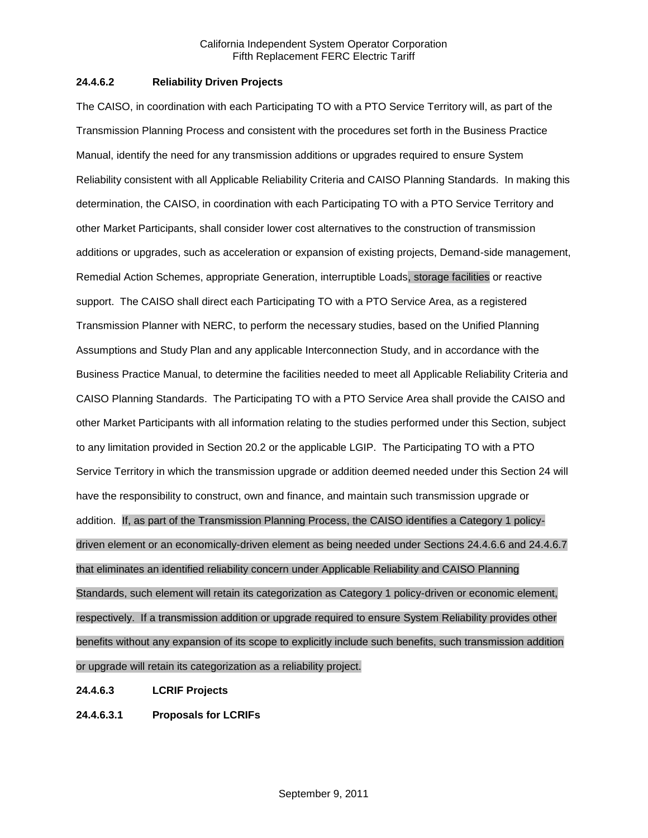## **24.4.6.2 Reliability Driven Projects**

The CAISO, in coordination with each Participating TO with a PTO Service Territory will, as part of the Transmission Planning Process and consistent with the procedures set forth in the Business Practice Manual, identify the need for any transmission additions or upgrades required to ensure System Reliability consistent with all Applicable Reliability Criteria and CAISO Planning Standards. In making this determination, the CAISO, in coordination with each Participating TO with a PTO Service Territory and other Market Participants, shall consider lower cost alternatives to the construction of transmission additions or upgrades, such as acceleration or expansion of existing projects, Demand-side management, Remedial Action Schemes, appropriate Generation, interruptible Loads, storage facilities or reactive support. The CAISO shall direct each Participating TO with a PTO Service Area, as a registered Transmission Planner with NERC, to perform the necessary studies, based on the Unified Planning Assumptions and Study Plan and any applicable Interconnection Study, and in accordance with the Business Practice Manual, to determine the facilities needed to meet all Applicable Reliability Criteria and CAISO Planning Standards. The Participating TO with a PTO Service Area shall provide the CAISO and other Market Participants with all information relating to the studies performed under this Section, subject to any limitation provided in Section 20.2 or the applicable LGIP. The Participating TO with a PTO Service Territory in which the transmission upgrade or addition deemed needed under this Section 24 will have the responsibility to construct, own and finance, and maintain such transmission upgrade or addition. If, as part of the Transmission Planning Process, the CAISO identifies a Category 1 policydriven element or an economically-driven element as being needed under Sections 24.4.6.6 and 24.4.6.7 that eliminates an identified reliability concern under Applicable Reliability and CAISO Planning Standards, such element will retain its categorization as Category 1 policy-driven or economic element, respectively. If a transmission addition or upgrade required to ensure System Reliability provides other benefits without any expansion of its scope to explicitly include such benefits, such transmission addition or upgrade will retain its categorization as a reliability project.

### **24.4.6.3 LCRIF Projects**

**24.4.6.3.1 Proposals for LCRIFs**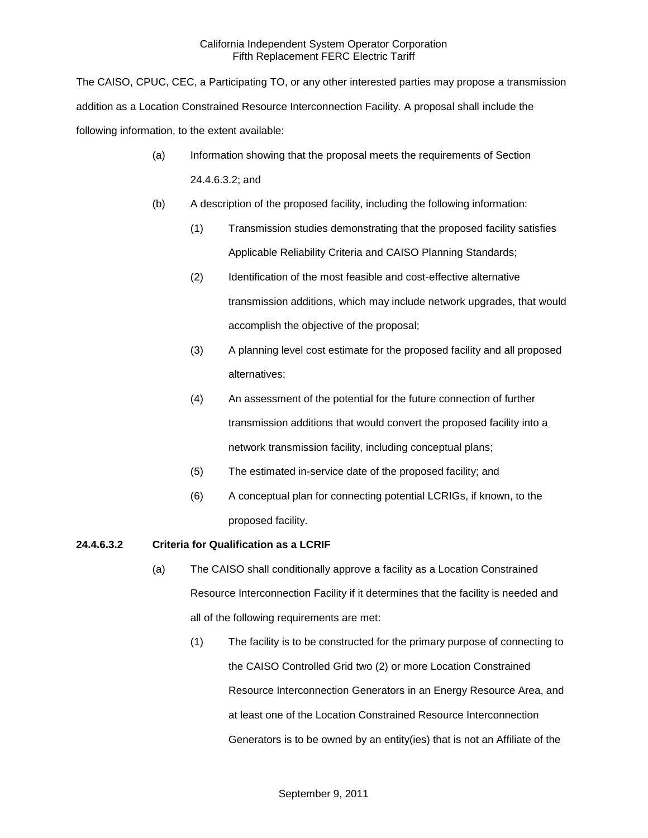The CAISO, CPUC, CEC, a Participating TO, or any other interested parties may propose a transmission addition as a Location Constrained Resource Interconnection Facility. A proposal shall include the following information, to the extent available:

- (a) Information showing that the proposal meets the requirements of Section 24.4.6.3.2; and
- (b) A description of the proposed facility, including the following information:
	- (1) Transmission studies demonstrating that the proposed facility satisfies Applicable Reliability Criteria and CAISO Planning Standards;
	- (2) Identification of the most feasible and cost-effective alternative transmission additions, which may include network upgrades, that would accomplish the objective of the proposal;
	- (3) A planning level cost estimate for the proposed facility and all proposed alternatives;
	- (4) An assessment of the potential for the future connection of further transmission additions that would convert the proposed facility into a network transmission facility, including conceptual plans;
	- (5) The estimated in-service date of the proposed facility; and
	- (6) A conceptual plan for connecting potential LCRIGs, if known, to the proposed facility.

# **24.4.6.3.2 Criteria for Qualification as a LCRIF**

- (a) The CAISO shall conditionally approve a facility as a Location Constrained Resource Interconnection Facility if it determines that the facility is needed and all of the following requirements are met:
	- (1) The facility is to be constructed for the primary purpose of connecting to the CAISO Controlled Grid two (2) or more Location Constrained Resource Interconnection Generators in an Energy Resource Area, and at least one of the Location Constrained Resource Interconnection Generators is to be owned by an entity(ies) that is not an Affiliate of the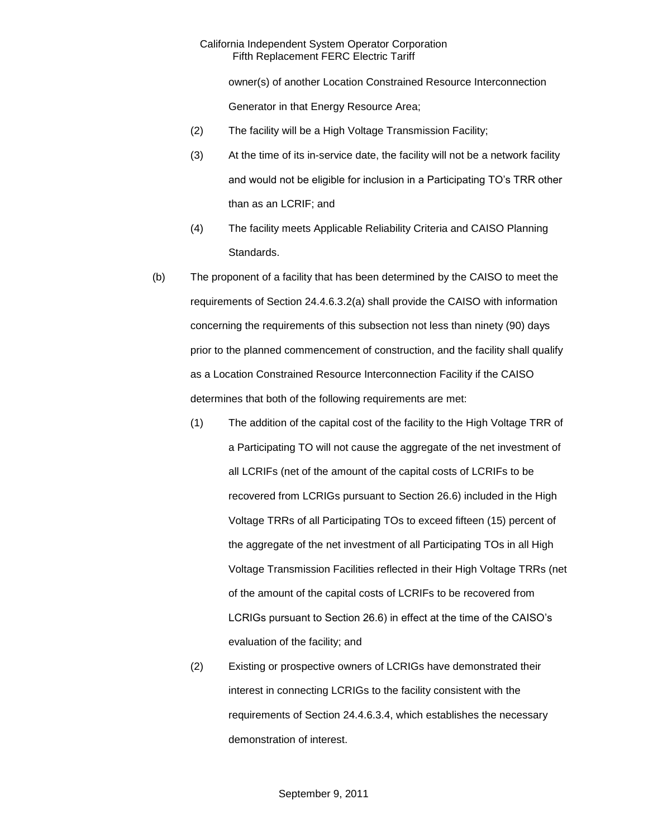owner(s) of another Location Constrained Resource Interconnection Generator in that Energy Resource Area;

- (2) The facility will be a High Voltage Transmission Facility;
- (3) At the time of its in-service date, the facility will not be a network facility and would not be eligible for inclusion in a Participating TO's TRR other than as an LCRIF; and
- (4) The facility meets Applicable Reliability Criteria and CAISO Planning Standards.
- (b) The proponent of a facility that has been determined by the CAISO to meet the requirements of Section 24.4.6.3.2(a) shall provide the CAISO with information concerning the requirements of this subsection not less than ninety (90) days prior to the planned commencement of construction, and the facility shall qualify as a Location Constrained Resource Interconnection Facility if the CAISO determines that both of the following requirements are met:
	- (1) The addition of the capital cost of the facility to the High Voltage TRR of a Participating TO will not cause the aggregate of the net investment of all LCRIFs (net of the amount of the capital costs of LCRIFs to be recovered from LCRIGs pursuant to Section 26.6) included in the High Voltage TRRs of all Participating TOs to exceed fifteen (15) percent of the aggregate of the net investment of all Participating TOs in all High Voltage Transmission Facilities reflected in their High Voltage TRRs (net of the amount of the capital costs of LCRIFs to be recovered from LCRIGs pursuant to Section 26.6) in effect at the time of the CAISO's evaluation of the facility; and
	- (2) Existing or prospective owners of LCRIGs have demonstrated their interest in connecting LCRIGs to the facility consistent with the requirements of Section 24.4.6.3.4, which establishes the necessary demonstration of interest.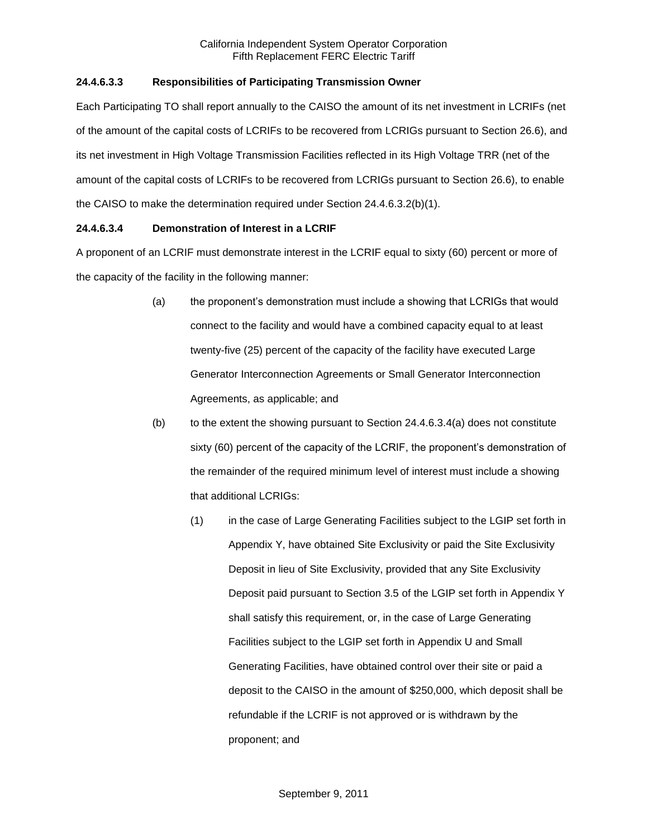# **24.4.6.3.3 Responsibilities of Participating Transmission Owner**

Each Participating TO shall report annually to the CAISO the amount of its net investment in LCRIFs (net of the amount of the capital costs of LCRIFs to be recovered from LCRIGs pursuant to Section 26.6), and its net investment in High Voltage Transmission Facilities reflected in its High Voltage TRR (net of the amount of the capital costs of LCRIFs to be recovered from LCRIGs pursuant to Section 26.6), to enable the CAISO to make the determination required under Section 24.4.6.3.2(b)(1).

# **24.4.6.3.4 Demonstration of Interest in a LCRIF**

A proponent of an LCRIF must demonstrate interest in the LCRIF equal to sixty (60) percent or more of the capacity of the facility in the following manner:

- (a) the proponent's demonstration must include a showing that LCRIGs that would connect to the facility and would have a combined capacity equal to at least twenty-five (25) percent of the capacity of the facility have executed Large Generator Interconnection Agreements or Small Generator Interconnection Agreements, as applicable; and
- $(b)$  to the extent the showing pursuant to Section 24.4.6.3.4(a) does not constitute sixty (60) percent of the capacity of the LCRIF, the proponent's demonstration of the remainder of the required minimum level of interest must include a showing that additional LCRIGs:
	- (1) in the case of Large Generating Facilities subject to the LGIP set forth in Appendix Y, have obtained Site Exclusivity or paid the Site Exclusivity Deposit in lieu of Site Exclusivity, provided that any Site Exclusivity Deposit paid pursuant to Section 3.5 of the LGIP set forth in Appendix Y shall satisfy this requirement, or, in the case of Large Generating Facilities subject to the LGIP set forth in Appendix U and Small Generating Facilities, have obtained control over their site or paid a deposit to the CAISO in the amount of \$250,000, which deposit shall be refundable if the LCRIF is not approved or is withdrawn by the proponent; and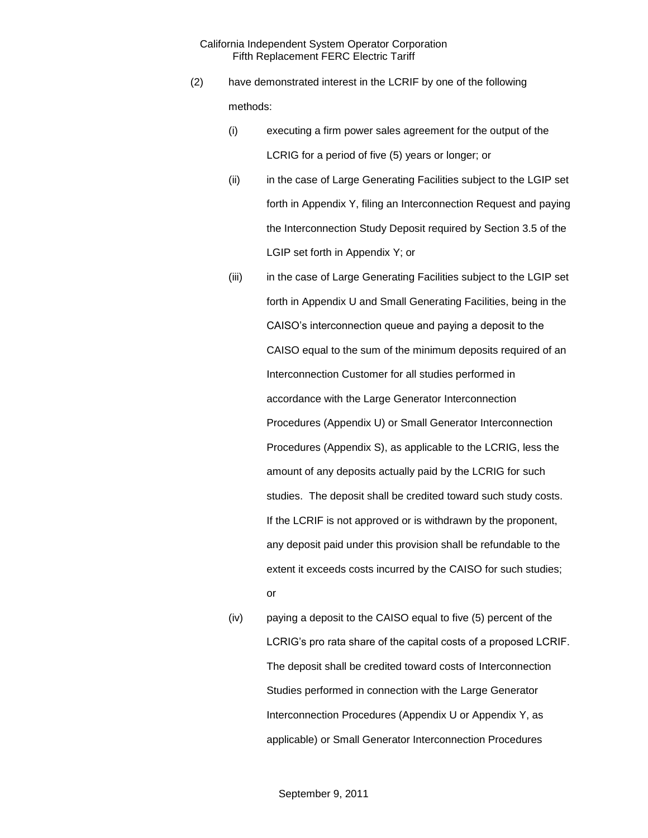- (2) have demonstrated interest in the LCRIF by one of the following methods:
	- (i) executing a firm power sales agreement for the output of the LCRIG for a period of five (5) years or longer; or
	- (ii) in the case of Large Generating Facilities subject to the LGIP set forth in Appendix Y, filing an Interconnection Request and paying the Interconnection Study Deposit required by Section 3.5 of the LGIP set forth in Appendix Y; or
	- (iii) in the case of Large Generating Facilities subject to the LGIP set forth in Appendix U and Small Generating Facilities, being in the CAISO's interconnection queue and paying a deposit to the CAISO equal to the sum of the minimum deposits required of an Interconnection Customer for all studies performed in accordance with the Large Generator Interconnection Procedures (Appendix U) or Small Generator Interconnection Procedures (Appendix S), as applicable to the LCRIG, less the amount of any deposits actually paid by the LCRIG for such studies. The deposit shall be credited toward such study costs. If the LCRIF is not approved or is withdrawn by the proponent, any deposit paid under this provision shall be refundable to the extent it exceeds costs incurred by the CAISO for such studies; or
	- (iv) paying a deposit to the CAISO equal to five (5) percent of the LCRIG's pro rata share of the capital costs of a proposed LCRIF. The deposit shall be credited toward costs of Interconnection Studies performed in connection with the Large Generator Interconnection Procedures (Appendix U or Appendix Y, as applicable) or Small Generator Interconnection Procedures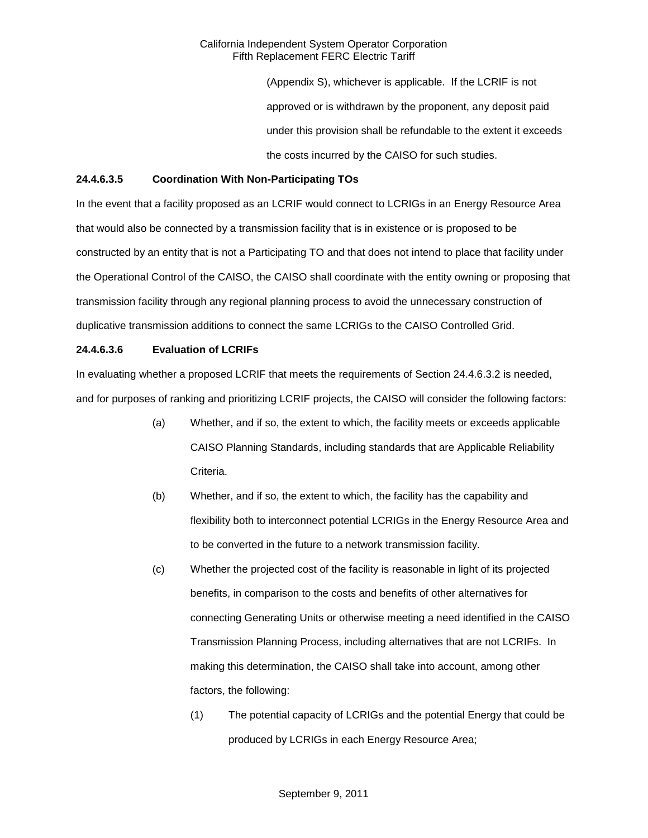> (Appendix S), whichever is applicable. If the LCRIF is not approved or is withdrawn by the proponent, any deposit paid under this provision shall be refundable to the extent it exceeds the costs incurred by the CAISO for such studies.

### **24.4.6.3.5 Coordination With Non-Participating TOs**

In the event that a facility proposed as an LCRIF would connect to LCRIGs in an Energy Resource Area that would also be connected by a transmission facility that is in existence or is proposed to be constructed by an entity that is not a Participating TO and that does not intend to place that facility under the Operational Control of the CAISO, the CAISO shall coordinate with the entity owning or proposing that transmission facility through any regional planning process to avoid the unnecessary construction of duplicative transmission additions to connect the same LCRIGs to the CAISO Controlled Grid.

## **24.4.6.3.6 Evaluation of LCRIFs**

In evaluating whether a proposed LCRIF that meets the requirements of Section 24.4.6.3.2 is needed, and for purposes of ranking and prioritizing LCRIF projects, the CAISO will consider the following factors:

- (a) Whether, and if so, the extent to which, the facility meets or exceeds applicable CAISO Planning Standards, including standards that are Applicable Reliability Criteria.
- (b) Whether, and if so, the extent to which, the facility has the capability and flexibility both to interconnect potential LCRIGs in the Energy Resource Area and to be converted in the future to a network transmission facility.
- (c) Whether the projected cost of the facility is reasonable in light of its projected benefits, in comparison to the costs and benefits of other alternatives for connecting Generating Units or otherwise meeting a need identified in the CAISO Transmission Planning Process, including alternatives that are not LCRIFs. In making this determination, the CAISO shall take into account, among other factors, the following:
	- (1) The potential capacity of LCRIGs and the potential Energy that could be produced by LCRIGs in each Energy Resource Area;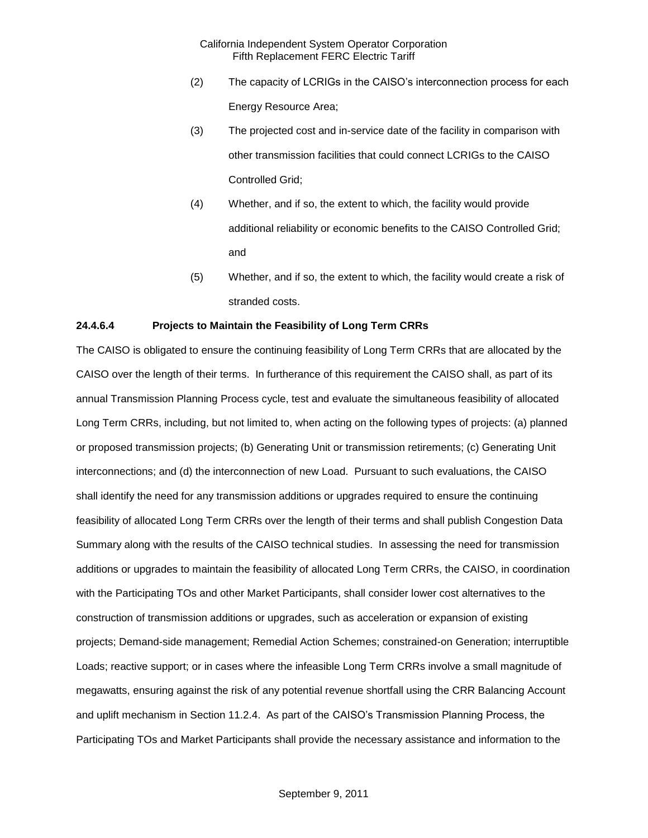- (2) The capacity of LCRIGs in the CAISO's interconnection process for each Energy Resource Area;
- (3) The projected cost and in-service date of the facility in comparison with other transmission facilities that could connect LCRIGs to the CAISO Controlled Grid;
- (4) Whether, and if so, the extent to which, the facility would provide additional reliability or economic benefits to the CAISO Controlled Grid; and
- (5) Whether, and if so, the extent to which, the facility would create a risk of stranded costs.

## **24.4.6.4 Projects to Maintain the Feasibility of Long Term CRRs**

The CAISO is obligated to ensure the continuing feasibility of Long Term CRRs that are allocated by the CAISO over the length of their terms. In furtherance of this requirement the CAISO shall, as part of its annual Transmission Planning Process cycle, test and evaluate the simultaneous feasibility of allocated Long Term CRRs, including, but not limited to, when acting on the following types of projects: (a) planned or proposed transmission projects; (b) Generating Unit or transmission retirements; (c) Generating Unit interconnections; and (d) the interconnection of new Load. Pursuant to such evaluations, the CAISO shall identify the need for any transmission additions or upgrades required to ensure the continuing feasibility of allocated Long Term CRRs over the length of their terms and shall publish Congestion Data Summary along with the results of the CAISO technical studies. In assessing the need for transmission additions or upgrades to maintain the feasibility of allocated Long Term CRRs, the CAISO, in coordination with the Participating TOs and other Market Participants, shall consider lower cost alternatives to the construction of transmission additions or upgrades, such as acceleration or expansion of existing projects; Demand-side management; Remedial Action Schemes; constrained-on Generation; interruptible Loads; reactive support; or in cases where the infeasible Long Term CRRs involve a small magnitude of megawatts, ensuring against the risk of any potential revenue shortfall using the CRR Balancing Account and uplift mechanism in Section 11.2.4. As part of the CAISO's Transmission Planning Process, the Participating TOs and Market Participants shall provide the necessary assistance and information to the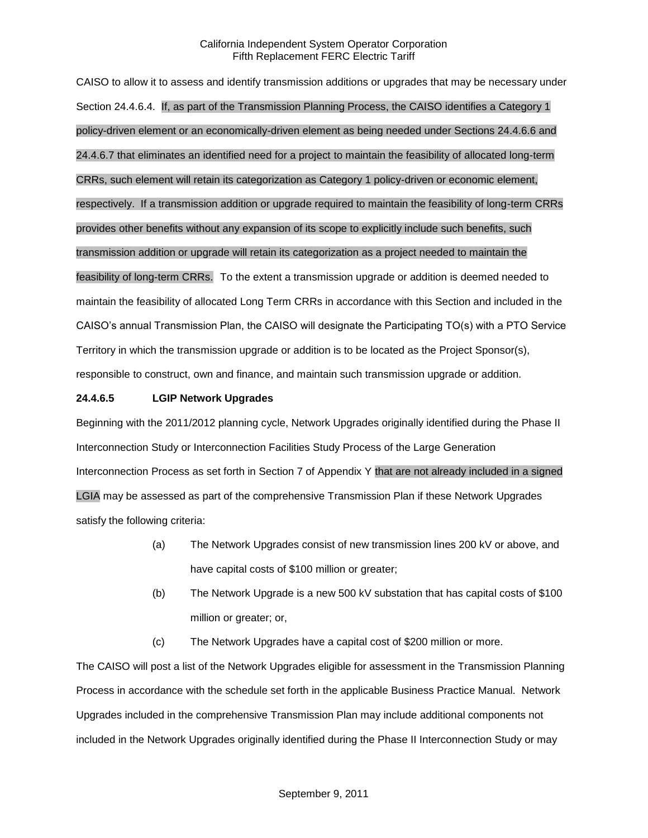CAISO to allow it to assess and identify transmission additions or upgrades that may be necessary under Section 24.4.6.4. If, as part of the Transmission Planning Process, the CAISO identifies a Category 1 policy-driven element or an economically-driven element as being needed under Sections 24.4.6.6 and 24.4.6.7 that eliminates an identified need for a project to maintain the feasibility of allocated long-term CRRs, such element will retain its categorization as Category 1 policy-driven or economic element, respectively. If a transmission addition or upgrade required to maintain the feasibility of long-term CRRs provides other benefits without any expansion of its scope to explicitly include such benefits, such transmission addition or upgrade will retain its categorization as a project needed to maintain the feasibility of long-term CRRs. To the extent a transmission upgrade or addition is deemed needed to maintain the feasibility of allocated Long Term CRRs in accordance with this Section and included in the CAISO's annual Transmission Plan, the CAISO will designate the Participating TO(s) with a PTO Service Territory in which the transmission upgrade or addition is to be located as the Project Sponsor(s), responsible to construct, own and finance, and maintain such transmission upgrade or addition.

## **24.4.6.5 LGIP Network Upgrades**

Beginning with the 2011/2012 planning cycle, Network Upgrades originally identified during the Phase II Interconnection Study or Interconnection Facilities Study Process of the Large Generation Interconnection Process as set forth in Section 7 of Appendix Y that are not already included in a signed LGIA may be assessed as part of the comprehensive Transmission Plan if these Network Upgrades satisfy the following criteria:

- (a) The Network Upgrades consist of new transmission lines 200 kV or above, and have capital costs of \$100 million or greater;
- (b) The Network Upgrade is a new 500 kV substation that has capital costs of \$100 million or greater; or,
- (c) The Network Upgrades have a capital cost of \$200 million or more.

The CAISO will post a list of the Network Upgrades eligible for assessment in the Transmission Planning Process in accordance with the schedule set forth in the applicable Business Practice Manual. Network Upgrades included in the comprehensive Transmission Plan may include additional components not included in the Network Upgrades originally identified during the Phase II Interconnection Study or may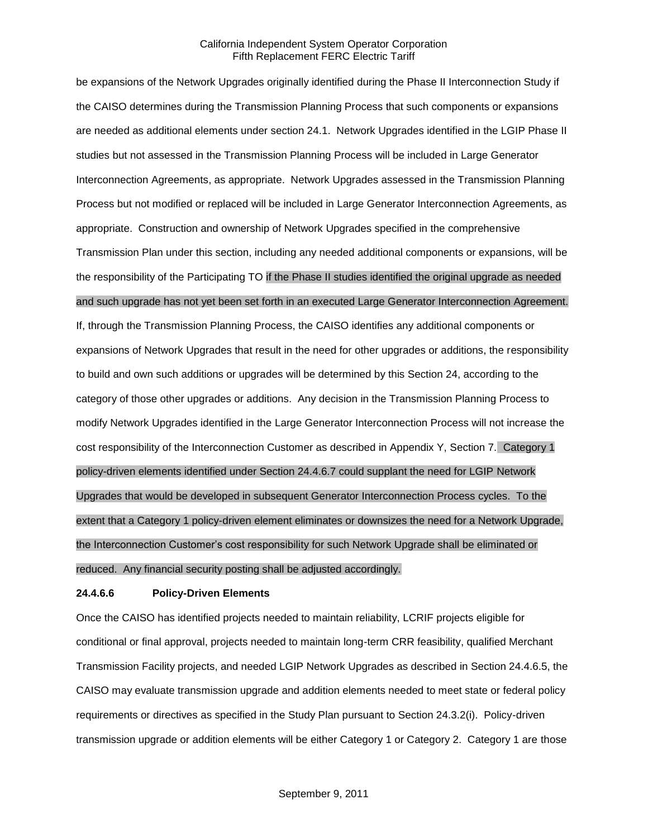be expansions of the Network Upgrades originally identified during the Phase II Interconnection Study if the CAISO determines during the Transmission Planning Process that such components or expansions are needed as additional elements under section 24.1. Network Upgrades identified in the LGIP Phase II studies but not assessed in the Transmission Planning Process will be included in Large Generator Interconnection Agreements, as appropriate. Network Upgrades assessed in the Transmission Planning Process but not modified or replaced will be included in Large Generator Interconnection Agreements, as appropriate. Construction and ownership of Network Upgrades specified in the comprehensive Transmission Plan under this section, including any needed additional components or expansions, will be the responsibility of the Participating TO if the Phase II studies identified the original upgrade as needed and such upgrade has not yet been set forth in an executed Large Generator Interconnection Agreement.

If, through the Transmission Planning Process, the CAISO identifies any additional components or expansions of Network Upgrades that result in the need for other upgrades or additions, the responsibility to build and own such additions or upgrades will be determined by this Section 24, according to the category of those other upgrades or additions. Any decision in the Transmission Planning Process to modify Network Upgrades identified in the Large Generator Interconnection Process will not increase the cost responsibility of the Interconnection Customer as described in Appendix Y, Section 7. Category 1 policy-driven elements identified under Section 24.4.6.7 could supplant the need for LGIP Network Upgrades that would be developed in subsequent Generator Interconnection Process cycles. To the extent that a Category 1 policy-driven element eliminates or downsizes the need for a Network Upgrade, the Interconnection Customer's cost responsibility for such Network Upgrade shall be eliminated or reduced. Any financial security posting shall be adjusted accordingly.

#### **24.4.6.6 Policy-Driven Elements**

Once the CAISO has identified projects needed to maintain reliability, LCRIF projects eligible for conditional or final approval, projects needed to maintain long-term CRR feasibility, qualified Merchant Transmission Facility projects, and needed LGIP Network Upgrades as described in Section 24.4.6.5, the CAISO may evaluate transmission upgrade and addition elements needed to meet state or federal policy requirements or directives as specified in the Study Plan pursuant to Section 24.3.2(i). Policy-driven transmission upgrade or addition elements will be either Category 1 or Category 2. Category 1 are those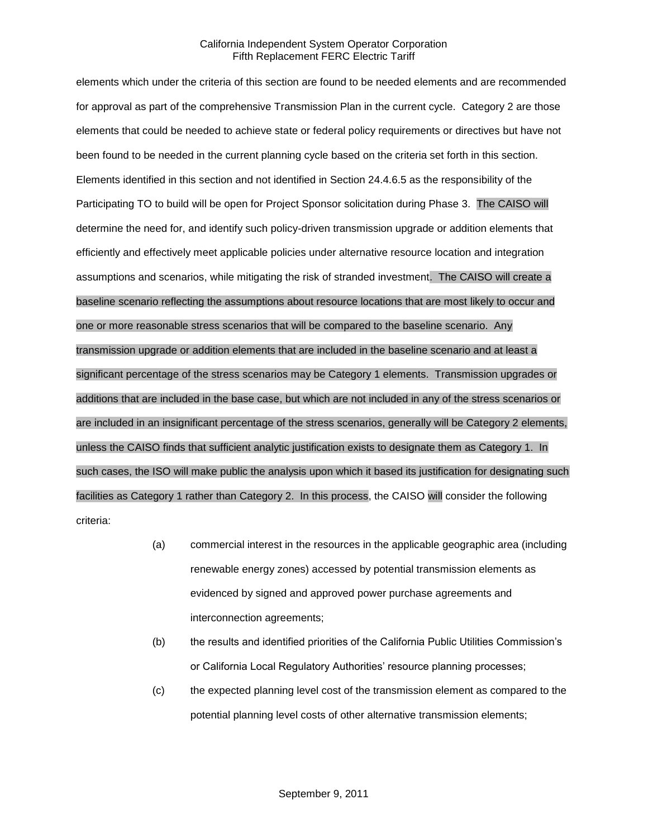elements which under the criteria of this section are found to be needed elements and are recommended for approval as part of the comprehensive Transmission Plan in the current cycle. Category 2 are those elements that could be needed to achieve state or federal policy requirements or directives but have not been found to be needed in the current planning cycle based on the criteria set forth in this section. Elements identified in this section and not identified in Section 24.4.6.5 as the responsibility of the Participating TO to build will be open for Project Sponsor solicitation during Phase 3. The CAISO will determine the need for, and identify such policy-driven transmission upgrade or addition elements that efficiently and effectively meet applicable policies under alternative resource location and integration assumptions and scenarios, while mitigating the risk of stranded investment. The CAISO will create a baseline scenario reflecting the assumptions about resource locations that are most likely to occur and one or more reasonable stress scenarios that will be compared to the baseline scenario. Any transmission upgrade or addition elements that are included in the baseline scenario and at least a significant percentage of the stress scenarios may be Category 1 elements. Transmission upgrades or additions that are included in the base case, but which are not included in any of the stress scenarios or are included in an insignificant percentage of the stress scenarios, generally will be Category 2 elements, unless the CAISO finds that sufficient analytic justification exists to designate them as Category 1. In such cases, the ISO will make public the analysis upon which it based its justification for designating such facilities as Category 1 rather than Category 2. In this process, the CAISO will consider the following criteria:

- (a) commercial interest in the resources in the applicable geographic area (including renewable energy zones) accessed by potential transmission elements as evidenced by signed and approved power purchase agreements and interconnection agreements;
- (b) the results and identified priorities of the California Public Utilities Commission's or California Local Regulatory Authorities' resource planning processes;
- (c) the expected planning level cost of the transmission element as compared to the potential planning level costs of other alternative transmission elements;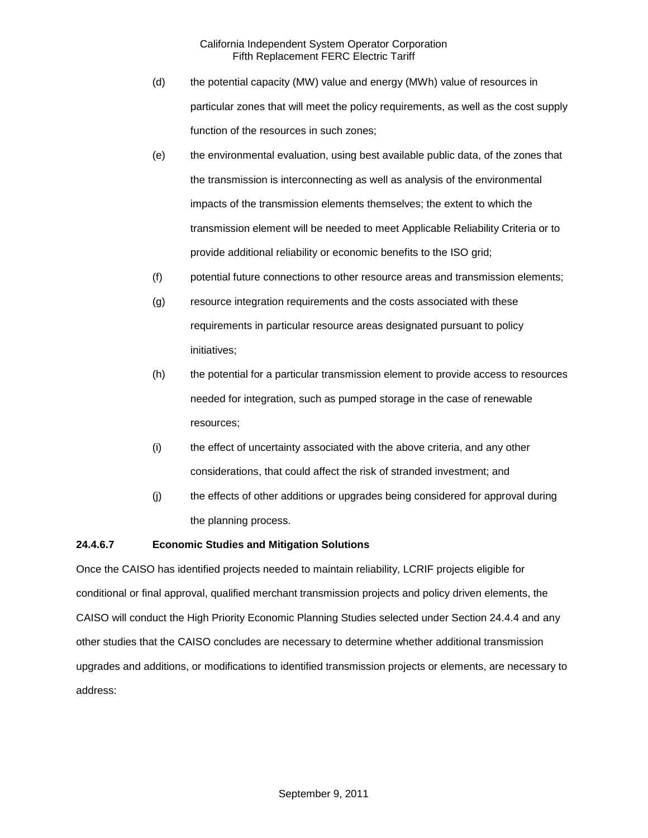- (d) the potential capacity (MW) value and energy (MWh) value of resources in particular zones that will meet the policy requirements, as well as the cost supply function of the resources in such zones;
- (e) the environmental evaluation, using best available public data, of the zones that the transmission is interconnecting as well as analysis of the environmental impacts of the transmission elements themselves; the extent to which the transmission element will be needed to meet Applicable Reliability Criteria or to provide additional reliability or economic benefits to the ISO grid;
- (f) potential future connections to other resource areas and transmission elements;
- (g) resource integration requirements and the costs associated with these requirements in particular resource areas designated pursuant to policy initiatives;
- (h) the potential for a particular transmission element to provide access to resources needed for integration, such as pumped storage in the case of renewable resources;
- (i) the effect of uncertainty associated with the above criteria, and any other considerations, that could affect the risk of stranded investment; and
- (j) the effects of other additions or upgrades being considered for approval during the planning process.

## **24.4.6.7 Economic Studies and Mitigation Solutions**

Once the CAISO has identified projects needed to maintain reliability, LCRIF projects eligible for conditional or final approval, qualified merchant transmission projects and policy driven elements, the CAISO will conduct the High Priority Economic Planning Studies selected under Section 24.4.4 and any other studies that the CAISO concludes are necessary to determine whether additional transmission upgrades and additions, or modifications to identified transmission projects or elements, are necessary to address: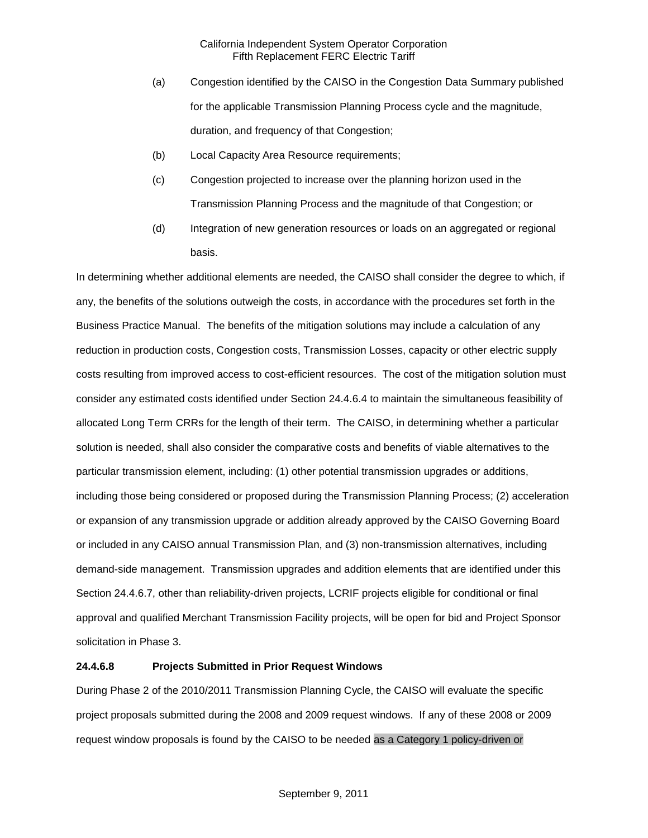- (a) Congestion identified by the CAISO in the Congestion Data Summary published for the applicable Transmission Planning Process cycle and the magnitude, duration, and frequency of that Congestion;
- (b) Local Capacity Area Resource requirements;
- (c) Congestion projected to increase over the planning horizon used in the Transmission Planning Process and the magnitude of that Congestion; or
- (d) Integration of new generation resources or loads on an aggregated or regional basis.

In determining whether additional elements are needed, the CAISO shall consider the degree to which, if any, the benefits of the solutions outweigh the costs, in accordance with the procedures set forth in the Business Practice Manual. The benefits of the mitigation solutions may include a calculation of any reduction in production costs, Congestion costs, Transmission Losses, capacity or other electric supply costs resulting from improved access to cost-efficient resources. The cost of the mitigation solution must consider any estimated costs identified under Section 24.4.6.4 to maintain the simultaneous feasibility of allocated Long Term CRRs for the length of their term. The CAISO, in determining whether a particular solution is needed, shall also consider the comparative costs and benefits of viable alternatives to the particular transmission element, including: (1) other potential transmission upgrades or additions, including those being considered or proposed during the Transmission Planning Process; (2) acceleration or expansion of any transmission upgrade or addition already approved by the CAISO Governing Board or included in any CAISO annual Transmission Plan, and (3) non-transmission alternatives, including demand-side management. Transmission upgrades and addition elements that are identified under this Section 24.4.6.7, other than reliability-driven projects, LCRIF projects eligible for conditional or final approval and qualified Merchant Transmission Facility projects, will be open for bid and Project Sponsor solicitation in Phase 3.

## **24.4.6.8 Projects Submitted in Prior Request Windows**

During Phase 2 of the 2010/2011 Transmission Planning Cycle, the CAISO will evaluate the specific project proposals submitted during the 2008 and 2009 request windows. If any of these 2008 or 2009 request window proposals is found by the CAISO to be needed as a Category 1 policy-driven or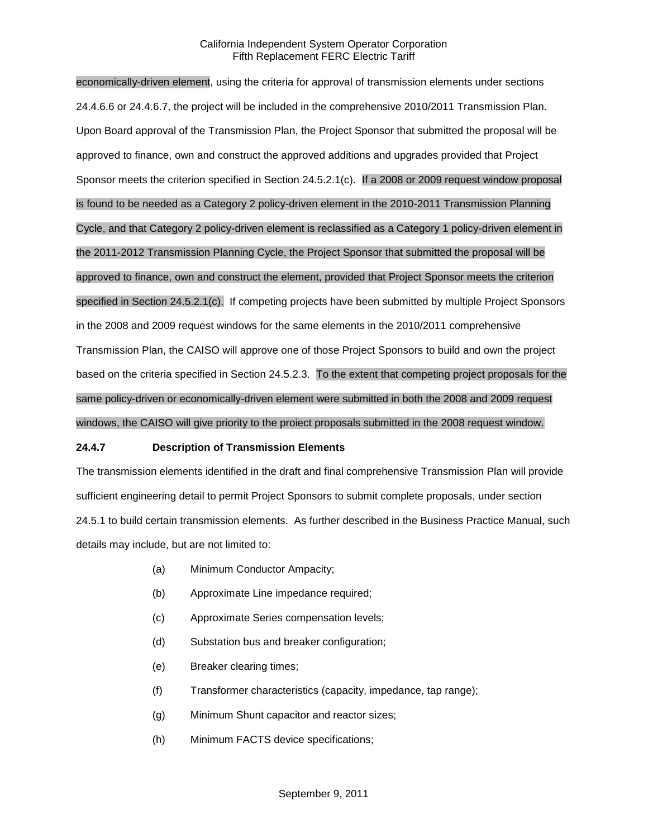economically-driven element, using the criteria for approval of transmission elements under sections 24.4.6.6 or 24.4.6.7, the project will be included in the comprehensive 2010/2011 Transmission Plan. Upon Board approval of the Transmission Plan, the Project Sponsor that submitted the proposal will be approved to finance, own and construct the approved additions and upgrades provided that Project Sponsor meets the criterion specified in Section 24.5.2.1(c). If a 2008 or 2009 request window proposal is found to be needed as a Category 2 policy-driven element in the 2010-2011 Transmission Planning Cycle, and that Category 2 policy-driven element is reclassified as a Category 1 policy-driven element in the 2011-2012 Transmission Planning Cycle, the Project Sponsor that submitted the proposal will be approved to finance, own and construct the element, provided that Project Sponsor meets the criterion specified in Section 24.5.2.1(c). If competing projects have been submitted by multiple Project Sponsors in the 2008 and 2009 request windows for the same elements in the 2010/2011 comprehensive Transmission Plan, the CAISO will approve one of those Project Sponsors to build and own the project based on the criteria specified in Section 24.5.2.3. To the extent that competing project proposals for the same policy-driven or economically-driven element were submitted in both the 2008 and 2009 request windows, the CAISO will give priority to the proiect proposals submitted in the 2008 request window.

#### **24.4.7 Description of Transmission Elements**

The transmission elements identified in the draft and final comprehensive Transmission Plan will provide sufficient engineering detail to permit Project Sponsors to submit complete proposals, under section 24.5.1 to build certain transmission elements. As further described in the Business Practice Manual, such details may include, but are not limited to:

- (a) Minimum Conductor Ampacity;
- (b) Approximate Line impedance required;
- (c) Approximate Series compensation levels;
- (d) Substation bus and breaker configuration;
- (e) Breaker clearing times;
- (f) Transformer characteristics (capacity, impedance, tap range);
- (g) Minimum Shunt capacitor and reactor sizes;
- (h) Minimum FACTS device specifications;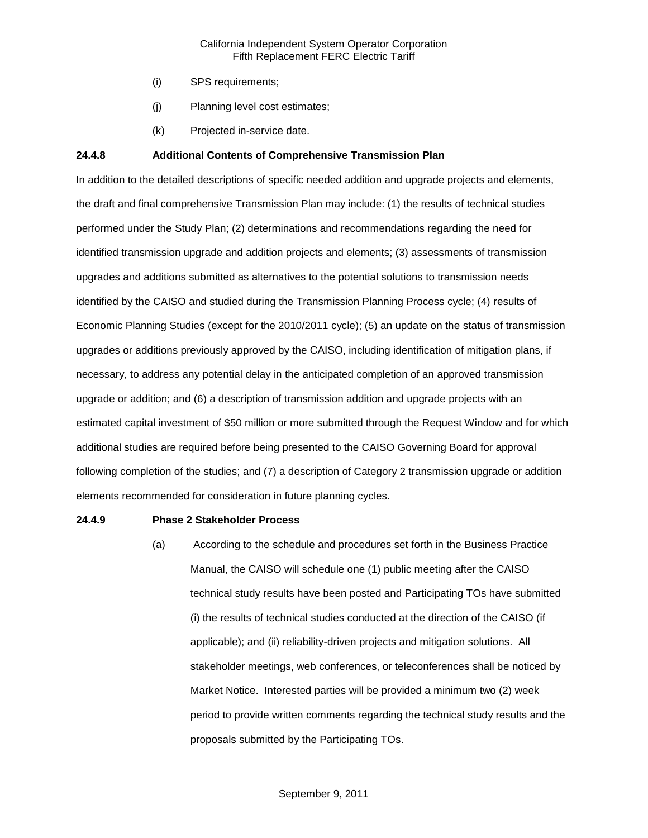- (i) SPS requirements;
- (j) Planning level cost estimates;
- (k) Projected in-service date.

## **24.4.8 Additional Contents of Comprehensive Transmission Plan**

In addition to the detailed descriptions of specific needed addition and upgrade projects and elements, the draft and final comprehensive Transmission Plan may include: (1) the results of technical studies performed under the Study Plan; (2) determinations and recommendations regarding the need for identified transmission upgrade and addition projects and elements; (3) assessments of transmission upgrades and additions submitted as alternatives to the potential solutions to transmission needs identified by the CAISO and studied during the Transmission Planning Process cycle; (4) results of Economic Planning Studies (except for the 2010/2011 cycle); (5) an update on the status of transmission upgrades or additions previously approved by the CAISO, including identification of mitigation plans, if necessary, to address any potential delay in the anticipated completion of an approved transmission upgrade or addition; and (6) a description of transmission addition and upgrade projects with an estimated capital investment of \$50 million or more submitted through the Request Window and for which additional studies are required before being presented to the CAISO Governing Board for approval following completion of the studies; and (7) a description of Category 2 transmission upgrade or addition elements recommended for consideration in future planning cycles.

#### **24.4.9 Phase 2 Stakeholder Process**

(a) According to the schedule and procedures set forth in the Business Practice Manual, the CAISO will schedule one (1) public meeting after the CAISO technical study results have been posted and Participating TOs have submitted (i) the results of technical studies conducted at the direction of the CAISO (if applicable); and (ii) reliability-driven projects and mitigation solutions. All stakeholder meetings, web conferences, or teleconferences shall be noticed by Market Notice. Interested parties will be provided a minimum two (2) week period to provide written comments regarding the technical study results and the proposals submitted by the Participating TOs.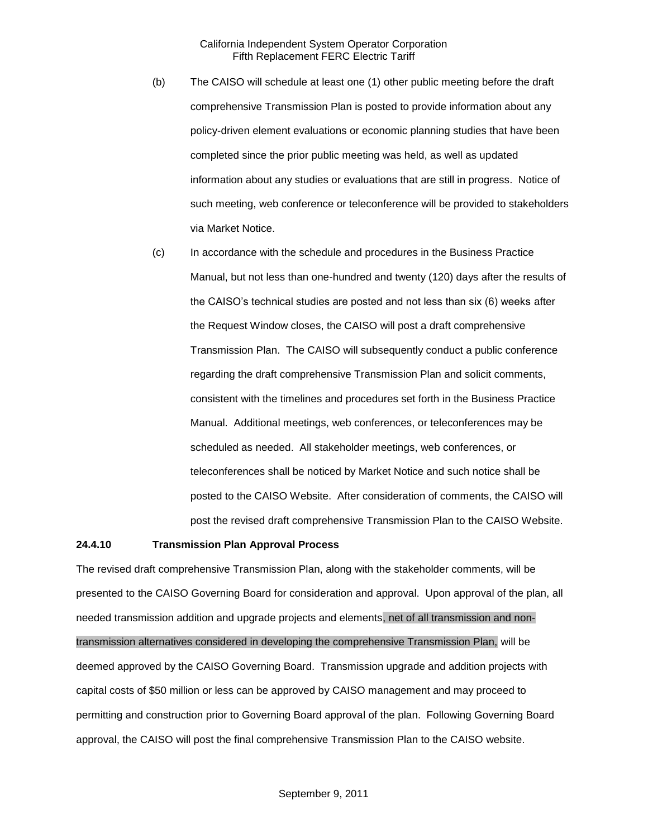- (b) The CAISO will schedule at least one (1) other public meeting before the draft comprehensive Transmission Plan is posted to provide information about any policy-driven element evaluations or economic planning studies that have been completed since the prior public meeting was held, as well as updated information about any studies or evaluations that are still in progress. Notice of such meeting, web conference or teleconference will be provided to stakeholders via Market Notice.
- (c) In accordance with the schedule and procedures in the Business Practice Manual, but not less than one-hundred and twenty (120) days after the results of the CAISO's technical studies are posted and not less than six (6) weeks after the Request Window closes, the CAISO will post a draft comprehensive Transmission Plan. The CAISO will subsequently conduct a public conference regarding the draft comprehensive Transmission Plan and solicit comments, consistent with the timelines and procedures set forth in the Business Practice Manual. Additional meetings, web conferences, or teleconferences may be scheduled as needed. All stakeholder meetings, web conferences, or teleconferences shall be noticed by Market Notice and such notice shall be posted to the CAISO Website. After consideration of comments, the CAISO will post the revised draft comprehensive Transmission Plan to the CAISO Website.

#### **24.4.10 Transmission Plan Approval Process**

The revised draft comprehensive Transmission Plan, along with the stakeholder comments, will be presented to the CAISO Governing Board for consideration and approval. Upon approval of the plan, all needed transmission addition and upgrade projects and elements, net of all transmission and nontransmission alternatives considered in developing the comprehensive Transmission Plan, will be deemed approved by the CAISO Governing Board. Transmission upgrade and addition projects with capital costs of \$50 million or less can be approved by CAISO management and may proceed to permitting and construction prior to Governing Board approval of the plan. Following Governing Board approval, the CAISO will post the final comprehensive Transmission Plan to the CAISO website.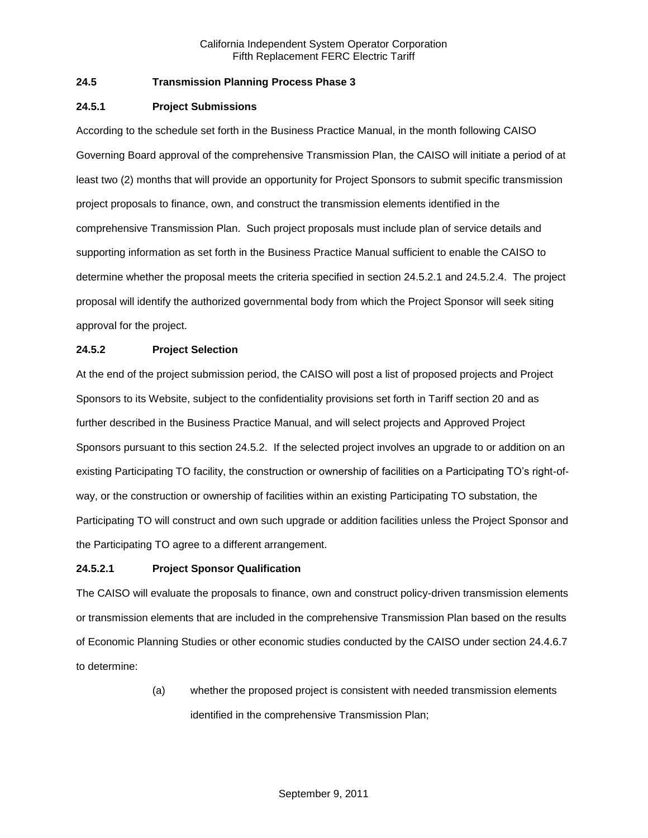## **24.5 Transmission Planning Process Phase 3**

## **24.5.1 Project Submissions**

According to the schedule set forth in the Business Practice Manual, in the month following CAISO Governing Board approval of the comprehensive Transmission Plan, the CAISO will initiate a period of at least two (2) months that will provide an opportunity for Project Sponsors to submit specific transmission project proposals to finance, own, and construct the transmission elements identified in the comprehensive Transmission Plan. Such project proposals must include plan of service details and supporting information as set forth in the Business Practice Manual sufficient to enable the CAISO to determine whether the proposal meets the criteria specified in section 24.5.2.1 and 24.5.2.4. The project proposal will identify the authorized governmental body from which the Project Sponsor will seek siting approval for the project.

## **24.5.2 Project Selection**

At the end of the project submission period, the CAISO will post a list of proposed projects and Project Sponsors to its Website, subject to the confidentiality provisions set forth in Tariff section 20 and as further described in the Business Practice Manual, and will select projects and Approved Project Sponsors pursuant to this section 24.5.2. If the selected project involves an upgrade to or addition on an existing Participating TO facility, the construction or ownership of facilities on a Participating TO's right-ofway, or the construction or ownership of facilities within an existing Participating TO substation, the Participating TO will construct and own such upgrade or addition facilities unless the Project Sponsor and the Participating TO agree to a different arrangement.

## **24.5.2.1 Project Sponsor Qualification**

The CAISO will evaluate the proposals to finance, own and construct policy-driven transmission elements or transmission elements that are included in the comprehensive Transmission Plan based on the results of Economic Planning Studies or other economic studies conducted by the CAISO under section 24.4.6.7 to determine:

> (a) whether the proposed project is consistent with needed transmission elements identified in the comprehensive Transmission Plan;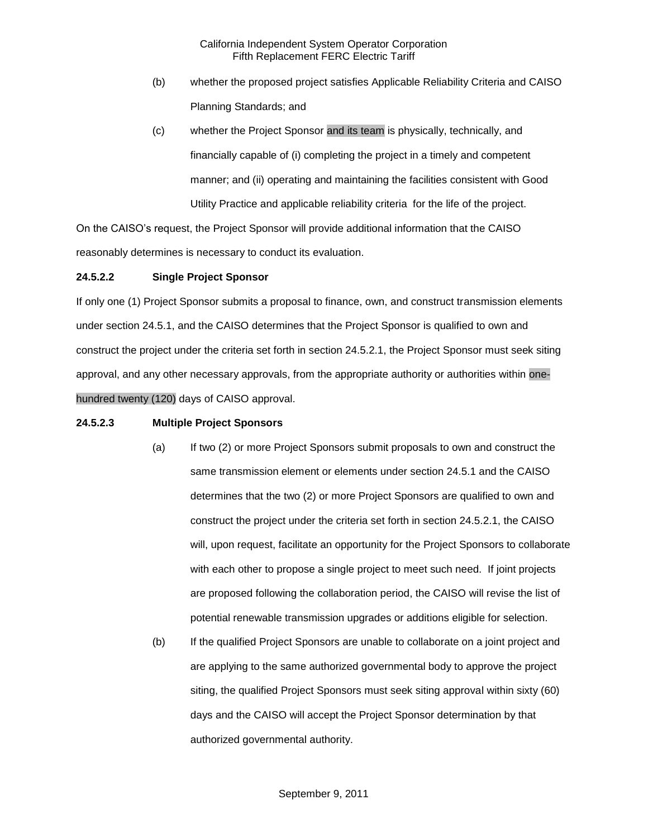- (b) whether the proposed project satisfies Applicable Reliability Criteria and CAISO Planning Standards; and
- (c) whether the Project Sponsor and its team is physically, technically, and financially capable of (i) completing the project in a timely and competent manner; and (ii) operating and maintaining the facilities consistent with Good Utility Practice and applicable reliability criteria for the life of the project.

On the CAISO's request, the Project Sponsor will provide additional information that the CAISO reasonably determines is necessary to conduct its evaluation.

## **24.5.2.2 Single Project Sponsor**

If only one (1) Project Sponsor submits a proposal to finance, own, and construct transmission elements under section 24.5.1, and the CAISO determines that the Project Sponsor is qualified to own and construct the project under the criteria set forth in section 24.5.2.1, the Project Sponsor must seek siting approval, and any other necessary approvals, from the appropriate authority or authorities within onehundred twenty (120) days of CAISO approval.

#### **24.5.2.3 Multiple Project Sponsors**

- (a) If two (2) or more Project Sponsors submit proposals to own and construct the same transmission element or elements under section 24.5.1 and the CAISO determines that the two (2) or more Project Sponsors are qualified to own and construct the project under the criteria set forth in section 24.5.2.1, the CAISO will, upon request, facilitate an opportunity for the Project Sponsors to collaborate with each other to propose a single project to meet such need. If joint projects are proposed following the collaboration period, the CAISO will revise the list of potential renewable transmission upgrades or additions eligible for selection.
- (b) If the qualified Project Sponsors are unable to collaborate on a joint project and are applying to the same authorized governmental body to approve the project siting, the qualified Project Sponsors must seek siting approval within sixty (60) days and the CAISO will accept the Project Sponsor determination by that authorized governmental authority.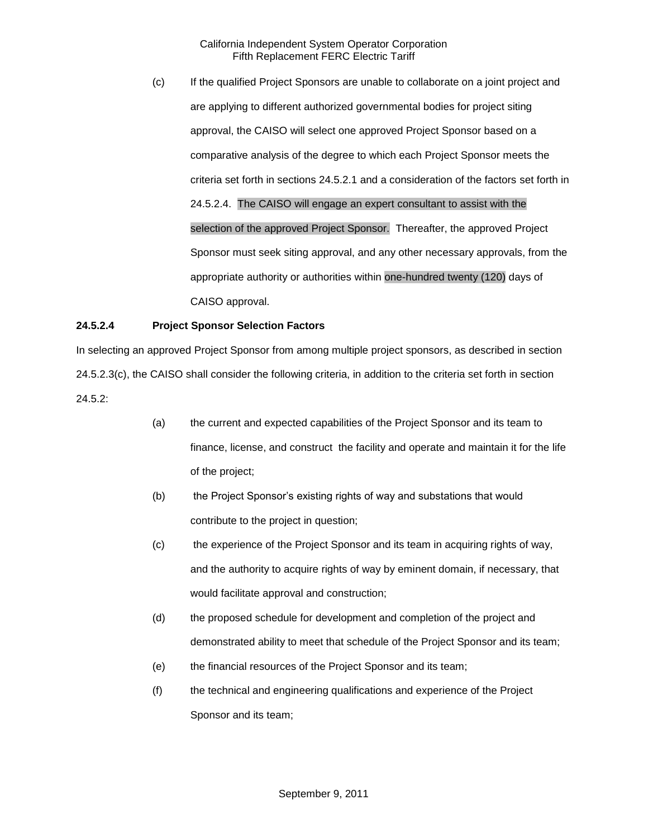(c) If the qualified Project Sponsors are unable to collaborate on a joint project and are applying to different authorized governmental bodies for project siting approval, the CAISO will select one approved Project Sponsor based on a comparative analysis of the degree to which each Project Sponsor meets the criteria set forth in sections 24.5.2.1 and a consideration of the factors set forth in 24.5.2.4. The CAISO will engage an expert consultant to assist with the selection of the approved Project Sponsor. Thereafter, the approved Project Sponsor must seek siting approval, and any other necessary approvals, from the appropriate authority or authorities within one-hundred twenty (120) days of CAISO approval.

## **24.5.2.4 Project Sponsor Selection Factors**

In selecting an approved Project Sponsor from among multiple project sponsors, as described in section 24.5.2.3(c), the CAISO shall consider the following criteria, in addition to the criteria set forth in section 24.5.2:

- (a) the current and expected capabilities of the Project Sponsor and its team to finance, license, and construct the facility and operate and maintain it for the life of the project;
- (b) the Project Sponsor's existing rights of way and substations that would contribute to the project in question;
- (c) the experience of the Project Sponsor and its team in acquiring rights of way, and the authority to acquire rights of way by eminent domain, if necessary, that would facilitate approval and construction;
- (d) the proposed schedule for development and completion of the project and demonstrated ability to meet that schedule of the Project Sponsor and its team;
- (e) the financial resources of the Project Sponsor and its team;
- (f) the technical and engineering qualifications and experience of the Project Sponsor and its team;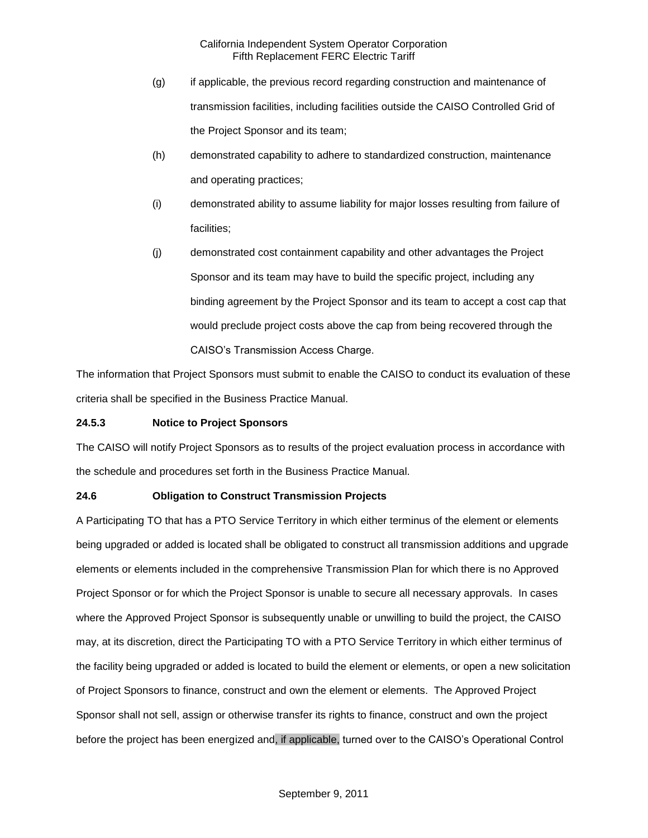- (g) if applicable, the previous record regarding construction and maintenance of transmission facilities, including facilities outside the CAISO Controlled Grid of the Project Sponsor and its team;
- (h) demonstrated capability to adhere to standardized construction, maintenance and operating practices;
- (i) demonstrated ability to assume liability for major losses resulting from failure of facilities;
- (j) demonstrated cost containment capability and other advantages the Project Sponsor and its team may have to build the specific project, including any binding agreement by the Project Sponsor and its team to accept a cost cap that would preclude project costs above the cap from being recovered through the CAISO's Transmission Access Charge.

The information that Project Sponsors must submit to enable the CAISO to conduct its evaluation of these criteria shall be specified in the Business Practice Manual.

## **24.5.3 Notice to Project Sponsors**

The CAISO will notify Project Sponsors as to results of the project evaluation process in accordance with the schedule and procedures set forth in the Business Practice Manual.

## **24.6 Obligation to Construct Transmission Projects**

A Participating TO that has a PTO Service Territory in which either terminus of the element or elements being upgraded or added is located shall be obligated to construct all transmission additions and upgrade elements or elements included in the comprehensive Transmission Plan for which there is no Approved Project Sponsor or for which the Project Sponsor is unable to secure all necessary approvals. In cases where the Approved Project Sponsor is subsequently unable or unwilling to build the project, the CAISO may, at its discretion, direct the Participating TO with a PTO Service Territory in which either terminus of the facility being upgraded or added is located to build the element or elements, or open a new solicitation of Project Sponsors to finance, construct and own the element or elements. The Approved Project Sponsor shall not sell, assign or otherwise transfer its rights to finance, construct and own the project before the project has been energized and, if applicable, turned over to the CAISO's Operational Control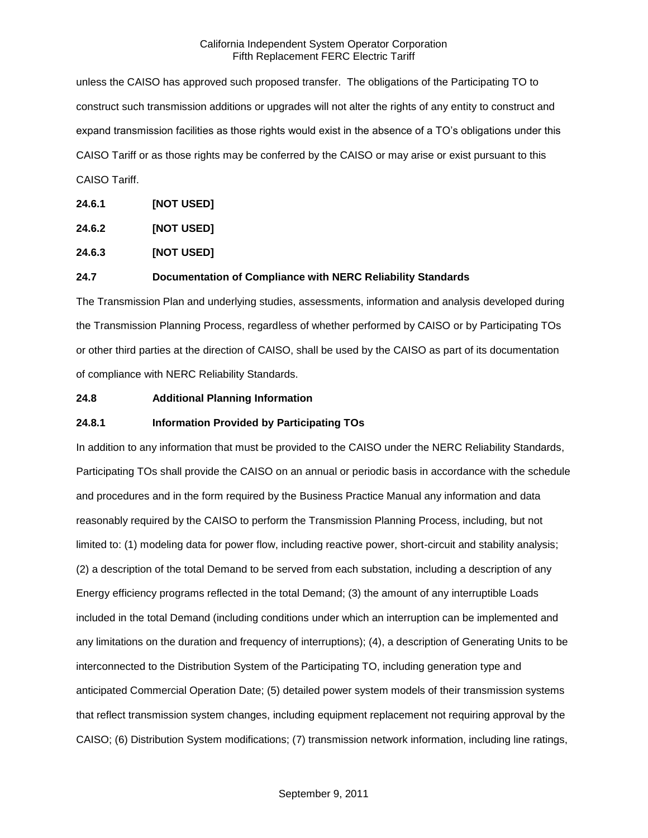unless the CAISO has approved such proposed transfer. The obligations of the Participating TO to construct such transmission additions or upgrades will not alter the rights of any entity to construct and expand transmission facilities as those rights would exist in the absence of a TO's obligations under this CAISO Tariff or as those rights may be conferred by the CAISO or may arise or exist pursuant to this CAISO Tariff.

**24.6.1 [NOT USED]**

**24.6.2 [NOT USED]**

**24.6.3 [NOT USED]**

## **24.7 Documentation of Compliance with NERC Reliability Standards**

The Transmission Plan and underlying studies, assessments, information and analysis developed during the Transmission Planning Process, regardless of whether performed by CAISO or by Participating TOs or other third parties at the direction of CAISO, shall be used by the CAISO as part of its documentation of compliance with NERC Reliability Standards.

#### **24.8 Additional Planning Information**

## **24.8.1 Information Provided by Participating TOs**

In addition to any information that must be provided to the CAISO under the NERC Reliability Standards, Participating TOs shall provide the CAISO on an annual or periodic basis in accordance with the schedule and procedures and in the form required by the Business Practice Manual any information and data reasonably required by the CAISO to perform the Transmission Planning Process, including, but not limited to: (1) modeling data for power flow, including reactive power, short-circuit and stability analysis; (2) a description of the total Demand to be served from each substation, including a description of any Energy efficiency programs reflected in the total Demand; (3) the amount of any interruptible Loads included in the total Demand (including conditions under which an interruption can be implemented and any limitations on the duration and frequency of interruptions); (4), a description of Generating Units to be interconnected to the Distribution System of the Participating TO, including generation type and anticipated Commercial Operation Date; (5) detailed power system models of their transmission systems that reflect transmission system changes, including equipment replacement not requiring approval by the CAISO; (6) Distribution System modifications; (7) transmission network information, including line ratings,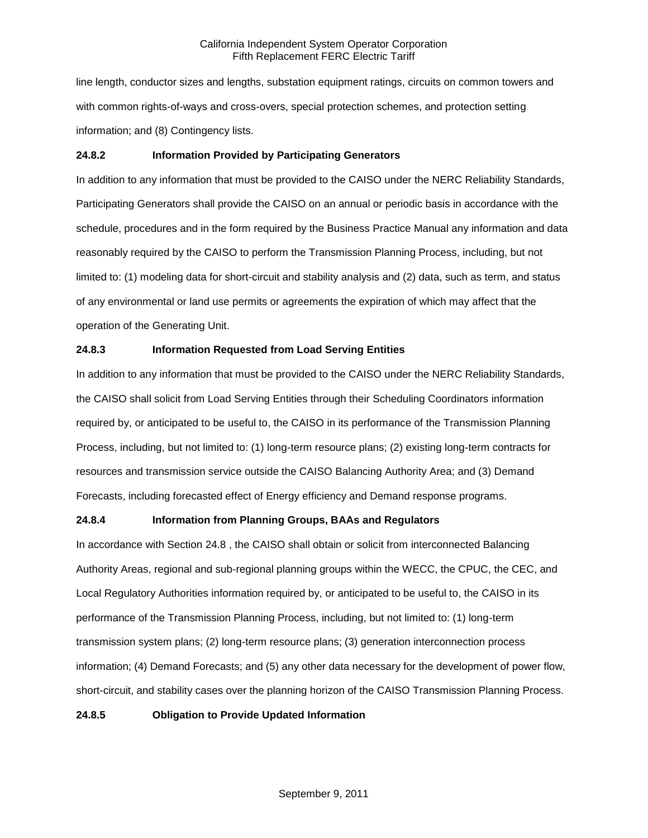line length, conductor sizes and lengths, substation equipment ratings, circuits on common towers and with common rights-of-ways and cross-overs, special protection schemes, and protection setting information; and (8) Contingency lists.

## **24.8.2 Information Provided by Participating Generators**

In addition to any information that must be provided to the CAISO under the NERC Reliability Standards, Participating Generators shall provide the CAISO on an annual or periodic basis in accordance with the schedule, procedures and in the form required by the Business Practice Manual any information and data reasonably required by the CAISO to perform the Transmission Planning Process, including, but not limited to: (1) modeling data for short-circuit and stability analysis and (2) data, such as term, and status of any environmental or land use permits or agreements the expiration of which may affect that the operation of the Generating Unit.

## **24.8.3 Information Requested from Load Serving Entities**

In addition to any information that must be provided to the CAISO under the NERC Reliability Standards, the CAISO shall solicit from Load Serving Entities through their Scheduling Coordinators information required by, or anticipated to be useful to, the CAISO in its performance of the Transmission Planning Process, including, but not limited to: (1) long-term resource plans; (2) existing long-term contracts for resources and transmission service outside the CAISO Balancing Authority Area; and (3) Demand Forecasts, including forecasted effect of Energy efficiency and Demand response programs.

## **24.8.4 Information from Planning Groups, BAAs and Regulators**

In accordance with Section 24.8 , the CAISO shall obtain or solicit from interconnected Balancing Authority Areas, regional and sub-regional planning groups within the WECC, the CPUC, the CEC, and Local Regulatory Authorities information required by, or anticipated to be useful to, the CAISO in its performance of the Transmission Planning Process, including, but not limited to: (1) long-term transmission system plans; (2) long-term resource plans; (3) generation interconnection process information; (4) Demand Forecasts; and (5) any other data necessary for the development of power flow, short-circuit, and stability cases over the planning horizon of the CAISO Transmission Planning Process.

#### **24.8.5 Obligation to Provide Updated Information**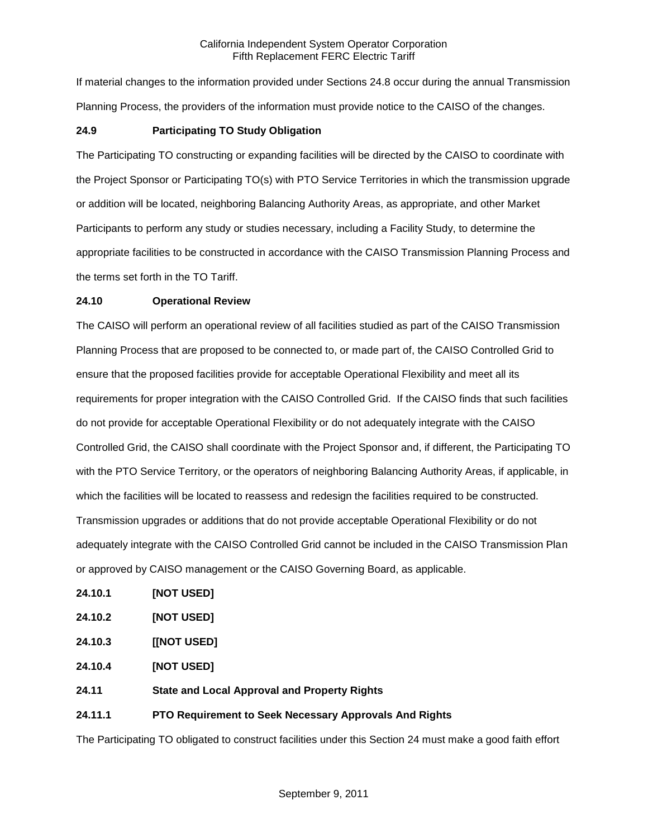If material changes to the information provided under Sections 24.8 occur during the annual Transmission Planning Process, the providers of the information must provide notice to the CAISO of the changes.

## **24.9 Participating TO Study Obligation**

The Participating TO constructing or expanding facilities will be directed by the CAISO to coordinate with the Project Sponsor or Participating TO(s) with PTO Service Territories in which the transmission upgrade or addition will be located, neighboring Balancing Authority Areas, as appropriate, and other Market Participants to perform any study or studies necessary, including a Facility Study, to determine the appropriate facilities to be constructed in accordance with the CAISO Transmission Planning Process and the terms set forth in the TO Tariff.

#### **24.10 Operational Review**

The CAISO will perform an operational review of all facilities studied as part of the CAISO Transmission Planning Process that are proposed to be connected to, or made part of, the CAISO Controlled Grid to ensure that the proposed facilities provide for acceptable Operational Flexibility and meet all its requirements for proper integration with the CAISO Controlled Grid. If the CAISO finds that such facilities do not provide for acceptable Operational Flexibility or do not adequately integrate with the CAISO Controlled Grid, the CAISO shall coordinate with the Project Sponsor and, if different, the Participating TO with the PTO Service Territory, or the operators of neighboring Balancing Authority Areas, if applicable, in which the facilities will be located to reassess and redesign the facilities required to be constructed. Transmission upgrades or additions that do not provide acceptable Operational Flexibility or do not adequately integrate with the CAISO Controlled Grid cannot be included in the CAISO Transmission Plan or approved by CAISO management or the CAISO Governing Board, as applicable.

- **24.10.1 [NOT USED]**
- **24.10.2 [NOT USED]**
- **24.10.3 [[NOT USED]**
- **24.10.4 [NOT USED]**
- **24.11 State and Local Approval and Property Rights**

## **24.11.1 PTO Requirement to Seek Necessary Approvals And Rights**

The Participating TO obligated to construct facilities under this Section 24 must make a good faith effort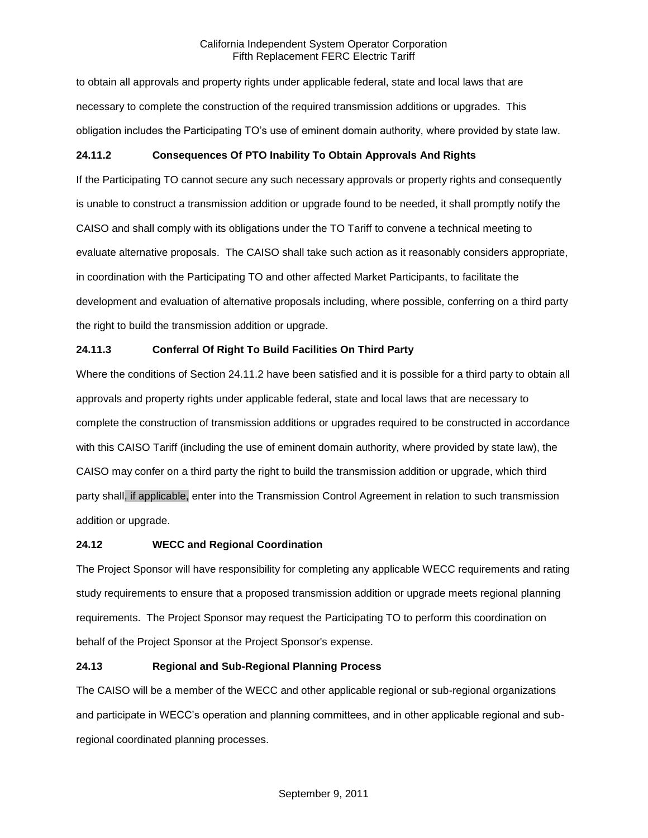to obtain all approvals and property rights under applicable federal, state and local laws that are necessary to complete the construction of the required transmission additions or upgrades. This obligation includes the Participating TO's use of eminent domain authority, where provided by state law.

# **24.11.2 Consequences Of PTO Inability To Obtain Approvals And Rights**

If the Participating TO cannot secure any such necessary approvals or property rights and consequently is unable to construct a transmission addition or upgrade found to be needed, it shall promptly notify the CAISO and shall comply with its obligations under the TO Tariff to convene a technical meeting to evaluate alternative proposals. The CAISO shall take such action as it reasonably considers appropriate, in coordination with the Participating TO and other affected Market Participants, to facilitate the development and evaluation of alternative proposals including, where possible, conferring on a third party the right to build the transmission addition or upgrade.

# **24.11.3 Conferral Of Right To Build Facilities On Third Party**

Where the conditions of Section 24.11.2 have been satisfied and it is possible for a third party to obtain all approvals and property rights under applicable federal, state and local laws that are necessary to complete the construction of transmission additions or upgrades required to be constructed in accordance with this CAISO Tariff (including the use of eminent domain authority, where provided by state law), the CAISO may confer on a third party the right to build the transmission addition or upgrade, which third party shall, if applicable, enter into the Transmission Control Agreement in relation to such transmission addition or upgrade.

## **24.12 WECC and Regional Coordination**

The Project Sponsor will have responsibility for completing any applicable WECC requirements and rating study requirements to ensure that a proposed transmission addition or upgrade meets regional planning requirements. The Project Sponsor may request the Participating TO to perform this coordination on behalf of the Project Sponsor at the Project Sponsor's expense.

## **24.13 Regional and Sub-Regional Planning Process**

The CAISO will be a member of the WECC and other applicable regional or sub-regional organizations and participate in WECC's operation and planning committees, and in other applicable regional and subregional coordinated planning processes.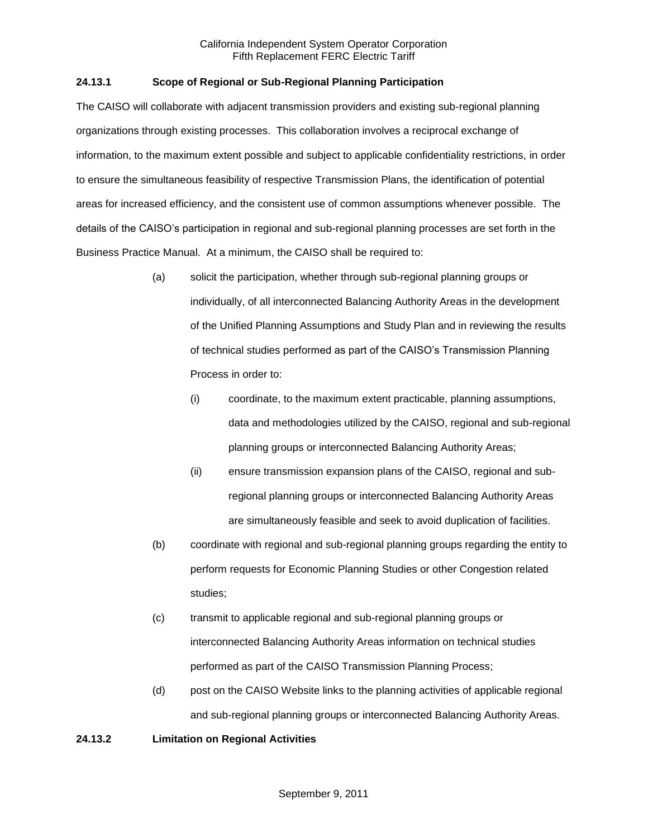## **24.13.1 Scope of Regional or Sub-Regional Planning Participation**

The CAISO will collaborate with adjacent transmission providers and existing sub-regional planning organizations through existing processes. This collaboration involves a reciprocal exchange of information, to the maximum extent possible and subject to applicable confidentiality restrictions, in order to ensure the simultaneous feasibility of respective Transmission Plans, the identification of potential areas for increased efficiency, and the consistent use of common assumptions whenever possible. The details of the CAISO's participation in regional and sub-regional planning processes are set forth in the Business Practice Manual. At a minimum, the CAISO shall be required to:

- (a) solicit the participation, whether through sub-regional planning groups or individually, of all interconnected Balancing Authority Areas in the development of the Unified Planning Assumptions and Study Plan and in reviewing the results of technical studies performed as part of the CAISO's Transmission Planning Process in order to:
	- (i) coordinate, to the maximum extent practicable, planning assumptions, data and methodologies utilized by the CAISO, regional and sub-regional planning groups or interconnected Balancing Authority Areas;
	- (ii) ensure transmission expansion plans of the CAISO, regional and subregional planning groups or interconnected Balancing Authority Areas are simultaneously feasible and seek to avoid duplication of facilities.
- (b) coordinate with regional and sub-regional planning groups regarding the entity to perform requests for Economic Planning Studies or other Congestion related studies;
- (c) transmit to applicable regional and sub-regional planning groups or interconnected Balancing Authority Areas information on technical studies performed as part of the CAISO Transmission Planning Process;
- (d) post on the CAISO Website links to the planning activities of applicable regional and sub-regional planning groups or interconnected Balancing Authority Areas.

## **24.13.2 Limitation on Regional Activities**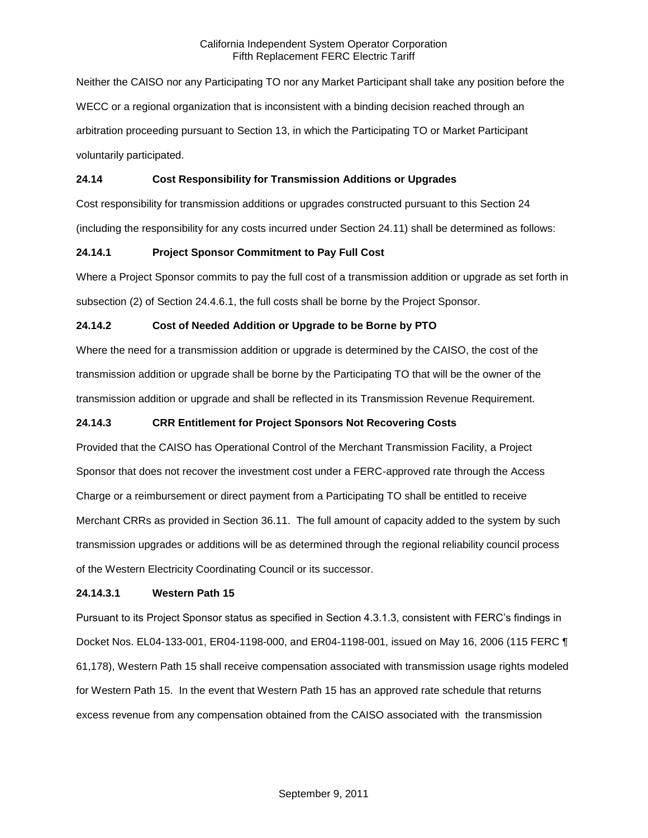Neither the CAISO nor any Participating TO nor any Market Participant shall take any position before the WECC or a regional organization that is inconsistent with a binding decision reached through an arbitration proceeding pursuant to Section 13, in which the Participating TO or Market Participant voluntarily participated.

## **24.14 Cost Responsibility for Transmission Additions or Upgrades**

Cost responsibility for transmission additions or upgrades constructed pursuant to this Section 24 (including the responsibility for any costs incurred under Section 24.11) shall be determined as follows:

## **24.14.1 Project Sponsor Commitment to Pay Full Cost**

Where a Project Sponsor commits to pay the full cost of a transmission addition or upgrade as set forth in subsection (2) of Section 24.4.6.1, the full costs shall be borne by the Project Sponsor.

## **24.14.2 Cost of Needed Addition or Upgrade to be Borne by PTO**

Where the need for a transmission addition or upgrade is determined by the CAISO, the cost of the transmission addition or upgrade shall be borne by the Participating TO that will be the owner of the transmission addition or upgrade and shall be reflected in its Transmission Revenue Requirement.

## **24.14.3 CRR Entitlement for Project Sponsors Not Recovering Costs**

Provided that the CAISO has Operational Control of the Merchant Transmission Facility, a Project Sponsor that does not recover the investment cost under a FERC-approved rate through the Access Charge or a reimbursement or direct payment from a Participating TO shall be entitled to receive Merchant CRRs as provided in Section 36.11. The full amount of capacity added to the system by such transmission upgrades or additions will be as determined through the regional reliability council process of the Western Electricity Coordinating Council or its successor.

#### **24.14.3.1 Western Path 15**

Pursuant to its Project Sponsor status as specified in Section 4.3.1.3, consistent with FERC's findings in Docket Nos. EL04-133-001, ER04-1198-000, and ER04-1198-001, issued on May 16, 2006 (115 FERC ¶ 61,178), Western Path 15 shall receive compensation associated with transmission usage rights modeled for Western Path 15. In the event that Western Path 15 has an approved rate schedule that returns excess revenue from any compensation obtained from the CAISO associated with the transmission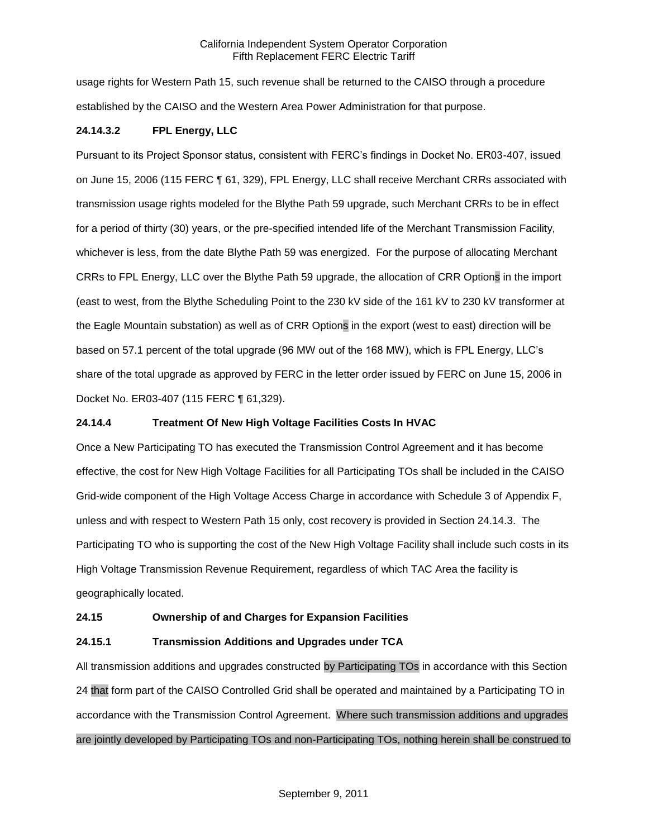usage rights for Western Path 15, such revenue shall be returned to the CAISO through a procedure established by the CAISO and the Western Area Power Administration for that purpose.

## **24.14.3.2 FPL Energy, LLC**

Pursuant to its Project Sponsor status, consistent with FERC's findings in Docket No. ER03-407, issued on June 15, 2006 (115 FERC ¶ 61, 329), FPL Energy, LLC shall receive Merchant CRRs associated with transmission usage rights modeled for the Blythe Path 59 upgrade, such Merchant CRRs to be in effect for a period of thirty (30) years, or the pre-specified intended life of the Merchant Transmission Facility, whichever is less, from the date Blythe Path 59 was energized. For the purpose of allocating Merchant CRRs to FPL Energy, LLC over the Blythe Path 59 upgrade, the allocation of CRR Options in the import (east to west, from the Blythe Scheduling Point to the 230 kV side of the 161 kV to 230 kV transformer at the Eagle Mountain substation) as well as of CRR Options in the export (west to east) direction will be based on 57.1 percent of the total upgrade (96 MW out of the 168 MW), which is FPL Energy, LLC's share of the total upgrade as approved by FERC in the letter order issued by FERC on June 15, 2006 in Docket No. ER03-407 (115 FERC ¶ 61,329).

#### **24.14.4 Treatment Of New High Voltage Facilities Costs In HVAC**

Once a New Participating TO has executed the Transmission Control Agreement and it has become effective, the cost for New High Voltage Facilities for all Participating TOs shall be included in the CAISO Grid-wide component of the High Voltage Access Charge in accordance with Schedule 3 of Appendix F, unless and with respect to Western Path 15 only, cost recovery is provided in Section 24.14.3. The Participating TO who is supporting the cost of the New High Voltage Facility shall include such costs in its High Voltage Transmission Revenue Requirement, regardless of which TAC Area the facility is geographically located.

#### **24.15 Ownership of and Charges for Expansion Facilities**

#### **24.15.1 Transmission Additions and Upgrades under TCA**

All transmission additions and upgrades constructed by Participating TOs in accordance with this Section 24 that form part of the CAISO Controlled Grid shall be operated and maintained by a Participating TO in accordance with the Transmission Control Agreement. Where such transmission additions and upgrades are jointly developed by Participating TOs and non-Participating TOs, nothing herein shall be construed to